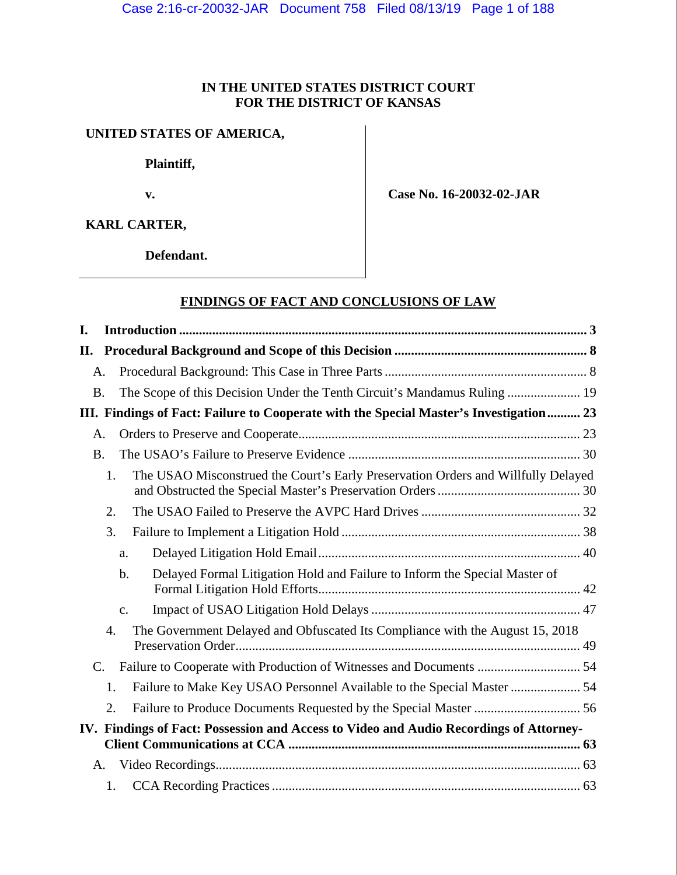## **IN THE UNITED STATES DISTRICT COURT FOR THE DISTRICT OF KANSAS**

# **UNITED STATES OF AMERICA,**

 **Plaintiff,** 

 **v.** 

 **Case No. 16-20032-02-JAR** 

**KARL CARTER,** 

 **Defendant.** 

## **FINDINGS OF FACT AND CONCLUSIONS OF LAW**

| L.  |             |                                                                                         |  |
|-----|-------------|-----------------------------------------------------------------------------------------|--|
| II. |             |                                                                                         |  |
|     | A.          |                                                                                         |  |
|     | <b>B.</b>   | The Scope of this Decision Under the Tenth Circuit's Mandamus Ruling  19                |  |
|     |             | III. Findings of Fact: Failure to Cooperate with the Special Master's Investigation 23  |  |
|     | A.          |                                                                                         |  |
|     | <b>B.</b>   |                                                                                         |  |
|     |             | The USAO Misconstrued the Court's Early Preservation Orders and Willfully Delayed<br>1. |  |
|     |             | 2.                                                                                      |  |
|     |             | 3.                                                                                      |  |
|     |             | a.                                                                                      |  |
|     |             | Delayed Formal Litigation Hold and Failure to Inform the Special Master of<br>$b$ .     |  |
|     |             | $C_{\bullet}$                                                                           |  |
|     |             | The Government Delayed and Obfuscated Its Compliance with the August 15, 2018<br>4.     |  |
|     | $C_{\cdot}$ | Failure to Cooperate with Production of Witnesses and Documents  54                     |  |
|     |             | Failure to Make Key USAO Personnel Available to the Special Master  54<br>1.            |  |
|     |             | 2.                                                                                      |  |
|     |             | IV. Findings of Fact: Possession and Access to Video and Audio Recordings of Attorney-  |  |
|     | A.          |                                                                                         |  |
|     |             | 1.                                                                                      |  |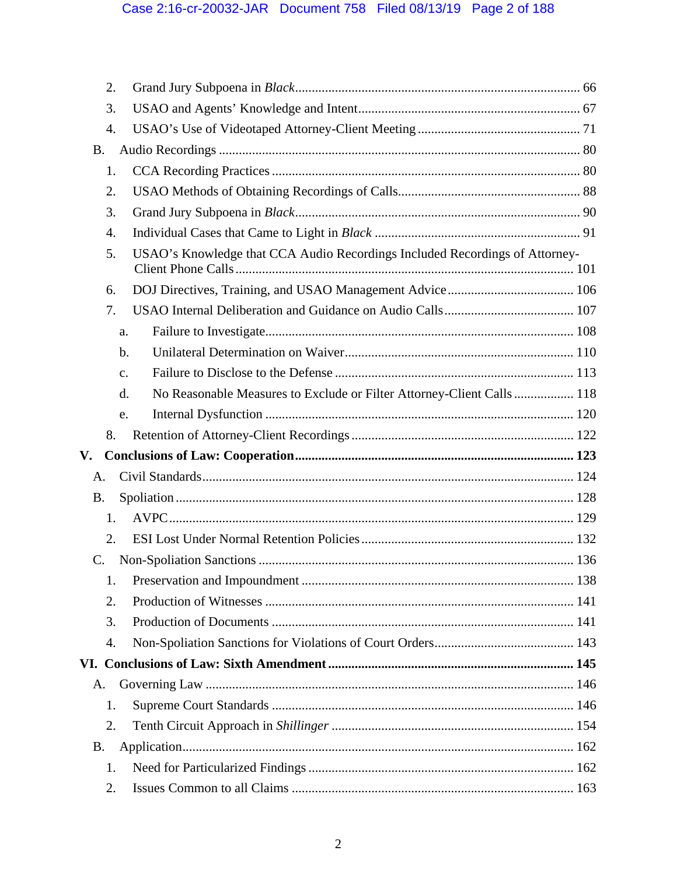| 2.        |                                                                             |  |
|-----------|-----------------------------------------------------------------------------|--|
| 3.        |                                                                             |  |
| 4.        |                                                                             |  |
| <b>B.</b> |                                                                             |  |
| 1.        |                                                                             |  |
| 2.        |                                                                             |  |
| 3.        |                                                                             |  |
| 4.        |                                                                             |  |
| 5.        | USAO's Knowledge that CCA Audio Recordings Included Recordings of Attorney- |  |
| 6.        |                                                                             |  |
| 7.        |                                                                             |  |
| a.        |                                                                             |  |
| b.        |                                                                             |  |
| c.        |                                                                             |  |
| d.        | No Reasonable Measures to Exclude or Filter Attorney-Client Calls 118       |  |
| e.        |                                                                             |  |
| 8.        |                                                                             |  |
| V.        |                                                                             |  |
| A.        |                                                                             |  |
| <b>B.</b> |                                                                             |  |
| 1.        |                                                                             |  |
| 2.        |                                                                             |  |
| C.        |                                                                             |  |
| 1.        |                                                                             |  |
| 2.        |                                                                             |  |
| 3.        |                                                                             |  |
| 4.        |                                                                             |  |
|           |                                                                             |  |
| А.        |                                                                             |  |
| 1.        |                                                                             |  |
| 2.        |                                                                             |  |
| <b>B.</b> |                                                                             |  |
| 1.        |                                                                             |  |
| 2.        |                                                                             |  |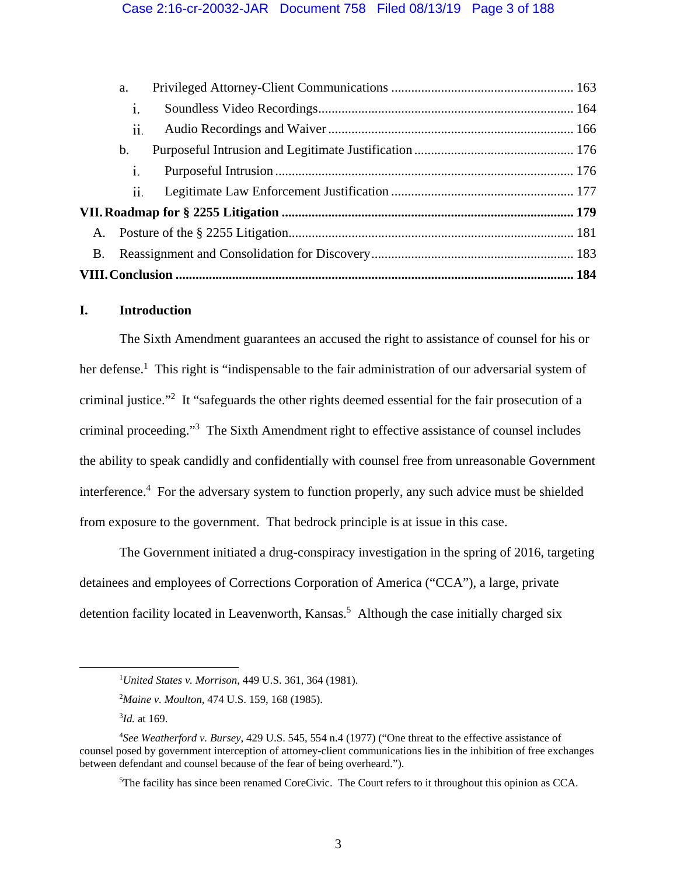|           | a.             |  |
|-----------|----------------|--|
|           | $\mathbf{1}$ . |  |
|           | 11.            |  |
|           | $\mathbf b$ .  |  |
|           | i.             |  |
|           | 11.            |  |
|           |                |  |
| A.        |                |  |
| <b>B.</b> |                |  |
|           |                |  |
|           |                |  |

## **I. Introduction**

 The Sixth Amendment guarantees an accused the right to assistance of counsel for his or her defense.<sup>1</sup> This right is "indispensable to the fair administration of our adversarial system of criminal justice."<sup>2</sup> It "safeguards the other rights deemed essential for the fair prosecution of a criminal proceeding."3 The Sixth Amendment right to effective assistance of counsel includes the ability to speak candidly and confidentially with counsel free from unreasonable Government interference.<sup>4</sup> For the adversary system to function properly, any such advice must be shielded from exposure to the government. That bedrock principle is at issue in this case.

The Government initiated a drug-conspiracy investigation in the spring of 2016, targeting detainees and employees of Corrections Corporation of America ("CCA"), a large, private detention facility located in Leavenworth, Kansas.<sup>5</sup> Although the case initially charged six

 $\begin{array}{c|c}\n\hline\n\text{1}\n\end{array}$ *United States v. Morrison*, 449 U.S. 361, 364 (1981).

<sup>2</sup> *Maine v. Moulton*, 474 U.S. 159, 168 (1985).

<sup>3</sup> *Id.* at 169.

<sup>4</sup> *See Weatherford v. Bursey*, 429 U.S. 545, 554 n.4 (1977) ("One threat to the effective assistance of counsel posed by government interception of attorney-client communications lies in the inhibition of free exchanges between defendant and counsel because of the fear of being overheard.").

<sup>5</sup> The facility has since been renamed CoreCivic. The Court refers to it throughout this opinion as CCA.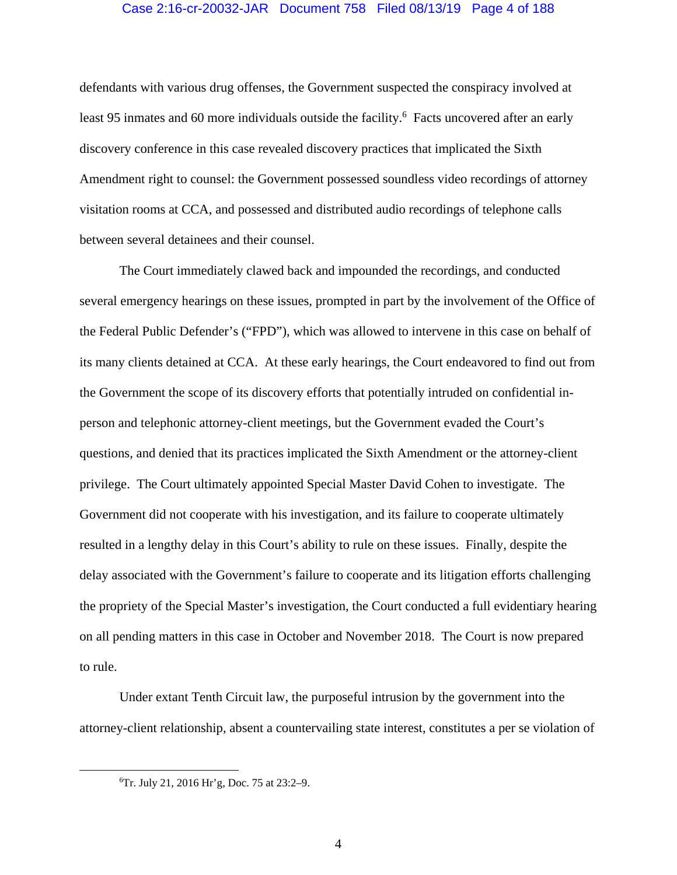## Case 2:16-cr-20032-JAR Document 758 Filed 08/13/19 Page 4 of 188

defendants with various drug offenses, the Government suspected the conspiracy involved at least 95 inmates and 60 more individuals outside the facility.<sup>6</sup> Facts uncovered after an early discovery conference in this case revealed discovery practices that implicated the Sixth Amendment right to counsel: the Government possessed soundless video recordings of attorney visitation rooms at CCA, and possessed and distributed audio recordings of telephone calls between several detainees and their counsel.

 The Court immediately clawed back and impounded the recordings, and conducted several emergency hearings on these issues, prompted in part by the involvement of the Office of the Federal Public Defender's ("FPD"), which was allowed to intervene in this case on behalf of its many clients detained at CCA. At these early hearings, the Court endeavored to find out from the Government the scope of its discovery efforts that potentially intruded on confidential inperson and telephonic attorney-client meetings, but the Government evaded the Court's questions, and denied that its practices implicated the Sixth Amendment or the attorney-client privilege. The Court ultimately appointed Special Master David Cohen to investigate. The Government did not cooperate with his investigation, and its failure to cooperate ultimately resulted in a lengthy delay in this Court's ability to rule on these issues. Finally, despite the delay associated with the Government's failure to cooperate and its litigation efforts challenging the propriety of the Special Master's investigation, the Court conducted a full evidentiary hearing on all pending matters in this case in October and November 2018. The Court is now prepared to rule.

 Under extant Tenth Circuit law, the purposeful intrusion by the government into the attorney-client relationship, absent a countervailing state interest, constitutes a per se violation of

4

 <sup>6</sup> Tr. July 21, 2016 Hr'g, Doc. 75 at 23:2–9.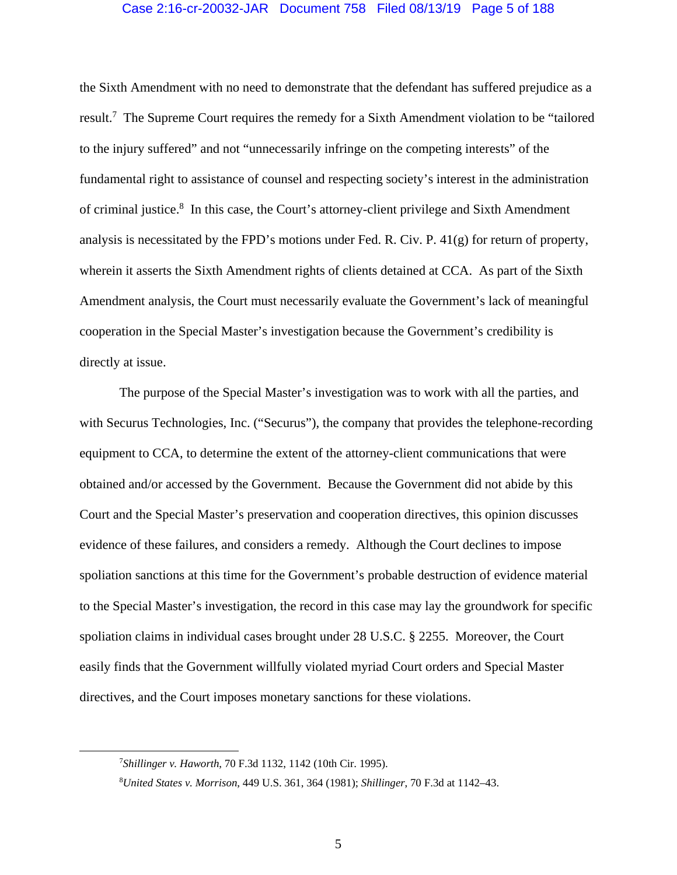## Case 2:16-cr-20032-JAR Document 758 Filed 08/13/19 Page 5 of 188

the Sixth Amendment with no need to demonstrate that the defendant has suffered prejudice as a result.<sup>7</sup> The Supreme Court requires the remedy for a Sixth Amendment violation to be "tailored to the injury suffered" and not "unnecessarily infringe on the competing interests" of the fundamental right to assistance of counsel and respecting society's interest in the administration of criminal justice.<sup>8</sup> In this case, the Court's attorney-client privilege and Sixth Amendment analysis is necessitated by the FPD's motions under Fed. R. Civ. P. 41(g) for return of property, wherein it asserts the Sixth Amendment rights of clients detained at CCA. As part of the Sixth Amendment analysis, the Court must necessarily evaluate the Government's lack of meaningful cooperation in the Special Master's investigation because the Government's credibility is directly at issue.

The purpose of the Special Master's investigation was to work with all the parties, and with Securus Technologies, Inc. ("Securus"), the company that provides the telephone-recording equipment to CCA, to determine the extent of the attorney-client communications that were obtained and/or accessed by the Government. Because the Government did not abide by this Court and the Special Master's preservation and cooperation directives, this opinion discusses evidence of these failures, and considers a remedy. Although the Court declines to impose spoliation sanctions at this time for the Government's probable destruction of evidence material to the Special Master's investigation, the record in this case may lay the groundwork for specific spoliation claims in individual cases brought under 28 U.S.C. § 2255. Moreover, the Court easily finds that the Government willfully violated myriad Court orders and Special Master directives, and the Court imposes monetary sanctions for these violations.

 <sup>7</sup> *Shillinger v. Haworth*, 70 F.3d 1132, 1142 (10th Cir. 1995).

<sup>8</sup> *United States v. Morrison*, 449 U.S. 361, 364 (1981); *Shillinger*, 70 F.3d at 1142–43.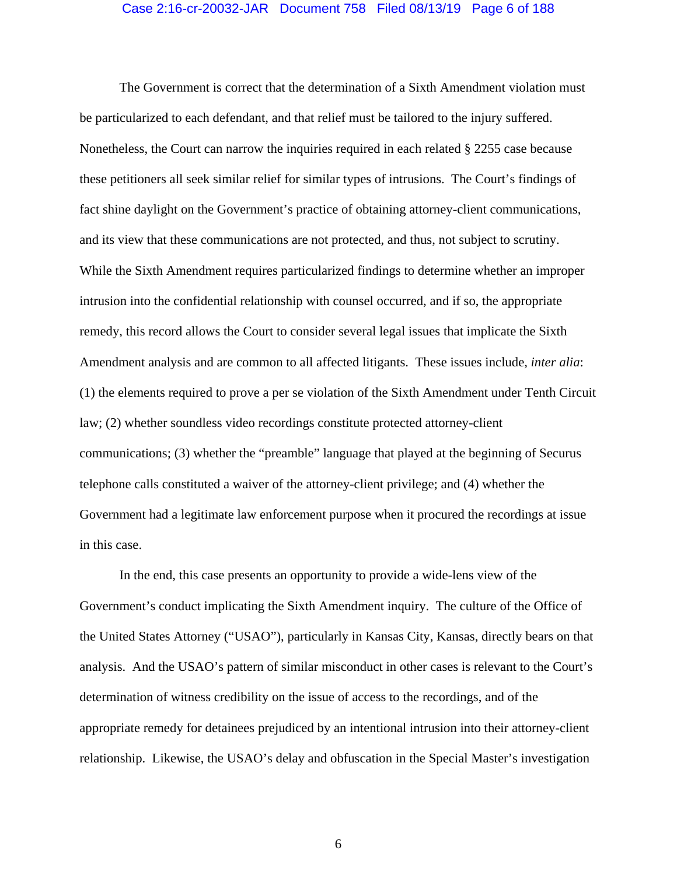### Case 2:16-cr-20032-JAR Document 758 Filed 08/13/19 Page 6 of 188

 The Government is correct that the determination of a Sixth Amendment violation must be particularized to each defendant, and that relief must be tailored to the injury suffered. Nonetheless, the Court can narrow the inquiries required in each related § 2255 case because these petitioners all seek similar relief for similar types of intrusions. The Court's findings of fact shine daylight on the Government's practice of obtaining attorney-client communications, and its view that these communications are not protected, and thus, not subject to scrutiny. While the Sixth Amendment requires particularized findings to determine whether an improper intrusion into the confidential relationship with counsel occurred, and if so, the appropriate remedy, this record allows the Court to consider several legal issues that implicate the Sixth Amendment analysis and are common to all affected litigants. These issues include, *inter alia*: (1) the elements required to prove a per se violation of the Sixth Amendment under Tenth Circuit law; (2) whether soundless video recordings constitute protected attorney-client communications; (3) whether the "preamble" language that played at the beginning of Securus telephone calls constituted a waiver of the attorney-client privilege; and (4) whether the Government had a legitimate law enforcement purpose when it procured the recordings at issue in this case.

 In the end, this case presents an opportunity to provide a wide-lens view of the Government's conduct implicating the Sixth Amendment inquiry. The culture of the Office of the United States Attorney ("USAO"), particularly in Kansas City, Kansas, directly bears on that analysis. And the USAO's pattern of similar misconduct in other cases is relevant to the Court's determination of witness credibility on the issue of access to the recordings, and of the appropriate remedy for detainees prejudiced by an intentional intrusion into their attorney-client relationship. Likewise, the USAO's delay and obfuscation in the Special Master's investigation

6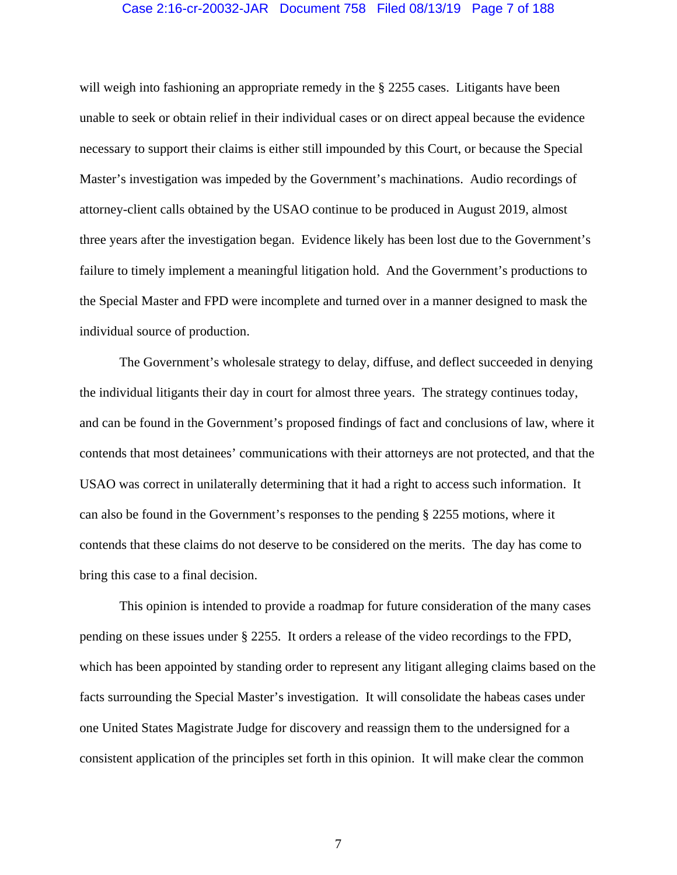## Case 2:16-cr-20032-JAR Document 758 Filed 08/13/19 Page 7 of 188

will weigh into fashioning an appropriate remedy in the § 2255 cases. Litigants have been unable to seek or obtain relief in their individual cases or on direct appeal because the evidence necessary to support their claims is either still impounded by this Court, or because the Special Master's investigation was impeded by the Government's machinations. Audio recordings of attorney-client calls obtained by the USAO continue to be produced in August 2019, almost three years after the investigation began. Evidence likely has been lost due to the Government's failure to timely implement a meaningful litigation hold. And the Government's productions to the Special Master and FPD were incomplete and turned over in a manner designed to mask the individual source of production.

 The Government's wholesale strategy to delay, diffuse, and deflect succeeded in denying the individual litigants their day in court for almost three years. The strategy continues today, and can be found in the Government's proposed findings of fact and conclusions of law, where it contends that most detainees' communications with their attorneys are not protected, and that the USAO was correct in unilaterally determining that it had a right to access such information. It can also be found in the Government's responses to the pending § 2255 motions, where it contends that these claims do not deserve to be considered on the merits. The day has come to bring this case to a final decision.

This opinion is intended to provide a roadmap for future consideration of the many cases pending on these issues under § 2255. It orders a release of the video recordings to the FPD, which has been appointed by standing order to represent any litigant alleging claims based on the facts surrounding the Special Master's investigation. It will consolidate the habeas cases under one United States Magistrate Judge for discovery and reassign them to the undersigned for a consistent application of the principles set forth in this opinion. It will make clear the common

7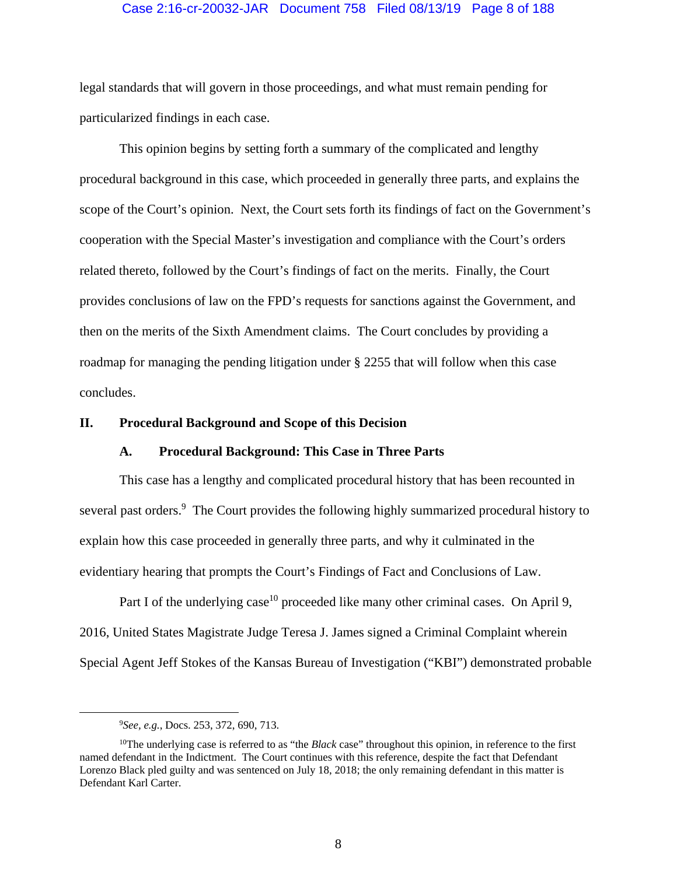## Case 2:16-cr-20032-JAR Document 758 Filed 08/13/19 Page 8 of 188

legal standards that will govern in those proceedings, and what must remain pending for particularized findings in each case.

 This opinion begins by setting forth a summary of the complicated and lengthy procedural background in this case, which proceeded in generally three parts, and explains the scope of the Court's opinion. Next, the Court sets forth its findings of fact on the Government's cooperation with the Special Master's investigation and compliance with the Court's orders related thereto, followed by the Court's findings of fact on the merits. Finally, the Court provides conclusions of law on the FPD's requests for sanctions against the Government, and then on the merits of the Sixth Amendment claims. The Court concludes by providing a roadmap for managing the pending litigation under § 2255 that will follow when this case concludes.

## **II. Procedural Background and Scope of this Decision**

## **A. Procedural Background: This Case in Three Parts**

This case has a lengthy and complicated procedural history that has been recounted in several past orders.<sup>9</sup> The Court provides the following highly summarized procedural history to explain how this case proceeded in generally three parts, and why it culminated in the evidentiary hearing that prompts the Court's Findings of Fact and Conclusions of Law.

Part I of the underlying case<sup>10</sup> proceeded like many other criminal cases. On April 9, 2016, United States Magistrate Judge Teresa J. James signed a Criminal Complaint wherein Special Agent Jeff Stokes of the Kansas Bureau of Investigation ("KBI") demonstrated probable

 <sup>9</sup> *See, e.g.*, Docs. 253, 372, 690, 713.

<sup>10</sup>The underlying case is referred to as "the *Black* case" throughout this opinion, in reference to the first named defendant in the Indictment. The Court continues with this reference, despite the fact that Defendant Lorenzo Black pled guilty and was sentenced on July 18, 2018; the only remaining defendant in this matter is Defendant Karl Carter.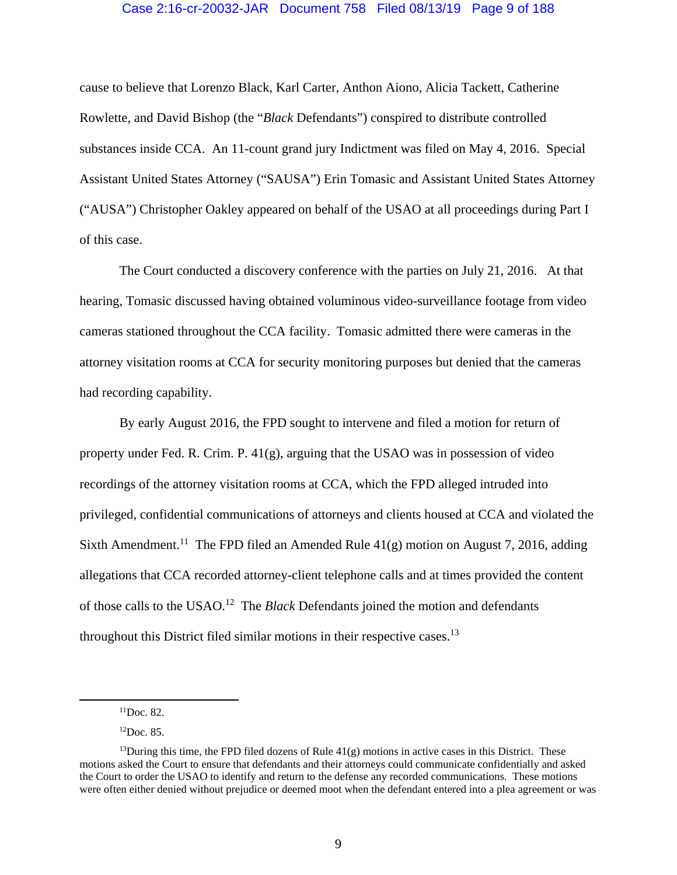#### Case 2:16-cr-20032-JAR Document 758 Filed 08/13/19 Page 9 of 188

cause to believe that Lorenzo Black, Karl Carter, Anthon Aiono, Alicia Tackett, Catherine Rowlette, and David Bishop (the "*Black* Defendants") conspired to distribute controlled substances inside CCA. An 11-count grand jury Indictment was filed on May 4, 2016. Special Assistant United States Attorney ("SAUSA") Erin Tomasic and Assistant United States Attorney ("AUSA") Christopher Oakley appeared on behalf of the USAO at all proceedings during Part I of this case.

 The Court conducted a discovery conference with the parties on July 21, 2016. At that hearing, Tomasic discussed having obtained voluminous video-surveillance footage from video cameras stationed throughout the CCA facility. Tomasic admitted there were cameras in the attorney visitation rooms at CCA for security monitoring purposes but denied that the cameras had recording capability.

 By early August 2016, the FPD sought to intervene and filed a motion for return of property under Fed. R. Crim. P. 41(g), arguing that the USAO was in possession of video recordings of the attorney visitation rooms at CCA, which the FPD alleged intruded into privileged, confidential communications of attorneys and clients housed at CCA and violated the Sixth Amendment.<sup>11</sup> The FPD filed an Amended Rule  $41(g)$  motion on August 7, 2016, adding allegations that CCA recorded attorney-client telephone calls and at times provided the content of those calls to the USAO.12 The *Black* Defendants joined the motion and defendants throughout this District filed similar motions in their respective cases.<sup>13</sup>

 $11$ Doc. 82.

 ${}^{12}$ Doc. 85.

<sup>&</sup>lt;sup>13</sup>During this time, the FPD filed dozens of Rule  $41(g)$  motions in active cases in this District. These motions asked the Court to ensure that defendants and their attorneys could communicate confidentially and asked the Court to order the USAO to identify and return to the defense any recorded communications. These motions were often either denied without prejudice or deemed moot when the defendant entered into a plea agreement or was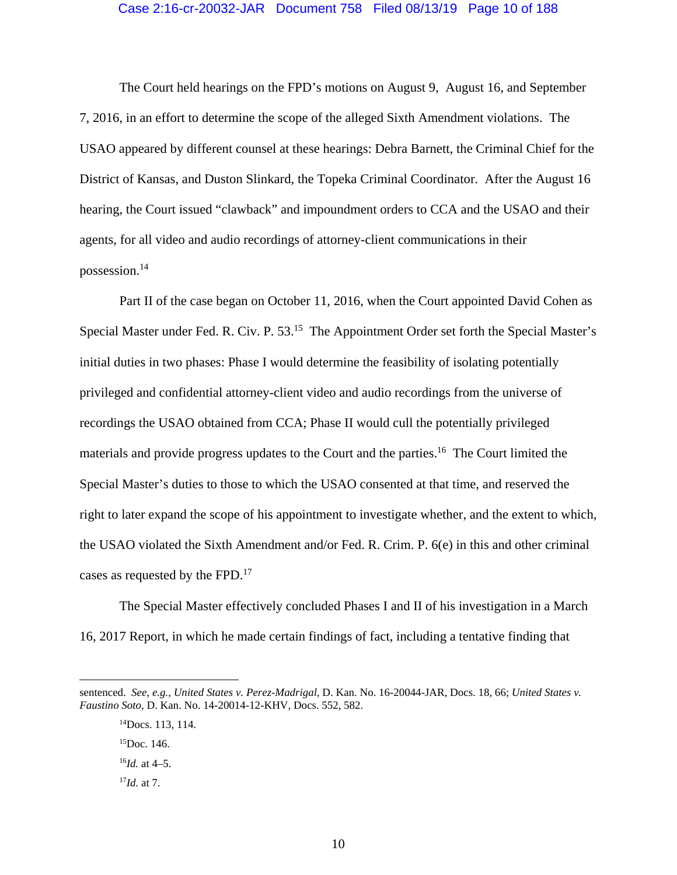#### Case 2:16-cr-20032-JAR Document 758 Filed 08/13/19 Page 10 of 188

The Court held hearings on the FPD's motions on August 9, August 16, and September 7, 2016, in an effort to determine the scope of the alleged Sixth Amendment violations. The USAO appeared by different counsel at these hearings: Debra Barnett, the Criminal Chief for the District of Kansas, and Duston Slinkard, the Topeka Criminal Coordinator. After the August 16 hearing, the Court issued "clawback" and impoundment orders to CCA and the USAO and their agents, for all video and audio recordings of attorney-client communications in their possession.14

Part II of the case began on October 11, 2016, when the Court appointed David Cohen as Special Master under Fed. R. Civ. P. 53.<sup>15</sup> The Appointment Order set forth the Special Master's initial duties in two phases: Phase I would determine the feasibility of isolating potentially privileged and confidential attorney-client video and audio recordings from the universe of recordings the USAO obtained from CCA; Phase II would cull the potentially privileged materials and provide progress updates to the Court and the parties.<sup>16</sup> The Court limited the Special Master's duties to those to which the USAO consented at that time, and reserved the right to later expand the scope of his appointment to investigate whether, and the extent to which, the USAO violated the Sixth Amendment and/or Fed. R. Crim. P. 6(e) in this and other criminal cases as requested by the FPD.<sup>17</sup>

The Special Master effectively concluded Phases I and II of his investigation in a March 16, 2017 Report, in which he made certain findings of fact, including a tentative finding that

 $\overline{a}$ 

sentenced. *See, e.g.*, *United States v. Perez-Madrigal*, D. Kan. No. 16-20044-JAR, Docs. 18, 66; *United States v. Faustino Soto*, D. Kan. No. 14-20014-12-KHV, Docs. 552, 582.

<sup>14</sup>Docs. 113, 114.

 $15$ Doc. 146.

<sup>16</sup>*Id.* at 4–5.

<sup>17</sup>*Id.* at 7.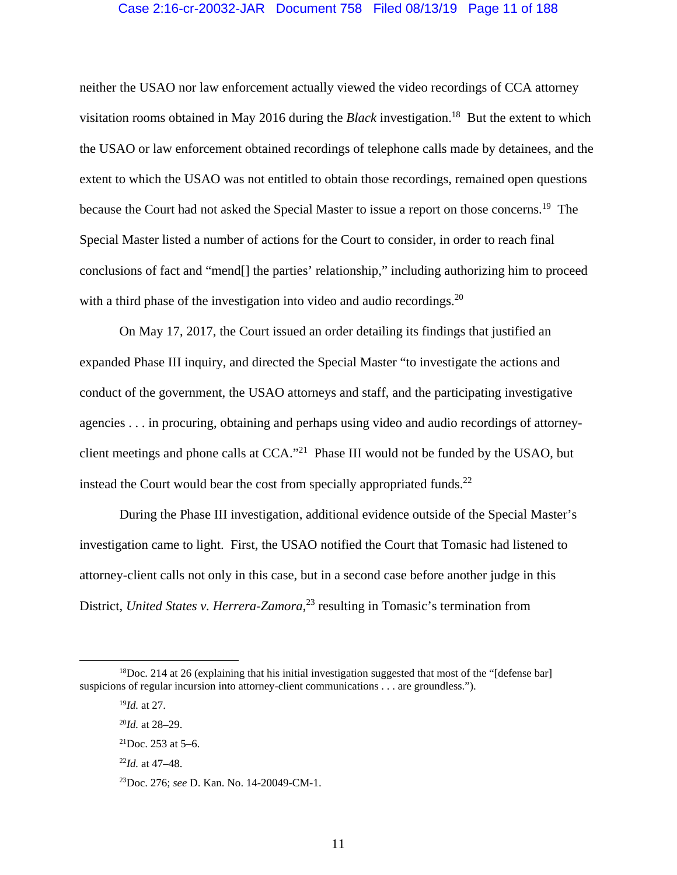## Case 2:16-cr-20032-JAR Document 758 Filed 08/13/19 Page 11 of 188

neither the USAO nor law enforcement actually viewed the video recordings of CCA attorney visitation rooms obtained in May 2016 during the *Black* investigation.18 But the extent to which the USAO or law enforcement obtained recordings of telephone calls made by detainees, and the extent to which the USAO was not entitled to obtain those recordings, remained open questions because the Court had not asked the Special Master to issue a report on those concerns.<sup>19</sup> The Special Master listed a number of actions for the Court to consider, in order to reach final conclusions of fact and "mend[] the parties' relationship," including authorizing him to proceed with a third phase of the investigation into video and audio recordings.<sup>20</sup>

On May 17, 2017, the Court issued an order detailing its findings that justified an expanded Phase III inquiry, and directed the Special Master "to investigate the actions and conduct of the government, the USAO attorneys and staff, and the participating investigative agencies . . . in procuring, obtaining and perhaps using video and audio recordings of attorneyclient meetings and phone calls at CCA."21 Phase III would not be funded by the USAO, but instead the Court would bear the cost from specially appropriated funds. $^{22}$ 

During the Phase III investigation, additional evidence outside of the Special Master's investigation came to light. First, the USAO notified the Court that Tomasic had listened to attorney-client calls not only in this case, but in a second case before another judge in this District, *United States v. Herrera-Zamora*,<sup>23</sup> resulting in Tomasic's termination from

 $18$ Doc. 214 at 26 (explaining that his initial investigation suggested that most of the "[defense bar] suspicions of regular incursion into attorney-client communications . . . are groundless.").

<sup>19</sup>*Id.* at 27.

<sup>20</sup>*Id.* at 28–29.

 $^{21}$ Doc. 253 at 5–6.

<sup>22</sup>*Id.* at 47–48.

<sup>23</sup>Doc. 276; *see* D. Kan. No. 14-20049-CM-1.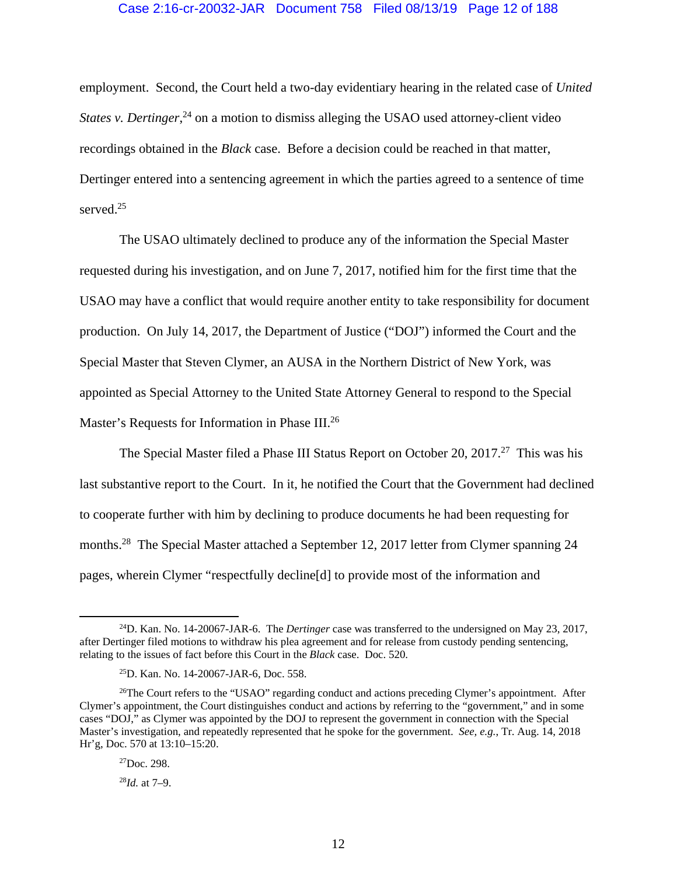## Case 2:16-cr-20032-JAR Document 758 Filed 08/13/19 Page 12 of 188

employment. Second, the Court held a two-day evidentiary hearing in the related case of *United States v. Dertinger*<sup>24</sup> on a motion to dismiss alleging the USAO used attorney-client video recordings obtained in the *Black* case. Before a decision could be reached in that matter, Dertinger entered into a sentencing agreement in which the parties agreed to a sentence of time served.<sup>25</sup>

The USAO ultimately declined to produce any of the information the Special Master requested during his investigation, and on June 7, 2017, notified him for the first time that the USAO may have a conflict that would require another entity to take responsibility for document production. On July 14, 2017, the Department of Justice ("DOJ") informed the Court and the Special Master that Steven Clymer, an AUSA in the Northern District of New York, was appointed as Special Attorney to the United State Attorney General to respond to the Special Master's Requests for Information in Phase III.<sup>26</sup>

The Special Master filed a Phase III Status Report on October 20, 2017.<sup>27</sup> This was his last substantive report to the Court. In it, he notified the Court that the Government had declined to cooperate further with him by declining to produce documents he had been requesting for months.<sup>28</sup> The Special Master attached a September 12, 2017 letter from Clymer spanning 24 pages, wherein Clymer "respectfully decline[d] to provide most of the information and

 <sup>24</sup>D. Kan. No. 14-20067-JAR-6. The *Dertinger* case was transferred to the undersigned on May 23, 2017, after Dertinger filed motions to withdraw his plea agreement and for release from custody pending sentencing, relating to the issues of fact before this Court in the *Black* case. Doc. 520.

<sup>25</sup>D. Kan. No. 14-20067-JAR-6, Doc. 558.

<sup>&</sup>lt;sup>26</sup>The Court refers to the "USAO" regarding conduct and actions preceding Clymer's appointment. After Clymer's appointment, the Court distinguishes conduct and actions by referring to the "government," and in some cases "DOJ," as Clymer was appointed by the DOJ to represent the government in connection with the Special Master's investigation, and repeatedly represented that he spoke for the government. *See, e.g.*, Tr. Aug. 14, 2018 Hr'g, Doc. 570 at 13:10–15:20.

 $^{27}$ Doc. 298.

<sup>28</sup>*Id.* at 7–9.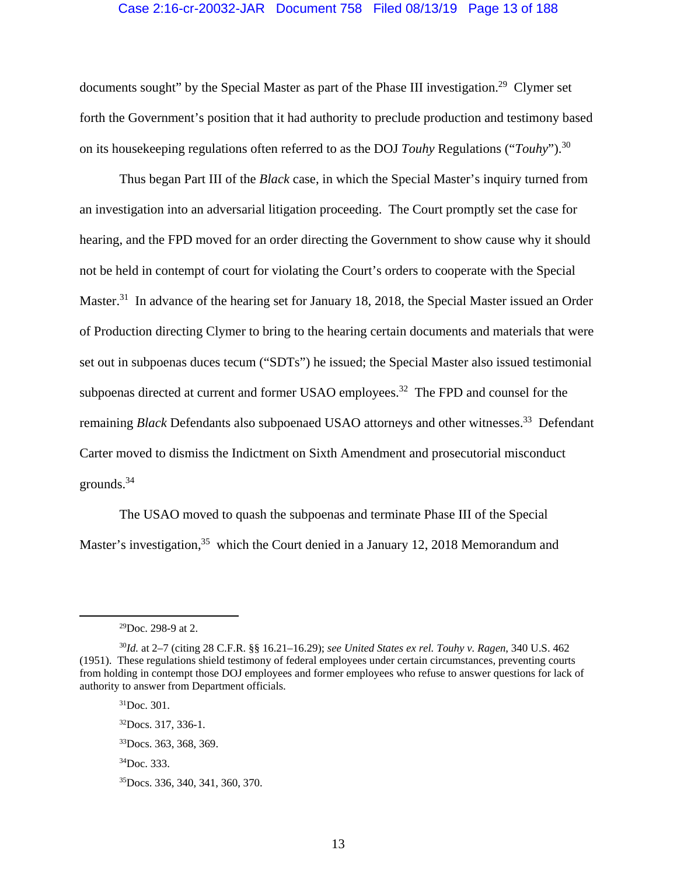## Case 2:16-cr-20032-JAR Document 758 Filed 08/13/19 Page 13 of 188

documents sought" by the Special Master as part of the Phase III investigation.<sup>29</sup> Clymer set forth the Government's position that it had authority to preclude production and testimony based on its housekeeping regulations often referred to as the DOJ *Touhy* Regulations ("*Touhy*").30

Thus began Part III of the *Black* case, in which the Special Master's inquiry turned from an investigation into an adversarial litigation proceeding. The Court promptly set the case for hearing, and the FPD moved for an order directing the Government to show cause why it should not be held in contempt of court for violating the Court's orders to cooperate with the Special Master.<sup>31</sup> In advance of the hearing set for January 18, 2018, the Special Master issued an Order of Production directing Clymer to bring to the hearing certain documents and materials that were set out in subpoenas duces tecum ("SDTs") he issued; the Special Master also issued testimonial subpoenas directed at current and former USAO employees.<sup>32</sup> The FPD and counsel for the remaining *Black* Defendants also subpoenaed USAO attorneys and other witnesses.<sup>33</sup> Defendant Carter moved to dismiss the Indictment on Sixth Amendment and prosecutorial misconduct grounds.34

The USAO moved to quash the subpoenas and terminate Phase III of the Special Master's investigation,<sup>35</sup> which the Court denied in a January 12, 2018 Memorandum and

 $31$ Doc. 301. 32Docs. 317, 336-1. 33Docs. 363, 368, 369. 34Doc. 333. 35Docs. 336, 340, 341, 360, 370.

 <sup>29</sup>Doc. 298-9 at 2.

<sup>30</sup>*Id.* at 2–7 (citing 28 C.F.R. §§ 16.21–16.29); *see United States ex rel. Touhy v. Ragen*, 340 U.S. 462 (1951). These regulations shield testimony of federal employees under certain circumstances, preventing courts from holding in contempt those DOJ employees and former employees who refuse to answer questions for lack of authority to answer from Department officials.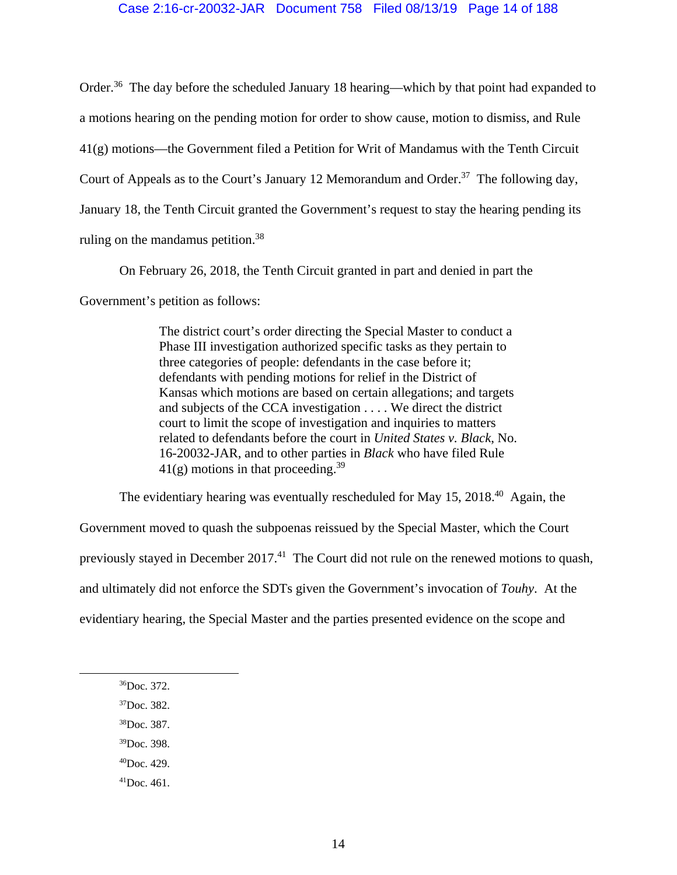## Case 2:16-cr-20032-JAR Document 758 Filed 08/13/19 Page 14 of 188

Order.<sup>36</sup> The day before the scheduled January 18 hearing—which by that point had expanded to a motions hearing on the pending motion for order to show cause, motion to dismiss, and Rule 41(g) motions—the Government filed a Petition for Writ of Mandamus with the Tenth Circuit Court of Appeals as to the Court's January 12 Memorandum and Order.<sup>37</sup> The following day, January 18, the Tenth Circuit granted the Government's request to stay the hearing pending its ruling on the mandamus petition.<sup>38</sup>

On February 26, 2018, the Tenth Circuit granted in part and denied in part the

Government's petition as follows:

The district court's order directing the Special Master to conduct a Phase III investigation authorized specific tasks as they pertain to three categories of people: defendants in the case before it; defendants with pending motions for relief in the District of Kansas which motions are based on certain allegations; and targets and subjects of the CCA investigation . . . . We direct the district court to limit the scope of investigation and inquiries to matters related to defendants before the court in *United States v. Black*, No. 16-20032-JAR, and to other parties in *Black* who have filed Rule  $41(g)$  motions in that proceeding.<sup>39</sup>

The evidentiary hearing was eventually rescheduled for May  $15$ ,  $2018<sup>40</sup>$  Again, the Government moved to quash the subpoenas reissued by the Special Master, which the Court previously stayed in December 2017.<sup>41</sup> The Court did not rule on the renewed motions to quash, and ultimately did not enforce the SDTs given the Government's invocation of *Touhy*. At the evidentiary hearing, the Special Master and the parties presented evidence on the scope and

- 37Doc. 382.
- 38Doc. 387.
- 39Doc. 398.
- $^{40}$ Doc. 429.
- $^{41}$ Doc. 461.

 <sup>36</sup>Doc. 372.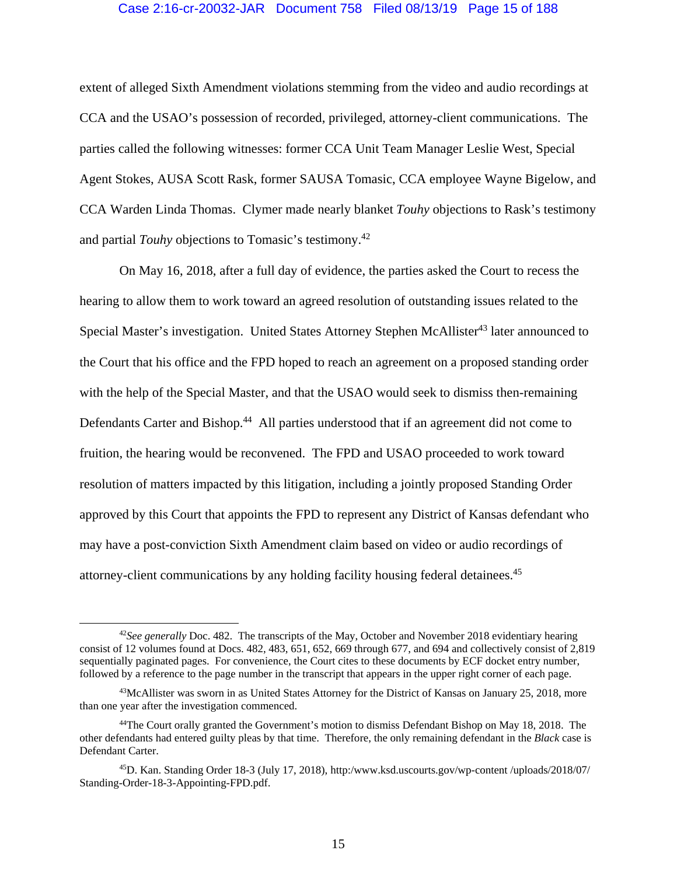#### Case 2:16-cr-20032-JAR Document 758 Filed 08/13/19 Page 15 of 188

extent of alleged Sixth Amendment violations stemming from the video and audio recordings at CCA and the USAO's possession of recorded, privileged, attorney-client communications. The parties called the following witnesses: former CCA Unit Team Manager Leslie West, Special Agent Stokes, AUSA Scott Rask, former SAUSA Tomasic, CCA employee Wayne Bigelow, and CCA Warden Linda Thomas. Clymer made nearly blanket *Touhy* objections to Rask's testimony and partial *Touhy* objections to Tomasic's testimony.42

On May 16, 2018, after a full day of evidence, the parties asked the Court to recess the hearing to allow them to work toward an agreed resolution of outstanding issues related to the Special Master's investigation. United States Attorney Stephen McAllister<sup>43</sup> later announced to the Court that his office and the FPD hoped to reach an agreement on a proposed standing order with the help of the Special Master, and that the USAO would seek to dismiss then-remaining Defendants Carter and Bishop.<sup>44</sup> All parties understood that if an agreement did not come to fruition, the hearing would be reconvened. The FPD and USAO proceeded to work toward resolution of matters impacted by this litigation, including a jointly proposed Standing Order approved by this Court that appoints the FPD to represent any District of Kansas defendant who may have a post-conviction Sixth Amendment claim based on video or audio recordings of attorney-client communications by any holding facility housing federal detainees.45

<sup>&</sup>lt;sup>42</sup>See generally Doc. 482. The transcripts of the May, October and November 2018 evidentiary hearing consist of 12 volumes found at Docs. 482, 483, 651, 652, 669 through 677, and 694 and collectively consist of 2,819 sequentially paginated pages. For convenience, the Court cites to these documents by ECF docket entry number, followed by a reference to the page number in the transcript that appears in the upper right corner of each page.

<sup>43</sup>McAllister was sworn in as United States Attorney for the District of Kansas on January 25, 2018, more than one year after the investigation commenced.

<sup>&</sup>lt;sup>44</sup>The Court orally granted the Government's motion to dismiss Defendant Bishop on May 18, 2018. The other defendants had entered guilty pleas by that time. Therefore, the only remaining defendant in the *Black* case is Defendant Carter.

<sup>45</sup>D. Kan. Standing Order 18-3 (July 17, 2018), http:/www.ksd.uscourts.gov/wp-content /uploads/2018/07/ Standing-Order-18-3-Appointing-FPD.pdf.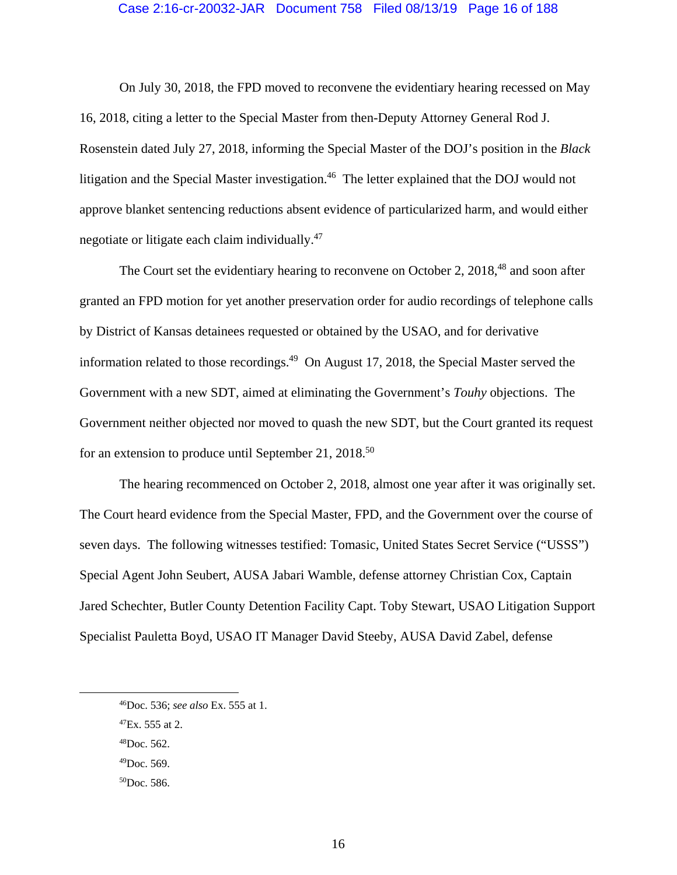## Case 2:16-cr-20032-JAR Document 758 Filed 08/13/19 Page 16 of 188

On July 30, 2018, the FPD moved to reconvene the evidentiary hearing recessed on May 16, 2018, citing a letter to the Special Master from then-Deputy Attorney General Rod J. Rosenstein dated July 27, 2018, informing the Special Master of the DOJ's position in the *Black*  litigation and the Special Master investigation.<sup>46</sup> The letter explained that the DOJ would not approve blanket sentencing reductions absent evidence of particularized harm, and would either negotiate or litigate each claim individually.<sup>47</sup>

The Court set the evidentiary hearing to reconvene on October 2, 2018,<sup>48</sup> and soon after granted an FPD motion for yet another preservation order for audio recordings of telephone calls by District of Kansas detainees requested or obtained by the USAO, and for derivative information related to those recordings.<sup>49</sup> On August 17, 2018, the Special Master served the Government with a new SDT, aimed at eliminating the Government's *Touhy* objections. The Government neither objected nor moved to quash the new SDT, but the Court granted its request for an extension to produce until September 21, 2018.<sup>50</sup>

The hearing recommenced on October 2, 2018, almost one year after it was originally set. The Court heard evidence from the Special Master, FPD, and the Government over the course of seven days. The following witnesses testified: Tomasic, United States Secret Service ("USSS") Special Agent John Seubert, AUSA Jabari Wamble, defense attorney Christian Cox, Captain Jared Schechter, Butler County Detention Facility Capt. Toby Stewart, USAO Litigation Support Specialist Pauletta Boyd, USAO IT Manager David Steeby, AUSA David Zabel, defense

 $^{49}$ Doc. 569.

 <sup>46</sup>Doc. 536; *see also* Ex. 555 at 1.

 $^{47}Ex.$  555 at 2.

 $48$ Doc. 562.

<sup>50</sup>Doc. 586.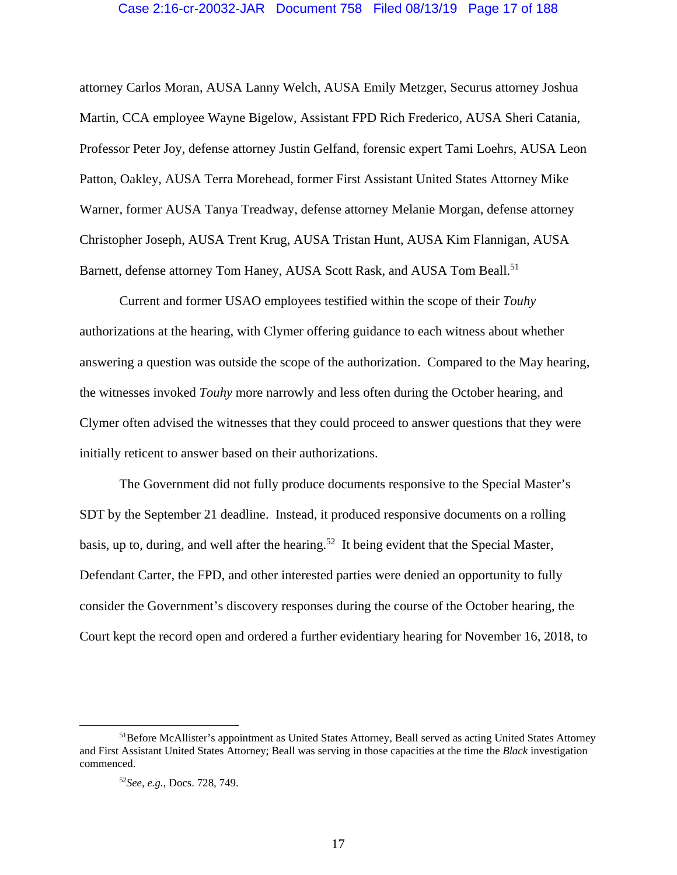### Case 2:16-cr-20032-JAR Document 758 Filed 08/13/19 Page 17 of 188

attorney Carlos Moran, AUSA Lanny Welch, AUSA Emily Metzger, Securus attorney Joshua Martin, CCA employee Wayne Bigelow, Assistant FPD Rich Frederico, AUSA Sheri Catania, Professor Peter Joy, defense attorney Justin Gelfand, forensic expert Tami Loehrs, AUSA Leon Patton, Oakley, AUSA Terra Morehead, former First Assistant United States Attorney Mike Warner, former AUSA Tanya Treadway, defense attorney Melanie Morgan, defense attorney Christopher Joseph, AUSA Trent Krug, AUSA Tristan Hunt, AUSA Kim Flannigan, AUSA Barnett, defense attorney Tom Haney, AUSA Scott Rask, and AUSA Tom Beall.<sup>51</sup>

Current and former USAO employees testified within the scope of their *Touhy*  authorizations at the hearing, with Clymer offering guidance to each witness about whether answering a question was outside the scope of the authorization. Compared to the May hearing, the witnesses invoked *Touhy* more narrowly and less often during the October hearing, and Clymer often advised the witnesses that they could proceed to answer questions that they were initially reticent to answer based on their authorizations.

The Government did not fully produce documents responsive to the Special Master's SDT by the September 21 deadline. Instead, it produced responsive documents on a rolling basis, up to, during, and well after the hearing.<sup>52</sup> It being evident that the Special Master, Defendant Carter, the FPD, and other interested parties were denied an opportunity to fully consider the Government's discovery responses during the course of the October hearing, the Court kept the record open and ordered a further evidentiary hearing for November 16, 2018, to

 <sup>51</sup>Before McAllister's appointment as United States Attorney, Beall served as acting United States Attorney and First Assistant United States Attorney; Beall was serving in those capacities at the time the *Black* investigation commenced.

<sup>52</sup>*See, e.g.*, Docs. 728, 749.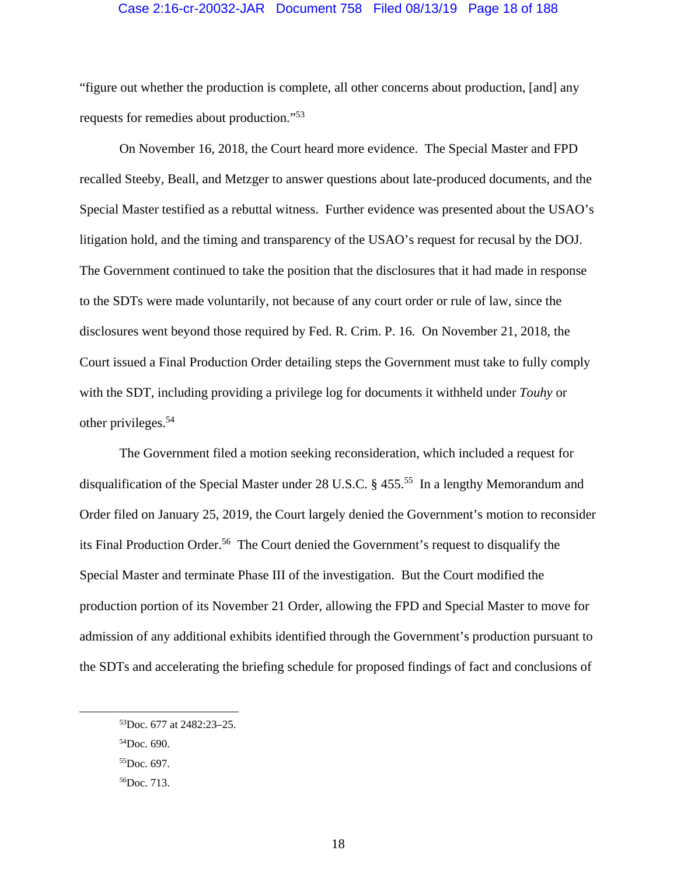### Case 2:16-cr-20032-JAR Document 758 Filed 08/13/19 Page 18 of 188

"figure out whether the production is complete, all other concerns about production, [and] any requests for remedies about production."53

On November 16, 2018, the Court heard more evidence. The Special Master and FPD recalled Steeby, Beall, and Metzger to answer questions about late-produced documents, and the Special Master testified as a rebuttal witness. Further evidence was presented about the USAO's litigation hold, and the timing and transparency of the USAO's request for recusal by the DOJ. The Government continued to take the position that the disclosures that it had made in response to the SDTs were made voluntarily, not because of any court order or rule of law, since the disclosures went beyond those required by Fed. R. Crim. P. 16. On November 21, 2018, the Court issued a Final Production Order detailing steps the Government must take to fully comply with the SDT, including providing a privilege log for documents it withheld under *Touhy* or other privileges.54

The Government filed a motion seeking reconsideration, which included a request for disqualification of the Special Master under 28 U.S.C. § 455.<sup>55</sup> In a lengthy Memorandum and Order filed on January 25, 2019, the Court largely denied the Government's motion to reconsider its Final Production Order.56 The Court denied the Government's request to disqualify the Special Master and terminate Phase III of the investigation. But the Court modified the production portion of its November 21 Order, allowing the FPD and Special Master to move for admission of any additional exhibits identified through the Government's production pursuant to the SDTs and accelerating the briefing schedule for proposed findings of fact and conclusions of

 <sup>53</sup>Doc. 677 at 2482:23–25.

<sup>54</sup>Doc. 690.

<sup>55</sup>Doc. 697.

<sup>56</sup>Doc. 713.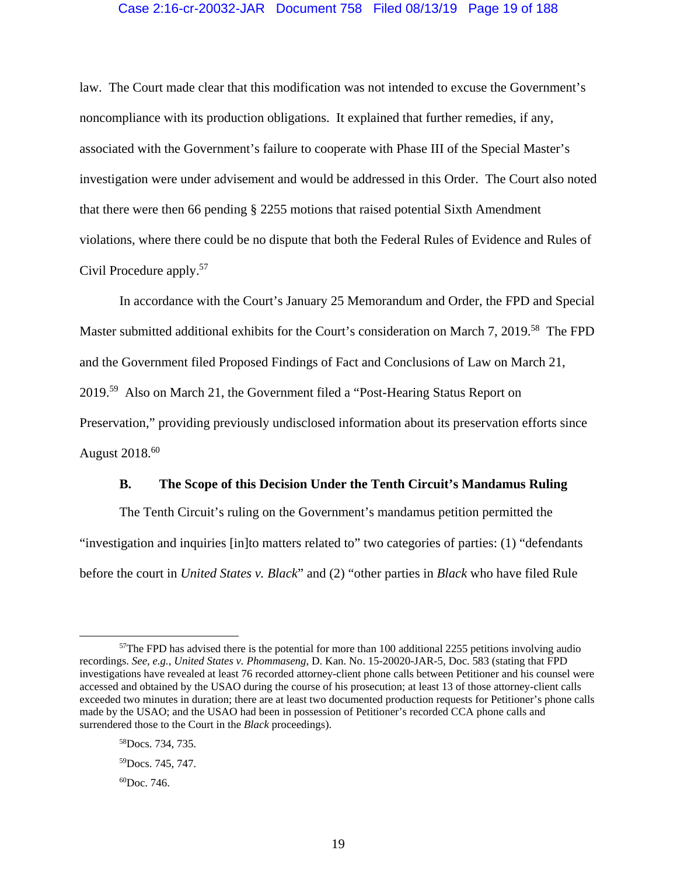## Case 2:16-cr-20032-JAR Document 758 Filed 08/13/19 Page 19 of 188

law. The Court made clear that this modification was not intended to excuse the Government's noncompliance with its production obligations. It explained that further remedies, if any, associated with the Government's failure to cooperate with Phase III of the Special Master's investigation were under advisement and would be addressed in this Order. The Court also noted that there were then 66 pending § 2255 motions that raised potential Sixth Amendment violations, where there could be no dispute that both the Federal Rules of Evidence and Rules of Civil Procedure apply.57

In accordance with the Court's January 25 Memorandum and Order, the FPD and Special Master submitted additional exhibits for the Court's consideration on March 7, 2019.<sup>58</sup> The FPD and the Government filed Proposed Findings of Fact and Conclusions of Law on March 21, 2019.59 Also on March 21, the Government filed a "Post-Hearing Status Report on Preservation," providing previously undisclosed information about its preservation efforts since August  $2018^{60}$ 

## **B. The Scope of this Decision Under the Tenth Circuit's Mandamus Ruling**

The Tenth Circuit's ruling on the Government's mandamus petition permitted the "investigation and inquiries [in]to matters related to" two categories of parties: (1) "defendants before the court in *United States v. Black*" and (2) "other parties in *Black* who have filed Rule

 $57$ The FPD has advised there is the potential for more than 100 additional 2255 petitions involving audio recordings. *See, e.g.*, *United States v. Phommaseng*, D. Kan. No. 15-20020-JAR-5, Doc. 583 (stating that FPD investigations have revealed at least 76 recorded attorney-client phone calls between Petitioner and his counsel were accessed and obtained by the USAO during the course of his prosecution; at least 13 of those attorney-client calls exceeded two minutes in duration; there are at least two documented production requests for Petitioner's phone calls made by the USAO; and the USAO had been in possession of Petitioner's recorded CCA phone calls and surrendered those to the Court in the *Black* proceedings).

<sup>58</sup>Docs. 734, 735.

<sup>&</sup>lt;sup>59</sup>Docs. 745, 747.

<sup>60</sup>Doc. 746.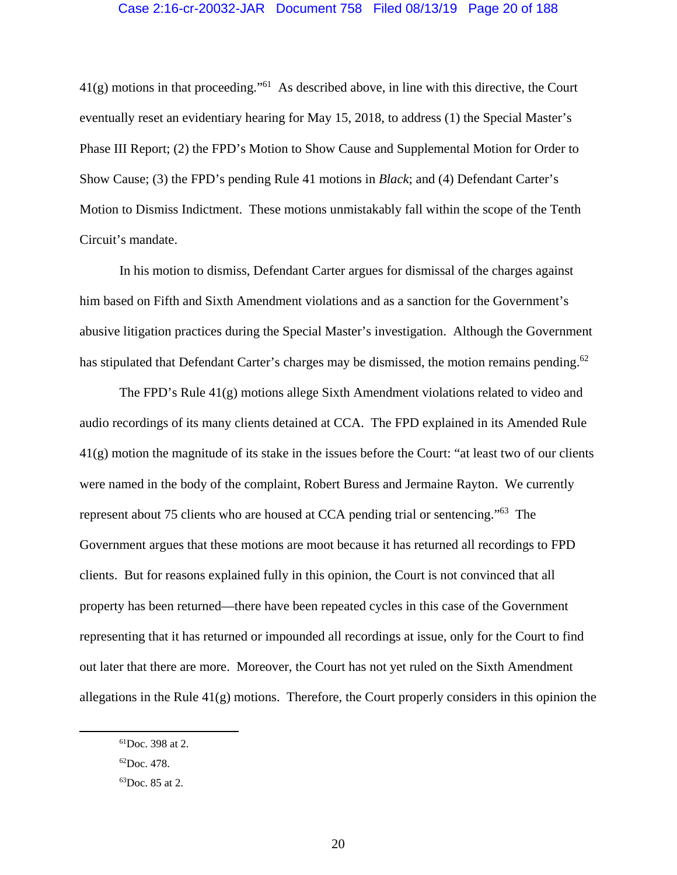## Case 2:16-cr-20032-JAR Document 758 Filed 08/13/19 Page 20 of 188

 $41(g)$  motions in that proceeding."<sup>61</sup> As described above, in line with this directive, the Court eventually reset an evidentiary hearing for May 15, 2018, to address (1) the Special Master's Phase III Report; (2) the FPD's Motion to Show Cause and Supplemental Motion for Order to Show Cause; (3) the FPD's pending Rule 41 motions in *Black*; and (4) Defendant Carter's Motion to Dismiss Indictment. These motions unmistakably fall within the scope of the Tenth Circuit's mandate.

In his motion to dismiss, Defendant Carter argues for dismissal of the charges against him based on Fifth and Sixth Amendment violations and as a sanction for the Government's abusive litigation practices during the Special Master's investigation. Although the Government has stipulated that Defendant Carter's charges may be dismissed, the motion remains pending.<sup>62</sup>

The FPD's Rule  $41(g)$  motions allege Sixth Amendment violations related to video and audio recordings of its many clients detained at CCA. The FPD explained in its Amended Rule 41(g) motion the magnitude of its stake in the issues before the Court: "at least two of our clients were named in the body of the complaint, Robert Buress and Jermaine Rayton. We currently represent about 75 clients who are housed at CCA pending trial or sentencing."63 The Government argues that these motions are moot because it has returned all recordings to FPD clients. But for reasons explained fully in this opinion, the Court is not convinced that all property has been returned—there have been repeated cycles in this case of the Government representing that it has returned or impounded all recordings at issue, only for the Court to find out later that there are more. Moreover, the Court has not yet ruled on the Sixth Amendment allegations in the Rule  $41(g)$  motions. Therefore, the Court properly considers in this opinion the

 <sup>61</sup>Doc. 398 at 2.

<sup>62</sup>Doc. 478.

<sup>63</sup>Doc. 85 at 2.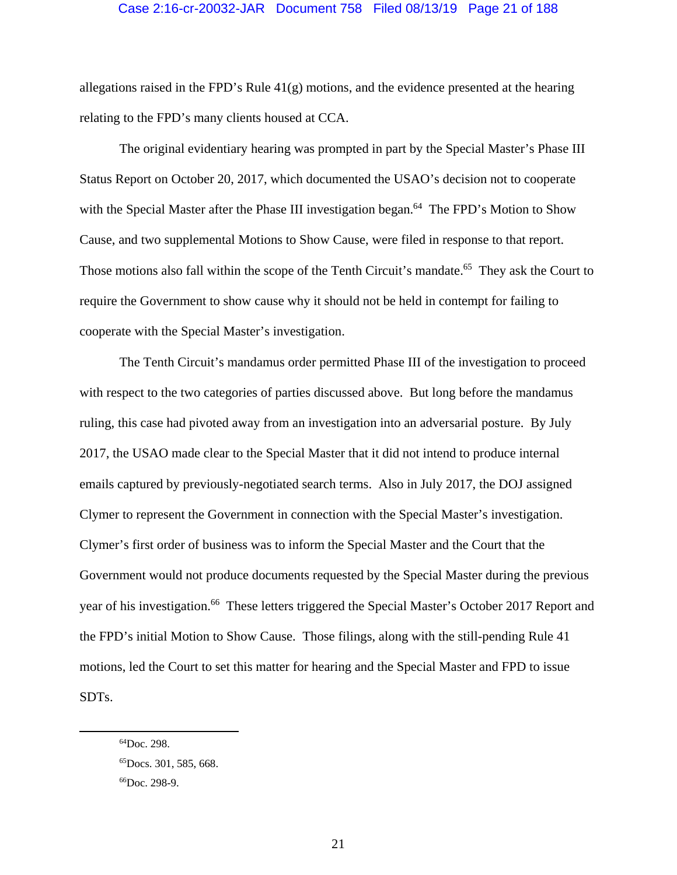## Case 2:16-cr-20032-JAR Document 758 Filed 08/13/19 Page 21 of 188

allegations raised in the FPD's Rule  $41(g)$  motions, and the evidence presented at the hearing relating to the FPD's many clients housed at CCA.

The original evidentiary hearing was prompted in part by the Special Master's Phase III Status Report on October 20, 2017, which documented the USAO's decision not to cooperate with the Special Master after the Phase III investigation began.<sup>64</sup> The FPD's Motion to Show Cause, and two supplemental Motions to Show Cause, were filed in response to that report. Those motions also fall within the scope of the Tenth Circuit's mandate.<sup>65</sup> They ask the Court to require the Government to show cause why it should not be held in contempt for failing to cooperate with the Special Master's investigation.

The Tenth Circuit's mandamus order permitted Phase III of the investigation to proceed with respect to the two categories of parties discussed above. But long before the mandamus ruling, this case had pivoted away from an investigation into an adversarial posture. By July 2017, the USAO made clear to the Special Master that it did not intend to produce internal emails captured by previously-negotiated search terms. Also in July 2017, the DOJ assigned Clymer to represent the Government in connection with the Special Master's investigation. Clymer's first order of business was to inform the Special Master and the Court that the Government would not produce documents requested by the Special Master during the previous year of his investigation.<sup>66</sup> These letters triggered the Special Master's October 2017 Report and the FPD's initial Motion to Show Cause. Those filings, along with the still-pending Rule 41 motions, led the Court to set this matter for hearing and the Special Master and FPD to issue SDTs.

 <sup>64</sup>Doc. 298.

<sup>65</sup>Docs. 301, 585, 668.

<sup>66</sup>Doc. 298-9.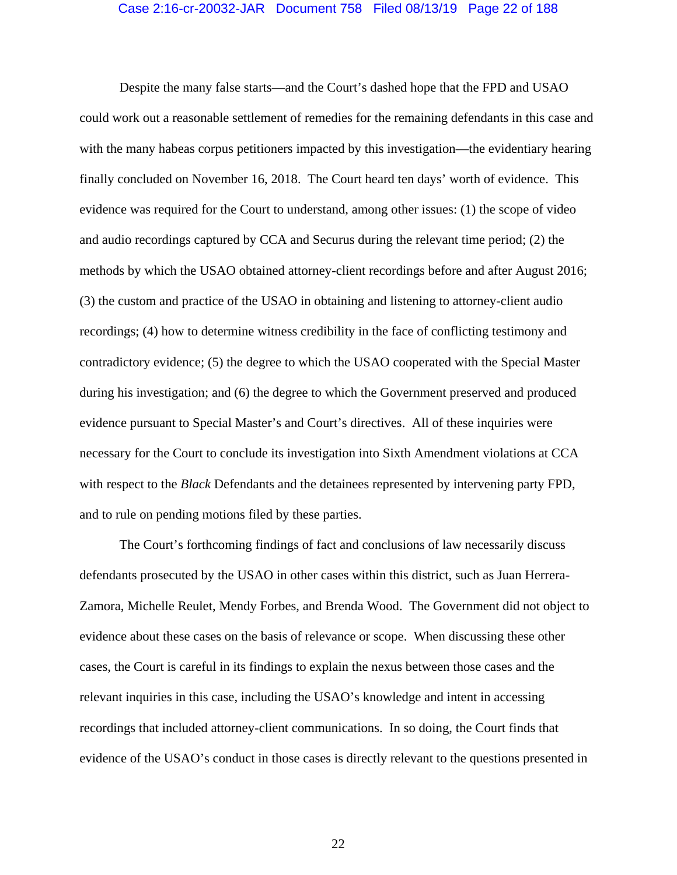## Case 2:16-cr-20032-JAR Document 758 Filed 08/13/19 Page 22 of 188

Despite the many false starts—and the Court's dashed hope that the FPD and USAO could work out a reasonable settlement of remedies for the remaining defendants in this case and with the many habeas corpus petitioners impacted by this investigation—the evidentiary hearing finally concluded on November 16, 2018. The Court heard ten days' worth of evidence. This evidence was required for the Court to understand, among other issues: (1) the scope of video and audio recordings captured by CCA and Securus during the relevant time period; (2) the methods by which the USAO obtained attorney-client recordings before and after August 2016; (3) the custom and practice of the USAO in obtaining and listening to attorney-client audio recordings; (4) how to determine witness credibility in the face of conflicting testimony and contradictory evidence; (5) the degree to which the USAO cooperated with the Special Master during his investigation; and (6) the degree to which the Government preserved and produced evidence pursuant to Special Master's and Court's directives. All of these inquiries were necessary for the Court to conclude its investigation into Sixth Amendment violations at CCA with respect to the *Black* Defendants and the detainees represented by intervening party FPD, and to rule on pending motions filed by these parties.

The Court's forthcoming findings of fact and conclusions of law necessarily discuss defendants prosecuted by the USAO in other cases within this district, such as Juan Herrera-Zamora, Michelle Reulet, Mendy Forbes, and Brenda Wood. The Government did not object to evidence about these cases on the basis of relevance or scope. When discussing these other cases, the Court is careful in its findings to explain the nexus between those cases and the relevant inquiries in this case, including the USAO's knowledge and intent in accessing recordings that included attorney-client communications. In so doing, the Court finds that evidence of the USAO's conduct in those cases is directly relevant to the questions presented in

22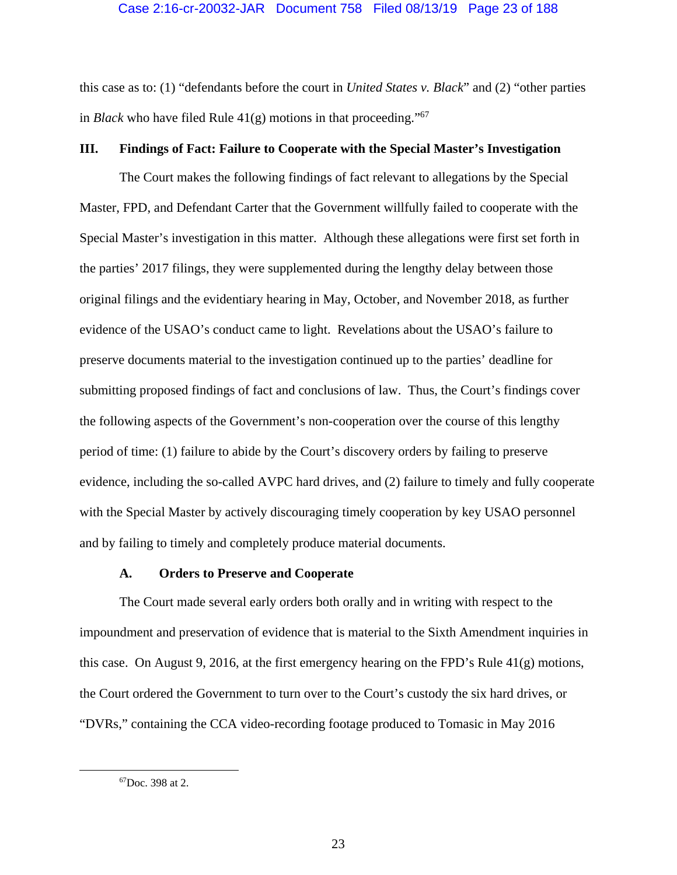this case as to: (1) "defendants before the court in *United States v. Black*" and (2) "other parties in *Black* who have filed Rule  $41(g)$  motions in that proceeding."<sup>67</sup>

## **III. Findings of Fact: Failure to Cooperate with the Special Master's Investigation**

The Court makes the following findings of fact relevant to allegations by the Special Master, FPD, and Defendant Carter that the Government willfully failed to cooperate with the Special Master's investigation in this matter. Although these allegations were first set forth in the parties' 2017 filings, they were supplemented during the lengthy delay between those original filings and the evidentiary hearing in May, October, and November 2018, as further evidence of the USAO's conduct came to light. Revelations about the USAO's failure to preserve documents material to the investigation continued up to the parties' deadline for submitting proposed findings of fact and conclusions of law. Thus, the Court's findings cover the following aspects of the Government's non-cooperation over the course of this lengthy period of time: (1) failure to abide by the Court's discovery orders by failing to preserve evidence, including the so-called AVPC hard drives, and (2) failure to timely and fully cooperate with the Special Master by actively discouraging timely cooperation by key USAO personnel and by failing to timely and completely produce material documents.

## **A. Orders to Preserve and Cooperate**

 The Court made several early orders both orally and in writing with respect to the impoundment and preservation of evidence that is material to the Sixth Amendment inquiries in this case. On August 9, 2016, at the first emergency hearing on the FPD's Rule 41(g) motions, the Court ordered the Government to turn over to the Court's custody the six hard drives, or "DVRs," containing the CCA video-recording footage produced to Tomasic in May 2016

 <sup>67</sup>Doc. 398 at 2.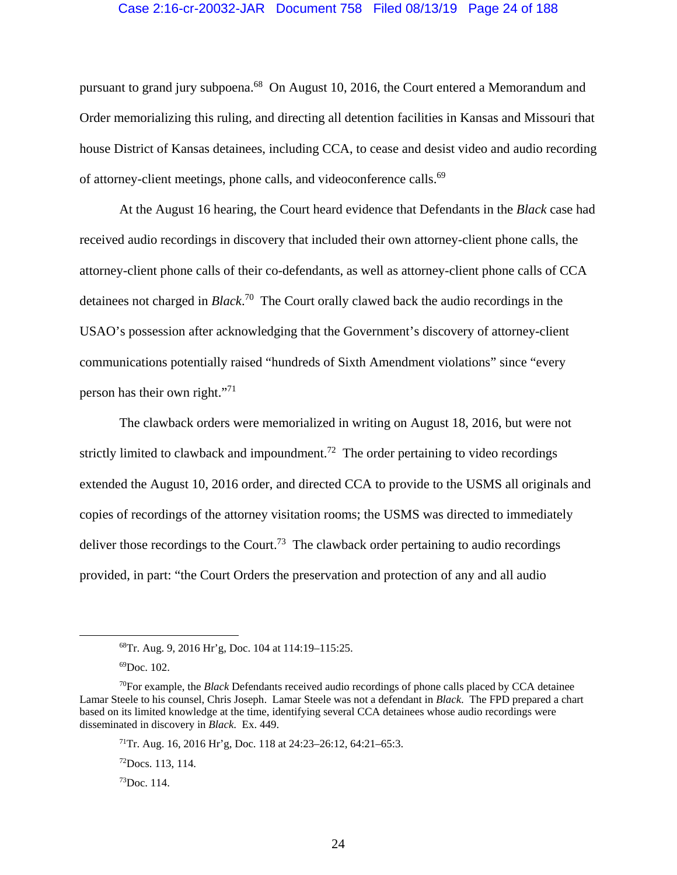#### Case 2:16-cr-20032-JAR Document 758 Filed 08/13/19 Page 24 of 188

pursuant to grand jury subpoena.68 On August 10, 2016, the Court entered a Memorandum and Order memorializing this ruling, and directing all detention facilities in Kansas and Missouri that house District of Kansas detainees, including CCA, to cease and desist video and audio recording of attorney-client meetings, phone calls, and videoconference calls.<sup>69</sup>

At the August 16 hearing, the Court heard evidence that Defendants in the *Black* case had received audio recordings in discovery that included their own attorney-client phone calls, the attorney-client phone calls of their co-defendants, as well as attorney-client phone calls of CCA detainees not charged in *Black*. 70 The Court orally clawed back the audio recordings in the USAO's possession after acknowledging that the Government's discovery of attorney-client communications potentially raised "hundreds of Sixth Amendment violations" since "every person has their own right."71

The clawback orders were memorialized in writing on August 18, 2016, but were not strictly limited to clawback and impoundment.<sup>72</sup> The order pertaining to video recordings extended the August 10, 2016 order, and directed CCA to provide to the USMS all originals and copies of recordings of the attorney visitation rooms; the USMS was directed to immediately deliver those recordings to the Court.<sup>73</sup> The clawback order pertaining to audio recordings provided, in part: "the Court Orders the preservation and protection of any and all audio

 <sup>68</sup>Tr. Aug. 9, 2016 Hr'g, Doc. 104 at 114:19–115:25.

 $^{69}$ Doc. 102.

<sup>70</sup>For example, the *Black* Defendants received audio recordings of phone calls placed by CCA detainee Lamar Steele to his counsel, Chris Joseph. Lamar Steele was not a defendant in *Black*. The FPD prepared a chart based on its limited knowledge at the time, identifying several CCA detainees whose audio recordings were disseminated in discovery in *Black*. Ex. 449.

<sup>&</sup>lt;sup>71</sup>Tr. Aug. 16, 2016 Hr'g, Doc. 118 at  $24:23-26:12$ , 64:21-65:3.

 $^{72}$ Docs. 113, 114.

 $73$ Doc. 114.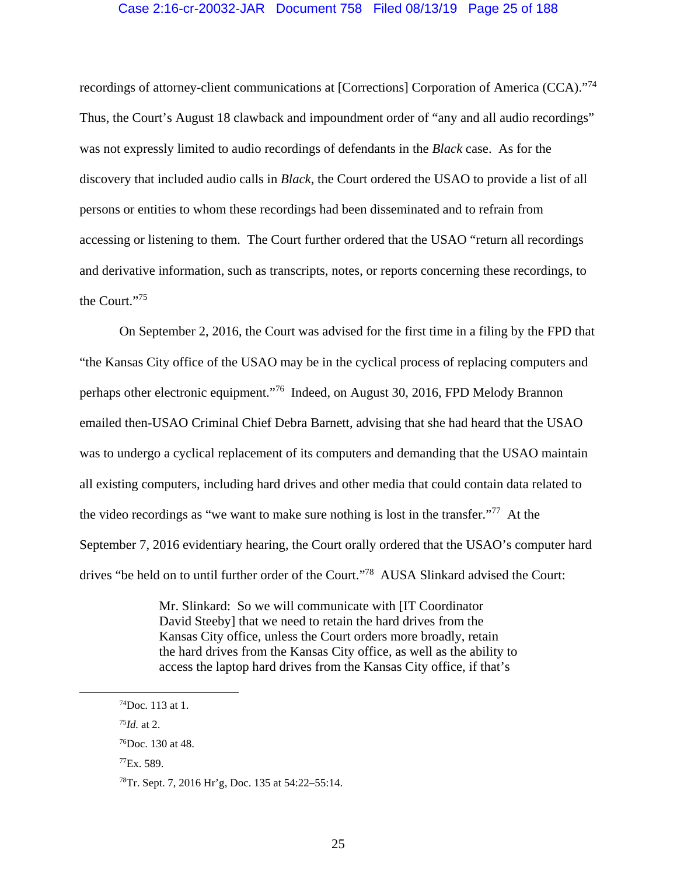## Case 2:16-cr-20032-JAR Document 758 Filed 08/13/19 Page 25 of 188

recordings of attorney-client communications at [Corrections] Corporation of America (CCA)."74 Thus, the Court's August 18 clawback and impoundment order of "any and all audio recordings" was not expressly limited to audio recordings of defendants in the *Black* case. As for the discovery that included audio calls in *Black*, the Court ordered the USAO to provide a list of all persons or entities to whom these recordings had been disseminated and to refrain from accessing or listening to them. The Court further ordered that the USAO "return all recordings and derivative information, such as transcripts, notes, or reports concerning these recordings, to the Court."75

 On September 2, 2016, the Court was advised for the first time in a filing by the FPD that "the Kansas City office of the USAO may be in the cyclical process of replacing computers and perhaps other electronic equipment."76 Indeed, on August 30, 2016, FPD Melody Brannon emailed then-USAO Criminal Chief Debra Barnett, advising that she had heard that the USAO was to undergo a cyclical replacement of its computers and demanding that the USAO maintain all existing computers, including hard drives and other media that could contain data related to the video recordings as "we want to make sure nothing is lost in the transfer."77 At the September 7, 2016 evidentiary hearing, the Court orally ordered that the USAO's computer hard drives "be held on to until further order of the Court."<sup>78</sup> AUSA Slinkard advised the Court:

> Mr. Slinkard: So we will communicate with [IT Coordinator David Steeby] that we need to retain the hard drives from the Kansas City office, unless the Court orders more broadly, retain the hard drives from the Kansas City office, as well as the ability to access the laptop hard drives from the Kansas City office, if that's

 $74$ Doc. 113 at 1.

<sup>75</sup>*Id.* at 2.

<sup>76</sup>Doc. 130 at 48.

 $^{77}$ Ex. 589.

<sup>78</sup>Tr. Sept. 7, 2016 Hr'g, Doc. 135 at 54:22–55:14.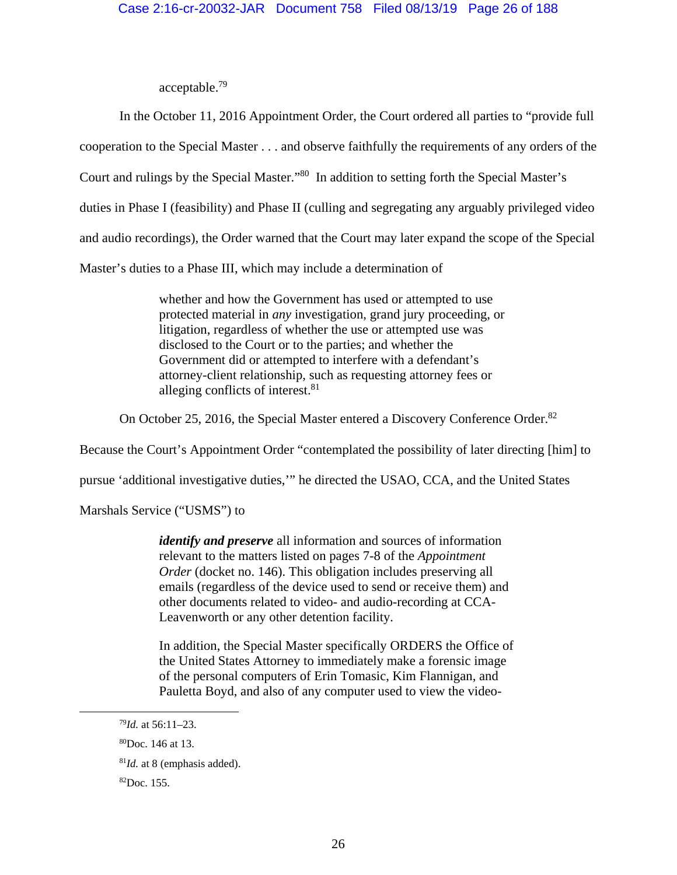acceptable.79

In the October 11, 2016 Appointment Order, the Court ordered all parties to "provide full cooperation to the Special Master . . . and observe faithfully the requirements of any orders of the Court and rulings by the Special Master."80 In addition to setting forth the Special Master's duties in Phase I (feasibility) and Phase II (culling and segregating any arguably privileged video and audio recordings), the Order warned that the Court may later expand the scope of the Special Master's duties to a Phase III, which may include a determination of

> whether and how the Government has used or attempted to use protected material in *any* investigation, grand jury proceeding, or litigation, regardless of whether the use or attempted use was disclosed to the Court or to the parties; and whether the Government did or attempted to interfere with a defendant's attorney-client relationship, such as requesting attorney fees or alleging conflicts of interest.<sup>81</sup>

On October 25, 2016, the Special Master entered a Discovery Conference Order.<sup>82</sup>

Because the Court's Appointment Order "contemplated the possibility of later directing [him] to

pursue 'additional investigative duties,'" he directed the USAO, CCA, and the United States

Marshals Service ("USMS") to

*identify and preserve* all information and sources of information relevant to the matters listed on pages 7-8 of the *Appointment Order* (docket no. 146). This obligation includes preserving all emails (regardless of the device used to send or receive them) and other documents related to video- and audio-recording at CCA-Leavenworth or any other detention facility.

In addition, the Special Master specifically ORDERS the Office of the United States Attorney to immediately make a forensic image of the personal computers of Erin Tomasic, Kim Flannigan, and Pauletta Boyd, and also of any computer used to view the video-

 <sup>79</sup>*Id.* at 56:11–23.

<sup>80</sup>Doc. 146 at 13.

<sup>81</sup>*Id.* at 8 (emphasis added).

 ${}^{82}$ Doc. 155.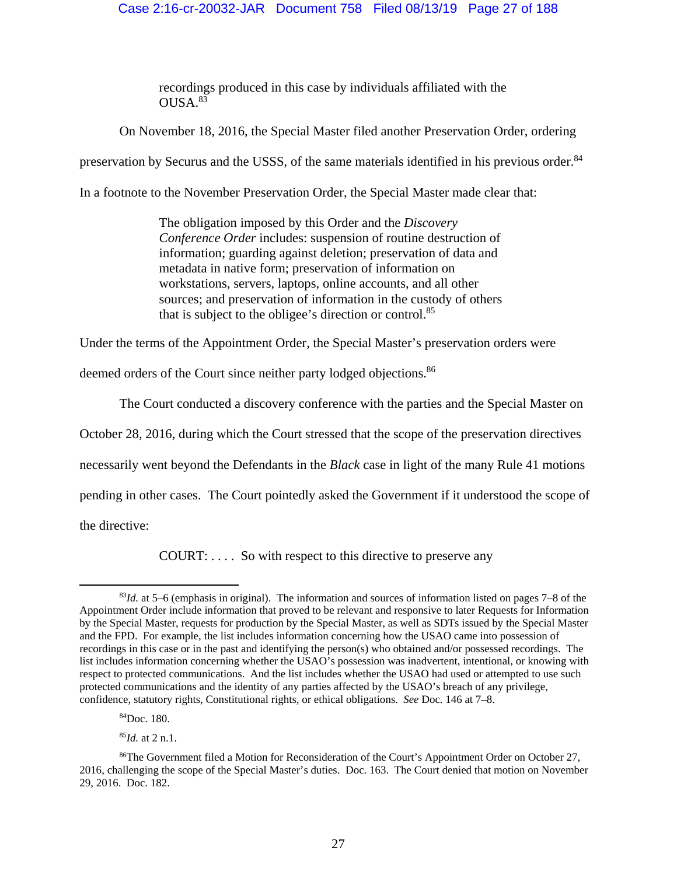## Case 2:16-cr-20032-JAR Document 758 Filed 08/13/19 Page 27 of 188

recordings produced in this case by individuals affiliated with the  $OIISA$   $83$ 

On November 18, 2016, the Special Master filed another Preservation Order, ordering

preservation by Securus and the USSS, of the same materials identified in his previous order.<sup>84</sup>

In a footnote to the November Preservation Order, the Special Master made clear that:

The obligation imposed by this Order and the *Discovery Conference Order* includes: suspension of routine destruction of information; guarding against deletion; preservation of data and metadata in native form; preservation of information on workstations, servers, laptops, online accounts, and all other sources; and preservation of information in the custody of others that is subject to the obligee's direction or control.<sup>85</sup>

Under the terms of the Appointment Order, the Special Master's preservation orders were

deemed orders of the Court since neither party lodged objections.<sup>86</sup>

The Court conducted a discovery conference with the parties and the Special Master on

October 28, 2016, during which the Court stressed that the scope of the preservation directives

necessarily went beyond the Defendants in the *Black* case in light of the many Rule 41 motions

pending in other cases. The Court pointedly asked the Government if it understood the scope of

the directive:

COURT: . . . . So with respect to this directive to preserve any

<sup>85</sup>*Id.* at 2 n.1.

 <sup>83</sup>*Id.* at 5–6 (emphasis in original). The information and sources of information listed on pages 7–8 of the Appointment Order include information that proved to be relevant and responsive to later Requests for Information by the Special Master, requests for production by the Special Master, as well as SDTs issued by the Special Master and the FPD. For example, the list includes information concerning how the USAO came into possession of recordings in this case or in the past and identifying the person(s) who obtained and/or possessed recordings. The list includes information concerning whether the USAO's possession was inadvertent, intentional, or knowing with respect to protected communications. And the list includes whether the USAO had used or attempted to use such protected communications and the identity of any parties affected by the USAO's breach of any privilege, confidence, statutory rights, Constitutional rights, or ethical obligations. *See* Doc. 146 at 7–8.

<sup>84</sup>Doc. 180.

<sup>86</sup>The Government filed a Motion for Reconsideration of the Court's Appointment Order on October 27, 2016, challenging the scope of the Special Master's duties. Doc. 163. The Court denied that motion on November 29, 2016. Doc. 182.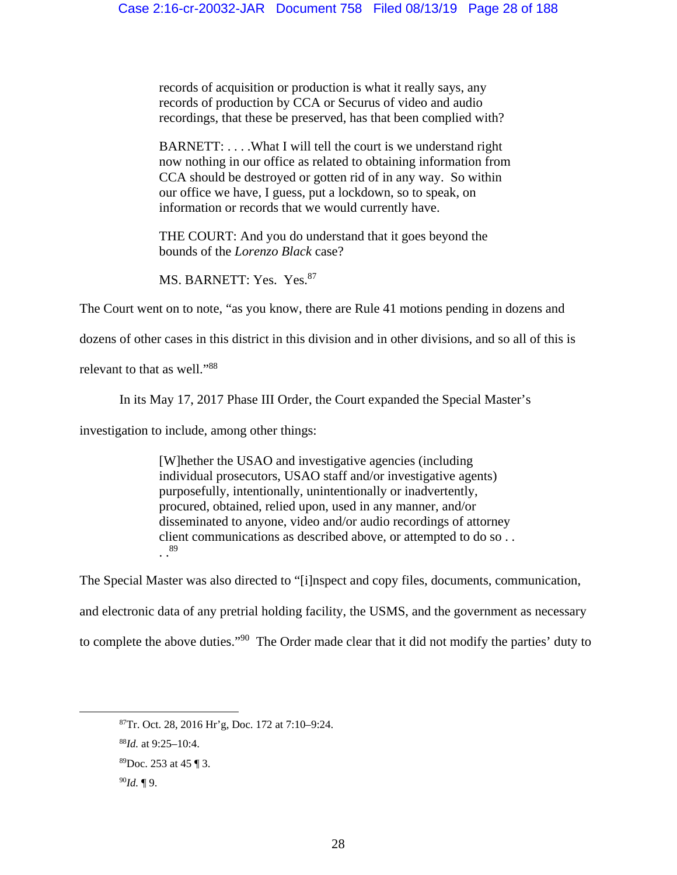records of acquisition or production is what it really says, any records of production by CCA or Securus of video and audio recordings, that these be preserved, has that been complied with?

BARNETT: . . . .What I will tell the court is we understand right now nothing in our office as related to obtaining information from CCA should be destroyed or gotten rid of in any way. So within our office we have, I guess, put a lockdown, so to speak, on information or records that we would currently have.

THE COURT: And you do understand that it goes beyond the bounds of the *Lorenzo Black* case?

MS. BARNETT: Yes. Yes.<sup>87</sup>

The Court went on to note, "as you know, there are Rule 41 motions pending in dozens and

dozens of other cases in this district in this division and in other divisions, and so all of this is

relevant to that as well."88

In its May 17, 2017 Phase III Order, the Court expanded the Special Master's

investigation to include, among other things:

[W]hether the USAO and investigative agencies (including individual prosecutors, USAO staff and/or investigative agents) purposefully, intentionally, unintentionally or inadvertently, procured, obtained, relied upon, used in any manner, and/or disseminated to anyone, video and/or audio recordings of attorney client communications as described above, or attempted to do so . . . .89

The Special Master was also directed to "[i]nspect and copy files, documents, communication, and electronic data of any pretrial holding facility, the USMS, and the government as necessary to complete the above duties."90 The Order made clear that it did not modify the parties' duty to

 <sup>87</sup>Tr. Oct. 28, 2016 Hr'g, Doc. 172 at 7:10–9:24.

<sup>88</sup>*Id.* at 9:25–10:4.

<sup>89</sup>Doc. 253 at 45 ¶ 3.

<sup>90</sup>*Id.* ¶ 9.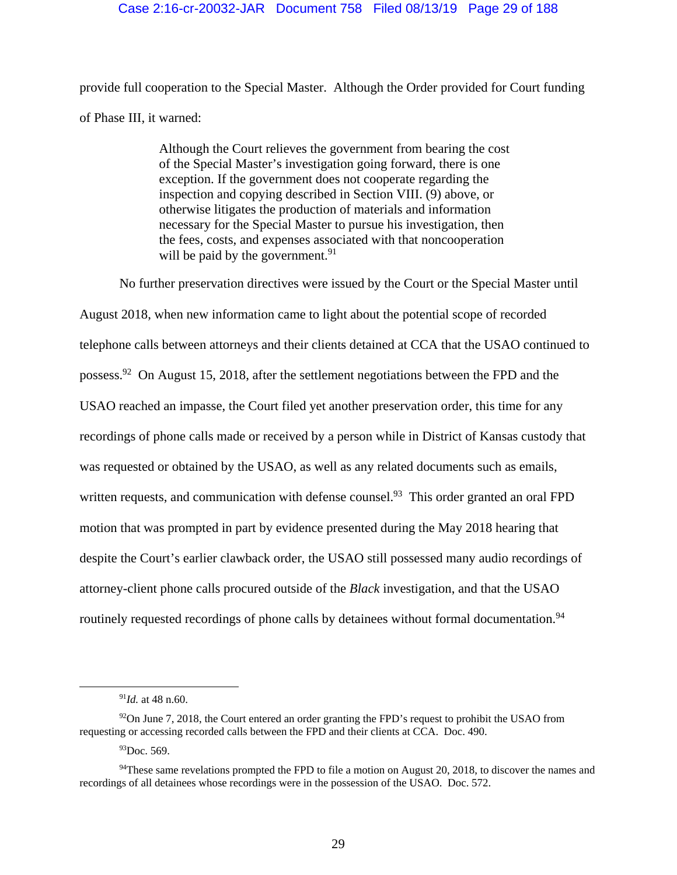## Case 2:16-cr-20032-JAR Document 758 Filed 08/13/19 Page 29 of 188

provide full cooperation to the Special Master. Although the Order provided for Court funding of Phase III, it warned:

> Although the Court relieves the government from bearing the cost of the Special Master's investigation going forward, there is one exception. If the government does not cooperate regarding the inspection and copying described in Section VIII. (9) above, or otherwise litigates the production of materials and information necessary for the Special Master to pursue his investigation, then the fees, costs, and expenses associated with that noncooperation will be paid by the government. $91$

No further preservation directives were issued by the Court or the Special Master until

August 2018, when new information came to light about the potential scope of recorded telephone calls between attorneys and their clients detained at CCA that the USAO continued to possess.92 On August 15, 2018, after the settlement negotiations between the FPD and the USAO reached an impasse, the Court filed yet another preservation order, this time for any recordings of phone calls made or received by a person while in District of Kansas custody that was requested or obtained by the USAO, as well as any related documents such as emails, written requests, and communication with defense counsel.<sup>93</sup> This order granted an oral FPD motion that was prompted in part by evidence presented during the May 2018 hearing that despite the Court's earlier clawback order, the USAO still possessed many audio recordings of attorney-client phone calls procured outside of the *Black* investigation, and that the USAO routinely requested recordings of phone calls by detainees without formal documentation.<sup>94</sup>

 <sup>91</sup>*Id.* at 48 n.60.

 $92$ On June 7, 2018, the Court entered an order granting the FPD's request to prohibit the USAO from requesting or accessing recorded calls between the FPD and their clients at CCA. Doc. 490.

 $93$ Doc. 569.

<sup>&</sup>lt;sup>94</sup>These same revelations prompted the FPD to file a motion on August 20, 2018, to discover the names and recordings of all detainees whose recordings were in the possession of the USAO. Doc. 572.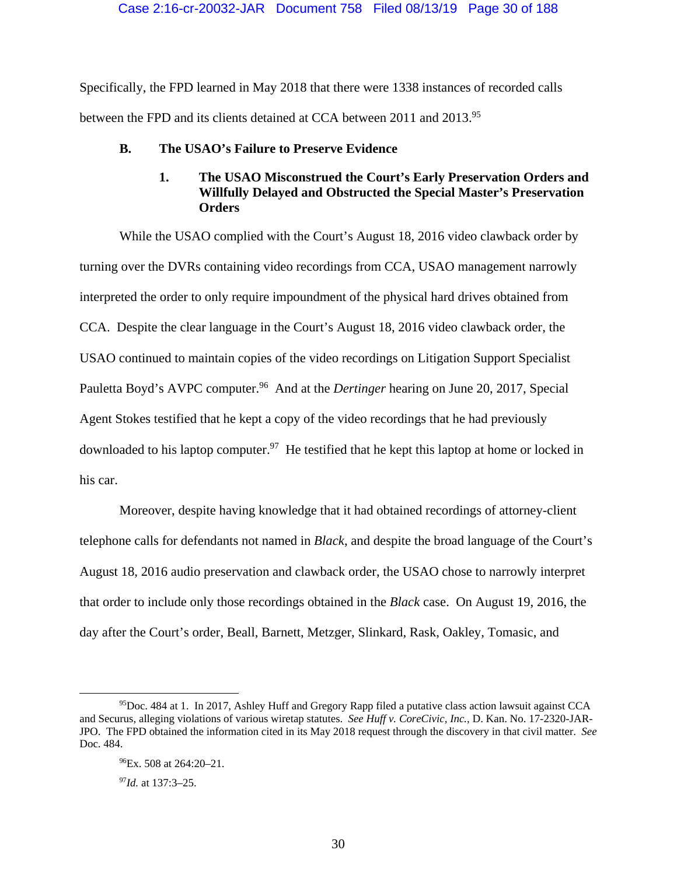Specifically, the FPD learned in May 2018 that there were 1338 instances of recorded calls between the FPD and its clients detained at CCA between 2011 and 2013.<sup>95</sup>

**B. The USAO's Failure to Preserve Evidence** 

## **1. The USAO Misconstrued the Court's Early Preservation Orders and Willfully Delayed and Obstructed the Special Master's Preservation Orders**

 While the USAO complied with the Court's August 18, 2016 video clawback order by turning over the DVRs containing video recordings from CCA, USAO management narrowly interpreted the order to only require impoundment of the physical hard drives obtained from CCA. Despite the clear language in the Court's August 18, 2016 video clawback order, the USAO continued to maintain copies of the video recordings on Litigation Support Specialist Pauletta Boyd's AVPC computer.<sup>96</sup> And at the *Dertinger* hearing on June 20, 2017, Special Agent Stokes testified that he kept a copy of the video recordings that he had previously downloaded to his laptop computer.<sup>97</sup> He testified that he kept this laptop at home or locked in his car.

 Moreover, despite having knowledge that it had obtained recordings of attorney-client telephone calls for defendants not named in *Black*, and despite the broad language of the Court's August 18, 2016 audio preservation and clawback order, the USAO chose to narrowly interpret that order to include only those recordings obtained in the *Black* case. On August 19, 2016, the day after the Court's order, Beall, Barnett, Metzger, Slinkard, Rask, Oakley, Tomasic, and

<sup>97</sup>*Id.* at 137:3–25.

 <sup>95</sup>Doc. 484 at 1. In 2017, Ashley Huff and Gregory Rapp filed a putative class action lawsuit against CCA and Securus, alleging violations of various wiretap statutes. *See Huff v. CoreCivic, Inc.*, D. Kan. No. 17-2320-JAR-JPO. The FPD obtained the information cited in its May 2018 request through the discovery in that civil matter. *See*  Doc. 484.

 $^{96}$ Ex. 508 at 264:20–21.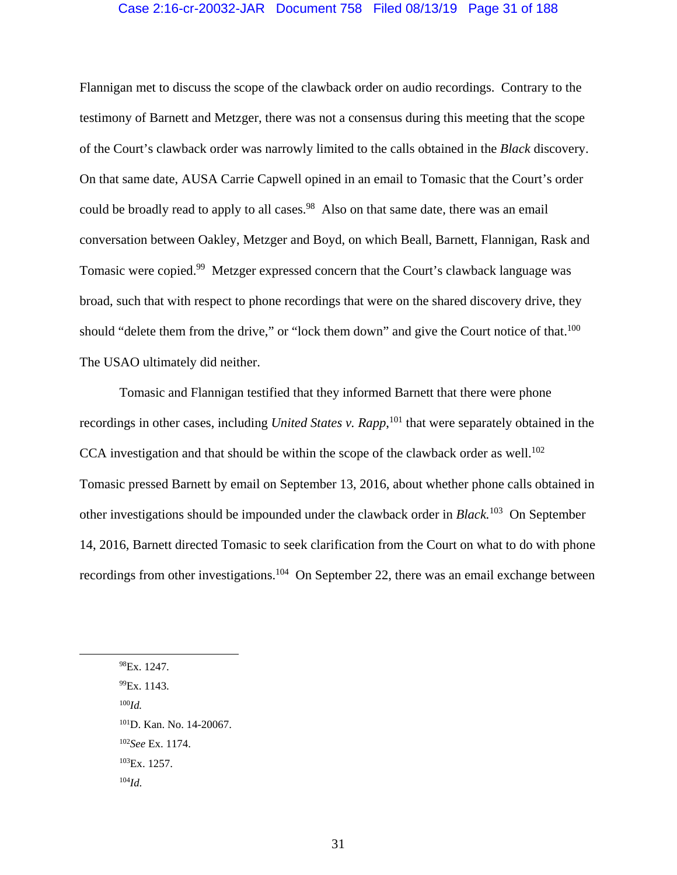## Case 2:16-cr-20032-JAR Document 758 Filed 08/13/19 Page 31 of 188

Flannigan met to discuss the scope of the clawback order on audio recordings. Contrary to the testimony of Barnett and Metzger, there was not a consensus during this meeting that the scope of the Court's clawback order was narrowly limited to the calls obtained in the *Black* discovery. On that same date, AUSA Carrie Capwell opined in an email to Tomasic that the Court's order could be broadly read to apply to all cases.<sup>98</sup> Also on that same date, there was an email conversation between Oakley, Metzger and Boyd, on which Beall, Barnett, Flannigan, Rask and Tomasic were copied.<sup>99</sup> Metzger expressed concern that the Court's clawback language was broad, such that with respect to phone recordings that were on the shared discovery drive, they should "delete them from the drive," or "lock them down" and give the Court notice of that.<sup>100</sup> The USAO ultimately did neither.

 Tomasic and Flannigan testified that they informed Barnett that there were phone recordings in other cases, including *United States v. Rapp*, 101 that were separately obtained in the CCA investigation and that should be within the scope of the clawback order as well.<sup>102</sup> Tomasic pressed Barnett by email on September 13, 2016, about whether phone calls obtained in other investigations should be impounded under the clawback order in *Black.*103 On September 14, 2016, Barnett directed Tomasic to seek clarification from the Court on what to do with phone recordings from other investigations.<sup>104</sup> On September 22, there was an email exchange between

98Ex. 1247.

99Ex. 1143.

<sup>100</sup>*Id.* 

101D. Kan. No. 14-20067. <sup>102</sup>*See* Ex. 1174. 103Ex. 1257.

 $104*Id*$ .

31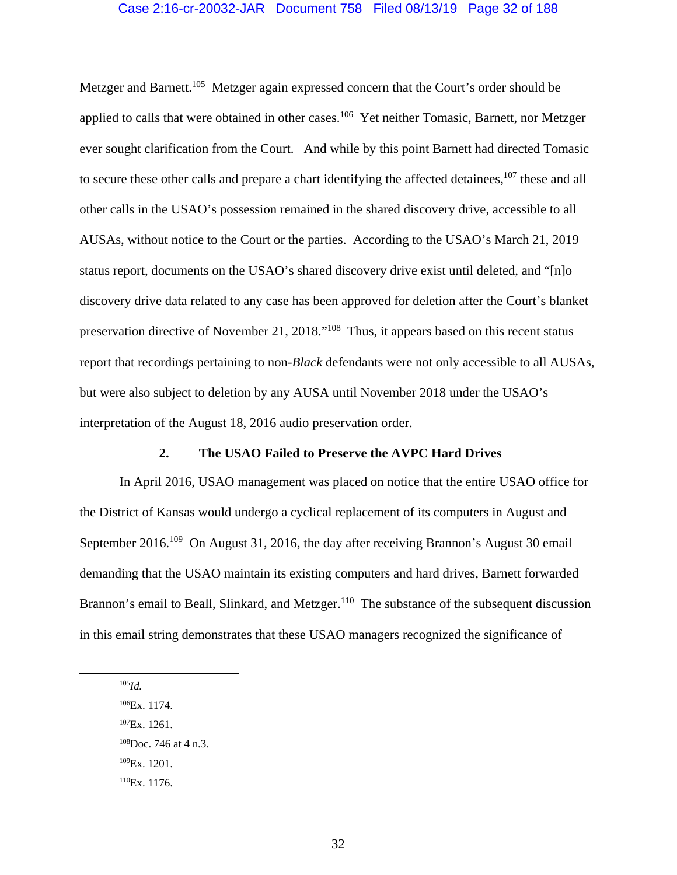## Case 2:16-cr-20032-JAR Document 758 Filed 08/13/19 Page 32 of 188

Metzger and Barnett.<sup>105</sup> Metzger again expressed concern that the Court's order should be applied to calls that were obtained in other cases.<sup>106</sup> Yet neither Tomasic, Barnett, nor Metzger ever sought clarification from the Court. And while by this point Barnett had directed Tomasic to secure these other calls and prepare a chart identifying the affected detainees,<sup>107</sup> these and all other calls in the USAO's possession remained in the shared discovery drive, accessible to all AUSAs, without notice to the Court or the parties. According to the USAO's March 21, 2019 status report, documents on the USAO's shared discovery drive exist until deleted, and "[n]o discovery drive data related to any case has been approved for deletion after the Court's blanket preservation directive of November 21, 2018."108 Thus, it appears based on this recent status report that recordings pertaining to non-*Black* defendants were not only accessible to all AUSAs, but were also subject to deletion by any AUSA until November 2018 under the USAO's interpretation of the August 18, 2016 audio preservation order.

## **2. The USAO Failed to Preserve the AVPC Hard Drives**

In April 2016, USAO management was placed on notice that the entire USAO office for the District of Kansas would undergo a cyclical replacement of its computers in August and September 2016.<sup>109</sup> On August 31, 2016, the day after receiving Brannon's August 30 email demanding that the USAO maintain its existing computers and hard drives, Barnett forwarded Brannon's email to Beall, Slinkard, and Metzger.<sup>110</sup> The substance of the subsequent discussion in this email string demonstrates that these USAO managers recognized the significance of

105*Id.*

106Ex. 1174.

107Ex. 1261.

 $108$ Doc. 746 at 4 n.3.

109Ex. 1201.

110Ex. 1176.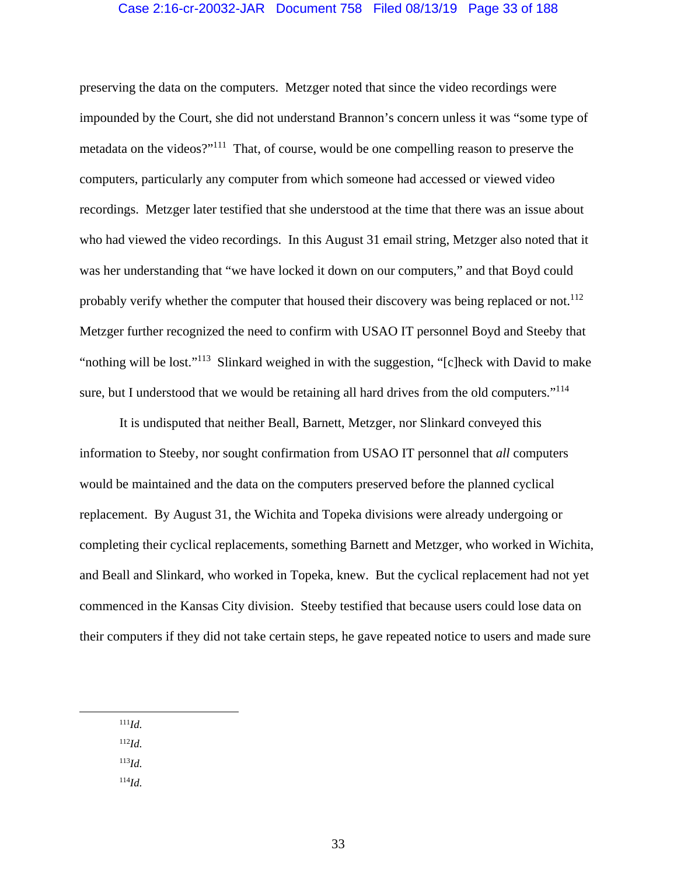## Case 2:16-cr-20032-JAR Document 758 Filed 08/13/19 Page 33 of 188

preserving the data on the computers. Metzger noted that since the video recordings were impounded by the Court, she did not understand Brannon's concern unless it was "some type of metadata on the videos?"111 That, of course, would be one compelling reason to preserve the computers, particularly any computer from which someone had accessed or viewed video recordings. Metzger later testified that she understood at the time that there was an issue about who had viewed the video recordings. In this August 31 email string, Metzger also noted that it was her understanding that "we have locked it down on our computers," and that Boyd could probably verify whether the computer that housed their discovery was being replaced or not.<sup>112</sup> Metzger further recognized the need to confirm with USAO IT personnel Boyd and Steeby that "nothing will be lost."113 Slinkard weighed in with the suggestion, "[c]heck with David to make sure, but I understood that we would be retaining all hard drives from the old computers."<sup>114</sup>

It is undisputed that neither Beall, Barnett, Metzger, nor Slinkard conveyed this information to Steeby, nor sought confirmation from USAO IT personnel that *all* computers would be maintained and the data on the computers preserved before the planned cyclical replacement. By August 31, the Wichita and Topeka divisions were already undergoing or completing their cyclical replacements, something Barnett and Metzger, who worked in Wichita, and Beall and Slinkard, who worked in Topeka, knew. But the cyclical replacement had not yet commenced in the Kansas City division. Steeby testified that because users could lose data on their computers if they did not take certain steps, he gave repeated notice to users and made sure

111*Id*.

<sup>112</sup>*Id*.

<sup>113</sup>*Id*.

<sup>114</sup>*Id*.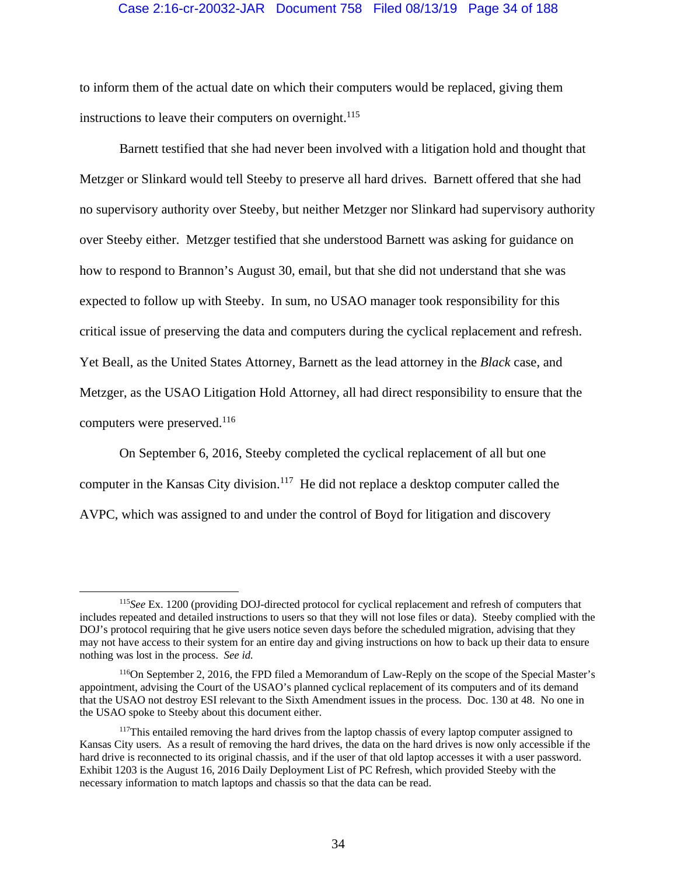## Case 2:16-cr-20032-JAR Document 758 Filed 08/13/19 Page 34 of 188

to inform them of the actual date on which their computers would be replaced, giving them instructions to leave their computers on overnight.<sup>115</sup>

Barnett testified that she had never been involved with a litigation hold and thought that Metzger or Slinkard would tell Steeby to preserve all hard drives. Barnett offered that she had no supervisory authority over Steeby, but neither Metzger nor Slinkard had supervisory authority over Steeby either. Metzger testified that she understood Barnett was asking for guidance on how to respond to Brannon's August 30, email, but that she did not understand that she was expected to follow up with Steeby. In sum, no USAO manager took responsibility for this critical issue of preserving the data and computers during the cyclical replacement and refresh. Yet Beall, as the United States Attorney, Barnett as the lead attorney in the *Black* case, and Metzger, as the USAO Litigation Hold Attorney, all had direct responsibility to ensure that the computers were preserved.116

On September 6, 2016, Steeby completed the cyclical replacement of all but one computer in the Kansas City division.<sup>117</sup> He did not replace a desktop computer called the AVPC, which was assigned to and under the control of Boyd for litigation and discovery

 <sup>115</sup>*See* Ex. 1200 (providing DOJ-directed protocol for cyclical replacement and refresh of computers that includes repeated and detailed instructions to users so that they will not lose files or data). Steeby complied with the DOJ's protocol requiring that he give users notice seven days before the scheduled migration, advising that they may not have access to their system for an entire day and giving instructions on how to back up their data to ensure nothing was lost in the process. *See id.*

<sup>116</sup>On September 2, 2016, the FPD filed a Memorandum of Law-Reply on the scope of the Special Master's appointment, advising the Court of the USAO's planned cyclical replacement of its computers and of its demand that the USAO not destroy ESI relevant to the Sixth Amendment issues in the process. Doc. 130 at 48. No one in the USAO spoke to Steeby about this document either.

<sup>&</sup>lt;sup>117</sup>This entailed removing the hard drives from the laptop chassis of every laptop computer assigned to Kansas City users. As a result of removing the hard drives, the data on the hard drives is now only accessible if the hard drive is reconnected to its original chassis, and if the user of that old laptop accesses it with a user password. Exhibit 1203 is the August 16, 2016 Daily Deployment List of PC Refresh, which provided Steeby with the necessary information to match laptops and chassis so that the data can be read.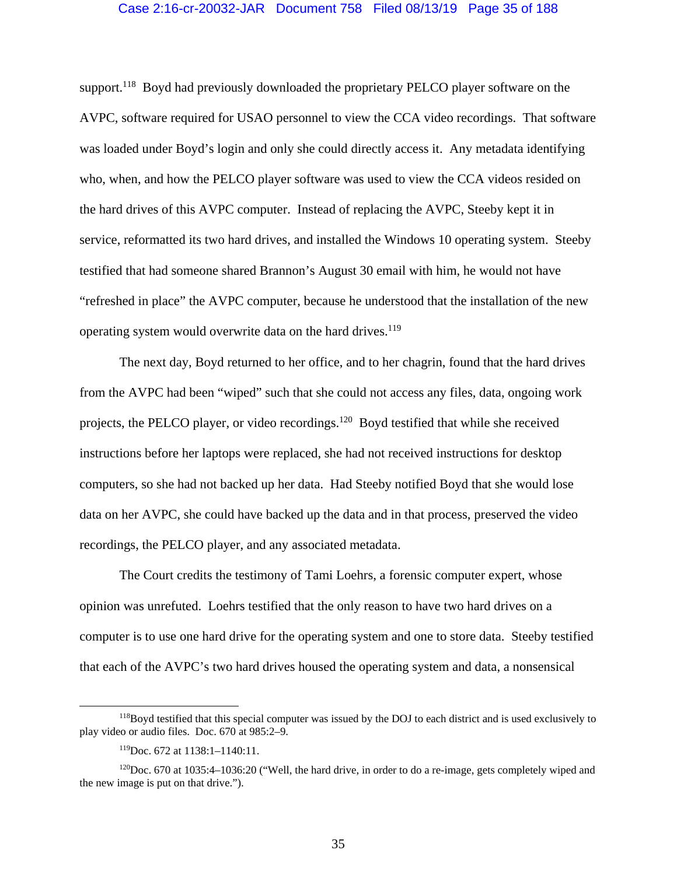### Case 2:16-cr-20032-JAR Document 758 Filed 08/13/19 Page 35 of 188

support.<sup>118</sup> Boyd had previously downloaded the proprietary PELCO player software on the AVPC, software required for USAO personnel to view the CCA video recordings. That software was loaded under Boyd's login and only she could directly access it. Any metadata identifying who, when, and how the PELCO player software was used to view the CCA videos resided on the hard drives of this AVPC computer. Instead of replacing the AVPC, Steeby kept it in service, reformatted its two hard drives, and installed the Windows 10 operating system. Steeby testified that had someone shared Brannon's August 30 email with him, he would not have "refreshed in place" the AVPC computer, because he understood that the installation of the new operating system would overwrite data on the hard drives.<sup>119</sup>

The next day, Boyd returned to her office, and to her chagrin, found that the hard drives from the AVPC had been "wiped" such that she could not access any files, data, ongoing work projects, the PELCO player, or video recordings.120 Boyd testified that while she received instructions before her laptops were replaced, she had not received instructions for desktop computers, so she had not backed up her data. Had Steeby notified Boyd that she would lose data on her AVPC, she could have backed up the data and in that process, preserved the video recordings, the PELCO player, and any associated metadata.

The Court credits the testimony of Tami Loehrs, a forensic computer expert, whose opinion was unrefuted. Loehrs testified that the only reason to have two hard drives on a computer is to use one hard drive for the operating system and one to store data. Steeby testified that each of the AVPC's two hard drives housed the operating system and data, a nonsensical

<sup>&</sup>lt;sup>118</sup>Boyd testified that this special computer was issued by the DOJ to each district and is used exclusively to play video or audio files. Doc. 670 at 985:2–9.

<sup>119</sup>Doc. 672 at 1138:1–1140:11.

<sup>&</sup>lt;sup>120</sup>Doc. 670 at 1035:4–1036:20 ("Well, the hard drive, in order to do a re-image, gets completely wiped and the new image is put on that drive.").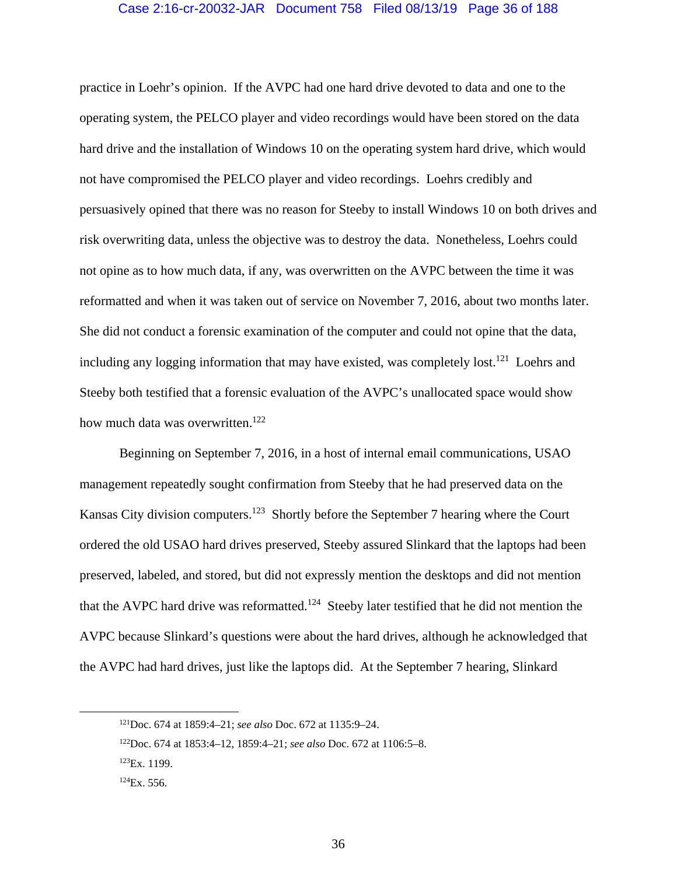## Case 2:16-cr-20032-JAR Document 758 Filed 08/13/19 Page 36 of 188

practice in Loehr's opinion. If the AVPC had one hard drive devoted to data and one to the operating system, the PELCO player and video recordings would have been stored on the data hard drive and the installation of Windows 10 on the operating system hard drive, which would not have compromised the PELCO player and video recordings. Loehrs credibly and persuasively opined that there was no reason for Steeby to install Windows 10 on both drives and risk overwriting data, unless the objective was to destroy the data. Nonetheless, Loehrs could not opine as to how much data, if any, was overwritten on the AVPC between the time it was reformatted and when it was taken out of service on November 7, 2016, about two months later. She did not conduct a forensic examination of the computer and could not opine that the data, including any logging information that may have existed, was completely lost.<sup>121</sup> Loehrs and Steeby both testified that a forensic evaluation of the AVPC's unallocated space would show how much data was overwritten.<sup>122</sup>

Beginning on September 7, 2016, in a host of internal email communications, USAO management repeatedly sought confirmation from Steeby that he had preserved data on the Kansas City division computers.<sup>123</sup> Shortly before the September 7 hearing where the Court ordered the old USAO hard drives preserved, Steeby assured Slinkard that the laptops had been preserved, labeled, and stored, but did not expressly mention the desktops and did not mention that the AVPC hard drive was reformatted.<sup>124</sup> Steeby later testified that he did not mention the AVPC because Slinkard's questions were about the hard drives, although he acknowledged that the AVPC had hard drives, just like the laptops did. At the September 7 hearing, Slinkard

 <sup>121</sup>Doc. 674 at 1859:4–21; *see also* Doc. 672 at 1135:9–24.

<sup>122</sup>Doc. 674 at 1853:4–12, 1859:4–21; *see also* Doc. 672 at 1106:5–8.

<sup>123</sup>Ex. 1199.

 $124$ Ex. 556.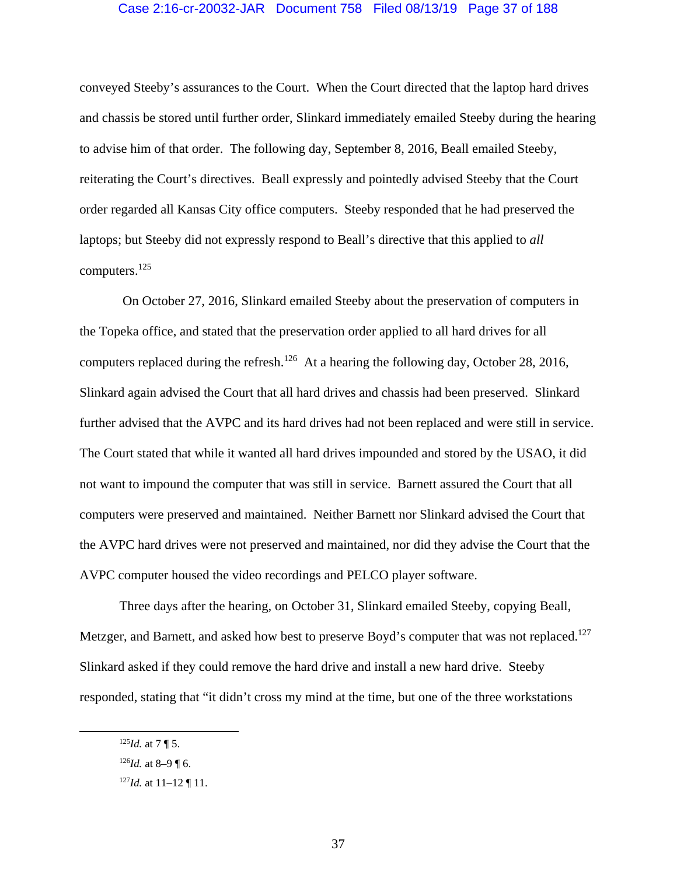## Case 2:16-cr-20032-JAR Document 758 Filed 08/13/19 Page 37 of 188

conveyed Steeby's assurances to the Court. When the Court directed that the laptop hard drives and chassis be stored until further order, Slinkard immediately emailed Steeby during the hearing to advise him of that order. The following day, September 8, 2016, Beall emailed Steeby, reiterating the Court's directives. Beall expressly and pointedly advised Steeby that the Court order regarded all Kansas City office computers. Steeby responded that he had preserved the laptops; but Steeby did not expressly respond to Beall's directive that this applied to *all* computers.125

 On October 27, 2016, Slinkard emailed Steeby about the preservation of computers in the Topeka office, and stated that the preservation order applied to all hard drives for all computers replaced during the refresh.<sup>126</sup> At a hearing the following day, October 28, 2016, Slinkard again advised the Court that all hard drives and chassis had been preserved. Slinkard further advised that the AVPC and its hard drives had not been replaced and were still in service. The Court stated that while it wanted all hard drives impounded and stored by the USAO, it did not want to impound the computer that was still in service. Barnett assured the Court that all computers were preserved and maintained. Neither Barnett nor Slinkard advised the Court that the AVPC hard drives were not preserved and maintained, nor did they advise the Court that the AVPC computer housed the video recordings and PELCO player software.

 Three days after the hearing, on October 31, Slinkard emailed Steeby, copying Beall, Metzger, and Barnett, and asked how best to preserve Boyd's computer that was not replaced.<sup>127</sup> Slinkard asked if they could remove the hard drive and install a new hard drive. Steeby responded, stating that "it didn't cross my mind at the time, but one of the three workstations

 $125$ *Id.* at 7 ¶ 5.

 $126$ *Id.* at 8–9 ¶ 6.

<sup>127</sup>*Id.* at 11–12 ¶ 11.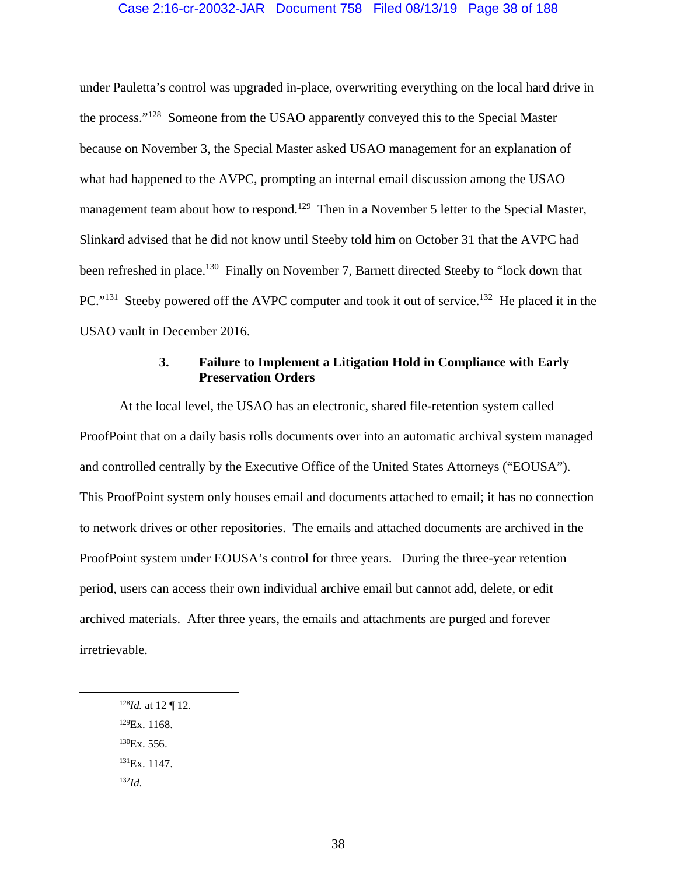## Case 2:16-cr-20032-JAR Document 758 Filed 08/13/19 Page 38 of 188

under Pauletta's control was upgraded in-place, overwriting everything on the local hard drive in the process."128 Someone from the USAO apparently conveyed this to the Special Master because on November 3, the Special Master asked USAO management for an explanation of what had happened to the AVPC, prompting an internal email discussion among the USAO management team about how to respond.<sup>129</sup> Then in a November 5 letter to the Special Master, Slinkard advised that he did not know until Steeby told him on October 31 that the AVPC had been refreshed in place.<sup>130</sup> Finally on November 7, Barnett directed Steeby to "lock down that PC."<sup>131</sup> Steeby powered off the AVPC computer and took it out of service.<sup>132</sup> He placed it in the USAO vault in December 2016.

# **3. Failure to Implement a Litigation Hold in Compliance with Early Preservation Orders**

At the local level, the USAO has an electronic, shared file-retention system called ProofPoint that on a daily basis rolls documents over into an automatic archival system managed and controlled centrally by the Executive Office of the United States Attorneys ("EOUSA"). This ProofPoint system only houses email and documents attached to email; it has no connection to network drives or other repositories. The emails and attached documents are archived in the ProofPoint system under EOUSA's control for three years. During the three-year retention period, users can access their own individual archive email but cannot add, delete, or edit archived materials. After three years, the emails and attachments are purged and forever irretrievable.

- 128*Id.* at 12 ¶ 12.
- 129Ex. 1168.
- $^{130}Ex.556.$
- <sup>131</sup>Ex. 1147.
- <sup>132</sup>*Id*.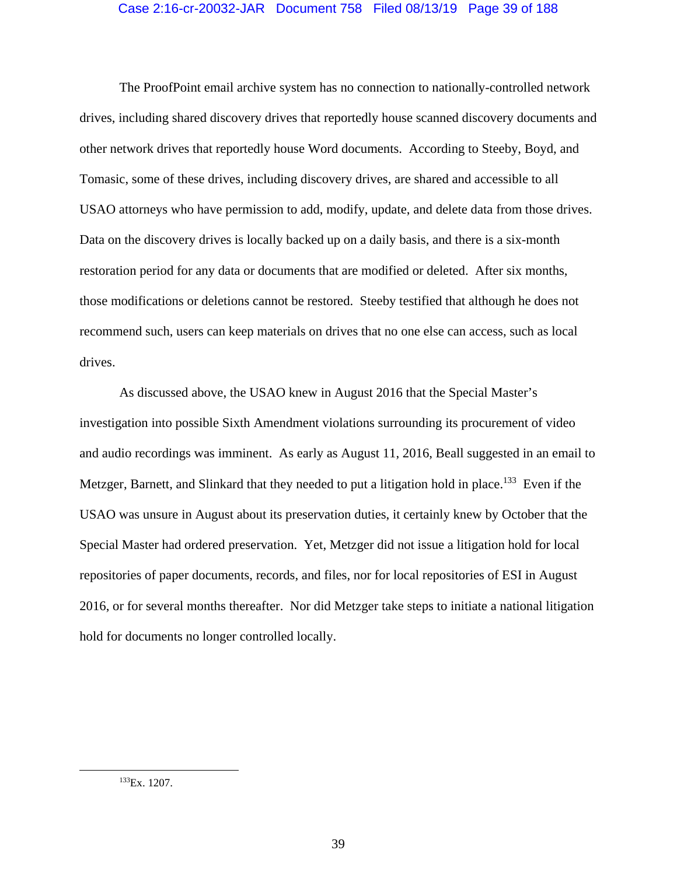# Case 2:16-cr-20032-JAR Document 758 Filed 08/13/19 Page 39 of 188

The ProofPoint email archive system has no connection to nationally-controlled network drives, including shared discovery drives that reportedly house scanned discovery documents and other network drives that reportedly house Word documents. According to Steeby, Boyd, and Tomasic, some of these drives, including discovery drives, are shared and accessible to all USAO attorneys who have permission to add, modify, update, and delete data from those drives. Data on the discovery drives is locally backed up on a daily basis, and there is a six-month restoration period for any data or documents that are modified or deleted. After six months, those modifications or deletions cannot be restored. Steeby testified that although he does not recommend such, users can keep materials on drives that no one else can access, such as local drives.

As discussed above, the USAO knew in August 2016 that the Special Master's investigation into possible Sixth Amendment violations surrounding its procurement of video and audio recordings was imminent. As early as August 11, 2016, Beall suggested in an email to Metzger, Barnett, and Slinkard that they needed to put a litigation hold in place.<sup>133</sup> Even if the USAO was unsure in August about its preservation duties, it certainly knew by October that the Special Master had ordered preservation. Yet, Metzger did not issue a litigation hold for local repositories of paper documents, records, and files, nor for local repositories of ESI in August 2016, or for several months thereafter. Nor did Metzger take steps to initiate a national litigation hold for documents no longer controlled locally.

 <sup>133</sup>Ex. 1207.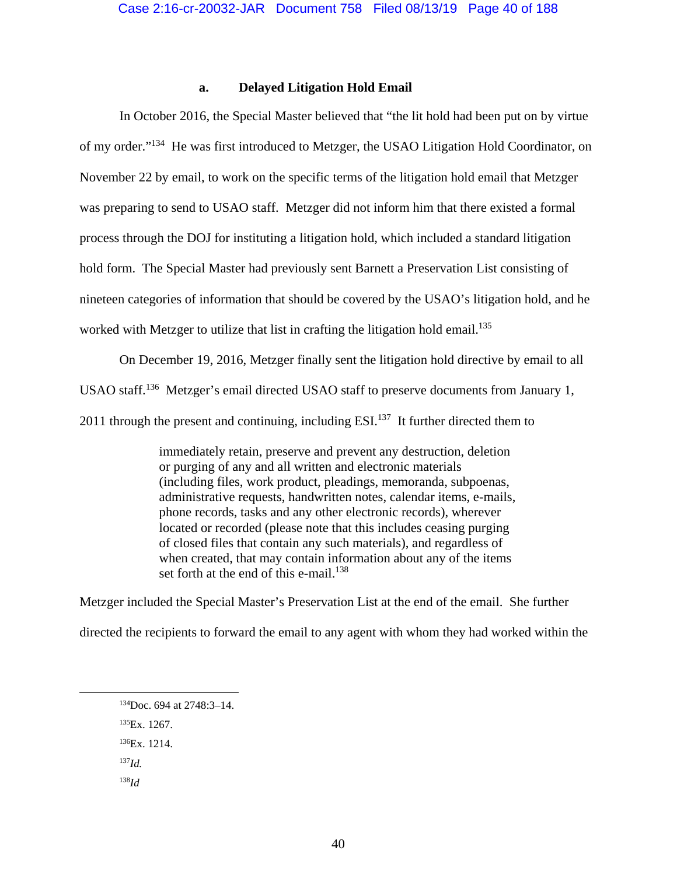# **a. Delayed Litigation Hold Email**

In October 2016, the Special Master believed that "the lit hold had been put on by virtue of my order."134 He was first introduced to Metzger, the USAO Litigation Hold Coordinator, on November 22 by email, to work on the specific terms of the litigation hold email that Metzger was preparing to send to USAO staff. Metzger did not inform him that there existed a formal process through the DOJ for instituting a litigation hold, which included a standard litigation hold form. The Special Master had previously sent Barnett a Preservation List consisting of nineteen categories of information that should be covered by the USAO's litigation hold, and he worked with Metzger to utilize that list in crafting the litigation hold email.<sup>135</sup>

On December 19, 2016, Metzger finally sent the litigation hold directive by email to all USAO staff.<sup>136</sup> Metzger's email directed USAO staff to preserve documents from January 1, 2011 through the present and continuing, including  $ESI<sup>137</sup>$  It further directed them to

> immediately retain, preserve and prevent any destruction, deletion or purging of any and all written and electronic materials (including files, work product, pleadings, memoranda, subpoenas, administrative requests, handwritten notes, calendar items, e-mails, phone records, tasks and any other electronic records), wherever located or recorded (please note that this includes ceasing purging of closed files that contain any such materials), and regardless of when created, that may contain information about any of the items set forth at the end of this e-mail. $138$

Metzger included the Special Master's Preservation List at the end of the email. She further directed the recipients to forward the email to any agent with whom they had worked within the

135Ex. 1267.

136Ex. 1214.

<sup>137</sup>*Id.*

<sup>138</sup>*Id*

 <sup>134</sup>Doc. 694 at 2748:3–14.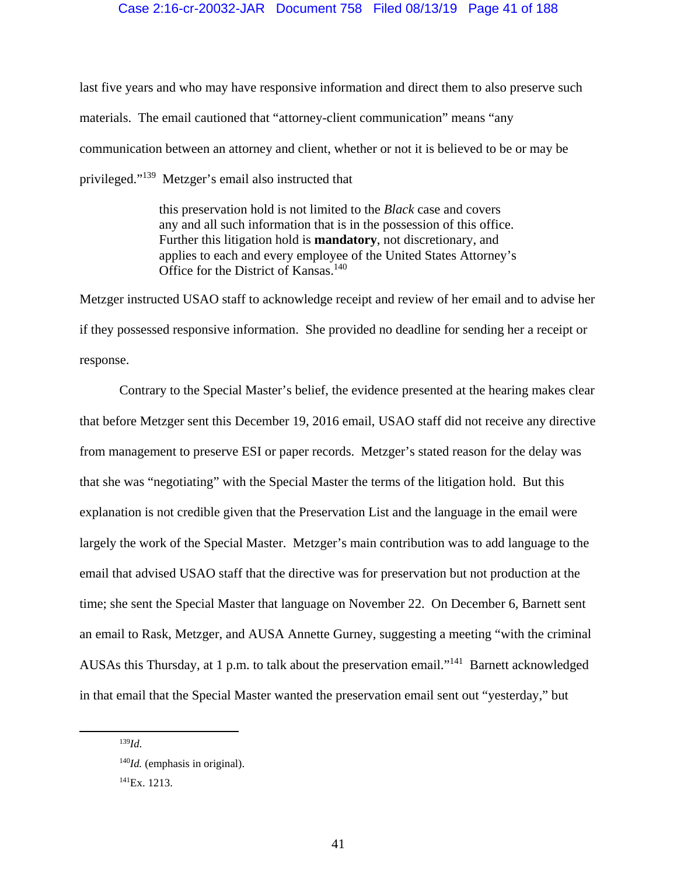## Case 2:16-cr-20032-JAR Document 758 Filed 08/13/19 Page 41 of 188

last five years and who may have responsive information and direct them to also preserve such materials. The email cautioned that "attorney-client communication" means "any communication between an attorney and client, whether or not it is believed to be or may be privileged."139 Metzger's email also instructed that

> this preservation hold is not limited to the *Black* case and covers any and all such information that is in the possession of this office. Further this litigation hold is **mandatory**, not discretionary, and applies to each and every employee of the United States Attorney's Office for the District of Kansas.<sup>140</sup>

Metzger instructed USAO staff to acknowledge receipt and review of her email and to advise her if they possessed responsive information. She provided no deadline for sending her a receipt or response.

Contrary to the Special Master's belief, the evidence presented at the hearing makes clear that before Metzger sent this December 19, 2016 email, USAO staff did not receive any directive from management to preserve ESI or paper records. Metzger's stated reason for the delay was that she was "negotiating" with the Special Master the terms of the litigation hold. But this explanation is not credible given that the Preservation List and the language in the email were largely the work of the Special Master. Metzger's main contribution was to add language to the email that advised USAO staff that the directive was for preservation but not production at the time; she sent the Special Master that language on November 22. On December 6, Barnett sent an email to Rask, Metzger, and AUSA Annette Gurney, suggesting a meeting "with the criminal AUSAs this Thursday, at 1 p.m. to talk about the preservation email."141 Barnett acknowledged in that email that the Special Master wanted the preservation email sent out "yesterday," but

 <sup>139</sup>*Id*.

<sup>&</sup>lt;sup>140</sup>*Id.* (emphasis in original).

<sup>141</sup>Ex. 1213.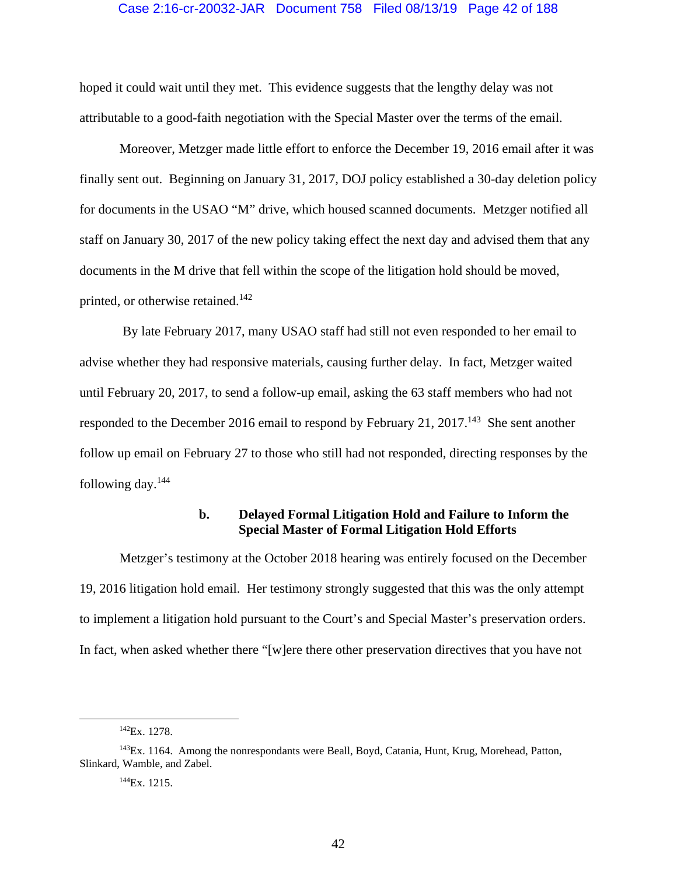## Case 2:16-cr-20032-JAR Document 758 Filed 08/13/19 Page 42 of 188

hoped it could wait until they met. This evidence suggests that the lengthy delay was not attributable to a good-faith negotiation with the Special Master over the terms of the email.

Moreover, Metzger made little effort to enforce the December 19, 2016 email after it was finally sent out. Beginning on January 31, 2017, DOJ policy established a 30-day deletion policy for documents in the USAO "M" drive, which housed scanned documents. Metzger notified all staff on January 30, 2017 of the new policy taking effect the next day and advised them that any documents in the M drive that fell within the scope of the litigation hold should be moved, printed, or otherwise retained.<sup>142</sup>

 By late February 2017, many USAO staff had still not even responded to her email to advise whether they had responsive materials, causing further delay. In fact, Metzger waited until February 20, 2017, to send a follow-up email, asking the 63 staff members who had not responded to the December 2016 email to respond by February 21, 2017.<sup>143</sup> She sent another follow up email on February 27 to those who still had not responded, directing responses by the following day. $144$ 

# **b. Delayed Formal Litigation Hold and Failure to Inform the Special Master of Formal Litigation Hold Efforts**

 Metzger's testimony at the October 2018 hearing was entirely focused on the December 19, 2016 litigation hold email. Her testimony strongly suggested that this was the only attempt to implement a litigation hold pursuant to the Court's and Special Master's preservation orders. In fact, when asked whether there "[w]ere there other preservation directives that you have not

 <sup>142</sup>Ex. 1278.

<sup>&</sup>lt;sup>143</sup>Ex. 1164. Among the nonrespondants were Beall, Boyd, Catania, Hunt, Krug, Morehead, Patton, Slinkard, Wamble, and Zabel.

<sup>144</sup>Ex. 1215.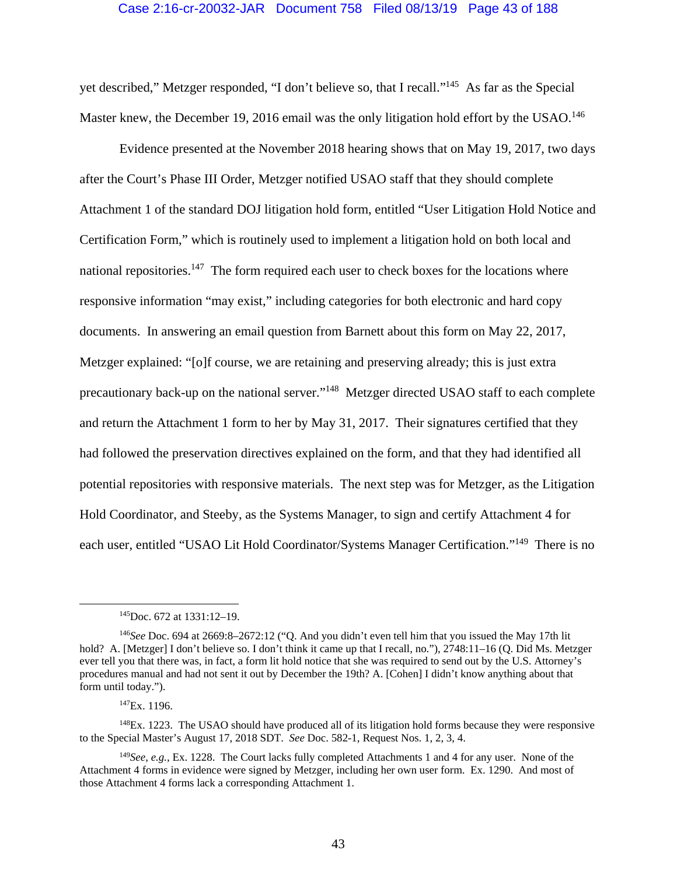## Case 2:16-cr-20032-JAR Document 758 Filed 08/13/19 Page 43 of 188

yet described," Metzger responded, "I don't believe so, that I recall."145 As far as the Special Master knew, the December 19, 2016 email was the only litigation hold effort by the USAO.<sup>146</sup>

 Evidence presented at the November 2018 hearing shows that on May 19, 2017, two days after the Court's Phase III Order, Metzger notified USAO staff that they should complete Attachment 1 of the standard DOJ litigation hold form, entitled "User Litigation Hold Notice and Certification Form," which is routinely used to implement a litigation hold on both local and national repositories.<sup>147</sup> The form required each user to check boxes for the locations where responsive information "may exist," including categories for both electronic and hard copy documents. In answering an email question from Barnett about this form on May 22, 2017, Metzger explained: "[o]f course, we are retaining and preserving already; this is just extra precautionary back-up on the national server."148 Metzger directed USAO staff to each complete and return the Attachment 1 form to her by May 31, 2017. Their signatures certified that they had followed the preservation directives explained on the form, and that they had identified all potential repositories with responsive materials. The next step was for Metzger, as the Litigation Hold Coordinator, and Steeby, as the Systems Manager, to sign and certify Attachment 4 for each user, entitled "USAO Lit Hold Coordinator/Systems Manager Certification."149 There is no

 $148E<sub>X</sub>$ . 1223. The USAO should have produced all of its litigation hold forms because they were responsive to the Special Master's August 17, 2018 SDT. *See* Doc. 582-1, Request Nos. 1, 2, 3, 4.

 <sup>145</sup>Doc. 672 at 1331:12–19.

<sup>146</sup>*See* Doc. 694 at 2669:8–2672:12 ("Q. And you didn't even tell him that you issued the May 17th lit hold? A. [Metzger] I don't believe so. I don't think it came up that I recall, no."), 2748:11–16 (Q. Did Ms. Metzger ever tell you that there was, in fact, a form lit hold notice that she was required to send out by the U.S. Attorney's procedures manual and had not sent it out by December the 19th? A. [Cohen] I didn't know anything about that form until today.").

 $147Ex. 1196.$ 

<sup>149</sup>*See, e.g.*, Ex. 1228. The Court lacks fully completed Attachments 1 and 4 for any user. None of the Attachment 4 forms in evidence were signed by Metzger, including her own user form. Ex. 1290. And most of those Attachment 4 forms lack a corresponding Attachment 1.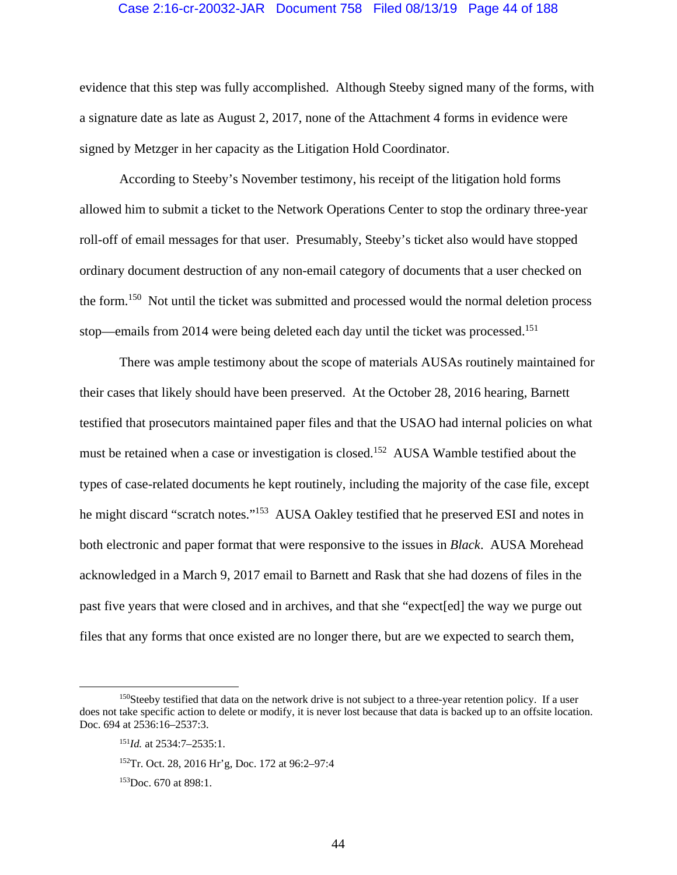#### Case 2:16-cr-20032-JAR Document 758 Filed 08/13/19 Page 44 of 188

evidence that this step was fully accomplished. Although Steeby signed many of the forms, with a signature date as late as August 2, 2017, none of the Attachment 4 forms in evidence were signed by Metzger in her capacity as the Litigation Hold Coordinator.

According to Steeby's November testimony, his receipt of the litigation hold forms allowed him to submit a ticket to the Network Operations Center to stop the ordinary three-year roll-off of email messages for that user. Presumably, Steeby's ticket also would have stopped ordinary document destruction of any non-email category of documents that a user checked on the form.150 Not until the ticket was submitted and processed would the normal deletion process stop—emails from 2014 were being deleted each day until the ticket was processed.<sup>151</sup>

There was ample testimony about the scope of materials AUSAs routinely maintained for their cases that likely should have been preserved. At the October 28, 2016 hearing, Barnett testified that prosecutors maintained paper files and that the USAO had internal policies on what must be retained when a case or investigation is closed.<sup>152</sup> AUSA Wamble testified about the types of case-related documents he kept routinely, including the majority of the case file, except he might discard "scratch notes."<sup>153</sup> AUSA Oakley testified that he preserved ESI and notes in both electronic and paper format that were responsive to the issues in *Black*. AUSA Morehead acknowledged in a March 9, 2017 email to Barnett and Rask that she had dozens of files in the past five years that were closed and in archives, and that she "expect[ed] the way we purge out files that any forms that once existed are no longer there, but are we expected to search them,

<sup>&</sup>lt;sup>150</sup>Steeby testified that data on the network drive is not subject to a three-year retention policy. If a user does not take specific action to delete or modify, it is never lost because that data is backed up to an offsite location. Doc. 694 at 2536:16-2537:3.

<sup>151</sup>*Id.* at 2534:7–2535:1.

<sup>152</sup>Tr. Oct. 28, 2016 Hr'g, Doc. 172 at 96:2–97:4

<sup>153</sup>Doc. 670 at 898:1.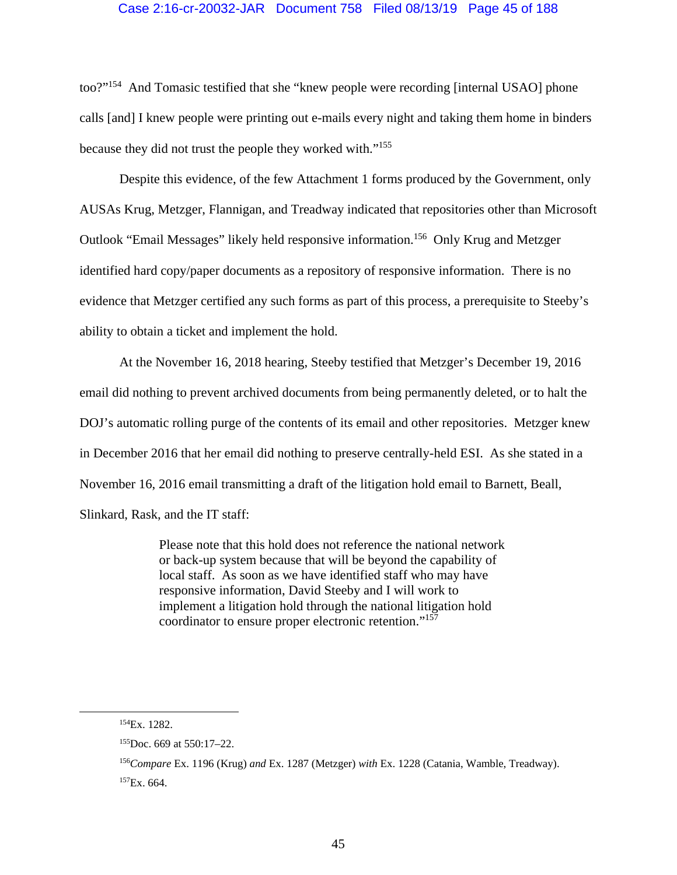# Case 2:16-cr-20032-JAR Document 758 Filed 08/13/19 Page 45 of 188

too?"154 And Tomasic testified that she "knew people were recording [internal USAO] phone calls [and] I knew people were printing out e-mails every night and taking them home in binders because they did not trust the people they worked with."155

Despite this evidence, of the few Attachment 1 forms produced by the Government, only AUSAs Krug, Metzger, Flannigan, and Treadway indicated that repositories other than Microsoft Outlook "Email Messages" likely held responsive information.156 Only Krug and Metzger identified hard copy/paper documents as a repository of responsive information. There is no evidence that Metzger certified any such forms as part of this process, a prerequisite to Steeby's ability to obtain a ticket and implement the hold.

At the November 16, 2018 hearing, Steeby testified that Metzger's December 19, 2016 email did nothing to prevent archived documents from being permanently deleted, or to halt the DOJ's automatic rolling purge of the contents of its email and other repositories. Metzger knew in December 2016 that her email did nothing to preserve centrally-held ESI. As she stated in a November 16, 2016 email transmitting a draft of the litigation hold email to Barnett, Beall, Slinkard, Rask, and the IT staff:

> Please note that this hold does not reference the national network or back-up system because that will be beyond the capability of local staff. As soon as we have identified staff who may have responsive information, David Steeby and I will work to implement a litigation hold through the national litigation hold coordinator to ensure proper electronic retention."157

 <sup>154</sup>Ex. 1282.

 $155$ Doc. 669 at 550:17–22.

<sup>156</sup>*Compare* Ex. 1196 (Krug) *and* Ex. 1287 (Metzger) *with* Ex. 1228 (Catania, Wamble, Treadway).  $157Ex. 664.$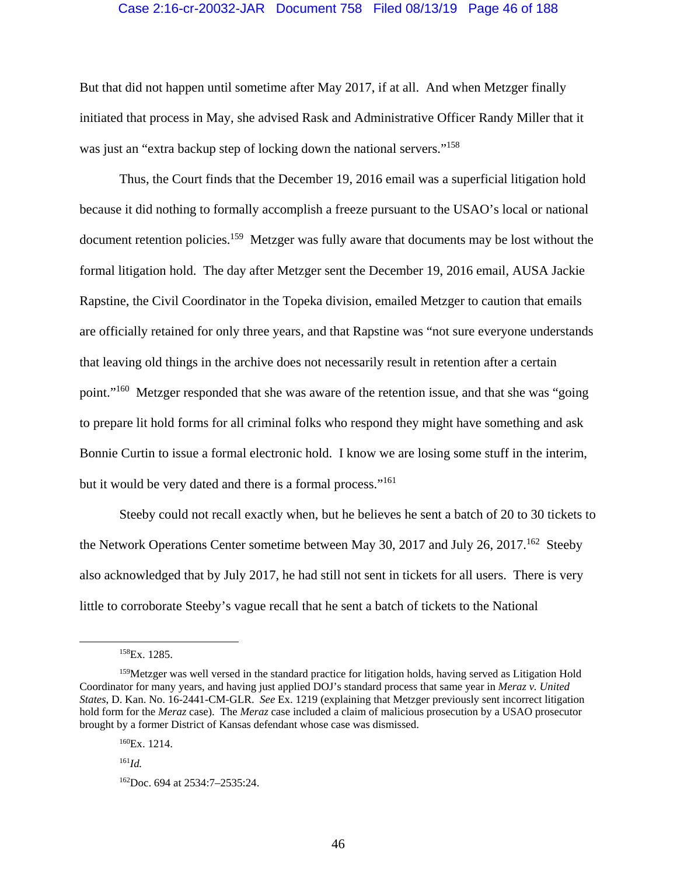## Case 2:16-cr-20032-JAR Document 758 Filed 08/13/19 Page 46 of 188

But that did not happen until sometime after May 2017, if at all. And when Metzger finally initiated that process in May, she advised Rask and Administrative Officer Randy Miller that it was just an "extra backup step of locking down the national servers."<sup>158</sup>

Thus, the Court finds that the December 19, 2016 email was a superficial litigation hold because it did nothing to formally accomplish a freeze pursuant to the USAO's local or national document retention policies.<sup>159</sup> Metzger was fully aware that documents may be lost without the formal litigation hold. The day after Metzger sent the December 19, 2016 email, AUSA Jackie Rapstine, the Civil Coordinator in the Topeka division, emailed Metzger to caution that emails are officially retained for only three years, and that Rapstine was "not sure everyone understands that leaving old things in the archive does not necessarily result in retention after a certain point."160 Metzger responded that she was aware of the retention issue, and that she was "going to prepare lit hold forms for all criminal folks who respond they might have something and ask Bonnie Curtin to issue a formal electronic hold. I know we are losing some stuff in the interim, but it would be very dated and there is a formal process."<sup>161</sup>

Steeby could not recall exactly when, but he believes he sent a batch of 20 to 30 tickets to the Network Operations Center sometime between May 30, 2017 and July 26, 2017.<sup>162</sup> Steeby also acknowledged that by July 2017, he had still not sent in tickets for all users. There is very little to corroborate Steeby's vague recall that he sent a batch of tickets to the National

 <sup>158</sup>Ex. 1285.

<sup>&</sup>lt;sup>159</sup>Metzger was well versed in the standard practice for litigation holds, having served as Litigation Hold Coordinator for many years, and having just applied DOJ's standard process that same year in *Meraz v. United States*, D. Kan. No. 16-2441-CM-GLR. *See* Ex. 1219 (explaining that Metzger previously sent incorrect litigation hold form for the *Meraz* case). The *Meraz* case included a claim of malicious prosecution by a USAO prosecutor brought by a former District of Kansas defendant whose case was dismissed.

<sup>160</sup>Ex. 1214.

<sup>161</sup>*Id.*

<sup>162</sup>Doc. 694 at 2534:7–2535:24.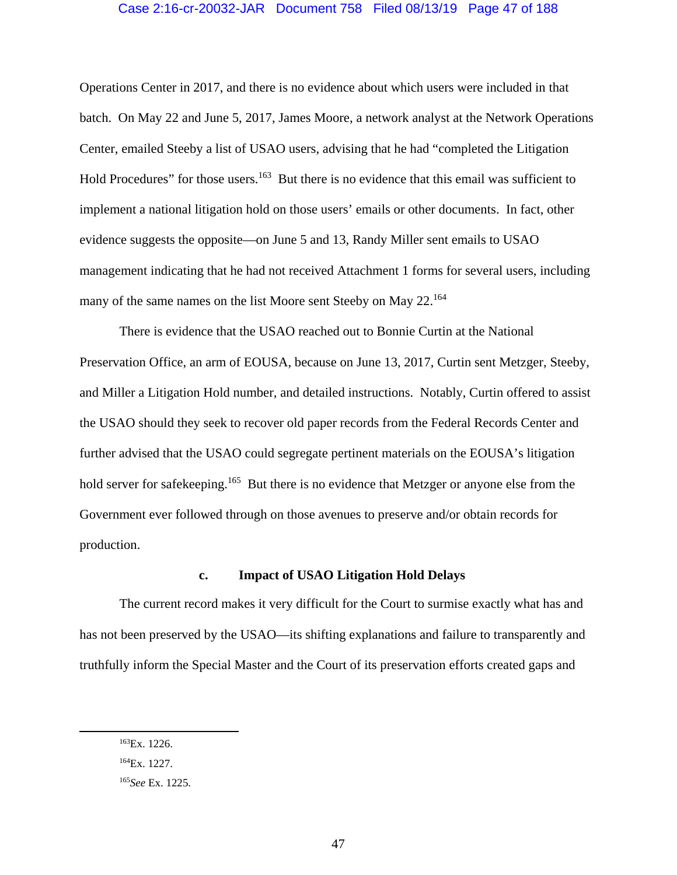## Case 2:16-cr-20032-JAR Document 758 Filed 08/13/19 Page 47 of 188

Operations Center in 2017, and there is no evidence about which users were included in that batch. On May 22 and June 5, 2017, James Moore, a network analyst at the Network Operations Center, emailed Steeby a list of USAO users, advising that he had "completed the Litigation Hold Procedures" for those users.<sup>163</sup> But there is no evidence that this email was sufficient to implement a national litigation hold on those users' emails or other documents. In fact, other evidence suggests the opposite—on June 5 and 13, Randy Miller sent emails to USAO management indicating that he had not received Attachment 1 forms for several users, including many of the same names on the list Moore sent Steeby on May 22.<sup>164</sup>

There is evidence that the USAO reached out to Bonnie Curtin at the National Preservation Office, an arm of EOUSA, because on June 13, 2017, Curtin sent Metzger, Steeby, and Miller a Litigation Hold number, and detailed instructions. Notably, Curtin offered to assist the USAO should they seek to recover old paper records from the Federal Records Center and further advised that the USAO could segregate pertinent materials on the EOUSA's litigation hold server for safekeeping.<sup>165</sup> But there is no evidence that Metzger or anyone else from the Government ever followed through on those avenues to preserve and/or obtain records for production.

# **c. Impact of USAO Litigation Hold Delays**

 The current record makes it very difficult for the Court to surmise exactly what has and has not been preserved by the USAO—its shifting explanations and failure to transparently and truthfully inform the Special Master and the Court of its preservation efforts created gaps and

 <sup>163</sup>Ex. 1226.

<sup>164</sup>Ex. 1227.

<sup>165</sup>*See* Ex. 1225.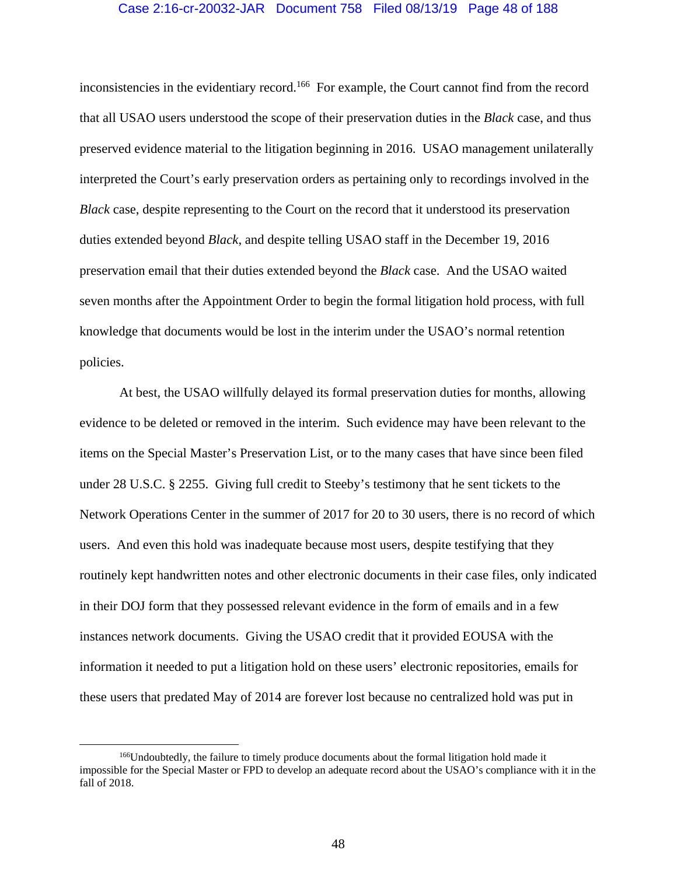## Case 2:16-cr-20032-JAR Document 758 Filed 08/13/19 Page 48 of 188

inconsistencies in the evidentiary record.<sup>166</sup> For example, the Court cannot find from the record that all USAO users understood the scope of their preservation duties in the *Black* case, and thus preserved evidence material to the litigation beginning in 2016. USAO management unilaterally interpreted the Court's early preservation orders as pertaining only to recordings involved in the *Black* case, despite representing to the Court on the record that it understood its preservation duties extended beyond *Black*, and despite telling USAO staff in the December 19, 2016 preservation email that their duties extended beyond the *Black* case. And the USAO waited seven months after the Appointment Order to begin the formal litigation hold process, with full knowledge that documents would be lost in the interim under the USAO's normal retention policies.

At best, the USAO willfully delayed its formal preservation duties for months, allowing evidence to be deleted or removed in the interim. Such evidence may have been relevant to the items on the Special Master's Preservation List, or to the many cases that have since been filed under 28 U.S.C. § 2255. Giving full credit to Steeby's testimony that he sent tickets to the Network Operations Center in the summer of 2017 for 20 to 30 users, there is no record of which users. And even this hold was inadequate because most users, despite testifying that they routinely kept handwritten notes and other electronic documents in their case files, only indicated in their DOJ form that they possessed relevant evidence in the form of emails and in a few instances network documents. Giving the USAO credit that it provided EOUSA with the information it needed to put a litigation hold on these users' electronic repositories, emails for these users that predated May of 2014 are forever lost because no centralized hold was put in

<sup>&</sup>lt;sup>166</sup>Undoubtedly, the failure to timely produce documents about the formal litigation hold made it impossible for the Special Master or FPD to develop an adequate record about the USAO's compliance with it in the fall of 2018.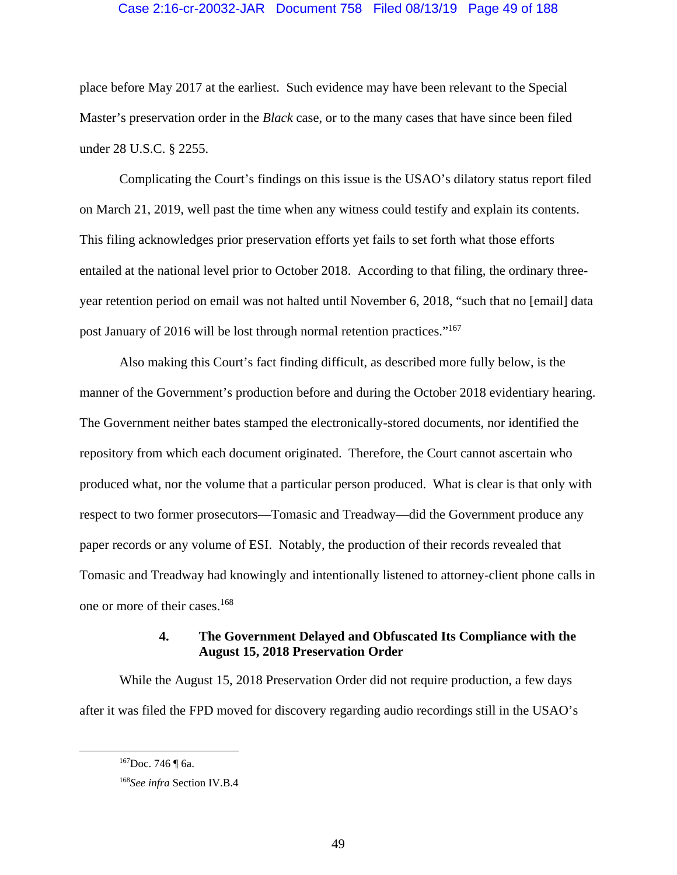# Case 2:16-cr-20032-JAR Document 758 Filed 08/13/19 Page 49 of 188

place before May 2017 at the earliest. Such evidence may have been relevant to the Special Master's preservation order in the *Black* case, or to the many cases that have since been filed under 28 U.S.C. § 2255.

 Complicating the Court's findings on this issue is the USAO's dilatory status report filed on March 21, 2019, well past the time when any witness could testify and explain its contents. This filing acknowledges prior preservation efforts yet fails to set forth what those efforts entailed at the national level prior to October 2018. According to that filing, the ordinary threeyear retention period on email was not halted until November 6, 2018, "such that no [email] data post January of 2016 will be lost through normal retention practices."167

 Also making this Court's fact finding difficult, as described more fully below, is the manner of the Government's production before and during the October 2018 evidentiary hearing. The Government neither bates stamped the electronically-stored documents, nor identified the repository from which each document originated. Therefore, the Court cannot ascertain who produced what, nor the volume that a particular person produced. What is clear is that only with respect to two former prosecutors—Tomasic and Treadway—did the Government produce any paper records or any volume of ESI. Notably, the production of their records revealed that Tomasic and Treadway had knowingly and intentionally listened to attorney-client phone calls in one or more of their cases.168

# **4. The Government Delayed and Obfuscated Its Compliance with the August 15, 2018 Preservation Order**

While the August 15, 2018 Preservation Order did not require production, a few days after it was filed the FPD moved for discovery regarding audio recordings still in the USAO's

<sup>&</sup>lt;sup>167</sup>Doc. 746 ¶ 6a.

<sup>168</sup>*See infra* Section IV.B.4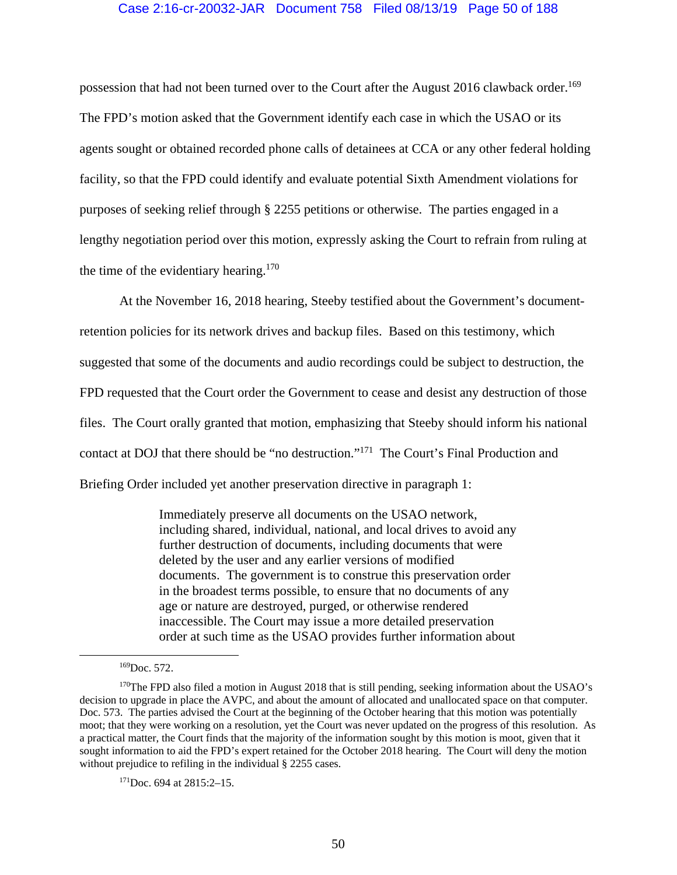# Case 2:16-cr-20032-JAR Document 758 Filed 08/13/19 Page 50 of 188

possession that had not been turned over to the Court after the August 2016 clawback order.<sup>169</sup> The FPD's motion asked that the Government identify each case in which the USAO or its agents sought or obtained recorded phone calls of detainees at CCA or any other federal holding facility, so that the FPD could identify and evaluate potential Sixth Amendment violations for purposes of seeking relief through § 2255 petitions or otherwise. The parties engaged in a lengthy negotiation period over this motion, expressly asking the Court to refrain from ruling at the time of the evidentiary hearing.<sup>170</sup>

At the November 16, 2018 hearing, Steeby testified about the Government's documentretention policies for its network drives and backup files. Based on this testimony, which suggested that some of the documents and audio recordings could be subject to destruction, the FPD requested that the Court order the Government to cease and desist any destruction of those files. The Court orally granted that motion, emphasizing that Steeby should inform his national contact at DOJ that there should be "no destruction."171 The Court's Final Production and Briefing Order included yet another preservation directive in paragraph 1:

> Immediately preserve all documents on the USAO network, including shared, individual, national, and local drives to avoid any further destruction of documents, including documents that were deleted by the user and any earlier versions of modified documents. The government is to construe this preservation order in the broadest terms possible, to ensure that no documents of any age or nature are destroyed, purged, or otherwise rendered inaccessible. The Court may issue a more detailed preservation order at such time as the USAO provides further information about

 $171$ Doc. 694 at  $2815:2-15$ .

 <sup>169</sup>Doc. 572.

<sup>&</sup>lt;sup>170</sup>The FPD also filed a motion in August 2018 that is still pending, seeking information about the USAO's decision to upgrade in place the AVPC, and about the amount of allocated and unallocated space on that computer. Doc. 573. The parties advised the Court at the beginning of the October hearing that this motion was potentially moot; that they were working on a resolution, yet the Court was never updated on the progress of this resolution. As a practical matter, the Court finds that the majority of the information sought by this motion is moot, given that it sought information to aid the FPD's expert retained for the October 2018 hearing. The Court will deny the motion without prejudice to refiling in the individual § 2255 cases.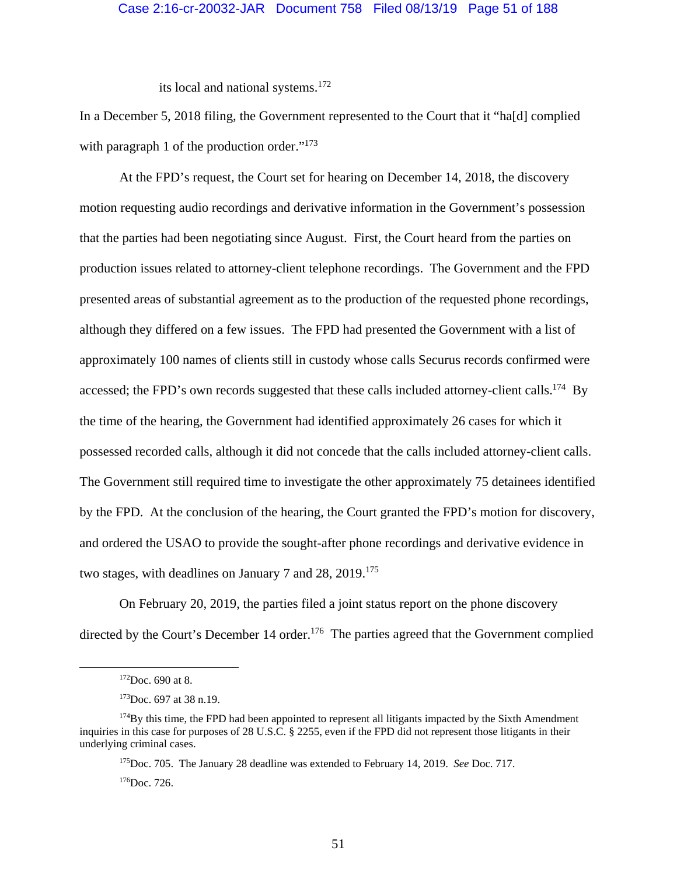its local and national systems.<sup>172</sup>

In a December 5, 2018 filing, the Government represented to the Court that it "ha[d] complied with paragraph 1 of the production order."<sup>173</sup>

At the FPD's request, the Court set for hearing on December 14, 2018, the discovery motion requesting audio recordings and derivative information in the Government's possession that the parties had been negotiating since August. First, the Court heard from the parties on production issues related to attorney-client telephone recordings. The Government and the FPD presented areas of substantial agreement as to the production of the requested phone recordings, although they differed on a few issues. The FPD had presented the Government with a list of approximately 100 names of clients still in custody whose calls Securus records confirmed were accessed; the FPD's own records suggested that these calls included attorney-client calls.<sup>174</sup> By the time of the hearing, the Government had identified approximately 26 cases for which it possessed recorded calls, although it did not concede that the calls included attorney-client calls. The Government still required time to investigate the other approximately 75 detainees identified by the FPD. At the conclusion of the hearing, the Court granted the FPD's motion for discovery, and ordered the USAO to provide the sought-after phone recordings and derivative evidence in two stages, with deadlines on January 7 and 28, 2019.<sup>175</sup>

On February 20, 2019, the parties filed a joint status report on the phone discovery directed by the Court's December 14 order.<sup>176</sup> The parties agreed that the Government complied

175Doc. 705. The January 28 deadline was extended to February 14, 2019. *See* Doc. 717.  $176$ Doc.  $726$ .

 $172$ Doc. 690 at 8.

<sup>&</sup>lt;sup>173</sup>Doc. 697 at 38 n.19.

 $174\text{By this time, the FPD had been appointed to represent all litigants impacted by the Sixth Amendment}$ inquiries in this case for purposes of 28 U.S.C. § 2255, even if the FPD did not represent those litigants in their underlying criminal cases.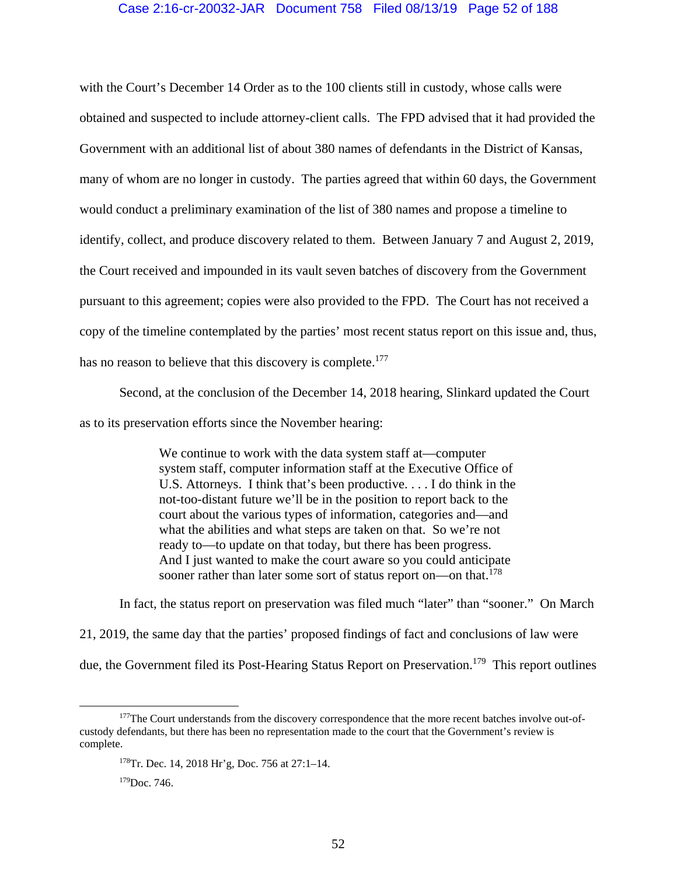## Case 2:16-cr-20032-JAR Document 758 Filed 08/13/19 Page 52 of 188

with the Court's December 14 Order as to the 100 clients still in custody, whose calls were obtained and suspected to include attorney-client calls. The FPD advised that it had provided the Government with an additional list of about 380 names of defendants in the District of Kansas, many of whom are no longer in custody. The parties agreed that within 60 days, the Government would conduct a preliminary examination of the list of 380 names and propose a timeline to identify, collect, and produce discovery related to them. Between January 7 and August 2, 2019, the Court received and impounded in its vault seven batches of discovery from the Government pursuant to this agreement; copies were also provided to the FPD. The Court has not received a copy of the timeline contemplated by the parties' most recent status report on this issue and, thus, has no reason to believe that this discovery is complete.<sup>177</sup>

Second, at the conclusion of the December 14, 2018 hearing, Slinkard updated the Court as to its preservation efforts since the November hearing:

> We continue to work with the data system staff at—computer system staff, computer information staff at the Executive Office of U.S. Attorneys. I think that's been productive. . . . I do think in the not-too-distant future we'll be in the position to report back to the court about the various types of information, categories and—and what the abilities and what steps are taken on that. So we're not ready to—to update on that today, but there has been progress. And I just wanted to make the court aware so you could anticipate sooner rather than later some sort of status report on—on that.<sup>178</sup>

 In fact, the status report on preservation was filed much "later" than "sooner." On March 21, 2019, the same day that the parties' proposed findings of fact and conclusions of law were due, the Government filed its Post-Hearing Status Report on Preservation.<sup>179</sup> This report outlines

<sup>&</sup>lt;sup>177</sup>The Court understands from the discovery correspondence that the more recent batches involve out-ofcustody defendants, but there has been no representation made to the court that the Government's review is complete.

<sup>178</sup>Tr. Dec. 14, 2018 Hr'g, Doc. 756 at 27:1–14.

<sup>179</sup>Doc. 746.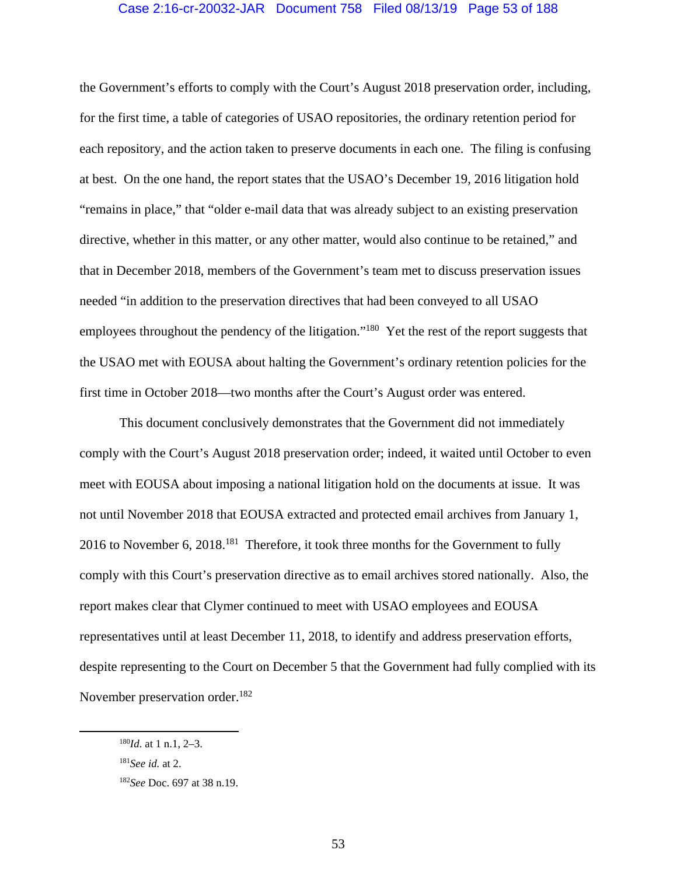## Case 2:16-cr-20032-JAR Document 758 Filed 08/13/19 Page 53 of 188

the Government's efforts to comply with the Court's August 2018 preservation order, including, for the first time, a table of categories of USAO repositories, the ordinary retention period for each repository, and the action taken to preserve documents in each one. The filing is confusing at best. On the one hand, the report states that the USAO's December 19, 2016 litigation hold "remains in place," that "older e-mail data that was already subject to an existing preservation directive, whether in this matter, or any other matter, would also continue to be retained," and that in December 2018, members of the Government's team met to discuss preservation issues needed "in addition to the preservation directives that had been conveyed to all USAO employees throughout the pendency of the litigation."<sup>180</sup> Yet the rest of the report suggests that the USAO met with EOUSA about halting the Government's ordinary retention policies for the first time in October 2018—two months after the Court's August order was entered.

This document conclusively demonstrates that the Government did not immediately comply with the Court's August 2018 preservation order; indeed, it waited until October to even meet with EOUSA about imposing a national litigation hold on the documents at issue. It was not until November 2018 that EOUSA extracted and protected email archives from January 1, 2016 to November 6, 2018.<sup>181</sup> Therefore, it took three months for the Government to fully comply with this Court's preservation directive as to email archives stored nationally. Also, the report makes clear that Clymer continued to meet with USAO employees and EOUSA representatives until at least December 11, 2018, to identify and address preservation efforts, despite representing to the Court on December 5 that the Government had fully complied with its November preservation order.<sup>182</sup>

 <sup>180</sup>*Id*. at 1 n.1, 2–3.

<sup>181</sup>*See id.* at 2.

<sup>182</sup>*See* Doc. 697 at 38 n.19.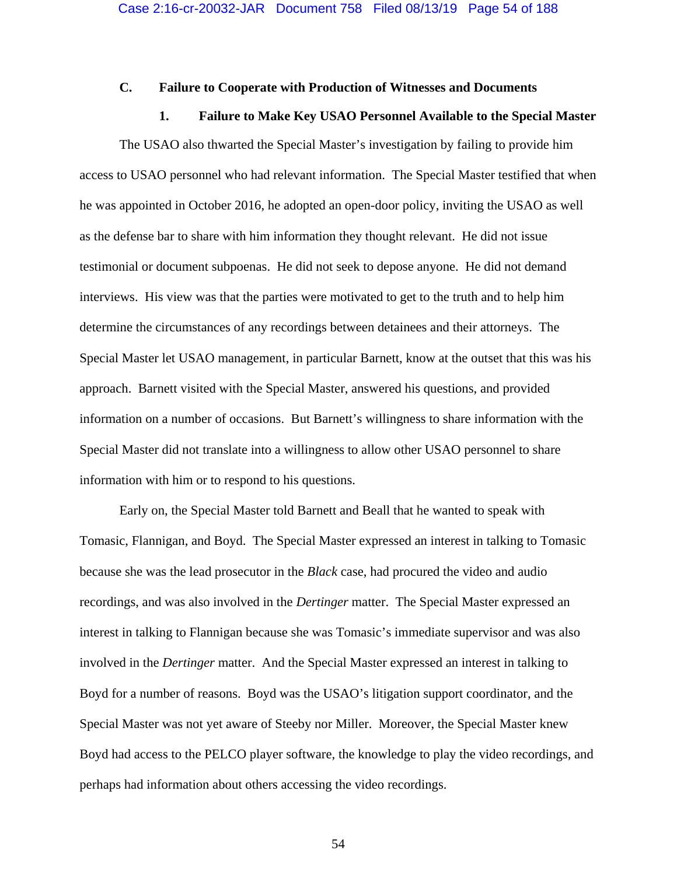# **C. Failure to Cooperate with Production of Witnesses and Documents**

## **1. Failure to Make Key USAO Personnel Available to the Special Master**

 The USAO also thwarted the Special Master's investigation by failing to provide him access to USAO personnel who had relevant information. The Special Master testified that when he was appointed in October 2016, he adopted an open-door policy, inviting the USAO as well as the defense bar to share with him information they thought relevant. He did not issue testimonial or document subpoenas. He did not seek to depose anyone. He did not demand interviews. His view was that the parties were motivated to get to the truth and to help him determine the circumstances of any recordings between detainees and their attorneys. The Special Master let USAO management, in particular Barnett, know at the outset that this was his approach. Barnett visited with the Special Master, answered his questions, and provided information on a number of occasions. But Barnett's willingness to share information with the Special Master did not translate into a willingness to allow other USAO personnel to share information with him or to respond to his questions.

 Early on, the Special Master told Barnett and Beall that he wanted to speak with Tomasic, Flannigan, and Boyd. The Special Master expressed an interest in talking to Tomasic because she was the lead prosecutor in the *Black* case, had procured the video and audio recordings, and was also involved in the *Dertinger* matter. The Special Master expressed an interest in talking to Flannigan because she was Tomasic's immediate supervisor and was also involved in the *Dertinger* matter. And the Special Master expressed an interest in talking to Boyd for a number of reasons. Boyd was the USAO's litigation support coordinator, and the Special Master was not yet aware of Steeby nor Miller. Moreover, the Special Master knew Boyd had access to the PELCO player software, the knowledge to play the video recordings, and perhaps had information about others accessing the video recordings.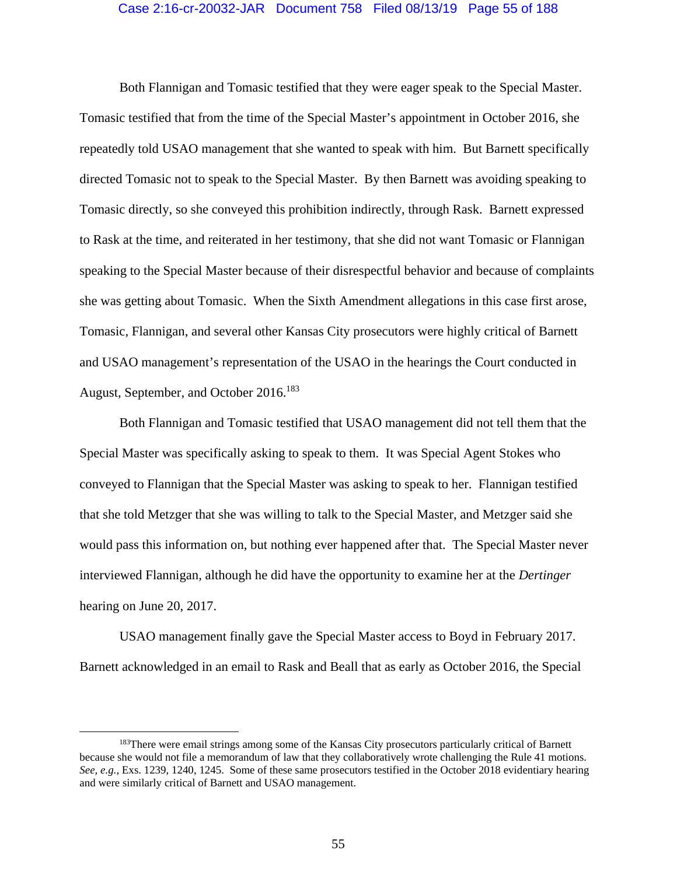## Case 2:16-cr-20032-JAR Document 758 Filed 08/13/19 Page 55 of 188

 Both Flannigan and Tomasic testified that they were eager speak to the Special Master. Tomasic testified that from the time of the Special Master's appointment in October 2016, she repeatedly told USAO management that she wanted to speak with him. But Barnett specifically directed Tomasic not to speak to the Special Master. By then Barnett was avoiding speaking to Tomasic directly, so she conveyed this prohibition indirectly, through Rask. Barnett expressed to Rask at the time, and reiterated in her testimony, that she did not want Tomasic or Flannigan speaking to the Special Master because of their disrespectful behavior and because of complaints she was getting about Tomasic. When the Sixth Amendment allegations in this case first arose, Tomasic, Flannigan, and several other Kansas City prosecutors were highly critical of Barnett and USAO management's representation of the USAO in the hearings the Court conducted in August, September, and October 2016.<sup>183</sup>

 Both Flannigan and Tomasic testified that USAO management did not tell them that the Special Master was specifically asking to speak to them. It was Special Agent Stokes who conveyed to Flannigan that the Special Master was asking to speak to her. Flannigan testified that she told Metzger that she was willing to talk to the Special Master, and Metzger said she would pass this information on, but nothing ever happened after that. The Special Master never interviewed Flannigan, although he did have the opportunity to examine her at the *Dertinger* hearing on June 20, 2017.

 USAO management finally gave the Special Master access to Boyd in February 2017. Barnett acknowledged in an email to Rask and Beall that as early as October 2016, the Special

<sup>&</sup>lt;sup>183</sup>There were email strings among some of the Kansas City prosecutors particularly critical of Barnett because she would not file a memorandum of law that they collaboratively wrote challenging the Rule 41 motions. *See, e.g.*, Exs. 1239, 1240, 1245. Some of these same prosecutors testified in the October 2018 evidentiary hearing and were similarly critical of Barnett and USAO management.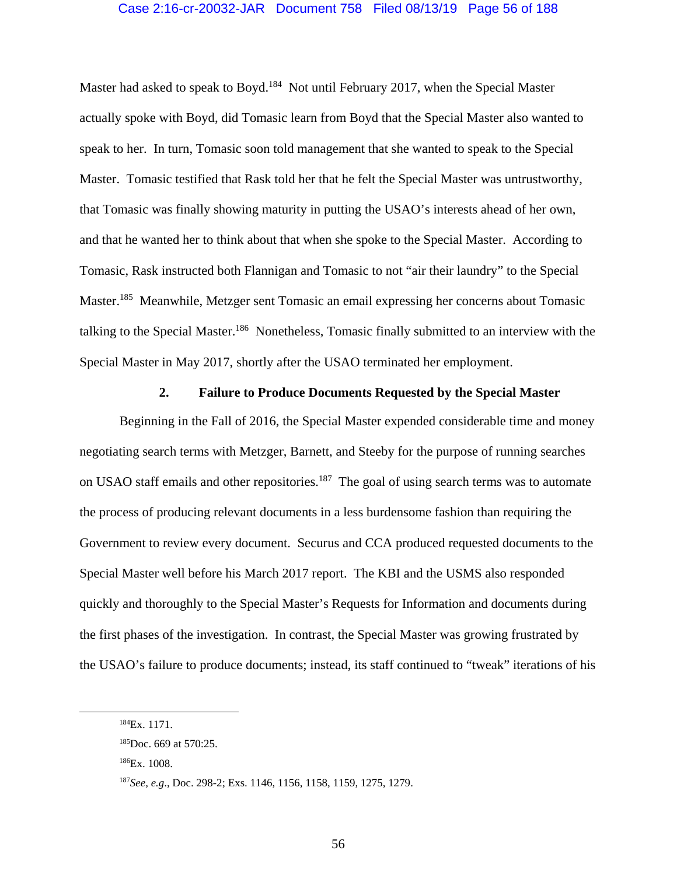## Case 2:16-cr-20032-JAR Document 758 Filed 08/13/19 Page 56 of 188

Master had asked to speak to Boyd.<sup>184</sup> Not until February 2017, when the Special Master actually spoke with Boyd, did Tomasic learn from Boyd that the Special Master also wanted to speak to her. In turn, Tomasic soon told management that she wanted to speak to the Special Master. Tomasic testified that Rask told her that he felt the Special Master was untrustworthy, that Tomasic was finally showing maturity in putting the USAO's interests ahead of her own, and that he wanted her to think about that when she spoke to the Special Master. According to Tomasic, Rask instructed both Flannigan and Tomasic to not "air their laundry" to the Special Master.185 Meanwhile, Metzger sent Tomasic an email expressing her concerns about Tomasic talking to the Special Master.<sup>186</sup> Nonetheless, Tomasic finally submitted to an interview with the Special Master in May 2017, shortly after the USAO terminated her employment.

## **2. Failure to Produce Documents Requested by the Special Master**

 Beginning in the Fall of 2016, the Special Master expended considerable time and money negotiating search terms with Metzger, Barnett, and Steeby for the purpose of running searches on USAO staff emails and other repositories.<sup>187</sup> The goal of using search terms was to automate the process of producing relevant documents in a less burdensome fashion than requiring the Government to review every document. Securus and CCA produced requested documents to the Special Master well before his March 2017 report. The KBI and the USMS also responded quickly and thoroughly to the Special Master's Requests for Information and documents during the first phases of the investigation. In contrast, the Special Master was growing frustrated by the USAO's failure to produce documents; instead, its staff continued to "tweak" iterations of his

186Ex. 1008.

56

 <sup>184</sup>Ex. 1171.

<sup>185</sup>Doc. 669 at 570:25.

<sup>187</sup>*See, e.g*., Doc. 298-2; Exs. 1146, 1156, 1158, 1159, 1275, 1279.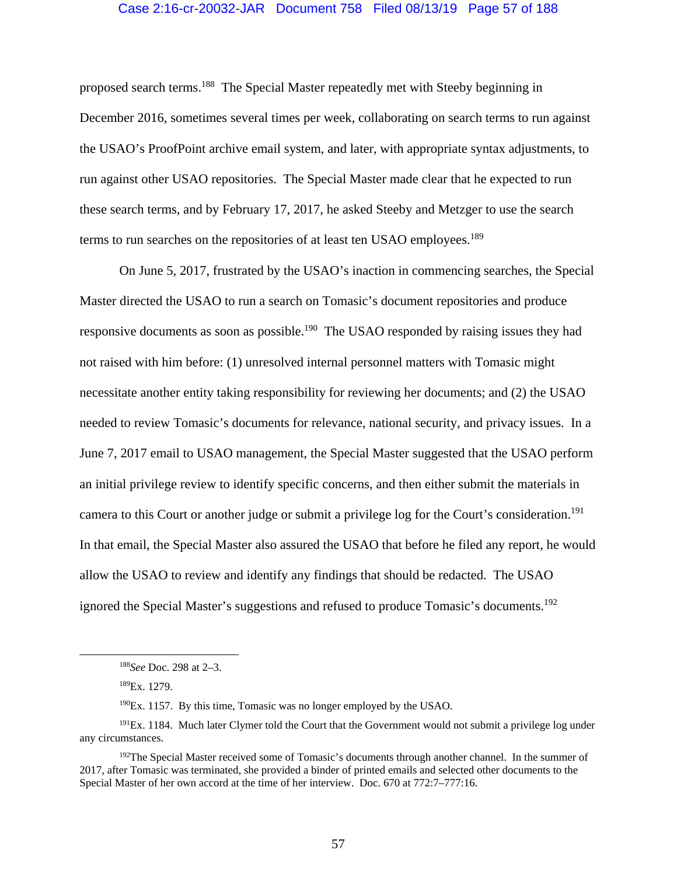## Case 2:16-cr-20032-JAR Document 758 Filed 08/13/19 Page 57 of 188

proposed search terms.188 The Special Master repeatedly met with Steeby beginning in December 2016, sometimes several times per week, collaborating on search terms to run against the USAO's ProofPoint archive email system, and later, with appropriate syntax adjustments, to run against other USAO repositories. The Special Master made clear that he expected to run these search terms, and by February 17, 2017, he asked Steeby and Metzger to use the search terms to run searches on the repositories of at least ten USAO employees.<sup>189</sup>

 On June 5, 2017, frustrated by the USAO's inaction in commencing searches, the Special Master directed the USAO to run a search on Tomasic's document repositories and produce responsive documents as soon as possible.<sup>190</sup> The USAO responded by raising issues they had not raised with him before: (1) unresolved internal personnel matters with Tomasic might necessitate another entity taking responsibility for reviewing her documents; and (2) the USAO needed to review Tomasic's documents for relevance, national security, and privacy issues. In a June 7, 2017 email to USAO management, the Special Master suggested that the USAO perform an initial privilege review to identify specific concerns, and then either submit the materials in camera to this Court or another judge or submit a privilege log for the Court's consideration.<sup>191</sup> In that email, the Special Master also assured the USAO that before he filed any report, he would allow the USAO to review and identify any findings that should be redacted. The USAO ignored the Special Master's suggestions and refused to produce Tomasic's documents.<sup>192</sup>

 <sup>188</sup>*See* Doc. 298 at 2–3.

<sup>189</sup>Ex. 1279.

<sup>190</sup>Ex. 1157. By this time, Tomasic was no longer employed by the USAO.

<sup>&</sup>lt;sup>191</sup>Ex. 1184. Much later Clymer told the Court that the Government would not submit a privilege log under any circumstances.

<sup>&</sup>lt;sup>192</sup>The Special Master received some of Tomasic's documents through another channel. In the summer of 2017, after Tomasic was terminated, she provided a binder of printed emails and selected other documents to the Special Master of her own accord at the time of her interview. Doc. 670 at 772:7–777:16.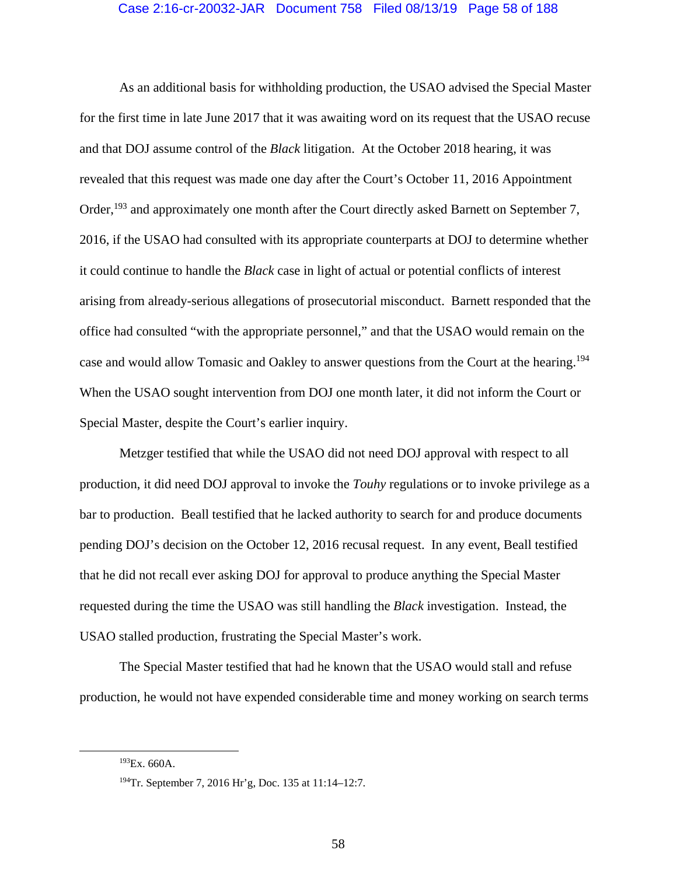## Case 2:16-cr-20032-JAR Document 758 Filed 08/13/19 Page 58 of 188

As an additional basis for withholding production, the USAO advised the Special Master for the first time in late June 2017 that it was awaiting word on its request that the USAO recuse and that DOJ assume control of the *Black* litigation. At the October 2018 hearing, it was revealed that this request was made one day after the Court's October 11, 2016 Appointment Order,<sup>193</sup> and approximately one month after the Court directly asked Barnett on September 7, 2016, if the USAO had consulted with its appropriate counterparts at DOJ to determine whether it could continue to handle the *Black* case in light of actual or potential conflicts of interest arising from already-serious allegations of prosecutorial misconduct. Barnett responded that the office had consulted "with the appropriate personnel," and that the USAO would remain on the case and would allow Tomasic and Oakley to answer questions from the Court at the hearing.<sup>194</sup> When the USAO sought intervention from DOJ one month later, it did not inform the Court or Special Master, despite the Court's earlier inquiry.

Metzger testified that while the USAO did not need DOJ approval with respect to all production, it did need DOJ approval to invoke the *Touhy* regulations or to invoke privilege as a bar to production. Beall testified that he lacked authority to search for and produce documents pending DOJ's decision on the October 12, 2016 recusal request. In any event, Beall testified that he did not recall ever asking DOJ for approval to produce anything the Special Master requested during the time the USAO was still handling the *Black* investigation. Instead, the USAO stalled production, frustrating the Special Master's work.

The Special Master testified that had he known that the USAO would stall and refuse production, he would not have expended considerable time and money working on search terms

 <sup>193</sup>Ex. 660A.

<sup>194</sup>Tr. September 7, 2016 Hr'g, Doc. 135 at 11:14–12:7.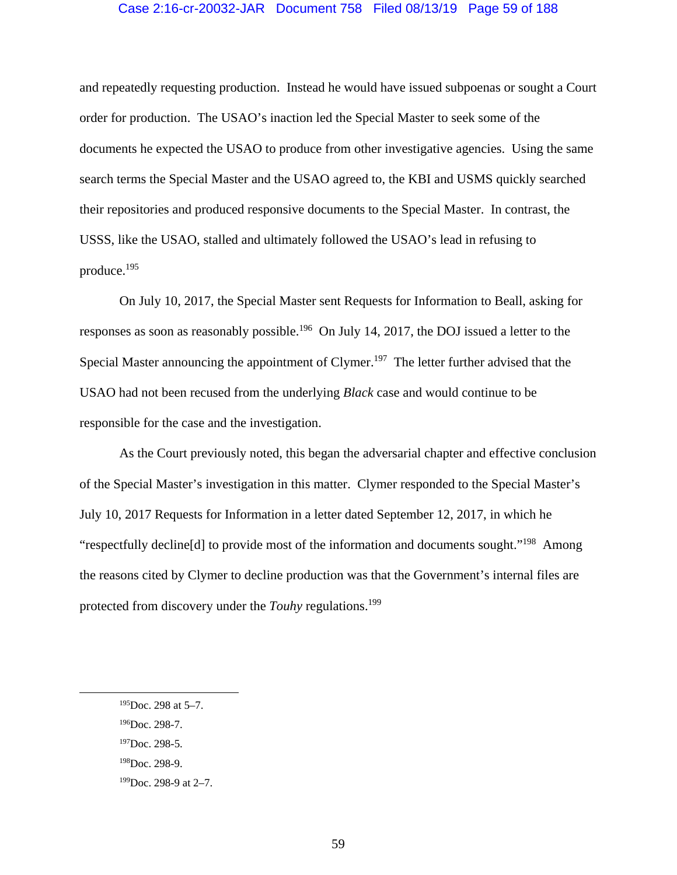## Case 2:16-cr-20032-JAR Document 758 Filed 08/13/19 Page 59 of 188

and repeatedly requesting production. Instead he would have issued subpoenas or sought a Court order for production. The USAO's inaction led the Special Master to seek some of the documents he expected the USAO to produce from other investigative agencies. Using the same search terms the Special Master and the USAO agreed to, the KBI and USMS quickly searched their repositories and produced responsive documents to the Special Master. In contrast, the USSS, like the USAO, stalled and ultimately followed the USAO's lead in refusing to produce.195

 On July 10, 2017, the Special Master sent Requests for Information to Beall, asking for responses as soon as reasonably possible.<sup>196</sup> On July 14, 2017, the DOJ issued a letter to the Special Master announcing the appointment of Clymer.<sup>197</sup> The letter further advised that the USAO had not been recused from the underlying *Black* case and would continue to be responsible for the case and the investigation.

As the Court previously noted, this began the adversarial chapter and effective conclusion of the Special Master's investigation in this matter. Clymer responded to the Special Master's July 10, 2017 Requests for Information in a letter dated September 12, 2017, in which he "respectfully decline[d] to provide most of the information and documents sought."198 Among the reasons cited by Clymer to decline production was that the Government's internal files are protected from discovery under the *Touhy* regulations.199

196Doc. 298-7.

 <sup>195</sup>Doc. 298 at 5–7.

 $197$ Doc. 298-5.

<sup>198</sup>Doc. 298-9.

<sup>199</sup>Doc. 298-9 at 2–7.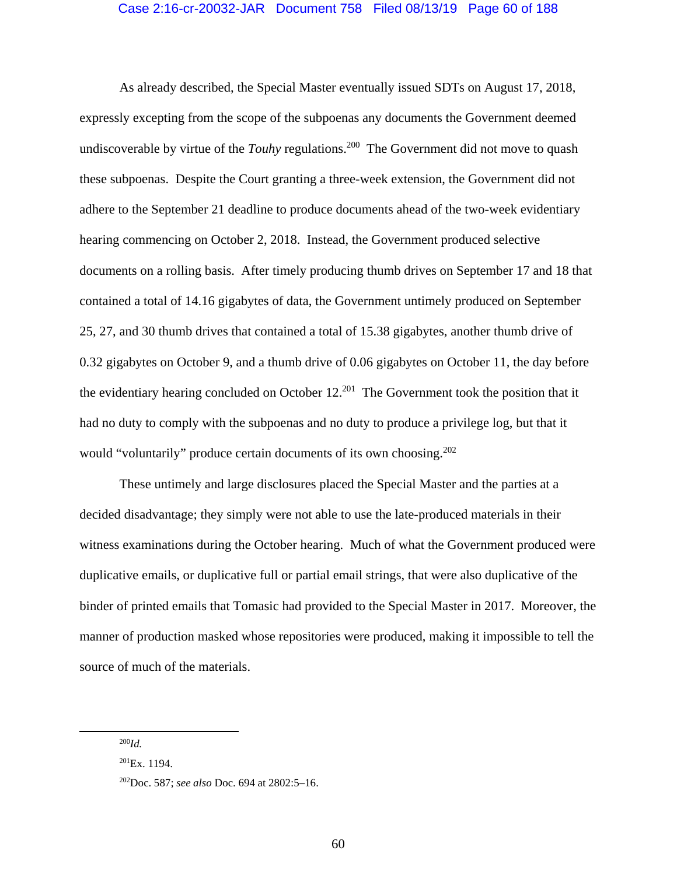As already described, the Special Master eventually issued SDTs on August 17, 2018, expressly excepting from the scope of the subpoenas any documents the Government deemed undiscoverable by virtue of the *Touhy* regulations.<sup>200</sup> The Government did not move to quash these subpoenas. Despite the Court granting a three-week extension, the Government did not adhere to the September 21 deadline to produce documents ahead of the two-week evidentiary hearing commencing on October 2, 2018. Instead, the Government produced selective documents on a rolling basis. After timely producing thumb drives on September 17 and 18 that contained a total of 14.16 gigabytes of data, the Government untimely produced on September 25, 27, and 30 thumb drives that contained a total of 15.38 gigabytes, another thumb drive of 0.32 gigabytes on October 9, and a thumb drive of 0.06 gigabytes on October 11, the day before the evidentiary hearing concluded on October  $12^{201}$  The Government took the position that it had no duty to comply with the subpoenas and no duty to produce a privilege log, but that it would "voluntarily" produce certain documents of its own choosing.<sup>202</sup>

These untimely and large disclosures placed the Special Master and the parties at a decided disadvantage; they simply were not able to use the late-produced materials in their witness examinations during the October hearing. Much of what the Government produced were duplicative emails, or duplicative full or partial email strings, that were also duplicative of the binder of printed emails that Tomasic had provided to the Special Master in 2017. Moreover, the manner of production masked whose repositories were produced, making it impossible to tell the source of much of the materials.

 <sup>200</sup>*Id.*

 $^{201}Ex. 1194.$ 

<sup>202</sup>Doc. 587; *see also* Doc. 694 at 2802:5–16.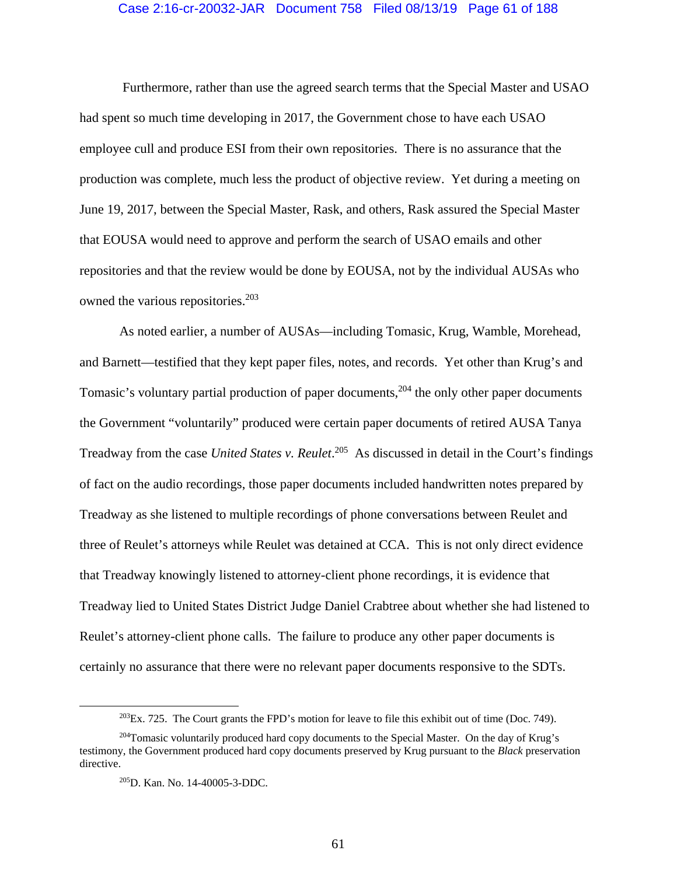#### Case 2:16-cr-20032-JAR Document 758 Filed 08/13/19 Page 61 of 188

 Furthermore, rather than use the agreed search terms that the Special Master and USAO had spent so much time developing in 2017, the Government chose to have each USAO employee cull and produce ESI from their own repositories. There is no assurance that the production was complete, much less the product of objective review. Yet during a meeting on June 19, 2017, between the Special Master, Rask, and others, Rask assured the Special Master that EOUSA would need to approve and perform the search of USAO emails and other repositories and that the review would be done by EOUSA, not by the individual AUSAs who owned the various repositories.<sup>203</sup>

As noted earlier, a number of AUSAs—including Tomasic, Krug, Wamble, Morehead, and Barnett—testified that they kept paper files, notes, and records. Yet other than Krug's and Tomasic's voluntary partial production of paper documents,<sup>204</sup> the only other paper documents the Government "voluntarily" produced were certain paper documents of retired AUSA Tanya Treadway from the case *United States v. Reulet*. 205 As discussed in detail in the Court's findings of fact on the audio recordings, those paper documents included handwritten notes prepared by Treadway as she listened to multiple recordings of phone conversations between Reulet and three of Reulet's attorneys while Reulet was detained at CCA. This is not only direct evidence that Treadway knowingly listened to attorney-client phone recordings, it is evidence that Treadway lied to United States District Judge Daniel Crabtree about whether she had listened to Reulet's attorney-client phone calls. The failure to produce any other paper documents is certainly no assurance that there were no relevant paper documents responsive to the SDTs.

 $^{203}Ex.$  725. The Court grants the FPD's motion for leave to file this exhibit out of time (Doc. 749).

<sup>&</sup>lt;sup>204</sup>Tomasic voluntarily produced hard copy documents to the Special Master. On the day of Krug's testimony, the Government produced hard copy documents preserved by Krug pursuant to the *Black* preservation directive.

<sup>205</sup>D. Kan. No. 14-40005-3-DDC.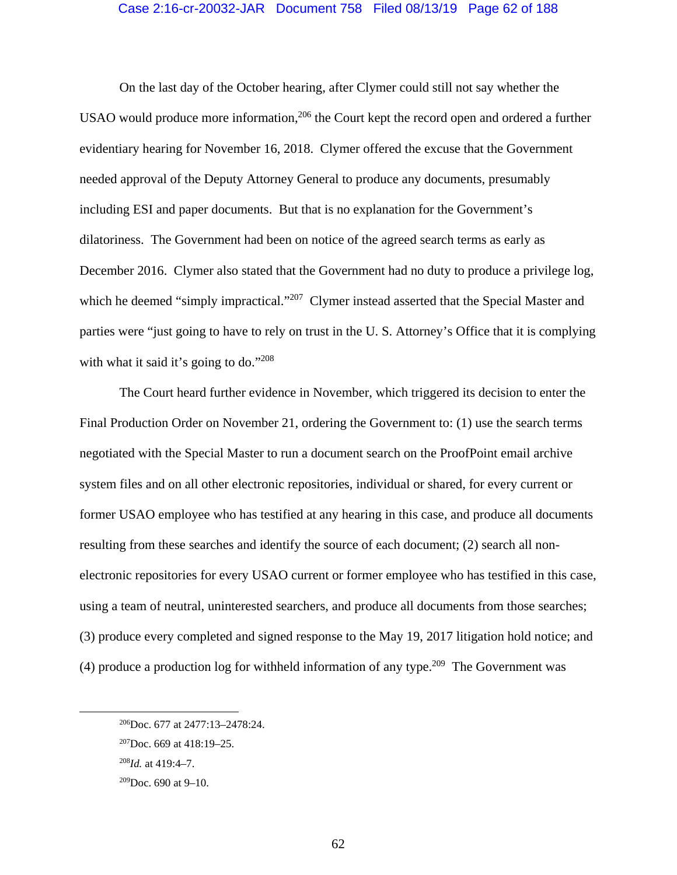#### Case 2:16-cr-20032-JAR Document 758 Filed 08/13/19 Page 62 of 188

On the last day of the October hearing, after Clymer could still not say whether the USAO would produce more information,<sup>206</sup> the Court kept the record open and ordered a further evidentiary hearing for November 16, 2018. Clymer offered the excuse that the Government needed approval of the Deputy Attorney General to produce any documents, presumably including ESI and paper documents. But that is no explanation for the Government's dilatoriness. The Government had been on notice of the agreed search terms as early as December 2016. Clymer also stated that the Government had no duty to produce a privilege log, which he deemed "simply impractical."<sup>207</sup> Clymer instead asserted that the Special Master and parties were "just going to have to rely on trust in the U. S. Attorney's Office that it is complying with what it said it's going to do."208

The Court heard further evidence in November, which triggered its decision to enter the Final Production Order on November 21, ordering the Government to: (1) use the search terms negotiated with the Special Master to run a document search on the ProofPoint email archive system files and on all other electronic repositories, individual or shared, for every current or former USAO employee who has testified at any hearing in this case, and produce all documents resulting from these searches and identify the source of each document; (2) search all nonelectronic repositories for every USAO current or former employee who has testified in this case, using a team of neutral, uninterested searchers, and produce all documents from those searches; (3) produce every completed and signed response to the May 19, 2017 litigation hold notice; and (4) produce a production log for withheld information of any type.<sup>209</sup> The Government was

 <sup>206</sup>Doc. 677 at 2477:13–2478:24.

 $207$ Doc. 669 at 418:19–25.

<sup>208</sup>*Id.* at 419:4–7.

 $209$ Doc. 690 at 9-10.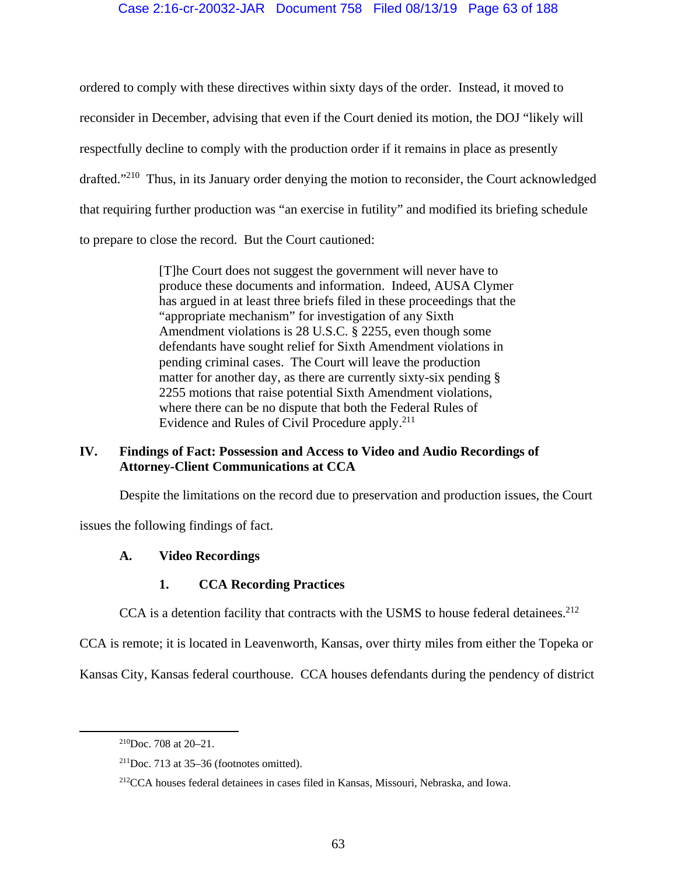# Case 2:16-cr-20032-JAR Document 758 Filed 08/13/19 Page 63 of 188

ordered to comply with these directives within sixty days of the order. Instead, it moved to reconsider in December, advising that even if the Court denied its motion, the DOJ "likely will respectfully decline to comply with the production order if it remains in place as presently drafted."210 Thus, in its January order denying the motion to reconsider, the Court acknowledged that requiring further production was "an exercise in futility" and modified its briefing schedule to prepare to close the record. But the Court cautioned:

> [T]he Court does not suggest the government will never have to produce these documents and information. Indeed, AUSA Clymer has argued in at least three briefs filed in these proceedings that the "appropriate mechanism" for investigation of any Sixth Amendment violations is 28 U.S.C. § 2255, even though some defendants have sought relief for Sixth Amendment violations in pending criminal cases. The Court will leave the production matter for another day, as there are currently sixty-six pending § 2255 motions that raise potential Sixth Amendment violations, where there can be no dispute that both the Federal Rules of Evidence and Rules of Civil Procedure apply.<sup>211</sup>

# **IV. Findings of Fact: Possession and Access to Video and Audio Recordings of Attorney-Client Communications at CCA**

Despite the limitations on the record due to preservation and production issues, the Court

issues the following findings of fact.

# **A. Video Recordings**

# **1. CCA Recording Practices**

CCA is a detention facility that contracts with the USMS to house federal detainees.<sup>212</sup>

CCA is remote; it is located in Leavenworth, Kansas, over thirty miles from either the Topeka or

Kansas City, Kansas federal courthouse. CCA houses defendants during the pendency of district

 $210$ Doc. 708 at 20–21.

 $211$ Doc. 713 at 35–36 (footnotes omitted).

<sup>212</sup>CCA houses federal detainees in cases filed in Kansas, Missouri, Nebraska, and Iowa.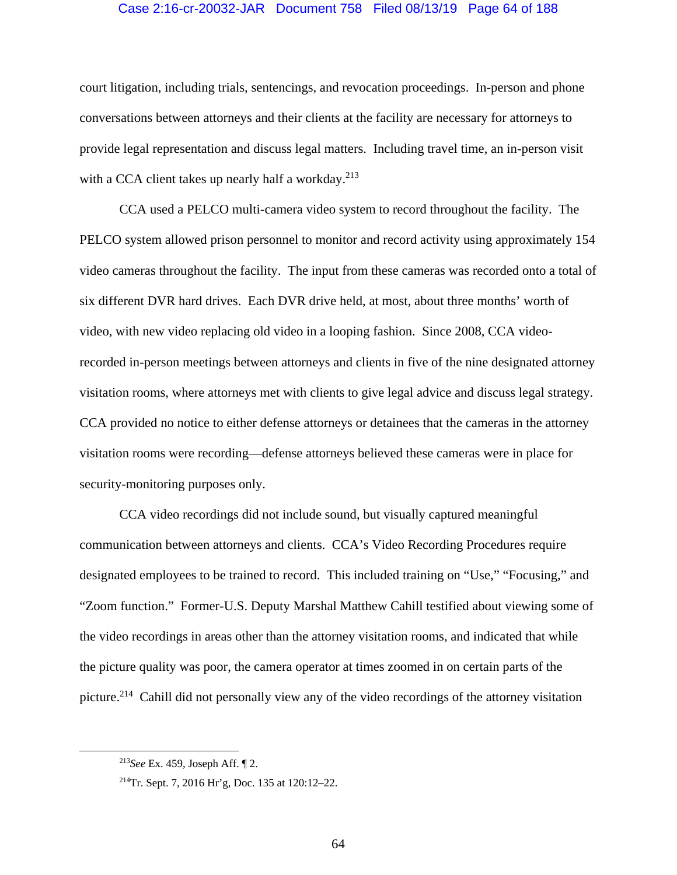## Case 2:16-cr-20032-JAR Document 758 Filed 08/13/19 Page 64 of 188

court litigation, including trials, sentencings, and revocation proceedings. In-person and phone conversations between attorneys and their clients at the facility are necessary for attorneys to provide legal representation and discuss legal matters. Including travel time, an in-person visit with a CCA client takes up nearly half a workday.<sup>213</sup>

CCA used a PELCO multi-camera video system to record throughout the facility. The PELCO system allowed prison personnel to monitor and record activity using approximately 154 video cameras throughout the facility. The input from these cameras was recorded onto a total of six different DVR hard drives. Each DVR drive held, at most, about three months' worth of video, with new video replacing old video in a looping fashion. Since 2008, CCA videorecorded in-person meetings between attorneys and clients in five of the nine designated attorney visitation rooms, where attorneys met with clients to give legal advice and discuss legal strategy. CCA provided no notice to either defense attorneys or detainees that the cameras in the attorney visitation rooms were recording—defense attorneys believed these cameras were in place for security-monitoring purposes only.

CCA video recordings did not include sound, but visually captured meaningful communication between attorneys and clients. CCA's Video Recording Procedures require designated employees to be trained to record. This included training on "Use," "Focusing," and "Zoom function." Former-U.S. Deputy Marshal Matthew Cahill testified about viewing some of the video recordings in areas other than the attorney visitation rooms, and indicated that while the picture quality was poor, the camera operator at times zoomed in on certain parts of the picture.214 Cahill did not personally view any of the video recordings of the attorney visitation

 <sup>213</sup>*See* Ex. 459, Joseph Aff. ¶ 2.

<sup>214</sup>Tr. Sept. 7, 2016 Hr'g, Doc. 135 at 120:12–22.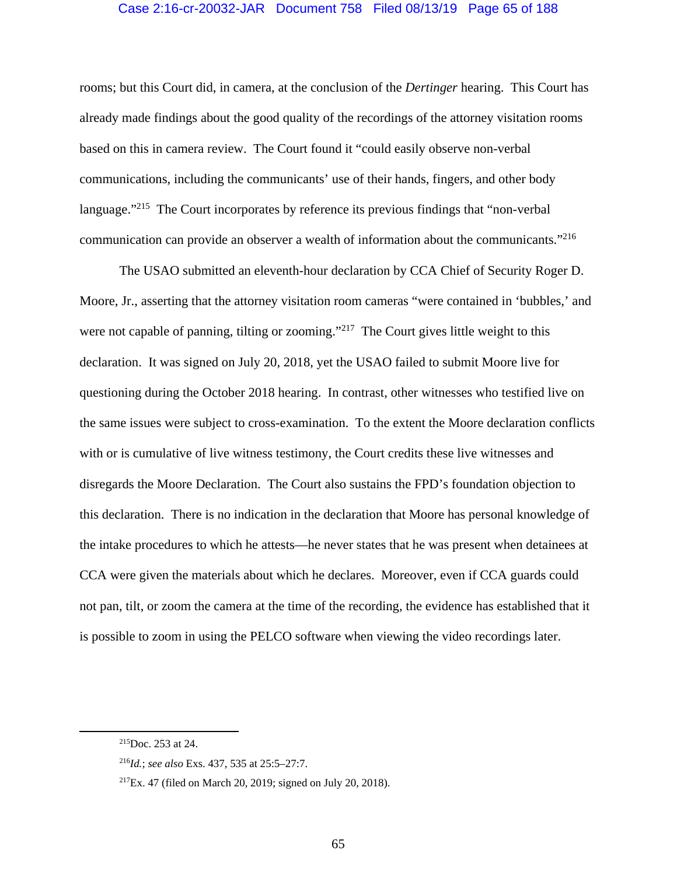## Case 2:16-cr-20032-JAR Document 758 Filed 08/13/19 Page 65 of 188

rooms; but this Court did, in camera, at the conclusion of the *Dertinger* hearing. This Court has already made findings about the good quality of the recordings of the attorney visitation rooms based on this in camera review. The Court found it "could easily observe non-verbal communications, including the communicants' use of their hands, fingers, and other body language."<sup>215</sup> The Court incorporates by reference its previous findings that "non-verbal" communication can provide an observer a wealth of information about the communicants."216

The USAO submitted an eleventh-hour declaration by CCA Chief of Security Roger D. Moore, Jr., asserting that the attorney visitation room cameras "were contained in 'bubbles,' and were not capable of panning, tilting or zooming."<sup>217</sup> The Court gives little weight to this declaration. It was signed on July 20, 2018, yet the USAO failed to submit Moore live for questioning during the October 2018 hearing. In contrast, other witnesses who testified live on the same issues were subject to cross-examination. To the extent the Moore declaration conflicts with or is cumulative of live witness testimony, the Court credits these live witnesses and disregards the Moore Declaration. The Court also sustains the FPD's foundation objection to this declaration. There is no indication in the declaration that Moore has personal knowledge of the intake procedures to which he attests—he never states that he was present when detainees at CCA were given the materials about which he declares. Moreover, even if CCA guards could not pan, tilt, or zoom the camera at the time of the recording, the evidence has established that it is possible to zoom in using the PELCO software when viewing the video recordings later.

 <sup>215</sup>Doc. 253 at 24.

<sup>216</sup>*Id.*; *see also* Exs. 437, 535 at 25:5–27:7.

<sup>217</sup>Ex. 47 (filed on March 20, 2019; signed on July 20, 2018).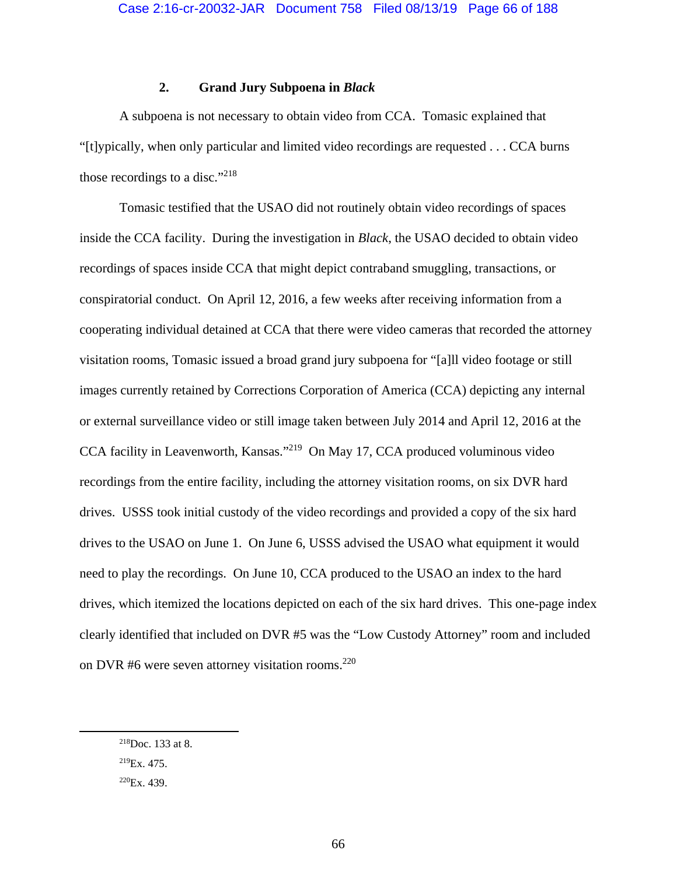# **2. Grand Jury Subpoena in** *Black*

A subpoena is not necessary to obtain video from CCA. Tomasic explained that "[t]ypically, when only particular and limited video recordings are requested . . . CCA burns those recordings to a disc."218

Tomasic testified that the USAO did not routinely obtain video recordings of spaces inside the CCA facility. During the investigation in *Black*, the USAO decided to obtain video recordings of spaces inside CCA that might depict contraband smuggling, transactions, or conspiratorial conduct. On April 12, 2016, a few weeks after receiving information from a cooperating individual detained at CCA that there were video cameras that recorded the attorney visitation rooms, Tomasic issued a broad grand jury subpoena for "[a]ll video footage or still images currently retained by Corrections Corporation of America (CCA) depicting any internal or external surveillance video or still image taken between July 2014 and April 12, 2016 at the CCA facility in Leavenworth, Kansas."219 On May 17, CCA produced voluminous video recordings from the entire facility, including the attorney visitation rooms, on six DVR hard drives. USSS took initial custody of the video recordings and provided a copy of the six hard drives to the USAO on June 1. On June 6, USSS advised the USAO what equipment it would need to play the recordings. On June 10, CCA produced to the USAO an index to the hard drives, which itemized the locations depicted on each of the six hard drives. This one-page index clearly identified that included on DVR #5 was the "Low Custody Attorney" room and included on DVR #6 were seven attorney visitation rooms.<sup>220</sup>

 <sup>218</sup>Doc. 133 at 8.

 $^{219}Ex. 475.$ 

 $220Ex.439.$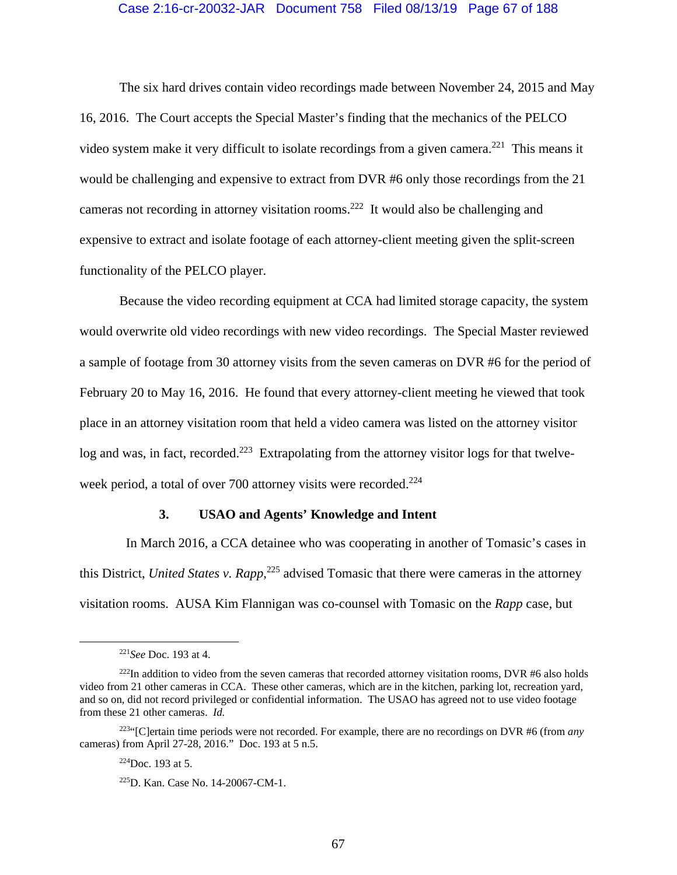#### Case 2:16-cr-20032-JAR Document 758 Filed 08/13/19 Page 67 of 188

The six hard drives contain video recordings made between November 24, 2015 and May 16, 2016. The Court accepts the Special Master's finding that the mechanics of the PELCO video system make it very difficult to isolate recordings from a given camera.<sup>221</sup> This means it would be challenging and expensive to extract from DVR #6 only those recordings from the 21 cameras not recording in attorney visitation rooms.<sup>222</sup> It would also be challenging and expensive to extract and isolate footage of each attorney-client meeting given the split-screen functionality of the PELCO player.

Because the video recording equipment at CCA had limited storage capacity, the system would overwrite old video recordings with new video recordings. The Special Master reviewed a sample of footage from 30 attorney visits from the seven cameras on DVR #6 for the period of February 20 to May 16, 2016. He found that every attorney-client meeting he viewed that took place in an attorney visitation room that held a video camera was listed on the attorney visitor  $\log$  and was, in fact, recorded.<sup>223</sup> Extrapolating from the attorney visitor logs for that twelveweek period, a total of over 700 attorney visits were recorded.<sup>224</sup>

#### **3. USAO and Agents' Knowledge and Intent**

 In March 2016, a CCA detainee who was cooperating in another of Tomasic's cases in this District, *United States v. Rapp*, 225 advised Tomasic that there were cameras in the attorney visitation rooms. AUSA Kim Flannigan was co-counsel with Tomasic on the *Rapp* case, but

 $224$ Doc. 193 at 5.

 <sup>221</sup>*See* Doc. 193 at 4.

<sup>&</sup>lt;sup>222</sup>In addition to video from the seven cameras that recorded attorney visitation rooms, DVR  $#6$  also holds video from 21 other cameras in CCA. These other cameras, which are in the kitchen, parking lot, recreation yard, and so on, did not record privileged or confidential information. The USAO has agreed not to use video footage from these 21 other cameras. *Id.* 

<sup>223&</sup>quot;[C]ertain time periods were not recorded. For example, there are no recordings on DVR #6 (from *any* cameras) from April 27-28, 2016." Doc. 193 at 5 n.5.

<sup>225</sup>D. Kan. Case No. 14-20067-CM-1.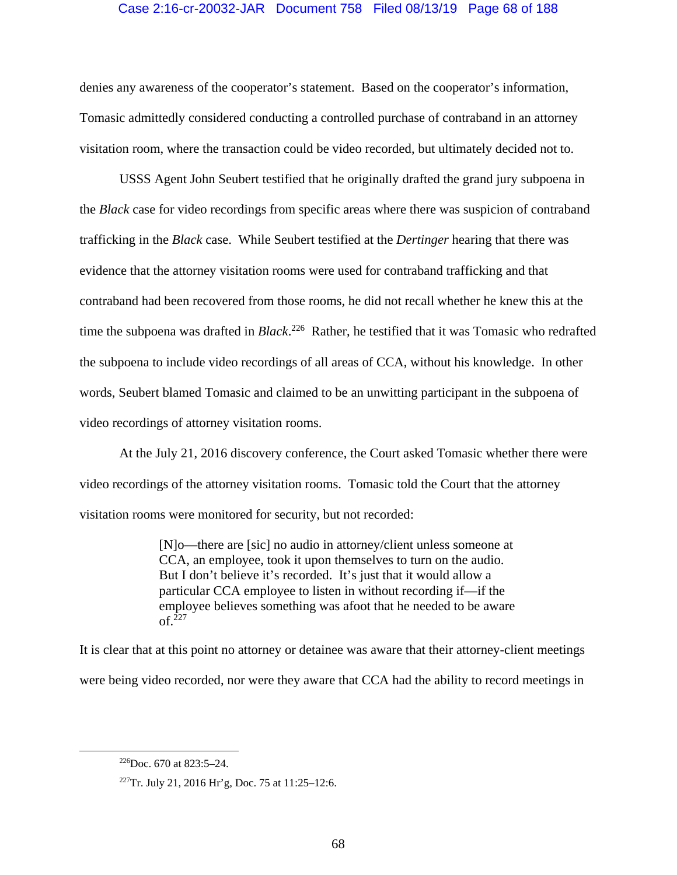# Case 2:16-cr-20032-JAR Document 758 Filed 08/13/19 Page 68 of 188

denies any awareness of the cooperator's statement. Based on the cooperator's information, Tomasic admittedly considered conducting a controlled purchase of contraband in an attorney visitation room, where the transaction could be video recorded, but ultimately decided not to.

USSS Agent John Seubert testified that he originally drafted the grand jury subpoena in the *Black* case for video recordings from specific areas where there was suspicion of contraband trafficking in the *Black* case. While Seubert testified at the *Dertinger* hearing that there was evidence that the attorney visitation rooms were used for contraband trafficking and that contraband had been recovered from those rooms, he did not recall whether he knew this at the time the subpoena was drafted in *Black*. 226 Rather, he testified that it was Tomasic who redrafted the subpoena to include video recordings of all areas of CCA, without his knowledge. In other words, Seubert blamed Tomasic and claimed to be an unwitting participant in the subpoena of video recordings of attorney visitation rooms.

At the July 21, 2016 discovery conference, the Court asked Tomasic whether there were video recordings of the attorney visitation rooms. Tomasic told the Court that the attorney visitation rooms were monitored for security, but not recorded:

> [N]o—there are [sic] no audio in attorney/client unless someone at CCA, an employee, took it upon themselves to turn on the audio. But I don't believe it's recorded. It's just that it would allow a particular CCA employee to listen in without recording if—if the employee believes something was afoot that he needed to be aware  $\int_{0}^{227}$

It is clear that at this point no attorney or detainee was aware that their attorney-client meetings were being video recorded, nor were they aware that CCA had the ability to record meetings in

 <sup>226</sup>Doc. 670 at 823:5–24.

<sup>227</sup>Tr. July 21, 2016 Hr'g, Doc. 75 at 11:25–12:6.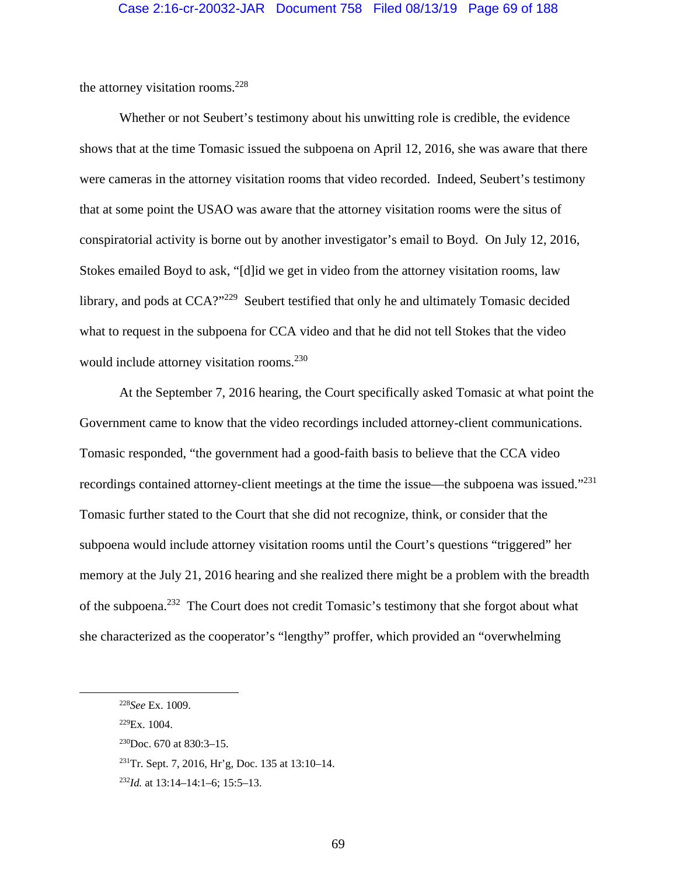the attorney visitation rooms. $228$ 

Whether or not Seubert's testimony about his unwitting role is credible, the evidence shows that at the time Tomasic issued the subpoena on April 12, 2016, she was aware that there were cameras in the attorney visitation rooms that video recorded. Indeed, Seubert's testimony that at some point the USAO was aware that the attorney visitation rooms were the situs of conspiratorial activity is borne out by another investigator's email to Boyd. On July 12, 2016, Stokes emailed Boyd to ask, "[d]id we get in video from the attorney visitation rooms, law library, and pods at CCA?"<sup>229</sup> Seubert testified that only he and ultimately Tomasic decided what to request in the subpoena for CCA video and that he did not tell Stokes that the video would include attorney visitation rooms.<sup>230</sup>

 At the September 7, 2016 hearing, the Court specifically asked Tomasic at what point the Government came to know that the video recordings included attorney-client communications. Tomasic responded, "the government had a good-faith basis to believe that the CCA video recordings contained attorney-client meetings at the time the issue—the subpoena was issued."231 Tomasic further stated to the Court that she did not recognize, think, or consider that the subpoena would include attorney visitation rooms until the Court's questions "triggered" her memory at the July 21, 2016 hearing and she realized there might be a problem with the breadth of the subpoena.232 The Court does not credit Tomasic's testimony that she forgot about what she characterized as the cooperator's "lengthy" proffer, which provided an "overwhelming

 <sup>228</sup>*See* Ex. 1009.

 $229$ Ex. 1004.

 $^{230}$ Doc. 670 at 830:3-15.

 $^{231}$ Tr. Sept. 7, 2016, Hr'g, Doc. 135 at 13:10–14.

<sup>232</sup>*Id.* at 13:14–14:1–6; 15:5–13.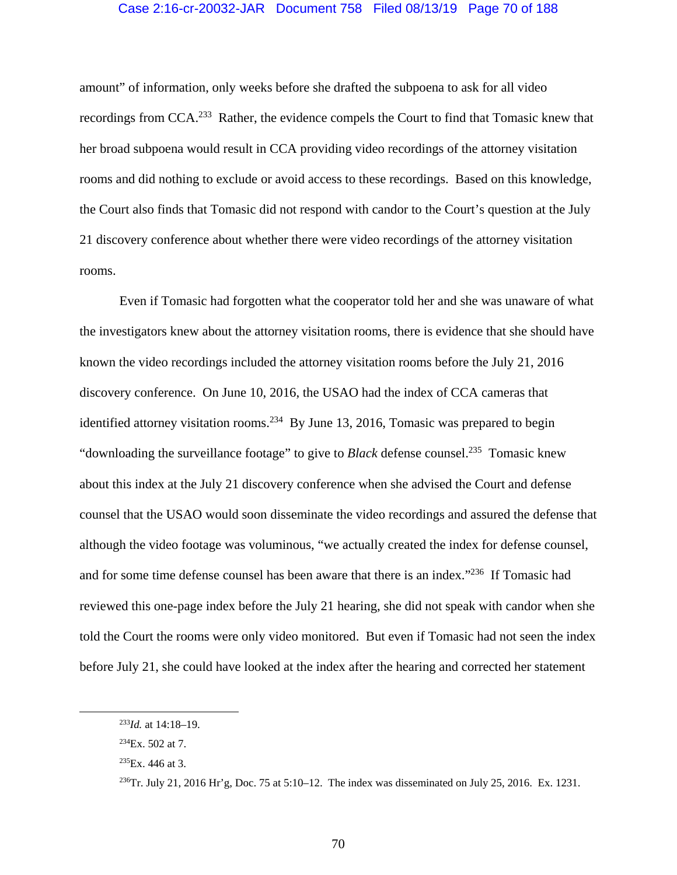### Case 2:16-cr-20032-JAR Document 758 Filed 08/13/19 Page 70 of 188

amount" of information, only weeks before she drafted the subpoena to ask for all video recordings from CCA.233 Rather, the evidence compels the Court to find that Tomasic knew that her broad subpoena would result in CCA providing video recordings of the attorney visitation rooms and did nothing to exclude or avoid access to these recordings. Based on this knowledge, the Court also finds that Tomasic did not respond with candor to the Court's question at the July 21 discovery conference about whether there were video recordings of the attorney visitation rooms.

 Even if Tomasic had forgotten what the cooperator told her and she was unaware of what the investigators knew about the attorney visitation rooms, there is evidence that she should have known the video recordings included the attorney visitation rooms before the July 21, 2016 discovery conference. On June 10, 2016, the USAO had the index of CCA cameras that identified attorney visitation rooms.<sup>234</sup> By June 13, 2016, Tomasic was prepared to begin "downloading the surveillance footage" to give to *Black* defense counsel.<sup>235</sup> Tomasic knew about this index at the July 21 discovery conference when she advised the Court and defense counsel that the USAO would soon disseminate the video recordings and assured the defense that although the video footage was voluminous, "we actually created the index for defense counsel, and for some time defense counsel has been aware that there is an index."<sup>236</sup> If Tomasic had reviewed this one-page index before the July 21 hearing, she did not speak with candor when she told the Court the rooms were only video monitored. But even if Tomasic had not seen the index before July 21, she could have looked at the index after the hearing and corrected her statement

 <sup>233</sup>*Id.* at 14:18–19.

 $^{234}Ex. 502$  at 7.

 $^{235}Ex. 446$  at 3.

 $^{236}$ Tr. July 21, 2016 Hr'g, Doc. 75 at 5:10–12. The index was disseminated on July 25, 2016. Ex. 1231.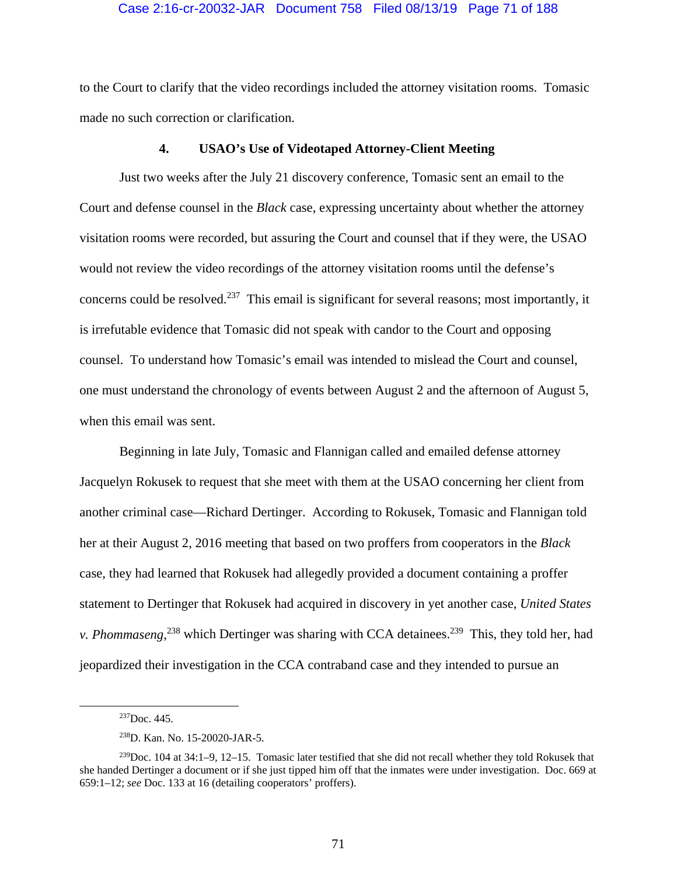### Case 2:16-cr-20032-JAR Document 758 Filed 08/13/19 Page 71 of 188

to the Court to clarify that the video recordings included the attorney visitation rooms. Tomasic made no such correction or clarification.

# **4. USAO's Use of Videotaped Attorney-Client Meeting**

Just two weeks after the July 21 discovery conference, Tomasic sent an email to the Court and defense counsel in the *Black* case, expressing uncertainty about whether the attorney visitation rooms were recorded, but assuring the Court and counsel that if they were, the USAO would not review the video recordings of the attorney visitation rooms until the defense's concerns could be resolved.<sup>237</sup> This email is significant for several reasons; most importantly, it is irrefutable evidence that Tomasic did not speak with candor to the Court and opposing counsel. To understand how Tomasic's email was intended to mislead the Court and counsel, one must understand the chronology of events between August 2 and the afternoon of August 5, when this email was sent.

Beginning in late July, Tomasic and Flannigan called and emailed defense attorney Jacquelyn Rokusek to request that she meet with them at the USAO concerning her client from another criminal case—Richard Dertinger. According to Rokusek, Tomasic and Flannigan told her at their August 2, 2016 meeting that based on two proffers from cooperators in the *Black*  case, they had learned that Rokusek had allegedly provided a document containing a proffer statement to Dertinger that Rokusek had acquired in discovery in yet another case, *United States v. Phommaseng*<sup>238</sup> which Dertinger was sharing with CCA detainees.<sup>239</sup> This, they told her, had jeopardized their investigation in the CCA contraband case and they intended to pursue an

 $237$ Doc. 445.

<sup>238</sup>D. Kan. No. 15-20020-JAR-5.

 $239$ Doc. 104 at 34:1–9, 12–15. Tomasic later testified that she did not recall whether they told Rokusek that she handed Dertinger a document or if she just tipped him off that the inmates were under investigation. Doc. 669 at 659:1–12; *see* Doc. 133 at 16 (detailing cooperators' proffers).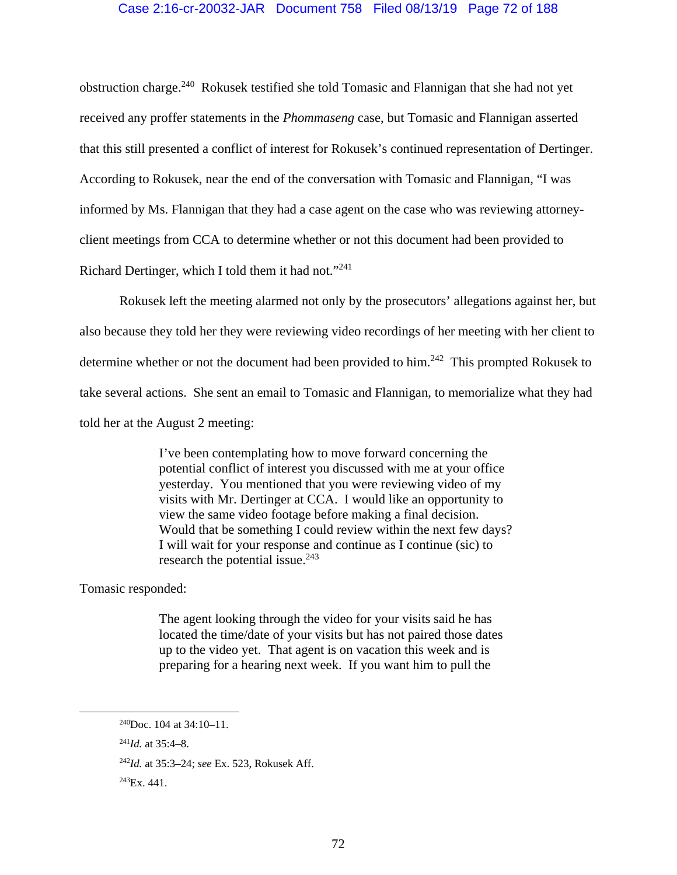## Case 2:16-cr-20032-JAR Document 758 Filed 08/13/19 Page 72 of 188

obstruction charge.240 Rokusek testified she told Tomasic and Flannigan that she had not yet received any proffer statements in the *Phommaseng* case, but Tomasic and Flannigan asserted that this still presented a conflict of interest for Rokusek's continued representation of Dertinger. According to Rokusek, near the end of the conversation with Tomasic and Flannigan, "I was informed by Ms. Flannigan that they had a case agent on the case who was reviewing attorneyclient meetings from CCA to determine whether or not this document had been provided to Richard Dertinger, which I told them it had not."241

Rokusek left the meeting alarmed not only by the prosecutors' allegations against her, but also because they told her they were reviewing video recordings of her meeting with her client to determine whether or not the document had been provided to him.<sup>242</sup> This prompted Rokusek to take several actions. She sent an email to Tomasic and Flannigan, to memorialize what they had told her at the August 2 meeting:

> I've been contemplating how to move forward concerning the potential conflict of interest you discussed with me at your office yesterday. You mentioned that you were reviewing video of my visits with Mr. Dertinger at CCA. I would like an opportunity to view the same video footage before making a final decision. Would that be something I could review within the next few days? I will wait for your response and continue as I continue (sic) to research the potential issue. $243$

Tomasic responded:

The agent looking through the video for your visits said he has located the time/date of your visits but has not paired those dates up to the video yet. That agent is on vacation this week and is preparing for a hearing next week. If you want him to pull the

 <sup>240</sup>Doc. 104 at 34:10–11.

<sup>241</sup>*Id.* at 35:4–8.

<sup>242</sup>*Id.* at 35:3–24; *see* Ex. 523, Rokusek Aff.

 $^{243}Ex.441.$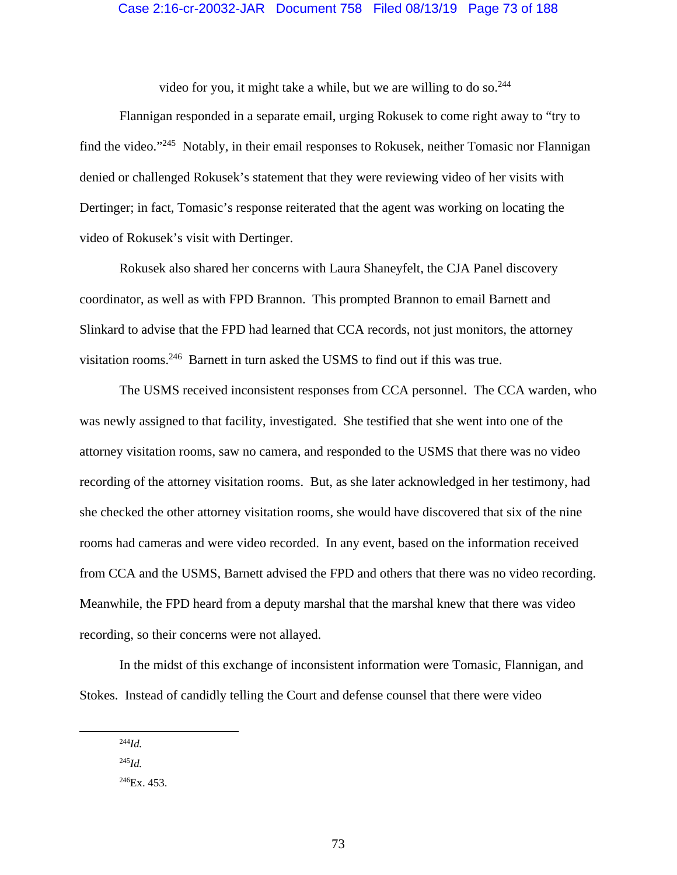video for you, it might take a while, but we are willing to do so.  $244$ 

Flannigan responded in a separate email, urging Rokusek to come right away to "try to find the video."245 Notably, in their email responses to Rokusek, neither Tomasic nor Flannigan denied or challenged Rokusek's statement that they were reviewing video of her visits with Dertinger; in fact, Tomasic's response reiterated that the agent was working on locating the video of Rokusek's visit with Dertinger.

Rokusek also shared her concerns with Laura Shaneyfelt, the CJA Panel discovery coordinator, as well as with FPD Brannon. This prompted Brannon to email Barnett and Slinkard to advise that the FPD had learned that CCA records, not just monitors, the attorney visitation rooms.246 Barnett in turn asked the USMS to find out if this was true.

The USMS received inconsistent responses from CCA personnel. The CCA warden, who was newly assigned to that facility, investigated. She testified that she went into one of the attorney visitation rooms, saw no camera, and responded to the USMS that there was no video recording of the attorney visitation rooms. But, as she later acknowledged in her testimony, had she checked the other attorney visitation rooms, she would have discovered that six of the nine rooms had cameras and were video recorded. In any event, based on the information received from CCA and the USMS, Barnett advised the FPD and others that there was no video recording. Meanwhile, the FPD heard from a deputy marshal that the marshal knew that there was video recording, so their concerns were not allayed.

In the midst of this exchange of inconsistent information were Tomasic, Flannigan, and Stokes. Instead of candidly telling the Court and defense counsel that there were video

 $^{244}Id.$ 

 $^{245}Id$ 

 $^{246}Ex. 453.$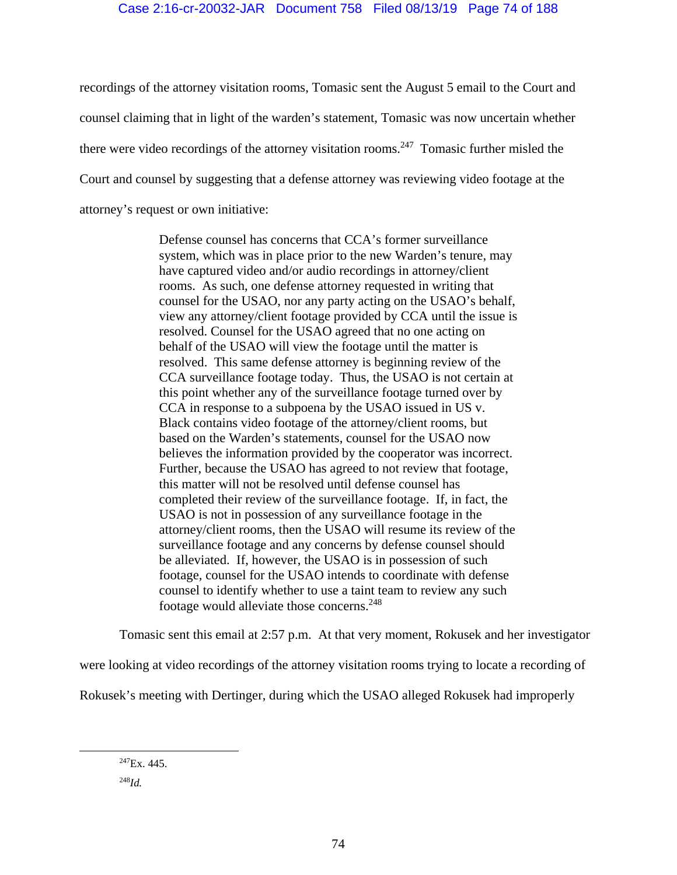recordings of the attorney visitation rooms, Tomasic sent the August 5 email to the Court and counsel claiming that in light of the warden's statement, Tomasic was now uncertain whether there were video recordings of the attorney visitation rooms.<sup>247</sup> Tomasic further misled the Court and counsel by suggesting that a defense attorney was reviewing video footage at the attorney's request or own initiative:

> Defense counsel has concerns that CCA's former surveillance system, which was in place prior to the new Warden's tenure, may have captured video and/or audio recordings in attorney/client rooms. As such, one defense attorney requested in writing that counsel for the USAO, nor any party acting on the USAO's behalf, view any attorney/client footage provided by CCA until the issue is resolved. Counsel for the USAO agreed that no one acting on behalf of the USAO will view the footage until the matter is resolved. This same defense attorney is beginning review of the CCA surveillance footage today. Thus, the USAO is not certain at this point whether any of the surveillance footage turned over by CCA in response to a subpoena by the USAO issued in US v. Black contains video footage of the attorney/client rooms, but based on the Warden's statements, counsel for the USAO now believes the information provided by the cooperator was incorrect. Further, because the USAO has agreed to not review that footage, this matter will not be resolved until defense counsel has completed their review of the surveillance footage. If, in fact, the USAO is not in possession of any surveillance footage in the attorney/client rooms, then the USAO will resume its review of the surveillance footage and any concerns by defense counsel should be alleviated. If, however, the USAO is in possession of such footage, counsel for the USAO intends to coordinate with defense counsel to identify whether to use a taint team to review any such footage would alleviate those concerns.248

Tomasic sent this email at 2:57 p.m. At that very moment, Rokusek and her investigator

were looking at video recordings of the attorney visitation rooms trying to locate a recording of

Rokusek's meeting with Dertinger, during which the USAO alleged Rokusek had improperly

 $^{247}Ex.445.$ <sup>248</sup>*Id.*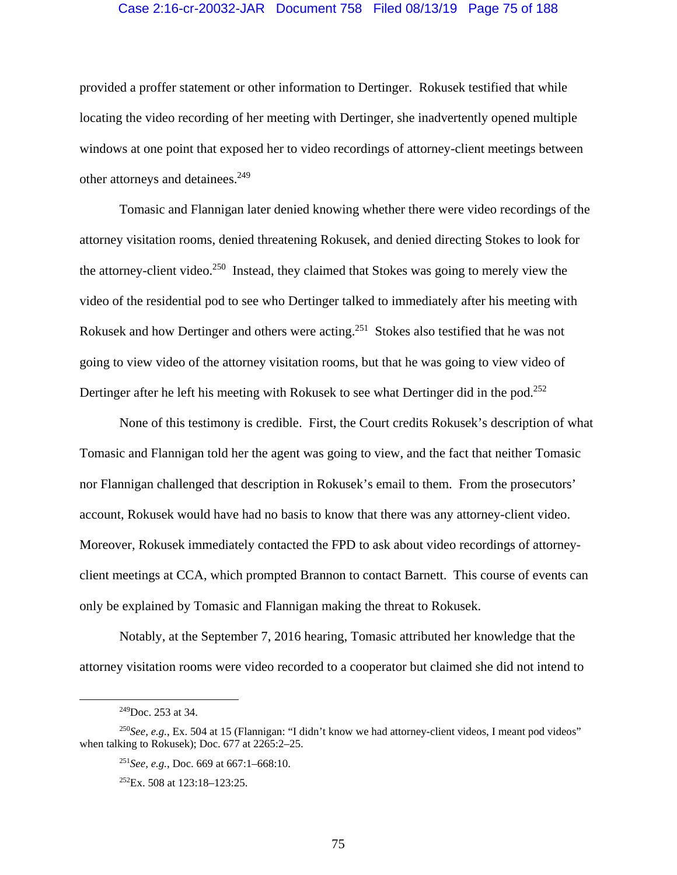#### Case 2:16-cr-20032-JAR Document 758 Filed 08/13/19 Page 75 of 188

provided a proffer statement or other information to Dertinger. Rokusek testified that while locating the video recording of her meeting with Dertinger, she inadvertently opened multiple windows at one point that exposed her to video recordings of attorney-client meetings between other attorneys and detainees.<sup>249</sup>

Tomasic and Flannigan later denied knowing whether there were video recordings of the attorney visitation rooms, denied threatening Rokusek, and denied directing Stokes to look for the attorney-client video.<sup>250</sup> Instead, they claimed that Stokes was going to merely view the video of the residential pod to see who Dertinger talked to immediately after his meeting with Rokusek and how Dertinger and others were acting.<sup>251</sup> Stokes also testified that he was not going to view video of the attorney visitation rooms, but that he was going to view video of Dertinger after he left his meeting with Rokusek to see what Dertinger did in the pod.<sup>252</sup>

None of this testimony is credible. First, the Court credits Rokusek's description of what Tomasic and Flannigan told her the agent was going to view, and the fact that neither Tomasic nor Flannigan challenged that description in Rokusek's email to them. From the prosecutors' account, Rokusek would have had no basis to know that there was any attorney-client video. Moreover, Rokusek immediately contacted the FPD to ask about video recordings of attorneyclient meetings at CCA, which prompted Brannon to contact Barnett. This course of events can only be explained by Tomasic and Flannigan making the threat to Rokusek.

Notably, at the September 7, 2016 hearing, Tomasic attributed her knowledge that the attorney visitation rooms were video recorded to a cooperator but claimed she did not intend to

 <sup>249</sup>Doc. 253 at 34.

<sup>250</sup>*See, e.g.*, Ex. 504 at 15 (Flannigan: "I didn't know we had attorney-client videos, I meant pod videos" when talking to Rokusek); Doc. 677 at 2265:2–25.

<sup>251</sup>*See, e.g.*, Doc. 669 at 667:1–668:10.

 $252Ex. 508$  at  $123:18-123:25$ .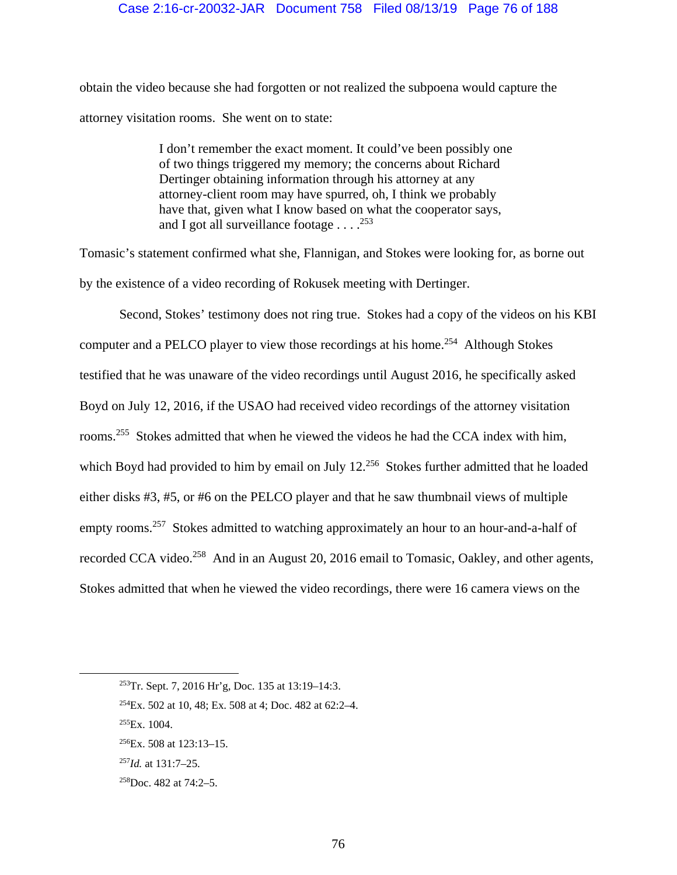## Case 2:16-cr-20032-JAR Document 758 Filed 08/13/19 Page 76 of 188

obtain the video because she had forgotten or not realized the subpoena would capture the attorney visitation rooms. She went on to state:

> I don't remember the exact moment. It could've been possibly one of two things triggered my memory; the concerns about Richard Dertinger obtaining information through his attorney at any attorney-client room may have spurred, oh, I think we probably have that, given what I know based on what the cooperator says, and I got all surveillance footage  $\ldots$ <sup>253</sup>

Tomasic's statement confirmed what she, Flannigan, and Stokes were looking for, as borne out by the existence of a video recording of Rokusek meeting with Dertinger.

Second, Stokes' testimony does not ring true. Stokes had a copy of the videos on his KBI computer and a PELCO player to view those recordings at his home.<sup>254</sup> Although Stokes testified that he was unaware of the video recordings until August 2016, he specifically asked Boyd on July 12, 2016, if the USAO had received video recordings of the attorney visitation rooms.<sup>255</sup> Stokes admitted that when he viewed the videos he had the CCA index with him, which Boyd had provided to him by email on July 12.<sup>256</sup> Stokes further admitted that he loaded either disks #3, #5, or #6 on the PELCO player and that he saw thumbnail views of multiple empty rooms.<sup>257</sup> Stokes admitted to watching approximately an hour to an hour-and-a-half of recorded CCA video.<sup>258</sup> And in an August 20, 2016 email to Tomasic, Oakley, and other agents, Stokes admitted that when he viewed the video recordings, there were 16 camera views on the

 <sup>253</sup>Tr. Sept. 7, 2016 Hr'g, Doc. 135 at 13:19–14:3.

<sup>254</sup>Ex. 502 at 10, 48; Ex. 508 at 4; Doc. 482 at 62:2–4.

 $^{255}Ex.1004.$ 

 $^{256}$ Ex. 508 at 123:13–15.

<sup>257</sup>*Id.* at 131:7–25.

 $258$ Doc. 482 at 74:2–5.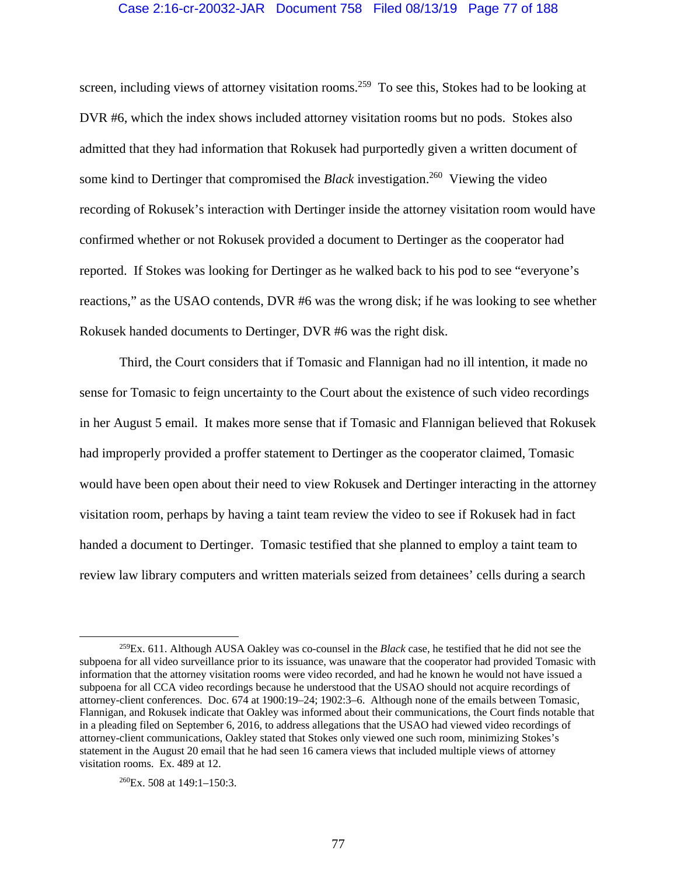## Case 2:16-cr-20032-JAR Document 758 Filed 08/13/19 Page 77 of 188

screen, including views of attorney visitation rooms.<sup>259</sup> To see this, Stokes had to be looking at DVR #6, which the index shows included attorney visitation rooms but no pods. Stokes also admitted that they had information that Rokusek had purportedly given a written document of some kind to Dertinger that compromised the *Black* investigation.<sup>260</sup> Viewing the video recording of Rokusek's interaction with Dertinger inside the attorney visitation room would have confirmed whether or not Rokusek provided a document to Dertinger as the cooperator had reported. If Stokes was looking for Dertinger as he walked back to his pod to see "everyone's reactions," as the USAO contends, DVR #6 was the wrong disk; if he was looking to see whether Rokusek handed documents to Dertinger, DVR #6 was the right disk.

Third, the Court considers that if Tomasic and Flannigan had no ill intention, it made no sense for Tomasic to feign uncertainty to the Court about the existence of such video recordings in her August 5 email. It makes more sense that if Tomasic and Flannigan believed that Rokusek had improperly provided a proffer statement to Dertinger as the cooperator claimed, Tomasic would have been open about their need to view Rokusek and Dertinger interacting in the attorney visitation room, perhaps by having a taint team review the video to see if Rokusek had in fact handed a document to Dertinger. Tomasic testified that she planned to employ a taint team to review law library computers and written materials seized from detainees' cells during a search

 <sup>259</sup>Ex. 611. Although AUSA Oakley was co-counsel in the *Black* case, he testified that he did not see the subpoena for all video surveillance prior to its issuance, was unaware that the cooperator had provided Tomasic with information that the attorney visitation rooms were video recorded, and had he known he would not have issued a subpoena for all CCA video recordings because he understood that the USAO should not acquire recordings of attorney-client conferences. Doc. 674 at 1900:19–24; 1902:3–6. Although none of the emails between Tomasic, Flannigan, and Rokusek indicate that Oakley was informed about their communications, the Court finds notable that in a pleading filed on September 6, 2016, to address allegations that the USAO had viewed video recordings of attorney-client communications, Oakley stated that Stokes only viewed one such room, minimizing Stokes's statement in the August 20 email that he had seen 16 camera views that included multiple views of attorney visitation rooms. Ex. 489 at 12.

 $260$ Ex. 508 at 149:1-150:3.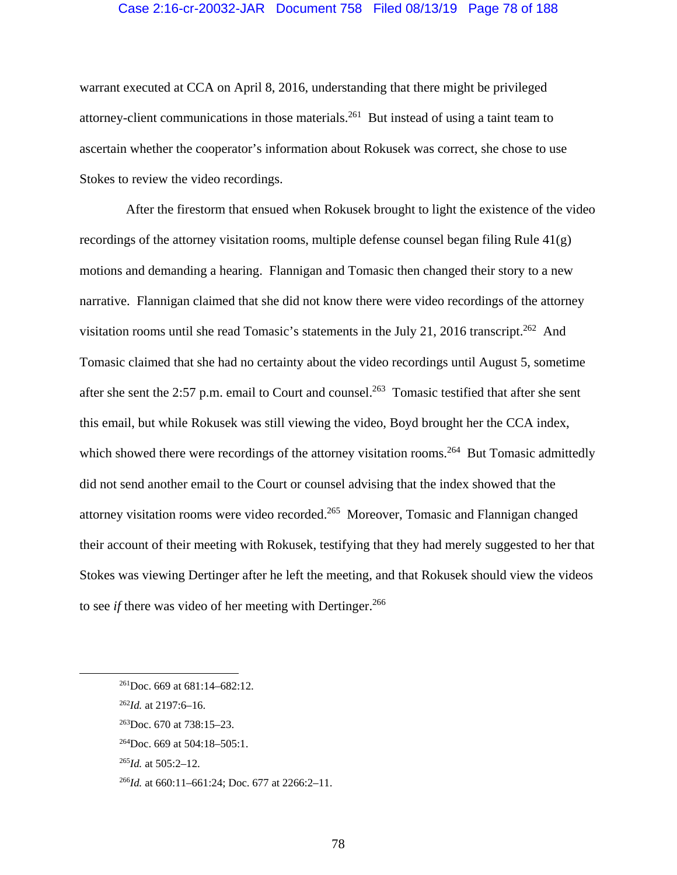#### Case 2:16-cr-20032-JAR Document 758 Filed 08/13/19 Page 78 of 188

warrant executed at CCA on April 8, 2016, understanding that there might be privileged attorney-client communications in those materials.261 But instead of using a taint team to ascertain whether the cooperator's information about Rokusek was correct, she chose to use Stokes to review the video recordings.

 After the firestorm that ensued when Rokusek brought to light the existence of the video recordings of the attorney visitation rooms, multiple defense counsel began filing Rule 41(g) motions and demanding a hearing. Flannigan and Tomasic then changed their story to a new narrative. Flannigan claimed that she did not know there were video recordings of the attorney visitation rooms until she read Tomasic's statements in the July 21, 2016 transcript.<sup>262</sup> And Tomasic claimed that she had no certainty about the video recordings until August 5, sometime after she sent the 2:57 p.m. email to Court and counsel.<sup>263</sup> Tomasic testified that after she sent this email, but while Rokusek was still viewing the video, Boyd brought her the CCA index, which showed there were recordings of the attorney visitation rooms.<sup>264</sup> But Tomasic admittedly did not send another email to the Court or counsel advising that the index showed that the attorney visitation rooms were video recorded.265 Moreover, Tomasic and Flannigan changed their account of their meeting with Rokusek, testifying that they had merely suggested to her that Stokes was viewing Dertinger after he left the meeting, and that Rokusek should view the videos to see *if* there was video of her meeting with Dertinger.<sup>266</sup>

 <sup>261</sup>Doc. 669 at 681:14–682:12.

<sup>262</sup>*Id.* at 2197:6–16.

<sup>263</sup>Doc. 670 at 738:15–23.

 $^{264}$ Doc. 669 at 504:18–505:1.

<sup>265</sup>*Id.* at 505:2–12.

<sup>266</sup>*Id.* at 660:11–661:24; Doc. 677 at 2266:2–11.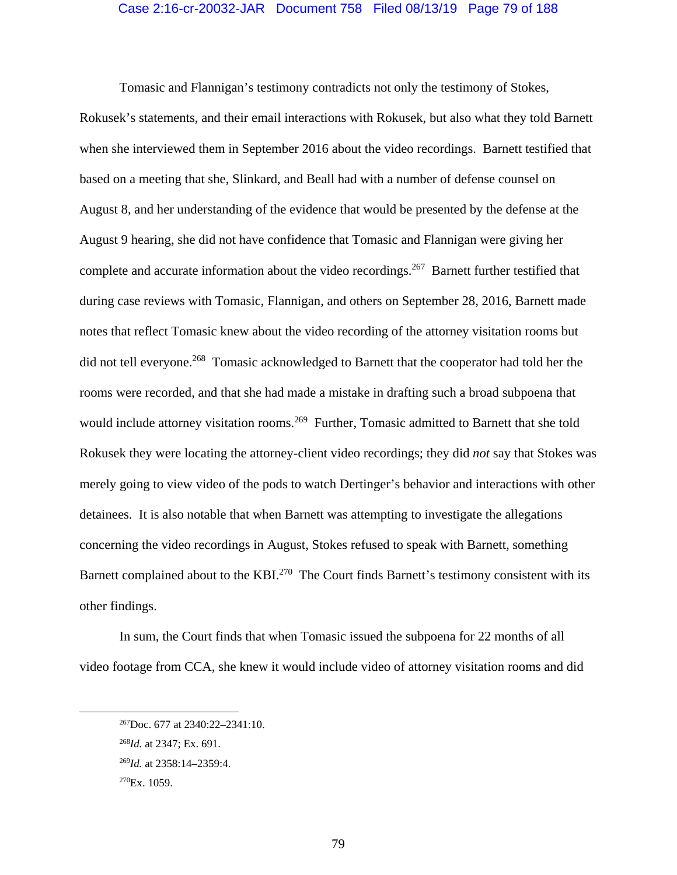#### Case 2:16-cr-20032-JAR Document 758 Filed 08/13/19 Page 79 of 188

Tomasic and Flannigan's testimony contradicts not only the testimony of Stokes,

Rokusek's statements, and their email interactions with Rokusek, but also what they told Barnett when she interviewed them in September 2016 about the video recordings. Barnett testified that based on a meeting that she, Slinkard, and Beall had with a number of defense counsel on August 8, and her understanding of the evidence that would be presented by the defense at the August 9 hearing, she did not have confidence that Tomasic and Flannigan were giving her complete and accurate information about the video recordings.<sup>267</sup> Barnett further testified that during case reviews with Tomasic, Flannigan, and others on September 28, 2016, Barnett made notes that reflect Tomasic knew about the video recording of the attorney visitation rooms but did not tell everyone.<sup>268</sup> Tomasic acknowledged to Barnett that the cooperator had told her the rooms were recorded, and that she had made a mistake in drafting such a broad subpoena that would include attorney visitation rooms.<sup>269</sup> Further, Tomasic admitted to Barnett that she told Rokusek they were locating the attorney-client video recordings; they did *not* say that Stokes was merely going to view video of the pods to watch Dertinger's behavior and interactions with other detainees. It is also notable that when Barnett was attempting to investigate the allegations concerning the video recordings in August, Stokes refused to speak with Barnett, something Barnett complained about to the KBI.<sup>270</sup> The Court finds Barnett's testimony consistent with its other findings.

In sum, the Court finds that when Tomasic issued the subpoena for 22 months of all video footage from CCA, she knew it would include video of attorney visitation rooms and did

 <sup>267</sup>Doc. 677 at 2340:22–2341:10.

<sup>268</sup>*Id.* at 2347; Ex. 691.

<sup>269</sup>*Id.* at 2358:14–2359:4.

 $270Ex. 1059.$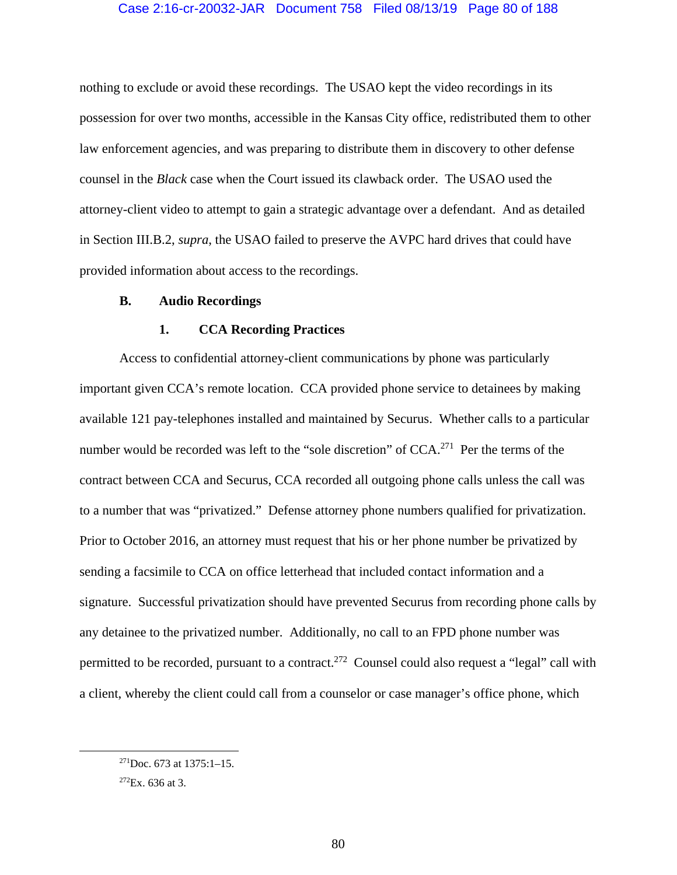## Case 2:16-cr-20032-JAR Document 758 Filed 08/13/19 Page 80 of 188

nothing to exclude or avoid these recordings. The USAO kept the video recordings in its possession for over two months, accessible in the Kansas City office, redistributed them to other law enforcement agencies, and was preparing to distribute them in discovery to other defense counsel in the *Black* case when the Court issued its clawback order. The USAO used the attorney-client video to attempt to gain a strategic advantage over a defendant. And as detailed in Section III.B.2, *supra*, the USAO failed to preserve the AVPC hard drives that could have provided information about access to the recordings.

### **B. Audio Recordings**

#### **1. CCA Recording Practices**

Access to confidential attorney-client communications by phone was particularly important given CCA's remote location. CCA provided phone service to detainees by making available 121 pay-telephones installed and maintained by Securus. Whether calls to a particular number would be recorded was left to the "sole discretion" of CCA.<sup>271</sup> Per the terms of the contract between CCA and Securus, CCA recorded all outgoing phone calls unless the call was to a number that was "privatized." Defense attorney phone numbers qualified for privatization. Prior to October 2016, an attorney must request that his or her phone number be privatized by sending a facsimile to CCA on office letterhead that included contact information and a signature. Successful privatization should have prevented Securus from recording phone calls by any detainee to the privatized number. Additionally, no call to an FPD phone number was permitted to be recorded, pursuant to a contract.<sup>272</sup> Counsel could also request a "legal" call with a client, whereby the client could call from a counselor or case manager's office phone, which

 $271$ Doc. 673 at 1375:1-15.

 $272Ex. 636$  at 3.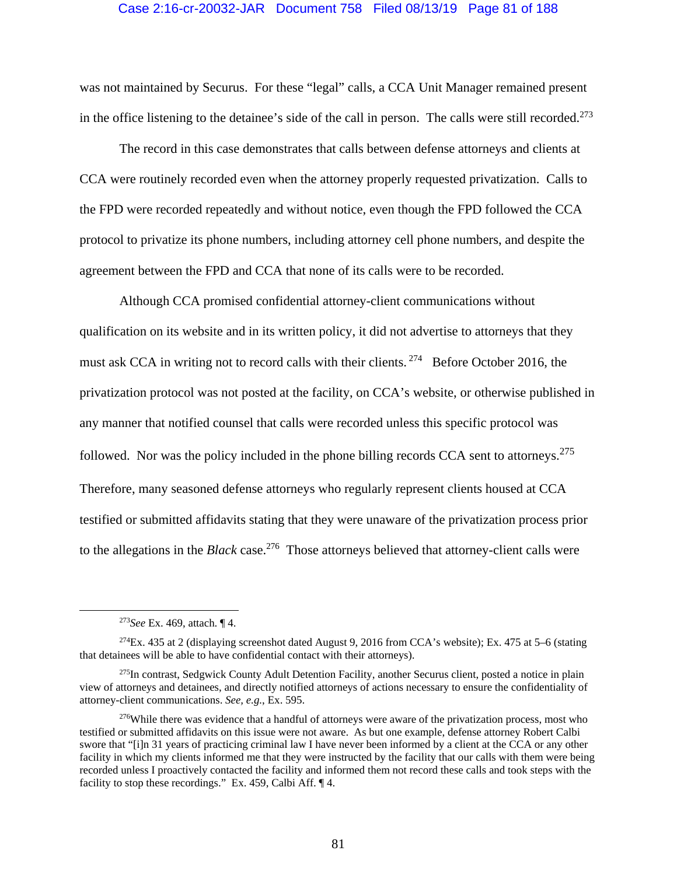#### Case 2:16-cr-20032-JAR Document 758 Filed 08/13/19 Page 81 of 188

was not maintained by Securus. For these "legal" calls, a CCA Unit Manager remained present in the office listening to the detainee's side of the call in person. The calls were still recorded.<sup>273</sup>

The record in this case demonstrates that calls between defense attorneys and clients at CCA were routinely recorded even when the attorney properly requested privatization. Calls to the FPD were recorded repeatedly and without notice, even though the FPD followed the CCA protocol to privatize its phone numbers, including attorney cell phone numbers, and despite the agreement between the FPD and CCA that none of its calls were to be recorded.

Although CCA promised confidential attorney-client communications without qualification on its website and in its written policy, it did not advertise to attorneys that they must ask CCA in writing not to record calls with their clients.  $274$  Before October 2016, the privatization protocol was not posted at the facility, on CCA's website, or otherwise published in any manner that notified counsel that calls were recorded unless this specific protocol was followed. Nor was the policy included in the phone billing records CCA sent to attorneys.<sup>275</sup> Therefore, many seasoned defense attorneys who regularly represent clients housed at CCA testified or submitted affidavits stating that they were unaware of the privatization process prior to the allegations in the *Black* case.<sup>276</sup> Those attorneys believed that attorney-client calls were

 <sup>273</sup>*See* Ex. 469, attach. ¶ 4.

 $^{274}$ Ex. 435 at 2 (displaying screenshot dated August 9, 2016 from CCA's website); Ex. 475 at 5–6 (stating that detainees will be able to have confidential contact with their attorneys).

<sup>&</sup>lt;sup>275</sup>In contrast, Sedgwick County Adult Detention Facility, another Securus client, posted a notice in plain view of attorneys and detainees, and directly notified attorneys of actions necessary to ensure the confidentiality of attorney-client communications. *See, e.g.*, Ex. 595.

<sup>&</sup>lt;sup>276</sup>While there was evidence that a handful of attorneys were aware of the privatization process, most who testified or submitted affidavits on this issue were not aware. As but one example, defense attorney Robert Calbi swore that "[i]n 31 years of practicing criminal law I have never been informed by a client at the CCA or any other facility in which my clients informed me that they were instructed by the facility that our calls with them were being recorded unless I proactively contacted the facility and informed them not record these calls and took steps with the facility to stop these recordings." Ex. 459, Calbi Aff. ¶ 4.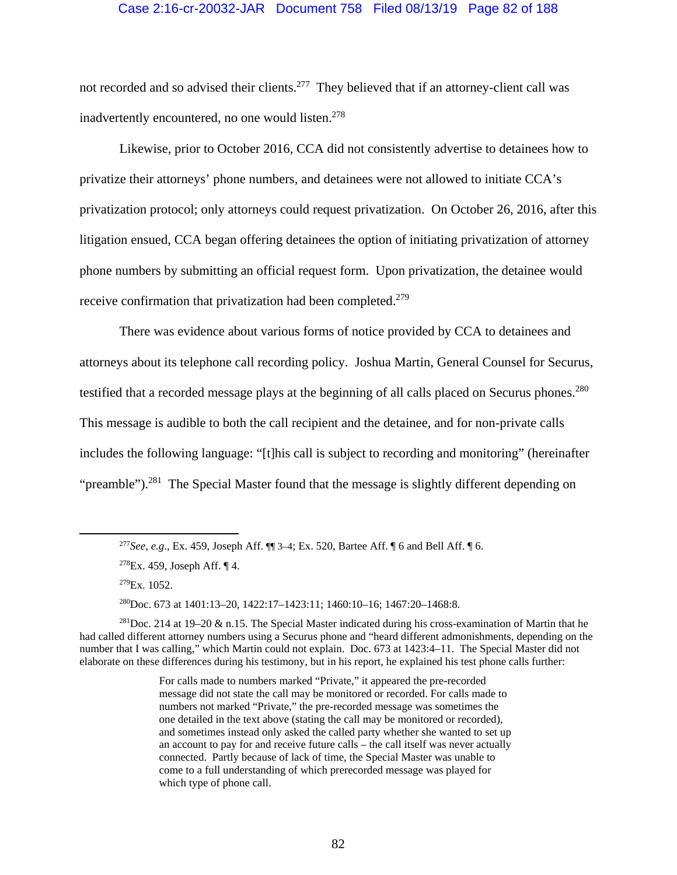## Case 2:16-cr-20032-JAR Document 758 Filed 08/13/19 Page 82 of 188

not recorded and so advised their clients.<sup>277</sup> They believed that if an attorney-client call was inadvertently encountered, no one would listen.<sup>278</sup>

Likewise, prior to October 2016, CCA did not consistently advertise to detainees how to privatize their attorneys' phone numbers, and detainees were not allowed to initiate CCA's privatization protocol; only attorneys could request privatization. On October 26, 2016, after this litigation ensued, CCA began offering detainees the option of initiating privatization of attorney phone numbers by submitting an official request form. Upon privatization, the detainee would receive confirmation that privatization had been completed.<sup>279</sup>

There was evidence about various forms of notice provided by CCA to detainees and attorneys about its telephone call recording policy. Joshua Martin, General Counsel for Securus, testified that a recorded message plays at the beginning of all calls placed on Securus phones.<sup>280</sup> This message is audible to both the call recipient and the detainee, and for non-private calls includes the following language: "[t]his call is subject to recording and monitoring" (hereinafter "preamble").<sup>281</sup> The Special Master found that the message is slightly different depending on

280Doc. 673 at 1401:13–20, 1422:17–1423:11; 1460:10–16; 1467:20–1468:8.

 <sup>277</sup>*See, e.g*., Ex. 459, Joseph Aff. ¶¶ 3–4; Ex. 520, Bartee Aff. ¶ 6 and Bell Aff. ¶ 6.

 $278$ Ex. 459, Joseph Aff. ¶ 4.

 $279Ex. 1052.$ 

 $^{281}$ Doc. 214 at 19–20 & n.15. The Special Master indicated during his cross-examination of Martin that he had called different attorney numbers using a Securus phone and "heard different admonishments, depending on the number that I was calling," which Martin could not explain. Doc. 673 at 1423:4–11. The Special Master did not elaborate on these differences during his testimony, but in his report, he explained his test phone calls further:

For calls made to numbers marked "Private," it appeared the pre-recorded message did not state the call may be monitored or recorded. For calls made to numbers not marked "Private," the pre-recorded message was sometimes the one detailed in the text above (stating the call may be monitored or recorded), and sometimes instead only asked the called party whether she wanted to set up an account to pay for and receive future calls – the call itself was never actually connected. Partly because of lack of time, the Special Master was unable to come to a full understanding of which prerecorded message was played for which type of phone call.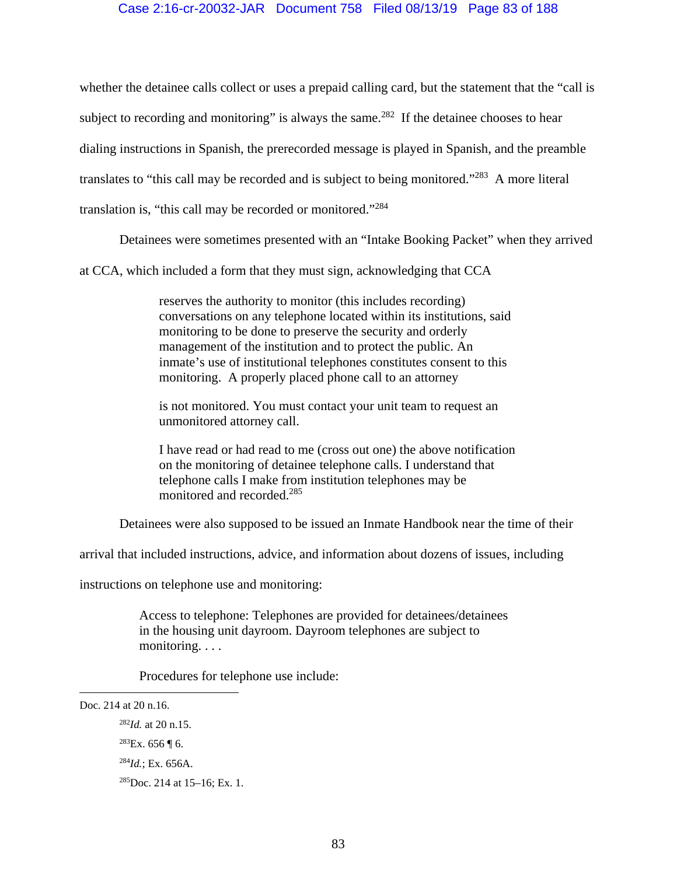# Case 2:16-cr-20032-JAR Document 758 Filed 08/13/19 Page 83 of 188

whether the detainee calls collect or uses a prepaid calling card, but the statement that the "call is subject to recording and monitoring" is always the same.<sup>282</sup> If the detainee chooses to hear dialing instructions in Spanish, the prerecorded message is played in Spanish, and the preamble translates to "this call may be recorded and is subject to being monitored."283 A more literal translation is, "this call may be recorded or monitored."284

Detainees were sometimes presented with an "Intake Booking Packet" when they arrived

at CCA, which included a form that they must sign, acknowledging that CCA

reserves the authority to monitor (this includes recording) conversations on any telephone located within its institutions, said monitoring to be done to preserve the security and orderly management of the institution and to protect the public. An inmate's use of institutional telephones constitutes consent to this monitoring. A properly placed phone call to an attorney

is not monitored. You must contact your unit team to request an unmonitored attorney call.

I have read or had read to me (cross out one) the above notification on the monitoring of detainee telephone calls. I understand that telephone calls I make from institution telephones may be monitored and recorded.285

Detainees were also supposed to be issued an Inmate Handbook near the time of their

arrival that included instructions, advice, and information about dozens of issues, including

instructions on telephone use and monitoring:

Access to telephone: Telephones are provided for detainees/detainees in the housing unit dayroom. Dayroom telephones are subject to monitoring. . . .

Procedures for telephone use include:

 $\overline{a}$ 

Doc. 214 at 20 n.16.

<sup>282</sup>*Id.* at 20 n.15.

 $283$ Ex. 656 ¶ 6.

<sup>284</sup>*Id.*; Ex. 656A.

<sup>285</sup>Doc. 214 at 15–16; Ex. 1.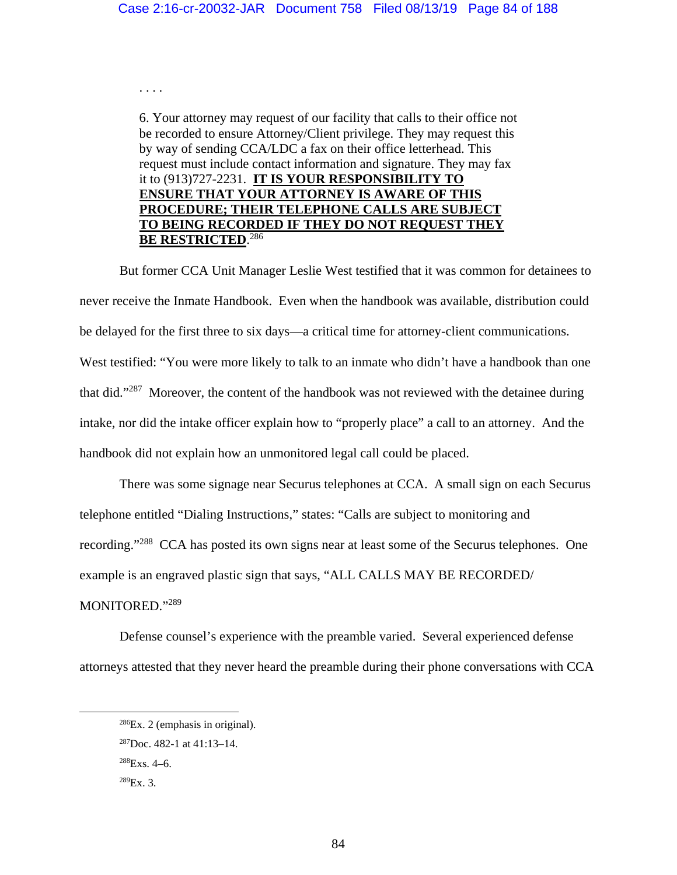. . . .

6. Your attorney may request of our facility that calls to their office not be recorded to ensure Attorney/Client privilege. They may request this by way of sending CCA/LDC a fax on their office letterhead. This request must include contact information and signature. They may fax it to (913)727-2231. **IT IS YOUR RESPONSIBILITY TO ENSURE THAT YOUR ATTORNEY IS AWARE OF THIS PROCEDURE; THEIR TELEPHONE CALLS ARE SUBJECT TO BEING RECORDED IF THEY DO NOT REQUEST THEY BE RESTRICTED**. 286

But former CCA Unit Manager Leslie West testified that it was common for detainees to never receive the Inmate Handbook. Even when the handbook was available, distribution could be delayed for the first three to six days—a critical time for attorney-client communications. West testified: "You were more likely to talk to an inmate who didn't have a handbook than one that did."287 Moreover, the content of the handbook was not reviewed with the detainee during intake, nor did the intake officer explain how to "properly place" a call to an attorney. And the handbook did not explain how an unmonitored legal call could be placed.

There was some signage near Securus telephones at CCA. A small sign on each Securus telephone entitled "Dialing Instructions," states: "Calls are subject to monitoring and recording."288 CCA has posted its own signs near at least some of the Securus telephones. One example is an engraved plastic sign that says, "ALL CALLS MAY BE RECORDED/ MONITORED."289

Defense counsel's experience with the preamble varied. Several experienced defense attorneys attested that they never heard the preamble during their phone conversations with CCA

 $286Ex. 2$  (emphasis in original).

<sup>287</sup>Doc. 482-1 at 41:13–14.

 $288$ Exs. 4–6.

 $^{289}Ex.3$ .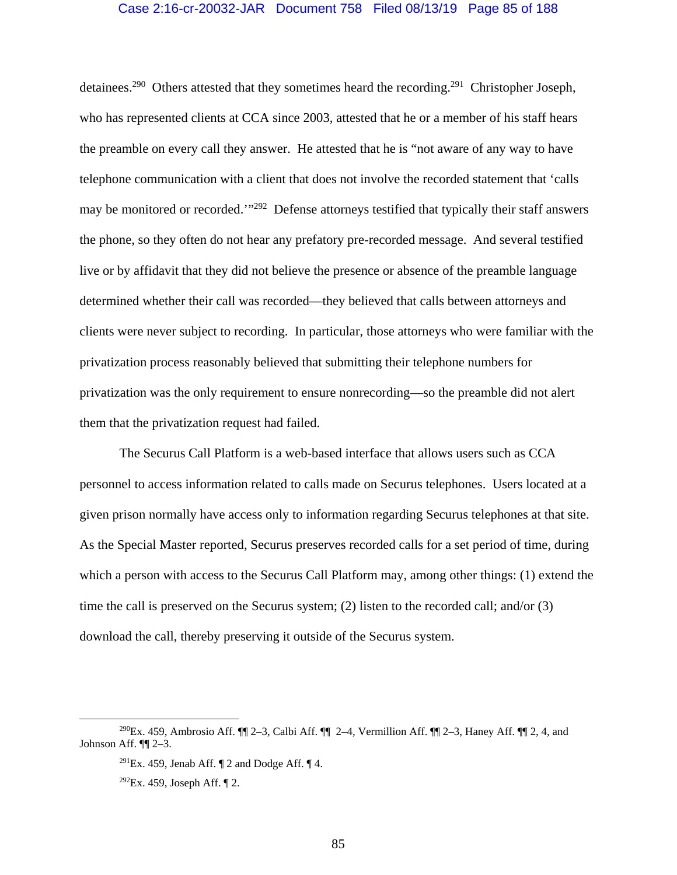#### Case 2:16-cr-20032-JAR Document 758 Filed 08/13/19 Page 85 of 188

detainees.<sup>290</sup> Others attested that they sometimes heard the recording.<sup>291</sup> Christopher Joseph, who has represented clients at CCA since 2003, attested that he or a member of his staff hears the preamble on every call they answer. He attested that he is "not aware of any way to have telephone communication with a client that does not involve the recorded statement that 'calls may be monitored or recorded."<sup>292</sup> Defense attorneys testified that typically their staff answers the phone, so they often do not hear any prefatory pre-recorded message. And several testified live or by affidavit that they did not believe the presence or absence of the preamble language determined whether their call was recorded—they believed that calls between attorneys and clients were never subject to recording. In particular, those attorneys who were familiar with the privatization process reasonably believed that submitting their telephone numbers for privatization was the only requirement to ensure nonrecording—so the preamble did not alert them that the privatization request had failed.

The Securus Call Platform is a web-based interface that allows users such as CCA personnel to access information related to calls made on Securus telephones. Users located at a given prison normally have access only to information regarding Securus telephones at that site. As the Special Master reported, Securus preserves recorded calls for a set period of time, during which a person with access to the Securus Call Platform may, among other things: (1) extend the time the call is preserved on the Securus system; (2) listen to the recorded call; and/or (3) download the call, thereby preserving it outside of the Securus system.

<sup>&</sup>lt;sup>290</sup>Ex. 459, Ambrosio Aff.  $\P$  2–3, Calbi Aff.  $\P$  2–4, Vermillion Aff.  $\P$  2–3, Haney Aff.  $\P$  2, 4, and Johnson Aff. ¶¶ 2–3.

<sup>&</sup>lt;sup>291</sup>Ex. 459, Jenab Aff.  $\P$  2 and Dodge Aff.  $\P$  4.

 $292Ex. 459$ , Joseph Aff. [2.]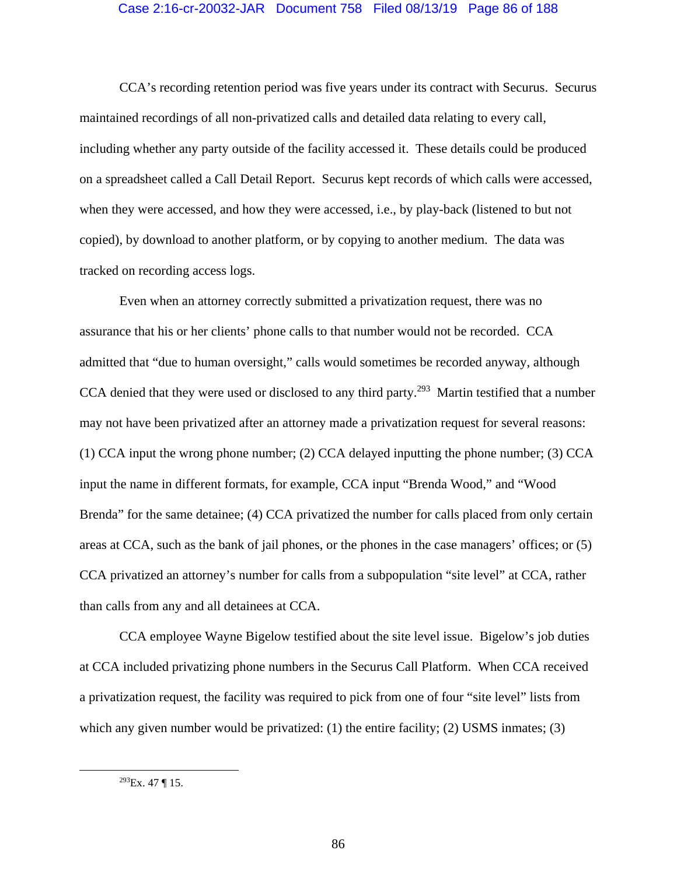#### Case 2:16-cr-20032-JAR Document 758 Filed 08/13/19 Page 86 of 188

CCA's recording retention period was five years under its contract with Securus. Securus maintained recordings of all non-privatized calls and detailed data relating to every call, including whether any party outside of the facility accessed it. These details could be produced on a spreadsheet called a Call Detail Report. Securus kept records of which calls were accessed, when they were accessed, and how they were accessed, i.e., by play-back (listened to but not copied), by download to another platform, or by copying to another medium. The data was tracked on recording access logs.

Even when an attorney correctly submitted a privatization request, there was no assurance that his or her clients' phone calls to that number would not be recorded. CCA admitted that "due to human oversight," calls would sometimes be recorded anyway, although CCA denied that they were used or disclosed to any third party.<sup>293</sup> Martin testified that a number may not have been privatized after an attorney made a privatization request for several reasons: (1) CCA input the wrong phone number; (2) CCA delayed inputting the phone number; (3) CCA input the name in different formats, for example, CCA input "Brenda Wood," and "Wood Brenda" for the same detainee; (4) CCA privatized the number for calls placed from only certain areas at CCA, such as the bank of jail phones, or the phones in the case managers' offices; or (5) CCA privatized an attorney's number for calls from a subpopulation "site level" at CCA, rather than calls from any and all detainees at CCA.

CCA employee Wayne Bigelow testified about the site level issue. Bigelow's job duties at CCA included privatizing phone numbers in the Securus Call Platform. When CCA received a privatization request, the facility was required to pick from one of four "site level" lists from which any given number would be privatized: (1) the entire facility; (2) USMS inmates; (3)

 $293$ Ex. 47 ¶ 15.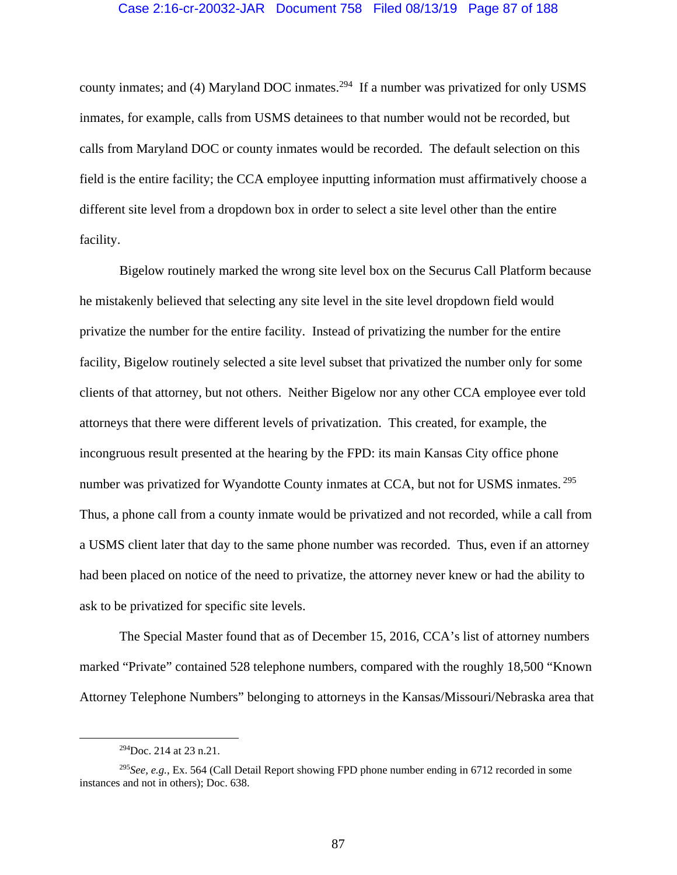county inmates; and (4) Maryland DOC inmates.<sup>294</sup> If a number was privatized for only USMS inmates, for example, calls from USMS detainees to that number would not be recorded, but calls from Maryland DOC or county inmates would be recorded. The default selection on this field is the entire facility; the CCA employee inputting information must affirmatively choose a different site level from a dropdown box in order to select a site level other than the entire facility.

Bigelow routinely marked the wrong site level box on the Securus Call Platform because he mistakenly believed that selecting any site level in the site level dropdown field would privatize the number for the entire facility. Instead of privatizing the number for the entire facility, Bigelow routinely selected a site level subset that privatized the number only for some clients of that attorney, but not others. Neither Bigelow nor any other CCA employee ever told attorneys that there were different levels of privatization. This created, for example, the incongruous result presented at the hearing by the FPD: its main Kansas City office phone number was privatized for Wyandotte County inmates at CCA, but not for USMS inmates.<sup>295</sup> Thus, a phone call from a county inmate would be privatized and not recorded, while a call from a USMS client later that day to the same phone number was recorded. Thus, even if an attorney had been placed on notice of the need to privatize, the attorney never knew or had the ability to ask to be privatized for specific site levels.

The Special Master found that as of December 15, 2016, CCA's list of attorney numbers marked "Private" contained 528 telephone numbers, compared with the roughly 18,500 "Known Attorney Telephone Numbers" belonging to attorneys in the Kansas/Missouri/Nebraska area that

 <sup>294</sup>Doc. 214 at 23 n.21.

<sup>295</sup>*See, e.g.*, Ex. 564 (Call Detail Report showing FPD phone number ending in 6712 recorded in some instances and not in others); Doc. 638.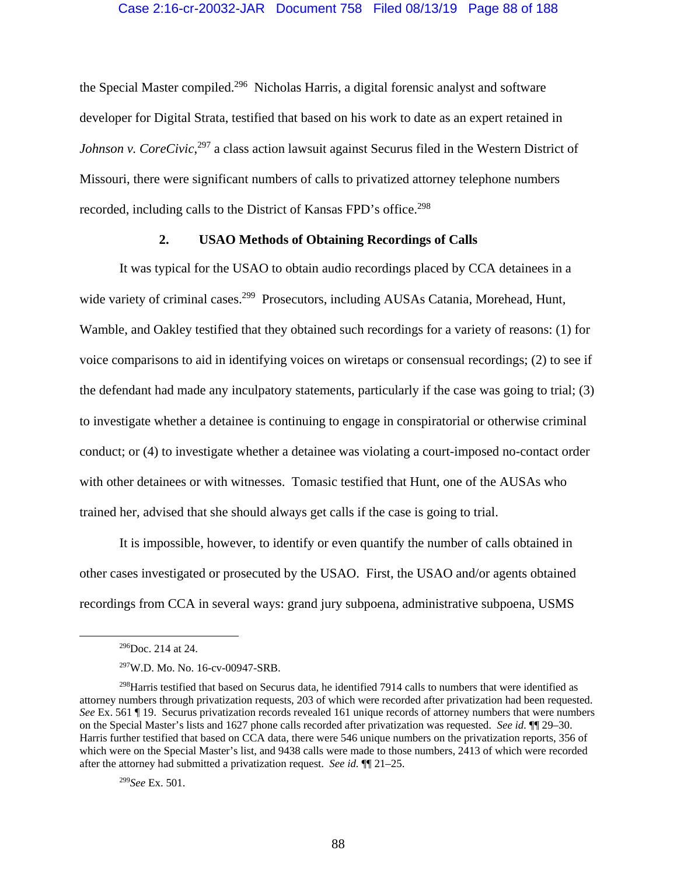the Special Master compiled.<sup>296</sup> Nicholas Harris, a digital forensic analyst and software developer for Digital Strata, testified that based on his work to date as an expert retained in Johnson v. CoreCivic,<sup>297</sup> a class action lawsuit against Securus filed in the Western District of Missouri, there were significant numbers of calls to privatized attorney telephone numbers recorded, including calls to the District of Kansas FPD's office.<sup>298</sup>

# **2. USAO Methods of Obtaining Recordings of Calls**

It was typical for the USAO to obtain audio recordings placed by CCA detainees in a wide variety of criminal cases.<sup>299</sup> Prosecutors, including AUSAs Catania, Morehead, Hunt, Wamble, and Oakley testified that they obtained such recordings for a variety of reasons: (1) for voice comparisons to aid in identifying voices on wiretaps or consensual recordings; (2) to see if the defendant had made any inculpatory statements, particularly if the case was going to trial; (3) to investigate whether a detainee is continuing to engage in conspiratorial or otherwise criminal conduct; or (4) to investigate whether a detainee was violating a court-imposed no-contact order with other detainees or with witnesses. Tomasic testified that Hunt, one of the AUSAs who trained her, advised that she should always get calls if the case is going to trial.

It is impossible, however, to identify or even quantify the number of calls obtained in other cases investigated or prosecuted by the USAO. First, the USAO and/or agents obtained recordings from CCA in several ways: grand jury subpoena, administrative subpoena, USMS

 $296$ Doc. 214 at 24.

<sup>297</sup>W.D. Mo. No. 16-cv-00947-SRB.

<sup>&</sup>lt;sup>298</sup>Harris testified that based on Securus data, he identified 7914 calls to numbers that were identified as attorney numbers through privatization requests, 203 of which were recorded after privatization had been requested. *See* Ex. 561 ¶ 19. Securus privatization records revealed 161 unique records of attorney numbers that were numbers on the Special Master's lists and 1627 phone calls recorded after privatization was requested. *See id.* ¶¶ 29–30. Harris further testified that based on CCA data, there were 546 unique numbers on the privatization reports, 356 of which were on the Special Master's list, and 9438 calls were made to those numbers, 2413 of which were recorded after the attorney had submitted a privatization request. *See id.* ¶¶ 21–25.

<sup>299</sup>*See* Ex. 501.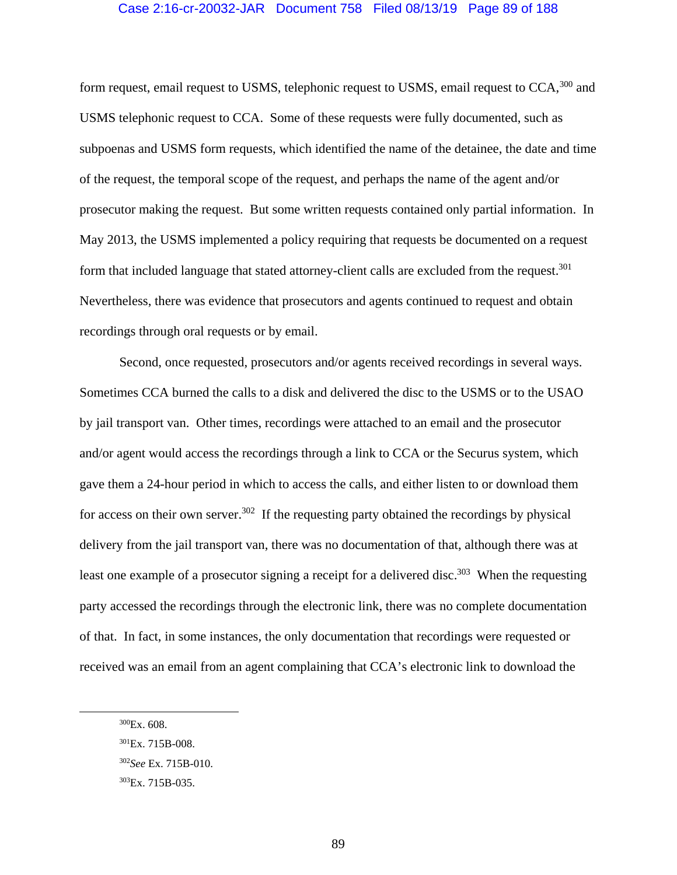#### Case 2:16-cr-20032-JAR Document 758 Filed 08/13/19 Page 89 of 188

form request, email request to USMS, telephonic request to USMS, email request to CCA,<sup>300</sup> and USMS telephonic request to CCA. Some of these requests were fully documented, such as subpoenas and USMS form requests, which identified the name of the detainee, the date and time of the request, the temporal scope of the request, and perhaps the name of the agent and/or prosecutor making the request. But some written requests contained only partial information. In May 2013, the USMS implemented a policy requiring that requests be documented on a request form that included language that stated attorney-client calls are excluded from the request.<sup>301</sup> Nevertheless, there was evidence that prosecutors and agents continued to request and obtain recordings through oral requests or by email.

Second, once requested, prosecutors and/or agents received recordings in several ways. Sometimes CCA burned the calls to a disk and delivered the disc to the USMS or to the USAO by jail transport van. Other times, recordings were attached to an email and the prosecutor and/or agent would access the recordings through a link to CCA or the Securus system, which gave them a 24-hour period in which to access the calls, and either listen to or download them for access on their own server.<sup>302</sup> If the requesting party obtained the recordings by physical delivery from the jail transport van, there was no documentation of that, although there was at least one example of a prosecutor signing a receipt for a delivered disc.<sup>303</sup> When the requesting party accessed the recordings through the electronic link, there was no complete documentation of that. In fact, in some instances, the only documentation that recordings were requested or received was an email from an agent complaining that CCA's electronic link to download the

 $300$ Ex. 608.

<sup>301</sup>Ex. 715B-008.

<sup>302</sup>*See* Ex. 715B-010.

<sup>303</sup>Ex. 715B-035.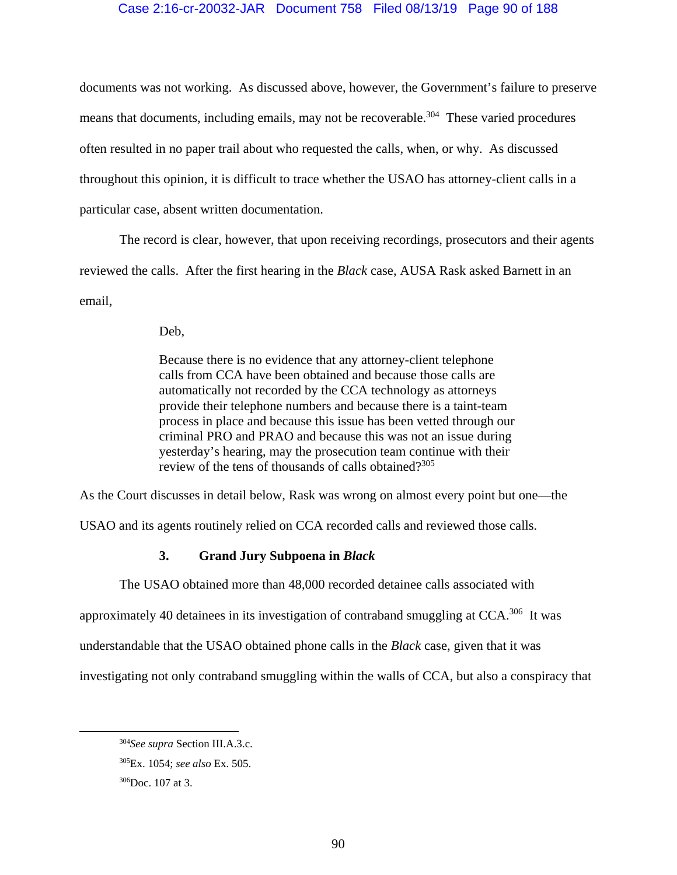## Case 2:16-cr-20032-JAR Document 758 Filed 08/13/19 Page 90 of 188

documents was not working. As discussed above, however, the Government's failure to preserve means that documents, including emails, may not be recoverable.<sup>304</sup> These varied procedures often resulted in no paper trail about who requested the calls, when, or why. As discussed throughout this opinion, it is difficult to trace whether the USAO has attorney-client calls in a particular case, absent written documentation.

The record is clear, however, that upon receiving recordings, prosecutors and their agents reviewed the calls. After the first hearing in the *Black* case, AUSA Rask asked Barnett in an email,

Deb,

Because there is no evidence that any attorney-client telephone calls from CCA have been obtained and because those calls are automatically not recorded by the CCA technology as attorneys provide their telephone numbers and because there is a taint-team process in place and because this issue has been vetted through our criminal PRO and PRAO and because this was not an issue during yesterday's hearing, may the prosecution team continue with their review of the tens of thousands of calls obtained?<sup>305</sup>

As the Court discusses in detail below, Rask was wrong on almost every point but one—the

USAO and its agents routinely relied on CCA recorded calls and reviewed those calls.

# **3. Grand Jury Subpoena in** *Black*

The USAO obtained more than 48,000 recorded detainee calls associated with

approximately 40 detainees in its investigation of contraband smuggling at CCA.306 It was

understandable that the USAO obtained phone calls in the *Black* case, given that it was

investigating not only contraband smuggling within the walls of CCA, but also a conspiracy that

 <sup>304</sup>*See supra* Section III.A.3.c.

<sup>305</sup>Ex. 1054; *see also* Ex. 505.

<sup>306</sup>Doc. 107 at 3.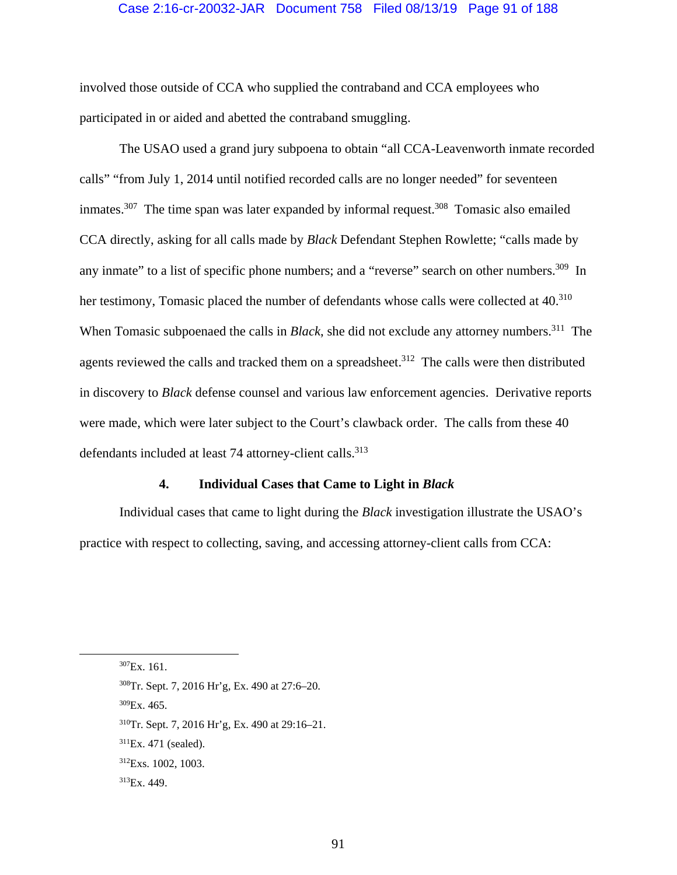### Case 2:16-cr-20032-JAR Document 758 Filed 08/13/19 Page 91 of 188

involved those outside of CCA who supplied the contraband and CCA employees who participated in or aided and abetted the contraband smuggling.

The USAO used a grand jury subpoena to obtain "all CCA-Leavenworth inmate recorded calls" "from July 1, 2014 until notified recorded calls are no longer needed" for seventeen inmates.<sup>307</sup> The time span was later expanded by informal request.<sup>308</sup> Tomasic also emailed CCA directly, asking for all calls made by *Black* Defendant Stephen Rowlette; "calls made by any inmate" to a list of specific phone numbers; and a "reverse" search on other numbers.<sup>309</sup> In her testimony, Tomasic placed the number of defendants whose calls were collected at 40.<sup>310</sup> When Tomasic subpoenaed the calls in *Black*, she did not exclude any attorney numbers.<sup>311</sup> The agents reviewed the calls and tracked them on a spreadsheet.<sup>312</sup> The calls were then distributed in discovery to *Black* defense counsel and various law enforcement agencies. Derivative reports were made, which were later subject to the Court's clawback order. The calls from these 40 defendants included at least 74 attorney-client calls.<sup>313</sup>

## **4. Individual Cases that Came to Light in** *Black*

Individual cases that came to light during the *Black* investigation illustrate the USAO's practice with respect to collecting, saving, and accessing attorney-client calls from CCA:

 <sup>307</sup>Ex. 161.

<sup>308</sup>Tr. Sept. 7, 2016 Hr'g, Ex. 490 at 27:6–20.

 $309$ Ex. 465.

<sup>310</sup>Tr. Sept. 7, 2016 Hr'g, Ex. 490 at 29:16–21.

<sup>311</sup>Ex. 471 (sealed).

<sup>312</sup>Exs. 1002, 1003.

<sup>313</sup>Ex. 449.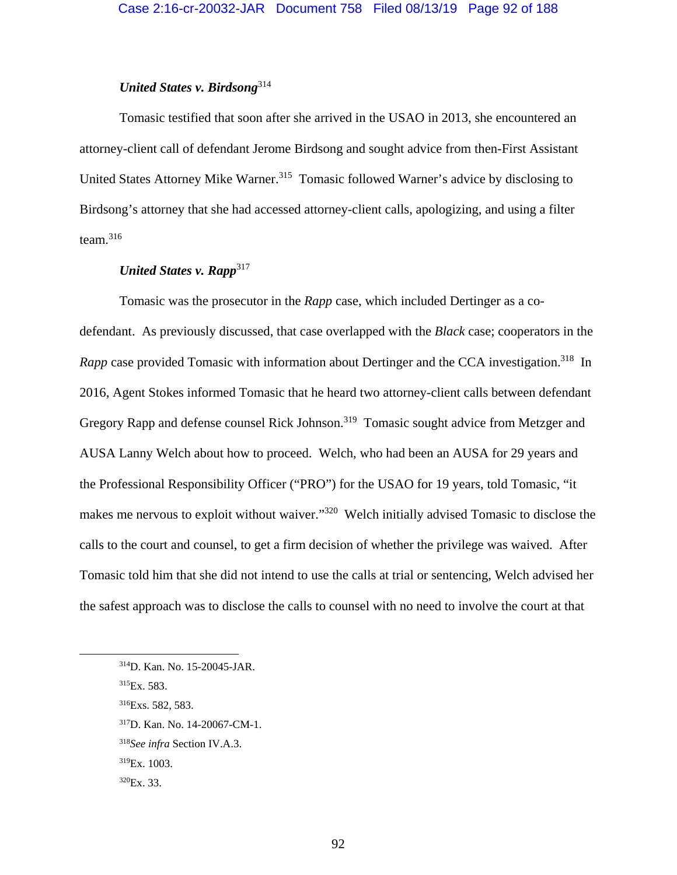# *United States v. Birdsong*<sup>314</sup>

Tomasic testified that soon after she arrived in the USAO in 2013, she encountered an attorney-client call of defendant Jerome Birdsong and sought advice from then-First Assistant United States Attorney Mike Warner.<sup>315</sup> Tomasic followed Warner's advice by disclosing to Birdsong's attorney that she had accessed attorney-client calls, apologizing, and using a filter team.<sup>316</sup>

# *United States v. Rapp*<sup>317</sup>

Tomasic was the prosecutor in the *Rapp* case, which included Dertinger as a codefendant. As previously discussed, that case overlapped with the *Black* case; cooperators in the *Rapp* case provided Tomasic with information about Dertinger and the CCA investigation.<sup>318</sup> In 2016, Agent Stokes informed Tomasic that he heard two attorney-client calls between defendant Gregory Rapp and defense counsel Rick Johnson.<sup>319</sup> Tomasic sought advice from Metzger and AUSA Lanny Welch about how to proceed. Welch, who had been an AUSA for 29 years and the Professional Responsibility Officer ("PRO") for the USAO for 19 years, told Tomasic, "it makes me nervous to exploit without waiver."<sup>320</sup> Welch initially advised Tomasic to disclose the calls to the court and counsel, to get a firm decision of whether the privilege was waived. After Tomasic told him that she did not intend to use the calls at trial or sentencing, Welch advised her the safest approach was to disclose the calls to counsel with no need to involve the court at that

 <sup>314</sup>D. Kan. No. 15-20045-JAR.

<sup>315</sup>Ex. 583.

<sup>316</sup>Exs. 582, 583.

<sup>317</sup>D. Kan. No. 14-20067-CM-1.

<sup>318</sup>*See infra* Section IV.A.3.

<sup>319</sup>Ex. 1003.

 $320Ex.33.$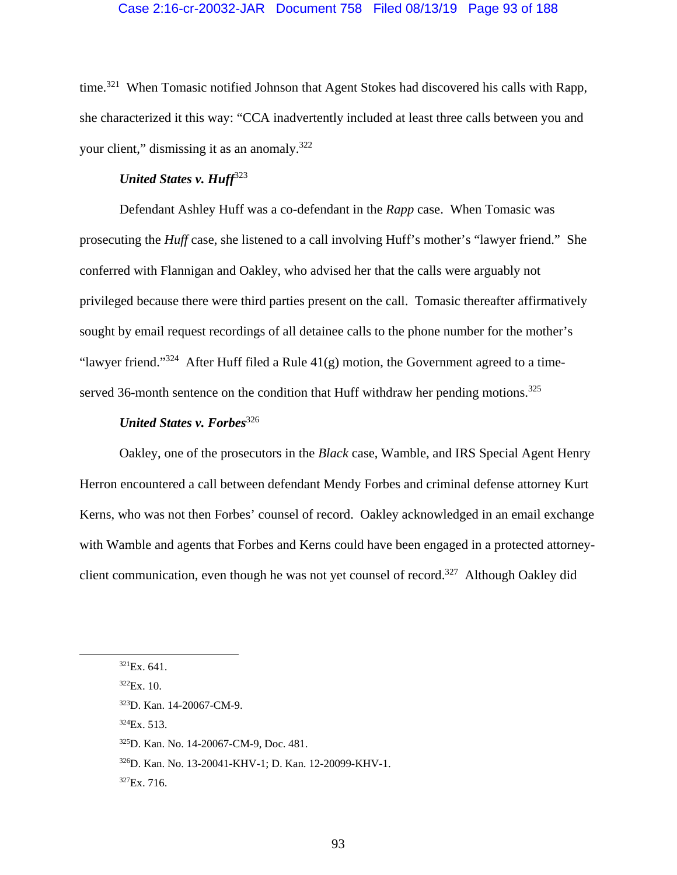### Case 2:16-cr-20032-JAR Document 758 Filed 08/13/19 Page 93 of 188

time.<sup>321</sup> When Tomasic notified Johnson that Agent Stokes had discovered his calls with Rapp, she characterized it this way: "CCA inadvertently included at least three calls between you and your client," dismissing it as an anomaly.<sup>322</sup>

# *United States v. Huff*<sup>323</sup>

Defendant Ashley Huff was a co-defendant in the *Rapp* case. When Tomasic was prosecuting the *Huff* case, she listened to a call involving Huff's mother's "lawyer friend." She conferred with Flannigan and Oakley, who advised her that the calls were arguably not privileged because there were third parties present on the call. Tomasic thereafter affirmatively sought by email request recordings of all detainee calls to the phone number for the mother's "lawyer friend."<sup>324</sup> After Huff filed a Rule  $41(g)$  motion, the Government agreed to a timeserved 36-month sentence on the condition that Huff withdraw her pending motions.<sup>325</sup>

# *United States v. Forbes*<sup>326</sup>

Oakley, one of the prosecutors in the *Black* case, Wamble, and IRS Special Agent Henry Herron encountered a call between defendant Mendy Forbes and criminal defense attorney Kurt Kerns, who was not then Forbes' counsel of record. Oakley acknowledged in an email exchange with Wamble and agents that Forbes and Kerns could have been engaged in a protected attorneyclient communication, even though he was not yet counsel of record.<sup>327</sup> Although Oakley did

 $324Ex. 513.$ 

 $321Ex. 641.$ 

 $322Ex. 10.$ 

<sup>323</sup>D. Kan. 14-20067-CM-9.

<sup>325</sup>D. Kan. No. 14-20067-CM-9, Doc. 481.

<sup>326</sup>D. Kan. No. 13-20041-KHV-1; D. Kan. 12-20099-KHV-1.

 $327Ex.716.$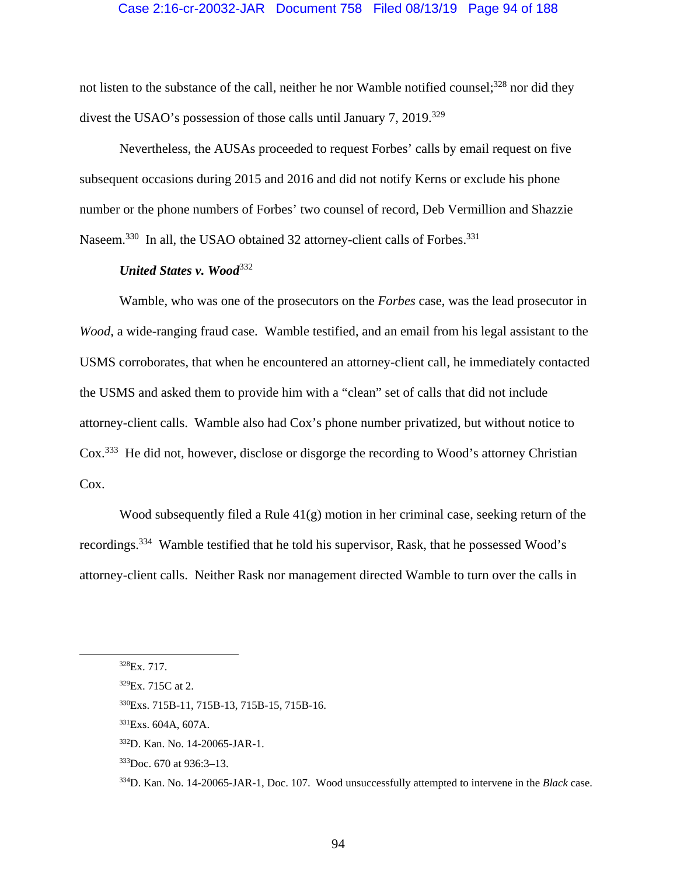### Case 2:16-cr-20032-JAR Document 758 Filed 08/13/19 Page 94 of 188

not listen to the substance of the call, neither he nor Wamble notified counsel;<sup>328</sup> nor did they divest the USAO's possession of those calls until January 7, 2019.<sup>329</sup>

Nevertheless, the AUSAs proceeded to request Forbes' calls by email request on five subsequent occasions during 2015 and 2016 and did not notify Kerns or exclude his phone number or the phone numbers of Forbes' two counsel of record, Deb Vermillion and Shazzie Naseem.<sup>330</sup> In all, the USAO obtained 32 attorney-client calls of Forbes.<sup>331</sup>

## *United States v. Wood*<sup>332</sup>

Wamble, who was one of the prosecutors on the *Forbes* case, was the lead prosecutor in *Wood*, a wide-ranging fraud case. Wamble testified, and an email from his legal assistant to the USMS corroborates, that when he encountered an attorney-client call, he immediately contacted the USMS and asked them to provide him with a "clean" set of calls that did not include attorney-client calls. Wamble also had Cox's phone number privatized, but without notice to Cox.333 He did not, however, disclose or disgorge the recording to Wood's attorney Christian Cox.

Wood subsequently filed a Rule 41(g) motion in her criminal case, seeking return of the recordings.334 Wamble testified that he told his supervisor, Rask, that he possessed Wood's attorney-client calls. Neither Rask nor management directed Wamble to turn over the calls in

 <sup>328</sup>Ex. 717.

<sup>329</sup>Ex. 715C at 2.

<sup>330</sup>Exs. 715B-11, 715B-13, 715B-15, 715B-16.

<sup>331</sup>Exs. 604A, 607A.

<sup>332</sup>D. Kan. No. 14-20065-JAR-1.

<sup>333</sup> Doc. 670 at 936:3-13.

<sup>334</sup>D. Kan. No. 14-20065-JAR-1, Doc. 107. Wood unsuccessfully attempted to intervene in the *Black* case.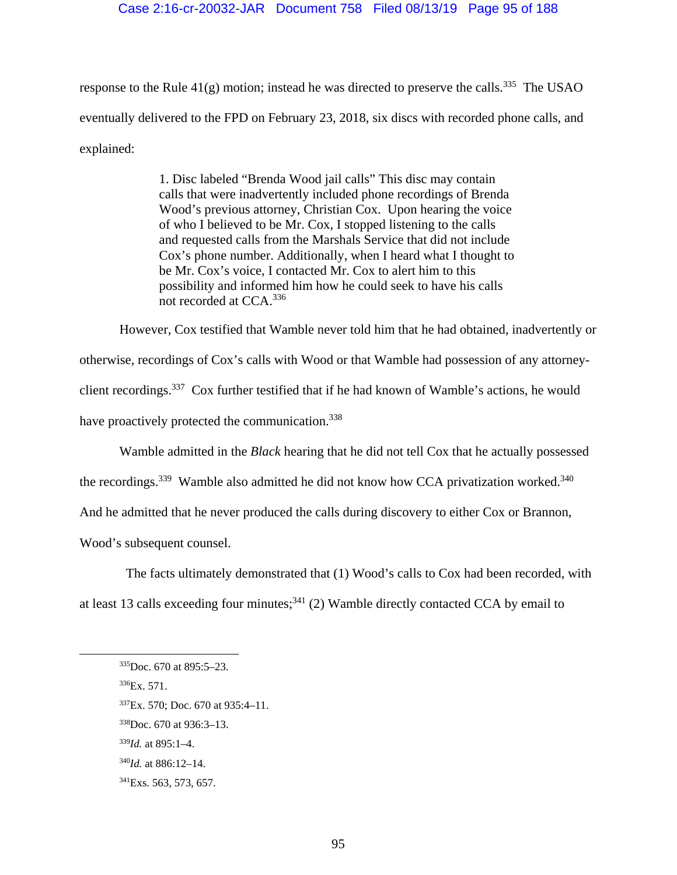response to the Rule  $41(g)$  motion; instead he was directed to preserve the calls.<sup>335</sup> The USAO eventually delivered to the FPD on February 23, 2018, six discs with recorded phone calls, and explained:

> 1. Disc labeled "Brenda Wood jail calls" This disc may contain calls that were inadvertently included phone recordings of Brenda Wood's previous attorney, Christian Cox. Upon hearing the voice of who I believed to be Mr. Cox, I stopped listening to the calls and requested calls from the Marshals Service that did not include Cox's phone number. Additionally, when I heard what I thought to be Mr. Cox's voice, I contacted Mr. Cox to alert him to this possibility and informed him how he could seek to have his calls not recorded at CCA.<sup>336</sup>

However, Cox testified that Wamble never told him that he had obtained, inadvertently or otherwise, recordings of Cox's calls with Wood or that Wamble had possession of any attorneyclient recordings.<sup>337</sup> Cox further testified that if he had known of Wamble's actions, he would have proactively protected the communication.<sup>338</sup>

Wamble admitted in the *Black* hearing that he did not tell Cox that he actually possessed

the recordings.<sup>339</sup> Wamble also admitted he did not know how CCA privatization worked.<sup>340</sup>

And he admitted that he never produced the calls during discovery to either Cox or Brannon,

Wood's subsequent counsel.

The facts ultimately demonstrated that (1) Wood's calls to Cox had been recorded, with

at least 13 calls exceeding four minutes;  $341$  (2) Wamble directly contacted CCA by email to

 $336Ex. 571.$ 

 <sup>335</sup>Doc. 670 at 895:5–23.

<sup>337</sup>Ex. 570; Doc. 670 at 935:4–11.

<sup>338</sup>Doc. 670 at 936:3–13.

<sup>339</sup>*Id.* at 895:1–4.

<sup>340</sup>*Id.* at 886:12–14.

<sup>341</sup>Exs. 563, 573, 657.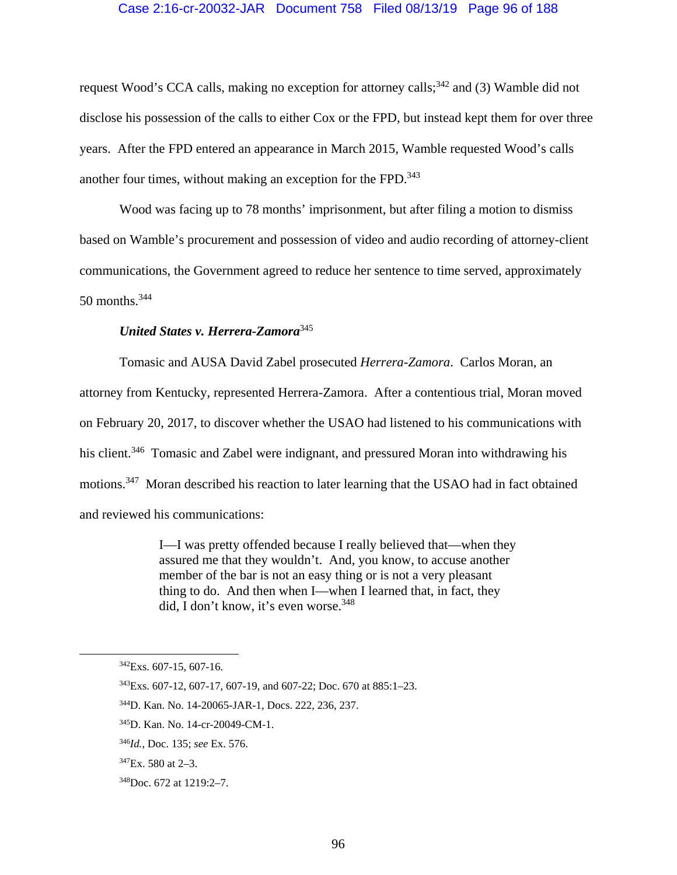#### Case 2:16-cr-20032-JAR Document 758 Filed 08/13/19 Page 96 of 188

request Wood's CCA calls, making no exception for attorney calls;<sup>342</sup> and (3) Wamble did not disclose his possession of the calls to either Cox or the FPD, but instead kept them for over three years. After the FPD entered an appearance in March 2015, Wamble requested Wood's calls another four times, without making an exception for the FPD.<sup>343</sup>

Wood was facing up to 78 months' imprisonment, but after filing a motion to dismiss based on Wamble's procurement and possession of video and audio recording of attorney-client communications, the Government agreed to reduce her sentence to time served, approximately 50 months.<sup>344</sup>

# *United States v. Herrera-Zamora*345

Tomasic and AUSA David Zabel prosecuted *Herrera-Zamora*. Carlos Moran, an attorney from Kentucky, represented Herrera-Zamora. After a contentious trial, Moran moved on February 20, 2017, to discover whether the USAO had listened to his communications with his client.<sup>346</sup> Tomasic and Zabel were indignant, and pressured Moran into withdrawing his motions.<sup>347</sup> Moran described his reaction to later learning that the USAO had in fact obtained and reviewed his communications:

> I—I was pretty offended because I really believed that—when they assured me that they wouldn't. And, you know, to accuse another member of the bar is not an easy thing or is not a very pleasant thing to do. And then when I—when I learned that, in fact, they did, I don't know, it's even worse.<sup>348</sup>

 <sup>342</sup>Exs. 607-15, 607-16.

<sup>343</sup>Exs. 607-12, 607-17, 607-19, and 607-22; Doc. 670 at 885:1–23.

<sup>344</sup>D. Kan. No. 14-20065-JAR-1, Docs. 222, 236, 237.

<sup>345</sup>D. Kan. No. 14-cr-20049-CM-1.

<sup>346</sup>*Id.*, Doc. 135; *see* Ex. 576.

 $347Ex. 580$  at 2-3.

<sup>348</sup>Doc. 672 at 1219:2–7.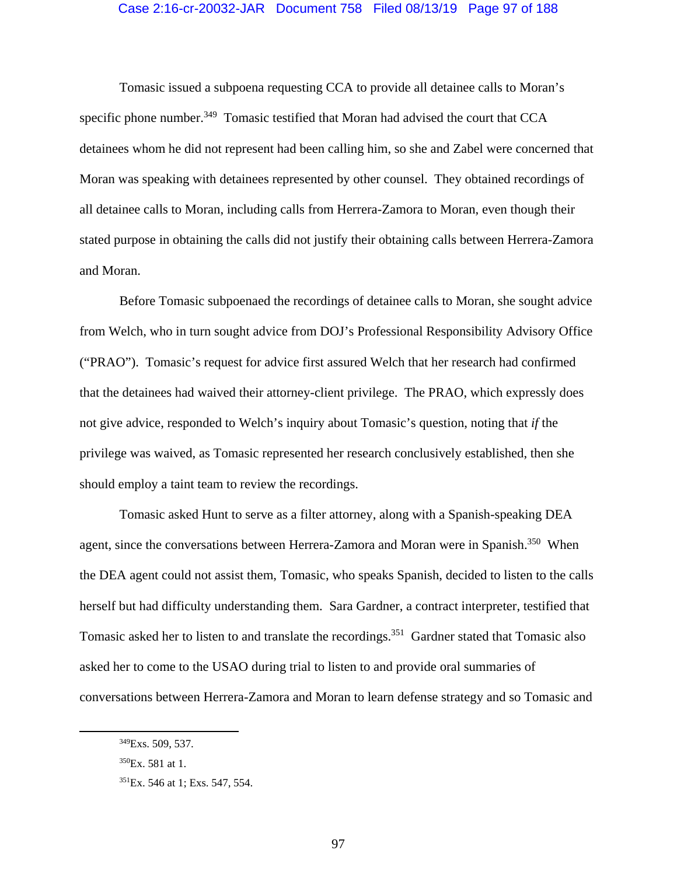#### Case 2:16-cr-20032-JAR Document 758 Filed 08/13/19 Page 97 of 188

 Tomasic issued a subpoena requesting CCA to provide all detainee calls to Moran's specific phone number.<sup>349</sup> Tomasic testified that Moran had advised the court that CCA detainees whom he did not represent had been calling him, so she and Zabel were concerned that Moran was speaking with detainees represented by other counsel. They obtained recordings of all detainee calls to Moran, including calls from Herrera-Zamora to Moran, even though their stated purpose in obtaining the calls did not justify their obtaining calls between Herrera-Zamora and Moran.

Before Tomasic subpoenaed the recordings of detainee calls to Moran, she sought advice from Welch, who in turn sought advice from DOJ's Professional Responsibility Advisory Office ("PRAO"). Tomasic's request for advice first assured Welch that her research had confirmed that the detainees had waived their attorney-client privilege. The PRAO, which expressly does not give advice, responded to Welch's inquiry about Tomasic's question, noting that *if* the privilege was waived, as Tomasic represented her research conclusively established, then she should employ a taint team to review the recordings.

 Tomasic asked Hunt to serve as a filter attorney, along with a Spanish-speaking DEA agent, since the conversations between Herrera-Zamora and Moran were in Spanish.<sup>350</sup> When the DEA agent could not assist them, Tomasic, who speaks Spanish, decided to listen to the calls herself but had difficulty understanding them. Sara Gardner, a contract interpreter, testified that Tomasic asked her to listen to and translate the recordings.<sup>351</sup> Gardner stated that Tomasic also asked her to come to the USAO during trial to listen to and provide oral summaries of conversations between Herrera-Zamora and Moran to learn defense strategy and so Tomasic and

 <sup>349</sup>Exs. 509, 537.

 $350$ Ex. 581 at 1.

<sup>351</sup>Ex. 546 at 1; Exs. 547, 554.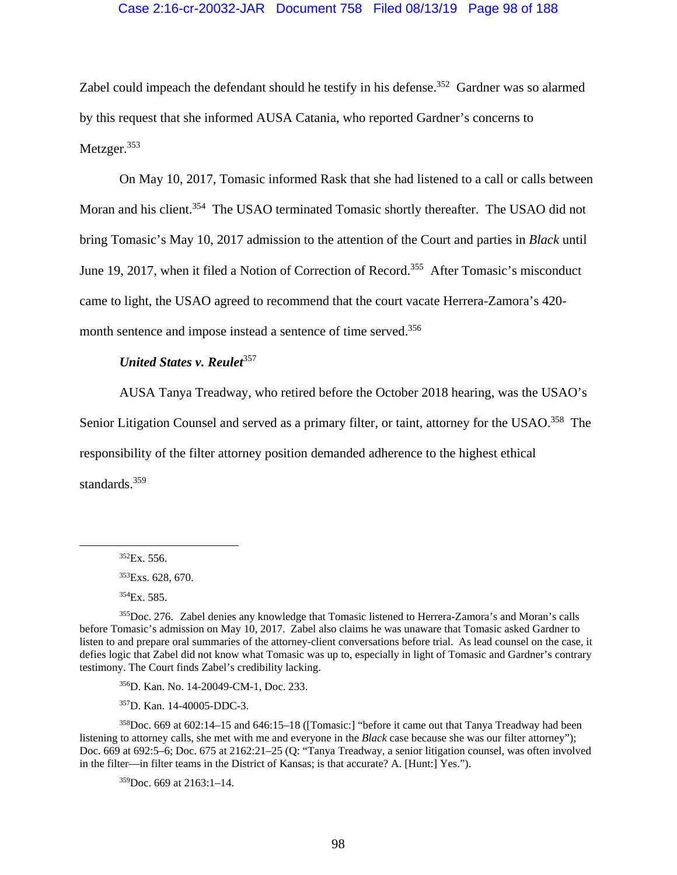## Case 2:16-cr-20032-JAR Document 758 Filed 08/13/19 Page 98 of 188

Zabel could impeach the defendant should he testify in his defense.<sup>352</sup> Gardner was so alarmed by this request that she informed AUSA Catania, who reported Gardner's concerns to Metzger.<sup>353</sup>

On May 10, 2017, Tomasic informed Rask that she had listened to a call or calls between Moran and his client.<sup>354</sup> The USAO terminated Tomasic shortly thereafter. The USAO did not bring Tomasic's May 10, 2017 admission to the attention of the Court and parties in *Black* until June 19, 2017, when it filed a Notion of Correction of Record.<sup>355</sup> After Tomasic's misconduct came to light, the USAO agreed to recommend that the court vacate Herrera-Zamora's 420 month sentence and impose instead a sentence of time served.<sup>356</sup>

# *United States v. Reulet*<sup>357</sup>

AUSA Tanya Treadway, who retired before the October 2018 hearing, was the USAO's

Senior Litigation Counsel and served as a primary filter, or taint, attorney for the USAO.<sup>358</sup> The

responsibility of the filter attorney position demanded adherence to the highest ethical

standards.<sup>359</sup>

354Ex. 585.

356D. Kan. No. 14-20049-CM-1, Doc. 233.

357D. Kan. 14-40005-DDC-3.

358Doc. 669 at 602:14–15 and 646:15–18 ([Tomasic:] "before it came out that Tanya Treadway had been listening to attorney calls, she met with me and everyone in the *Black* case because she was our filter attorney"); Doc. 669 at 692:5–6; Doc. 675 at 2162:21–25 (Q: "Tanya Treadway, a senior litigation counsel, was often involved in the filter—in filter teams in the District of Kansas; is that accurate? A. [Hunt:] Yes.").

 $359$ Doc. 669 at 2163:1-14.

 $352Ex. 556.$ 

<sup>&</sup>lt;sup>353</sup>Exs. 628, 670.

<sup>355</sup>Doc. 276. Zabel denies any knowledge that Tomasic listened to Herrera-Zamora's and Moran's calls before Tomasic's admission on May 10, 2017. Zabel also claims he was unaware that Tomasic asked Gardner to listen to and prepare oral summaries of the attorney-client conversations before trial. As lead counsel on the case, it defies logic that Zabel did not know what Tomasic was up to, especially in light of Tomasic and Gardner's contrary testimony. The Court finds Zabel's credibility lacking.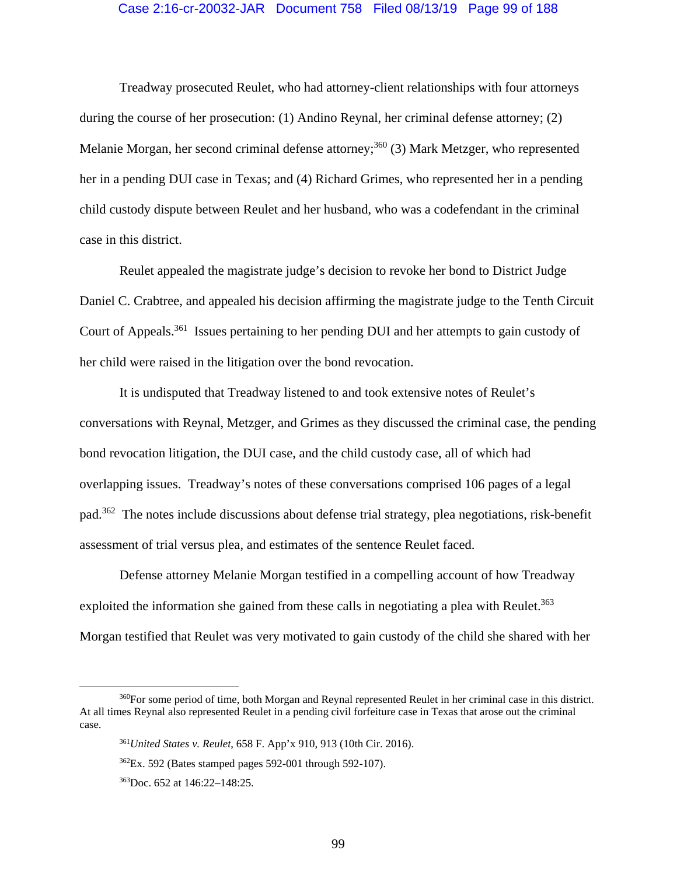#### Case 2:16-cr-20032-JAR Document 758 Filed 08/13/19 Page 99 of 188

Treadway prosecuted Reulet, who had attorney-client relationships with four attorneys during the course of her prosecution: (1) Andino Reynal, her criminal defense attorney; (2) Melanie Morgan, her second criminal defense attorney;<sup>360</sup> (3) Mark Metzger, who represented her in a pending DUI case in Texas; and (4) Richard Grimes, who represented her in a pending child custody dispute between Reulet and her husband, who was a codefendant in the criminal case in this district.

Reulet appealed the magistrate judge's decision to revoke her bond to District Judge Daniel C. Crabtree, and appealed his decision affirming the magistrate judge to the Tenth Circuit Court of Appeals.<sup>361</sup> Issues pertaining to her pending DUI and her attempts to gain custody of her child were raised in the litigation over the bond revocation.

It is undisputed that Treadway listened to and took extensive notes of Reulet's conversations with Reynal, Metzger, and Grimes as they discussed the criminal case, the pending bond revocation litigation, the DUI case, and the child custody case, all of which had overlapping issues. Treadway's notes of these conversations comprised 106 pages of a legal pad.362 The notes include discussions about defense trial strategy, plea negotiations, risk-benefit assessment of trial versus plea, and estimates of the sentence Reulet faced.

Defense attorney Melanie Morgan testified in a compelling account of how Treadway exploited the information she gained from these calls in negotiating a plea with Reulet.<sup>363</sup> Morgan testified that Reulet was very motivated to gain custody of the child she shared with her

 <sup>360</sup>For some period of time, both Morgan and Reynal represented Reulet in her criminal case in this district. At all times Reynal also represented Reulet in a pending civil forfeiture case in Texas that arose out the criminal case.

<sup>361</sup>*United States v. Reulet*, 658 F. App'x 910, 913 (10th Cir. 2016).

 $362$ Ex. 592 (Bates stamped pages 592-001 through 592-107).

<sup>363</sup>Doc. 652 at 146:22–148:25.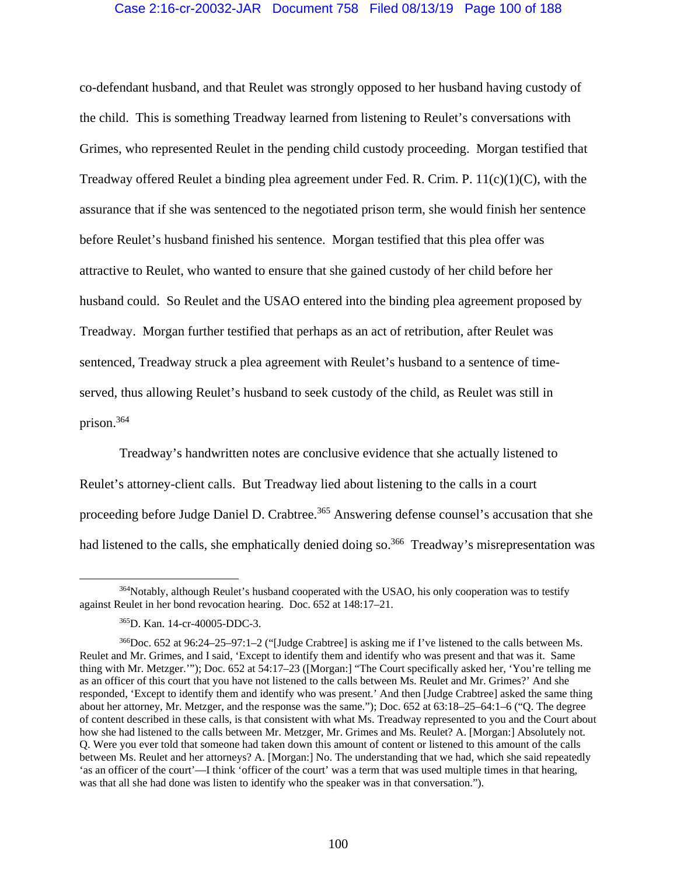## Case 2:16-cr-20032-JAR Document 758 Filed 08/13/19 Page 100 of 188

co-defendant husband, and that Reulet was strongly opposed to her husband having custody of the child. This is something Treadway learned from listening to Reulet's conversations with Grimes, who represented Reulet in the pending child custody proceeding. Morgan testified that Treadway offered Reulet a binding plea agreement under Fed. R. Crim. P. 11(c)(1)(C), with the assurance that if she was sentenced to the negotiated prison term, she would finish her sentence before Reulet's husband finished his sentence. Morgan testified that this plea offer was attractive to Reulet, who wanted to ensure that she gained custody of her child before her husband could. So Reulet and the USAO entered into the binding plea agreement proposed by Treadway. Morgan further testified that perhaps as an act of retribution, after Reulet was sentenced, Treadway struck a plea agreement with Reulet's husband to a sentence of timeserved, thus allowing Reulet's husband to seek custody of the child, as Reulet was still in prison.364

Treadway's handwritten notes are conclusive evidence that she actually listened to Reulet's attorney-client calls. But Treadway lied about listening to the calls in a court proceeding before Judge Daniel D. Crabtree.<sup>365</sup> Answering defense counsel's accusation that she had listened to the calls, she emphatically denied doing so.<sup>366</sup> Treadway's misrepresentation was

<sup>&</sup>lt;sup>364</sup>Notably, although Reulet's husband cooperated with the USAO, his only cooperation was to testify against Reulet in her bond revocation hearing. Doc. 652 at 148:17–21.

<sup>365</sup>D. Kan. 14-cr-40005-DDC-3.

<sup>366</sup>Doc. 652 at 96:24–25–97:1–2 ("[Judge Crabtree] is asking me if I've listened to the calls between Ms. Reulet and Mr. Grimes, and I said, 'Except to identify them and identify who was present and that was it. Same thing with Mr. Metzger.'"); Doc. 652 at 54:17–23 ([Morgan:] "The Court specifically asked her, 'You're telling me as an officer of this court that you have not listened to the calls between Ms. Reulet and Mr. Grimes?' And she responded, 'Except to identify them and identify who was present.' And then [Judge Crabtree] asked the same thing about her attorney, Mr. Metzger, and the response was the same."); Doc. 652 at 63:18–25–64:1–6 ("Q. The degree of content described in these calls, is that consistent with what Ms. Treadway represented to you and the Court about how she had listened to the calls between Mr. Metzger, Mr. Grimes and Ms. Reulet? A. [Morgan:] Absolutely not. Q. Were you ever told that someone had taken down this amount of content or listened to this amount of the calls between Ms. Reulet and her attorneys? A. [Morgan:] No. The understanding that we had, which she said repeatedly 'as an officer of the court'—I think 'officer of the court' was a term that was used multiple times in that hearing, was that all she had done was listen to identify who the speaker was in that conversation.").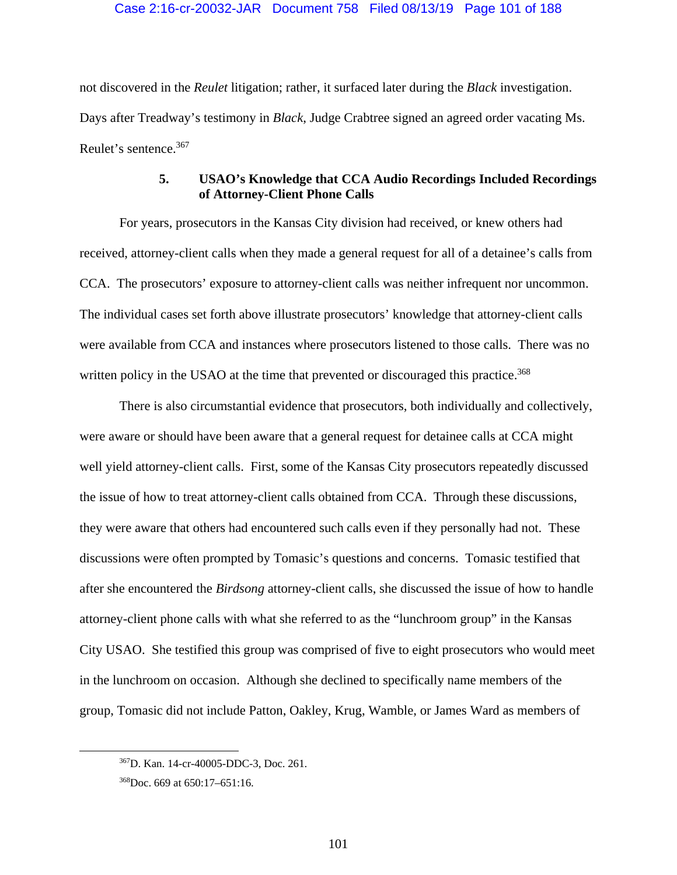not discovered in the *Reulet* litigation; rather, it surfaced later during the *Black* investigation. Days after Treadway's testimony in *Black*, Judge Crabtree signed an agreed order vacating Ms. Reulet's sentence.367

# **5. USAO's Knowledge that CCA Audio Recordings Included Recordings of Attorney-Client Phone Calls**

For years, prosecutors in the Kansas City division had received, or knew others had received, attorney-client calls when they made a general request for all of a detainee's calls from CCA. The prosecutors' exposure to attorney-client calls was neither infrequent nor uncommon. The individual cases set forth above illustrate prosecutors' knowledge that attorney-client calls were available from CCA and instances where prosecutors listened to those calls. There was no written policy in the USAO at the time that prevented or discouraged this practice.<sup>368</sup>

There is also circumstantial evidence that prosecutors, both individually and collectively, were aware or should have been aware that a general request for detainee calls at CCA might well yield attorney-client calls. First, some of the Kansas City prosecutors repeatedly discussed the issue of how to treat attorney-client calls obtained from CCA. Through these discussions, they were aware that others had encountered such calls even if they personally had not. These discussions were often prompted by Tomasic's questions and concerns. Tomasic testified that after she encountered the *Birdsong* attorney-client calls, she discussed the issue of how to handle attorney-client phone calls with what she referred to as the "lunchroom group" in the Kansas City USAO. She testified this group was comprised of five to eight prosecutors who would meet in the lunchroom on occasion. Although she declined to specifically name members of the group, Tomasic did not include Patton, Oakley, Krug, Wamble, or James Ward as members of

 <sup>367</sup>D. Kan. 14-cr-40005-DDC-3, Doc. 261.

<sup>368</sup>Doc. 669 at 650:17–651:16.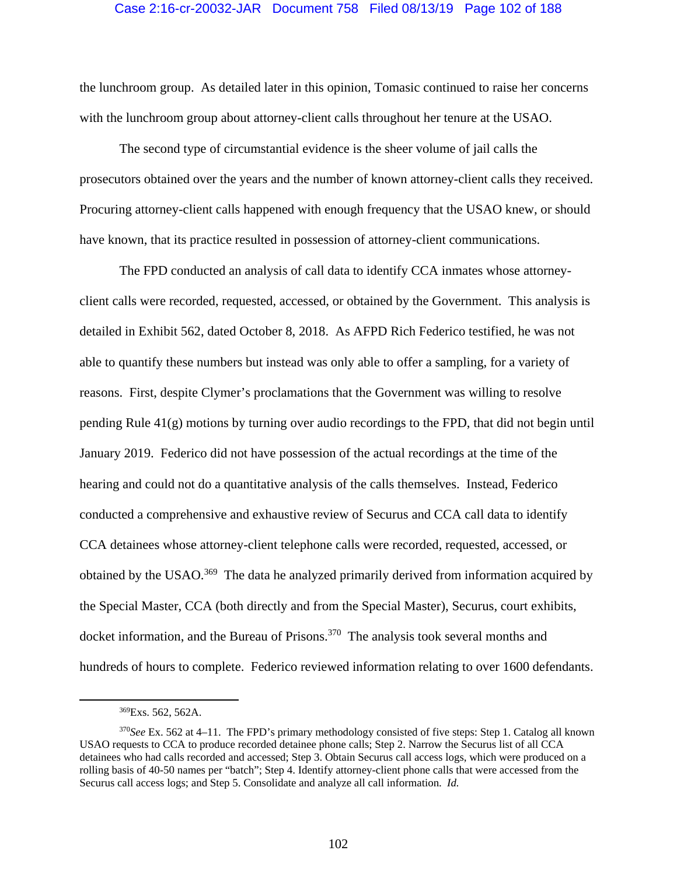## Case 2:16-cr-20032-JAR Document 758 Filed 08/13/19 Page 102 of 188

the lunchroom group. As detailed later in this opinion, Tomasic continued to raise her concerns with the lunchroom group about attorney-client calls throughout her tenure at the USAO.

The second type of circumstantial evidence is the sheer volume of jail calls the prosecutors obtained over the years and the number of known attorney-client calls they received. Procuring attorney-client calls happened with enough frequency that the USAO knew, or should have known, that its practice resulted in possession of attorney-client communications.

The FPD conducted an analysis of call data to identify CCA inmates whose attorneyclient calls were recorded, requested, accessed, or obtained by the Government. This analysis is detailed in Exhibit 562, dated October 8, 2018. As AFPD Rich Federico testified, he was not able to quantify these numbers but instead was only able to offer a sampling, for a variety of reasons. First, despite Clymer's proclamations that the Government was willing to resolve pending Rule 41(g) motions by turning over audio recordings to the FPD, that did not begin until January 2019. Federico did not have possession of the actual recordings at the time of the hearing and could not do a quantitative analysis of the calls themselves. Instead, Federico conducted a comprehensive and exhaustive review of Securus and CCA call data to identify CCA detainees whose attorney-client telephone calls were recorded, requested, accessed, or obtained by the USAO.<sup>369</sup> The data he analyzed primarily derived from information acquired by the Special Master, CCA (both directly and from the Special Master), Securus, court exhibits, docket information, and the Bureau of Prisons.<sup>370</sup> The analysis took several months and hundreds of hours to complete. Federico reviewed information relating to over 1600 defendants.

 <sup>369</sup>Exs. 562, 562A.

<sup>370</sup>*See* Ex. 562 at 4–11. The FPD's primary methodology consisted of five steps: Step 1. Catalog all known USAO requests to CCA to produce recorded detainee phone calls; Step 2. Narrow the Securus list of all CCA detainees who had calls recorded and accessed; Step 3. Obtain Securus call access logs, which were produced on a rolling basis of 40-50 names per "batch"; Step 4. Identify attorney-client phone calls that were accessed from the Securus call access logs; and Step 5. Consolidate and analyze all call information. *Id.*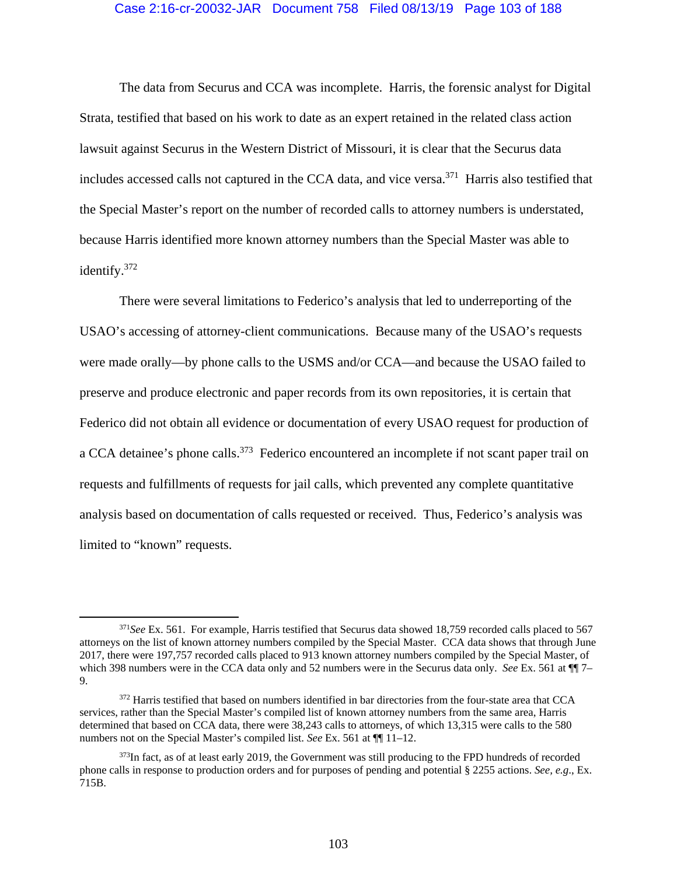### Case 2:16-cr-20032-JAR Document 758 Filed 08/13/19 Page 103 of 188

The data from Securus and CCA was incomplete. Harris, the forensic analyst for Digital Strata, testified that based on his work to date as an expert retained in the related class action lawsuit against Securus in the Western District of Missouri, it is clear that the Securus data includes accessed calls not captured in the CCA data, and vice versa.<sup>371</sup> Harris also testified that the Special Master's report on the number of recorded calls to attorney numbers is understated, because Harris identified more known attorney numbers than the Special Master was able to identify.372

There were several limitations to Federico's analysis that led to underreporting of the USAO's accessing of attorney-client communications. Because many of the USAO's requests were made orally—by phone calls to the USMS and/or CCA—and because the USAO failed to preserve and produce electronic and paper records from its own repositories, it is certain that Federico did not obtain all evidence or documentation of every USAO request for production of a CCA detainee's phone calls.<sup>373</sup> Federico encountered an incomplete if not scant paper trail on requests and fulfillments of requests for jail calls, which prevented any complete quantitative analysis based on documentation of calls requested or received. Thus, Federico's analysis was limited to "known" requests.

 <sup>371</sup>*See* Ex. 561. For example, Harris testified that Securus data showed 18,759 recorded calls placed to 567 attorneys on the list of known attorney numbers compiled by the Special Master. CCA data shows that through June 2017, there were 197,757 recorded calls placed to 913 known attorney numbers compiled by the Special Master, of which 398 numbers were in the CCA data only and 52 numbers were in the Securus data only. *See* Ex. 561 at  $\P$ 7– 9.

<sup>&</sup>lt;sup>372</sup> Harris testified that based on numbers identified in bar directories from the four-state area that CCA services, rather than the Special Master's compiled list of known attorney numbers from the same area, Harris determined that based on CCA data, there were 38,243 calls to attorneys, of which 13,315 were calls to the 580 numbers not on the Special Master's compiled list. *See* Ex. 561 at ¶¶ 11–12.

<sup>&</sup>lt;sup>373</sup>In fact, as of at least early 2019, the Government was still producing to the FPD hundreds of recorded phone calls in response to production orders and for purposes of pending and potential § 2255 actions. *See, e.g*., Ex. 715B.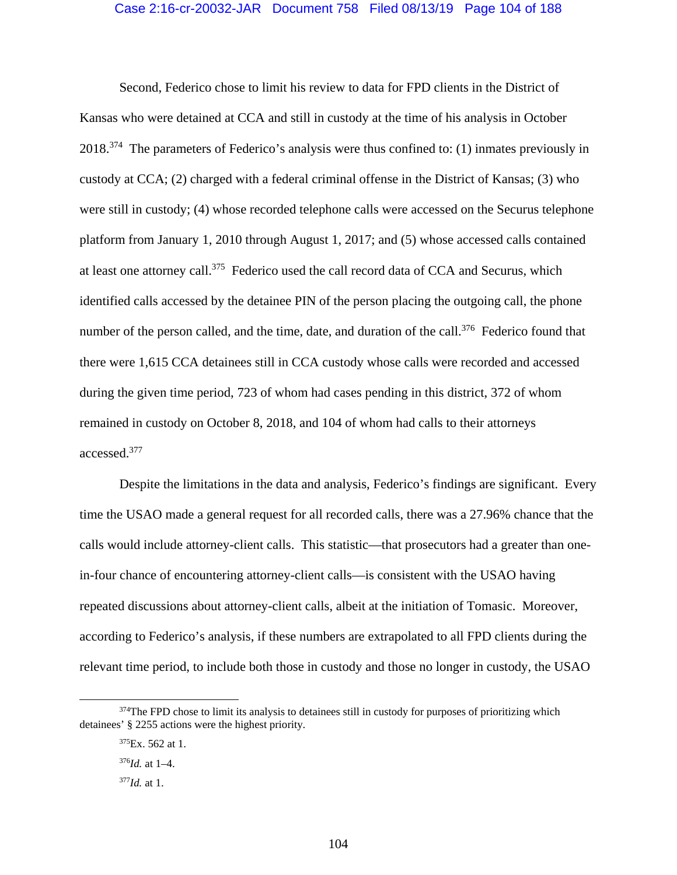### Case 2:16-cr-20032-JAR Document 758 Filed 08/13/19 Page 104 of 188

Second, Federico chose to limit his review to data for FPD clients in the District of Kansas who were detained at CCA and still in custody at the time of his analysis in October 2018.374 The parameters of Federico's analysis were thus confined to: (1) inmates previously in custody at CCA; (2) charged with a federal criminal offense in the District of Kansas; (3) who were still in custody; (4) whose recorded telephone calls were accessed on the Securus telephone platform from January 1, 2010 through August 1, 2017; and (5) whose accessed calls contained at least one attorney call.375 Federico used the call record data of CCA and Securus, which identified calls accessed by the detainee PIN of the person placing the outgoing call, the phone number of the person called, and the time, date, and duration of the call.<sup>376</sup> Federico found that there were 1,615 CCA detainees still in CCA custody whose calls were recorded and accessed during the given time period, 723 of whom had cases pending in this district, 372 of whom remained in custody on October 8, 2018, and 104 of whom had calls to their attorneys accessed.377

Despite the limitations in the data and analysis, Federico's findings are significant. Every time the USAO made a general request for all recorded calls, there was a 27.96% chance that the calls would include attorney-client calls. This statistic—that prosecutors had a greater than onein-four chance of encountering attorney-client calls—is consistent with the USAO having repeated discussions about attorney-client calls, albeit at the initiation of Tomasic. Moreover, according to Federico's analysis, if these numbers are extrapolated to all FPD clients during the relevant time period, to include both those in custody and those no longer in custody, the USAO

<sup>&</sup>lt;sup>374</sup>The FPD chose to limit its analysis to detainees still in custody for purposes of prioritizing which detainees' § 2255 actions were the highest priority.

 $375Ex. 562$  at 1.

<sup>376</sup>*Id.* at 1–4.

<sup>377</sup>*Id.* at 1.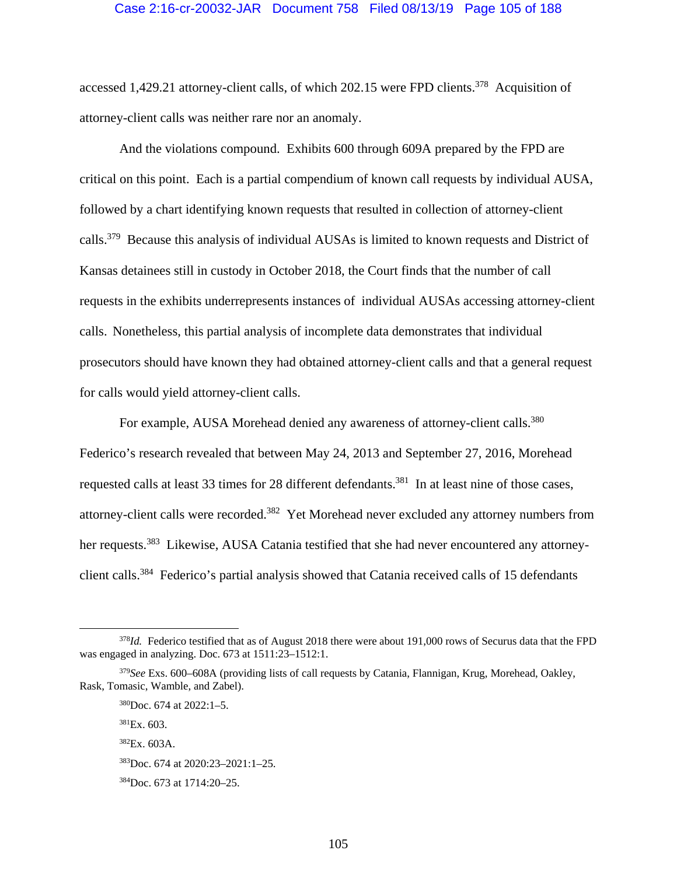### Case 2:16-cr-20032-JAR Document 758 Filed 08/13/19 Page 105 of 188

accessed 1,429.21 attorney-client calls, of which 202.15 were FPD clients.<sup>378</sup> Acquisition of attorney-client calls was neither rare nor an anomaly.

And the violations compound. Exhibits 600 through 609A prepared by the FPD are critical on this point. Each is a partial compendium of known call requests by individual AUSA, followed by a chart identifying known requests that resulted in collection of attorney-client calls.379 Because this analysis of individual AUSAs is limited to known requests and District of Kansas detainees still in custody in October 2018, the Court finds that the number of call requests in the exhibits underrepresents instances of individual AUSAs accessing attorney-client calls. Nonetheless, this partial analysis of incomplete data demonstrates that individual prosecutors should have known they had obtained attorney-client calls and that a general request for calls would yield attorney-client calls.

For example, AUSA Morehead denied any awareness of attorney-client calls.<sup>380</sup> Federico's research revealed that between May 24, 2013 and September 27, 2016, Morehead requested calls at least 33 times for 28 different defendants.<sup>381</sup> In at least nine of those cases, attorney-client calls were recorded.382 Yet Morehead never excluded any attorney numbers from her requests.<sup>383</sup> Likewise, AUSA Catania testified that she had never encountered any attorneyclient calls.384 Federico's partial analysis showed that Catania received calls of 15 defendants

 $381Ex. 603.$ 

 $382Ex. 603A.$ 

 <sup>378</sup>*Id.* Federico testified that as of August 2018 there were about 191,000 rows of Securus data that the FPD was engaged in analyzing. Doc. 673 at 1511:23–1512:1.

<sup>379</sup>*See* Exs. 600–608A (providing lists of call requests by Catania, Flannigan, Krug, Morehead, Oakley, Rask, Tomasic, Wamble, and Zabel).

<sup>380</sup>Doc. 674 at 2022:1–5.

<sup>383</sup>Doc. 674 at 2020:23–2021:1–25.

<sup>384</sup>Doc. 673 at 1714:20–25.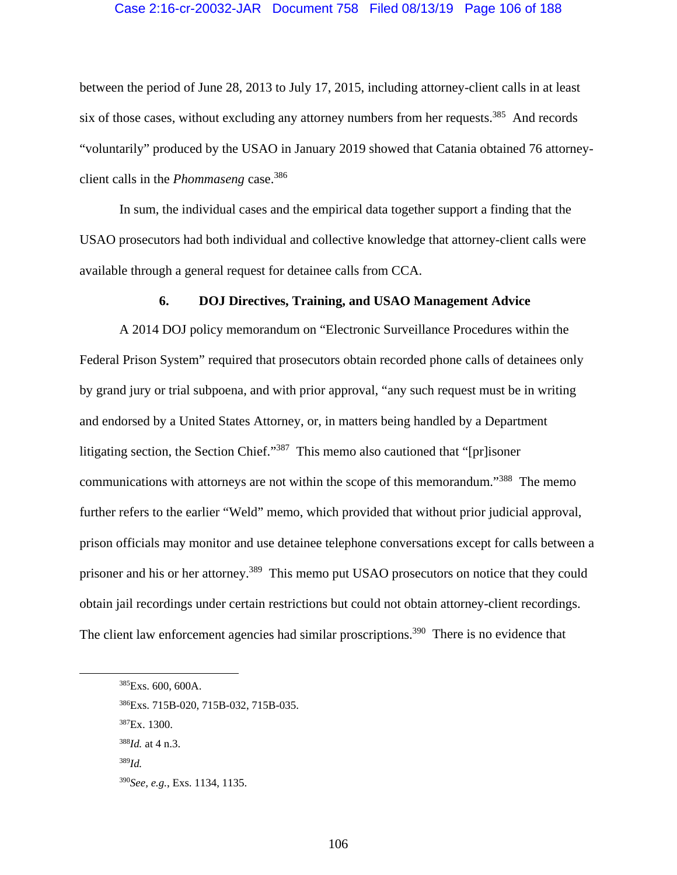### Case 2:16-cr-20032-JAR Document 758 Filed 08/13/19 Page 106 of 188

between the period of June 28, 2013 to July 17, 2015, including attorney-client calls in at least six of those cases, without excluding any attorney numbers from her requests.<sup>385</sup> And records "voluntarily" produced by the USAO in January 2019 showed that Catania obtained 76 attorneyclient calls in the *Phommaseng* case.<sup>386</sup>

In sum, the individual cases and the empirical data together support a finding that the USAO prosecutors had both individual and collective knowledge that attorney-client calls were available through a general request for detainee calls from CCA.

#### **6. DOJ Directives, Training, and USAO Management Advice**

A 2014 DOJ policy memorandum on "Electronic Surveillance Procedures within the Federal Prison System" required that prosecutors obtain recorded phone calls of detainees only by grand jury or trial subpoena, and with prior approval, "any such request must be in writing and endorsed by a United States Attorney, or, in matters being handled by a Department litigating section, the Section Chief."387 This memo also cautioned that "[pr]isoner communications with attorneys are not within the scope of this memorandum."<sup>388</sup> The memo further refers to the earlier "Weld" memo, which provided that without prior judicial approval, prison officials may monitor and use detainee telephone conversations except for calls between a prisoner and his or her attorney.<sup>389</sup> This memo put USAO prosecutors on notice that they could obtain jail recordings under certain restrictions but could not obtain attorney-client recordings. The client law enforcement agencies had similar proscriptions.<sup>390</sup> There is no evidence that

 <sup>385</sup>Exs. 600, 600A.

<sup>386</sup>Exs. 715B-020, 715B-032, 715B-035.

<sup>387</sup>Ex. 1300.

<sup>388</sup>*Id.* at 4 n.3.

<sup>389</sup>*Id.*

<sup>390</sup>*See, e.g.*, Exs. 1134, 1135.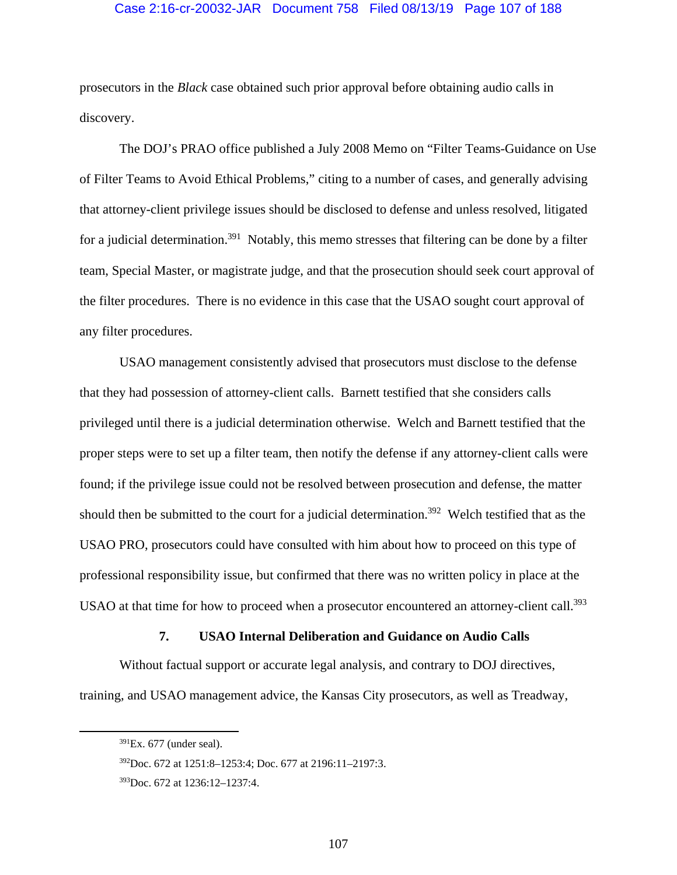## Case 2:16-cr-20032-JAR Document 758 Filed 08/13/19 Page 107 of 188

prosecutors in the *Black* case obtained such prior approval before obtaining audio calls in discovery.

The DOJ's PRAO office published a July 2008 Memo on "Filter Teams-Guidance on Use of Filter Teams to Avoid Ethical Problems," citing to a number of cases, and generally advising that attorney-client privilege issues should be disclosed to defense and unless resolved, litigated for a judicial determination.<sup>391</sup> Notably, this memo stresses that filtering can be done by a filter team, Special Master, or magistrate judge, and that the prosecution should seek court approval of the filter procedures. There is no evidence in this case that the USAO sought court approval of any filter procedures.

USAO management consistently advised that prosecutors must disclose to the defense that they had possession of attorney-client calls. Barnett testified that she considers calls privileged until there is a judicial determination otherwise. Welch and Barnett testified that the proper steps were to set up a filter team, then notify the defense if any attorney-client calls were found; if the privilege issue could not be resolved between prosecution and defense, the matter should then be submitted to the court for a judicial determination.<sup>392</sup> Welch testified that as the USAO PRO, prosecutors could have consulted with him about how to proceed on this type of professional responsibility issue, but confirmed that there was no written policy in place at the USAO at that time for how to proceed when a prosecutor encountered an attorney-client call.<sup>393</sup>

### **7. USAO Internal Deliberation and Guidance on Audio Calls**

Without factual support or accurate legal analysis, and contrary to DOJ directives, training, and USAO management advice, the Kansas City prosecutors, as well as Treadway,

 $391Ex. 677$  (under seal).

<sup>392</sup>Doc. 672 at 1251:8–1253:4; Doc. 677 at 2196:11–2197:3.

<sup>393</sup>Doc. 672 at 1236:12–1237:4.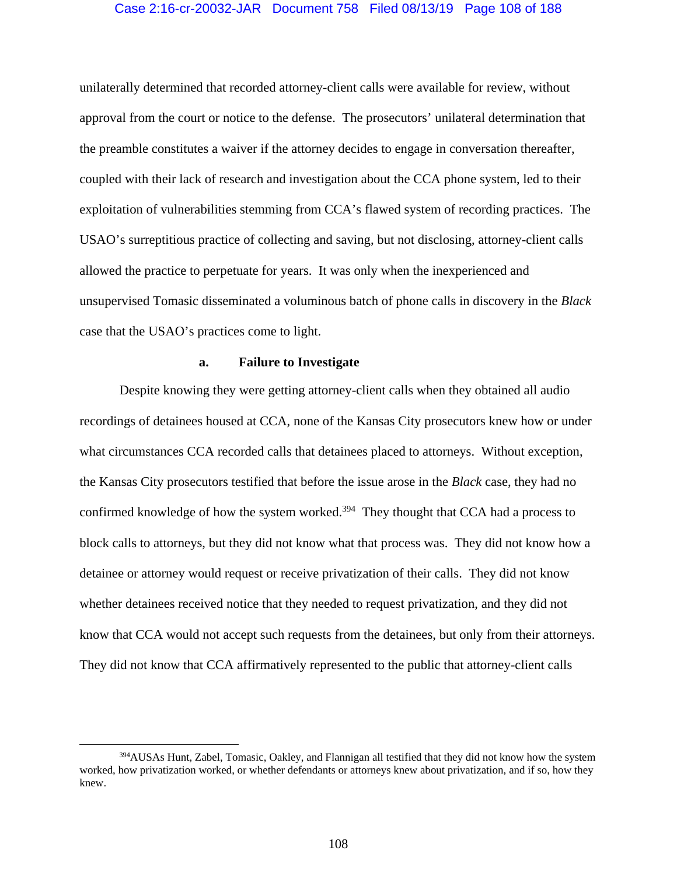## Case 2:16-cr-20032-JAR Document 758 Filed 08/13/19 Page 108 of 188

unilaterally determined that recorded attorney-client calls were available for review, without approval from the court or notice to the defense. The prosecutors' unilateral determination that the preamble constitutes a waiver if the attorney decides to engage in conversation thereafter, coupled with their lack of research and investigation about the CCA phone system, led to their exploitation of vulnerabilities stemming from CCA's flawed system of recording practices. The USAO's surreptitious practice of collecting and saving, but not disclosing, attorney-client calls allowed the practice to perpetuate for years. It was only when the inexperienced and unsupervised Tomasic disseminated a voluminous batch of phone calls in discovery in the *Black* case that the USAO's practices come to light.

### **a. Failure to Investigate**

Despite knowing they were getting attorney-client calls when they obtained all audio recordings of detainees housed at CCA, none of the Kansas City prosecutors knew how or under what circumstances CCA recorded calls that detainees placed to attorneys. Without exception, the Kansas City prosecutors testified that before the issue arose in the *Black* case, they had no confirmed knowledge of how the system worked.<sup>394</sup> They thought that CCA had a process to block calls to attorneys, but they did not know what that process was. They did not know how a detainee or attorney would request or receive privatization of their calls. They did not know whether detainees received notice that they needed to request privatization, and they did not know that CCA would not accept such requests from the detainees, but only from their attorneys. They did not know that CCA affirmatively represented to the public that attorney-client calls

 <sup>394</sup>AUSAs Hunt, Zabel, Tomasic, Oakley, and Flannigan all testified that they did not know how the system worked, how privatization worked, or whether defendants or attorneys knew about privatization, and if so, how they knew.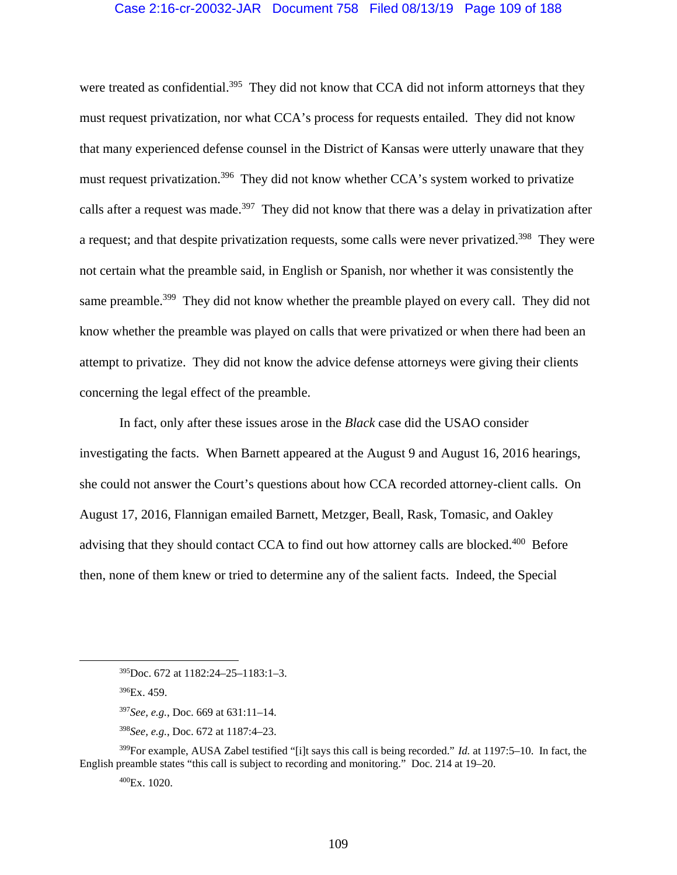## Case 2:16-cr-20032-JAR Document 758 Filed 08/13/19 Page 109 of 188

were treated as confidential.<sup>395</sup> They did not know that CCA did not inform attorneys that they must request privatization, nor what CCA's process for requests entailed. They did not know that many experienced defense counsel in the District of Kansas were utterly unaware that they must request privatization.<sup>396</sup> They did not know whether CCA's system worked to privatize calls after a request was made.<sup>397</sup> They did not know that there was a delay in privatization after a request; and that despite privatization requests, some calls were never privatized.<sup>398</sup> They were not certain what the preamble said, in English or Spanish, nor whether it was consistently the same preamble.<sup>399</sup> They did not know whether the preamble played on every call. They did not know whether the preamble was played on calls that were privatized or when there had been an attempt to privatize. They did not know the advice defense attorneys were giving their clients concerning the legal effect of the preamble.

In fact, only after these issues arose in the *Black* case did the USAO consider investigating the facts. When Barnett appeared at the August 9 and August 16, 2016 hearings, she could not answer the Court's questions about how CCA recorded attorney-client calls. On August 17, 2016, Flannigan emailed Barnett, Metzger, Beall, Rask, Tomasic, and Oakley advising that they should contact CCA to find out how attorney calls are blocked.<sup>400</sup> Before then, none of them knew or tried to determine any of the salient facts. Indeed, the Special

399For example, AUSA Zabel testified "[i]t says this call is being recorded." *Id.* at 1197:5–10. In fact, the English preamble states "this call is subject to recording and monitoring." Doc. 214 at 19–20.

400Ex. 1020.

 <sup>395</sup>Doc. 672 at 1182:24–25–1183:1–3.

 $396Ex.459.$ 

<sup>397</sup>*See, e.g.*, Doc. 669 at 631:11–14.

<sup>398</sup>*See, e.g.*, Doc. 672 at 1187:4–23.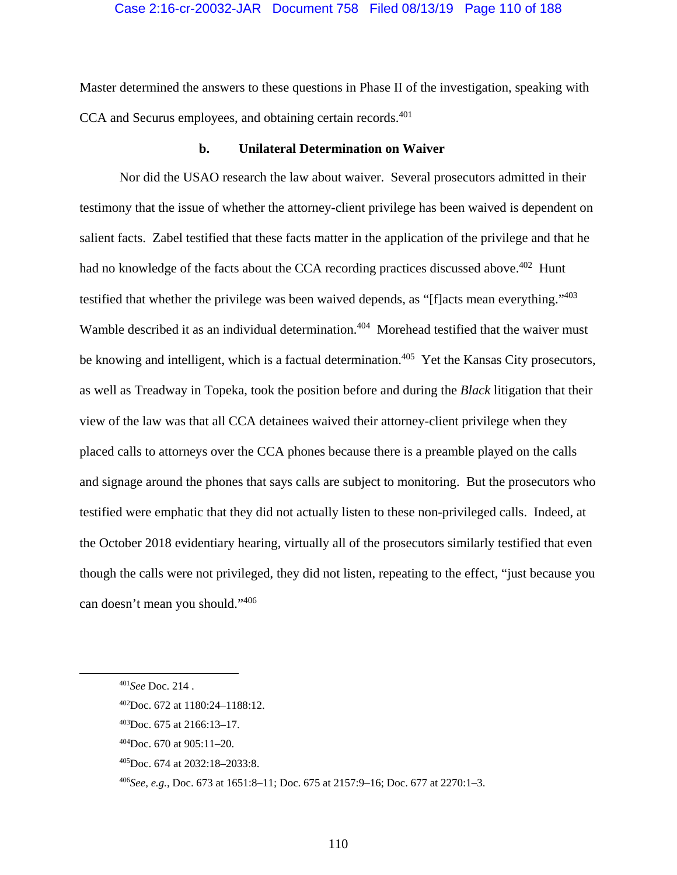## Case 2:16-cr-20032-JAR Document 758 Filed 08/13/19 Page 110 of 188

Master determined the answers to these questions in Phase II of the investigation, speaking with CCA and Securus employees, and obtaining certain records.<sup>401</sup>

#### **b. Unilateral Determination on Waiver**

Nor did the USAO research the law about waiver. Several prosecutors admitted in their testimony that the issue of whether the attorney-client privilege has been waived is dependent on salient facts. Zabel testified that these facts matter in the application of the privilege and that he had no knowledge of the facts about the CCA recording practices discussed above.<sup>402</sup> Hunt testified that whether the privilege was been waived depends, as "[f]acts mean everything."<sup>403</sup> Wamble described it as an individual determination.<sup>404</sup> Morehead testified that the waiver must be knowing and intelligent, which is a factual determination.<sup>405</sup> Yet the Kansas City prosecutors, as well as Treadway in Topeka, took the position before and during the *Black* litigation that their view of the law was that all CCA detainees waived their attorney-client privilege when they placed calls to attorneys over the CCA phones because there is a preamble played on the calls and signage around the phones that says calls are subject to monitoring. But the prosecutors who testified were emphatic that they did not actually listen to these non-privileged calls. Indeed, at the October 2018 evidentiary hearing, virtually all of the prosecutors similarly testified that even though the calls were not privileged, they did not listen, repeating to the effect, "just because you can doesn't mean you should."<sup>406</sup>

 <sup>401</sup>*See* Doc. 214 .

<sup>402</sup>Doc. 672 at 1180:24–1188:12.

<sup>403</sup>Doc. 675 at 2166:13–17.

 $^{404}$ Doc. 670 at 905:11–20.

<sup>405</sup>Doc. 674 at 2032:18–2033:8.

<sup>406</sup>*See, e.g.*, Doc. 673 at 1651:8–11; Doc. 675 at 2157:9–16; Doc. 677 at 2270:1–3.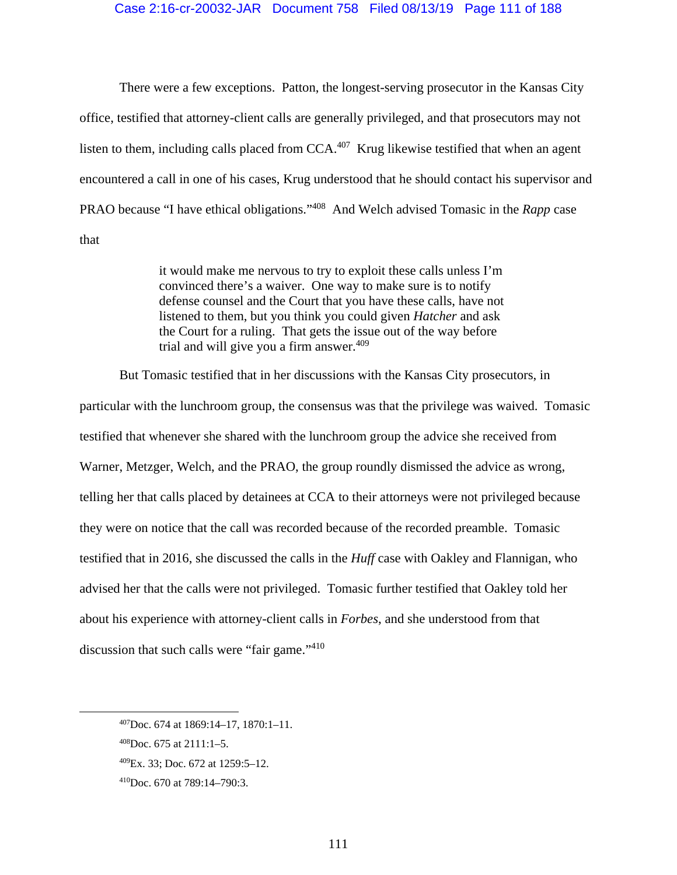#### Case 2:16-cr-20032-JAR Document 758 Filed 08/13/19 Page 111 of 188

There were a few exceptions. Patton, the longest-serving prosecutor in the Kansas City office, testified that attorney-client calls are generally privileged, and that prosecutors may not listen to them, including calls placed from CCA.<sup>407</sup> Krug likewise testified that when an agent encountered a call in one of his cases, Krug understood that he should contact his supervisor and PRAO because "I have ethical obligations."408 And Welch advised Tomasic in the *Rapp* case that

> it would make me nervous to try to exploit these calls unless I'm convinced there's a waiver. One way to make sure is to notify defense counsel and the Court that you have these calls, have not listened to them, but you think you could given *Hatcher* and ask the Court for a ruling. That gets the issue out of the way before trial and will give you a firm answer. $409$

But Tomasic testified that in her discussions with the Kansas City prosecutors, in

particular with the lunchroom group, the consensus was that the privilege was waived. Tomasic testified that whenever she shared with the lunchroom group the advice she received from Warner, Metzger, Welch, and the PRAO, the group roundly dismissed the advice as wrong, telling her that calls placed by detainees at CCA to their attorneys were not privileged because they were on notice that the call was recorded because of the recorded preamble. Tomasic testified that in 2016, she discussed the calls in the *Huff* case with Oakley and Flannigan, who advised her that the calls were not privileged. Tomasic further testified that Oakley told her about his experience with attorney-client calls in *Forbes*, and she understood from that discussion that such calls were "fair game."<sup>410</sup>

 <sup>407</sup>Doc. 674 at 1869:14–17, 1870:1–11.

 $408$ Doc. 675 at 2111:1-5.

<sup>409</sup>Ex. 33; Doc. 672 at 1259:5–12.

<sup>410</sup>Doc. 670 at 789:14–790:3.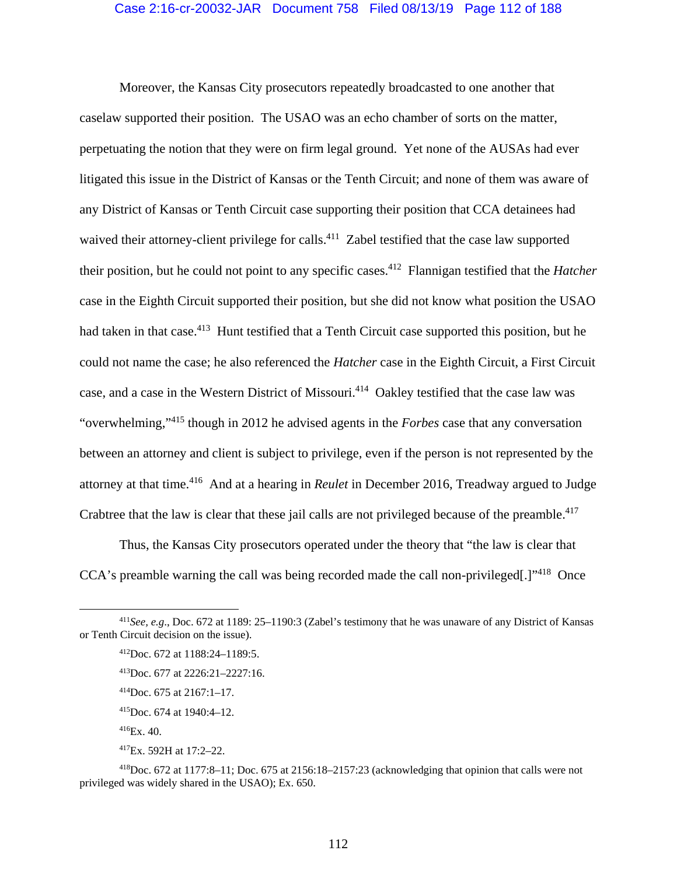## Case 2:16-cr-20032-JAR Document 758 Filed 08/13/19 Page 112 of 188

Moreover, the Kansas City prosecutors repeatedly broadcasted to one another that caselaw supported their position. The USAO was an echo chamber of sorts on the matter, perpetuating the notion that they were on firm legal ground. Yet none of the AUSAs had ever litigated this issue in the District of Kansas or the Tenth Circuit; and none of them was aware of any District of Kansas or Tenth Circuit case supporting their position that CCA detainees had waived their attorney-client privilege for calls.<sup>411</sup> Zabel testified that the case law supported their position, but he could not point to any specific cases.412 Flannigan testified that the *Hatcher* case in the Eighth Circuit supported their position, but she did not know what position the USAO had taken in that case.<sup>413</sup> Hunt testified that a Tenth Circuit case supported this position, but he could not name the case; he also referenced the *Hatcher* case in the Eighth Circuit, a First Circuit case, and a case in the Western District of Missouri.414 Oakley testified that the case law was "overwhelming,"415 though in 2012 he advised agents in the *Forbes* case that any conversation between an attorney and client is subject to privilege, even if the person is not represented by the attorney at that time.416 And at a hearing in *Reulet* in December 2016, Treadway argued to Judge Crabtree that the law is clear that these jail calls are not privileged because of the preamble.<sup>417</sup>

Thus, the Kansas City prosecutors operated under the theory that "the law is clear that CCA's preamble warning the call was being recorded made the call non-privileged[.]"418 Once

 <sup>411</sup>*See, e.g*., Doc. 672 at 1189: 25–1190:3 (Zabel's testimony that he was unaware of any District of Kansas or Tenth Circuit decision on the issue).

 $^{412}$ Doc. 672 at 1188:24–1189:5.

<sup>413</sup>Doc. 677 at 2226:21–2227:16.

<sup>414</sup>Doc. 675 at 2167:1–17.

<sup>415</sup>Doc. 674 at 1940:4–12.

 $416Ex.40.$ 

<sup>417</sup>Ex. 592H at 17:2–22.

<sup>418</sup>Doc. 672 at 1177:8–11; Doc. 675 at 2156:18–2157:23 (acknowledging that opinion that calls were not privileged was widely shared in the USAO); Ex. 650.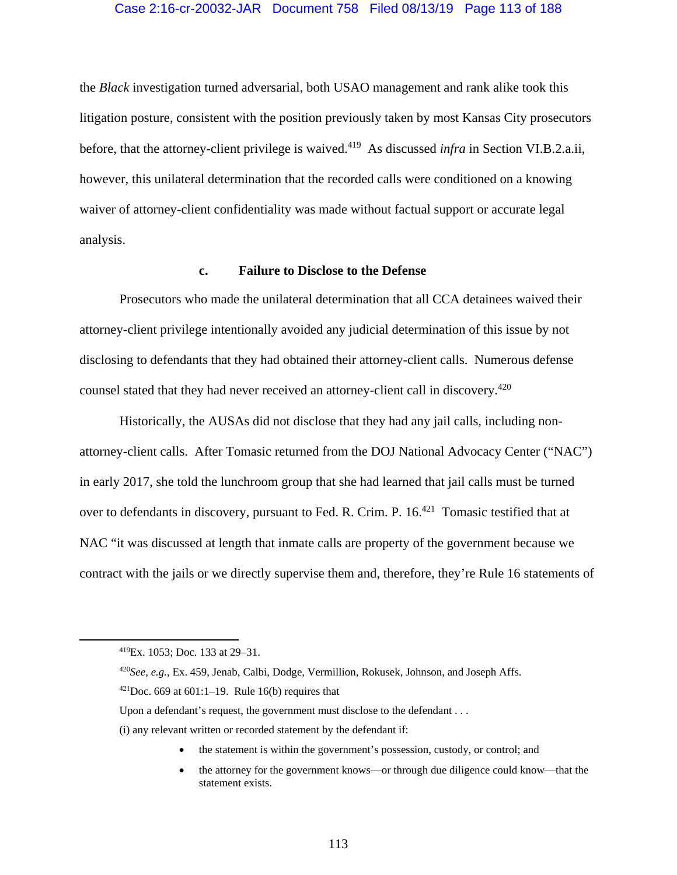## Case 2:16-cr-20032-JAR Document 758 Filed 08/13/19 Page 113 of 188

the *Black* investigation turned adversarial, both USAO management and rank alike took this litigation posture, consistent with the position previously taken by most Kansas City prosecutors before, that the attorney-client privilege is waived.419 As discussed *infra* in Section VI.B.2.a.ii, however, this unilateral determination that the recorded calls were conditioned on a knowing waiver of attorney-client confidentiality was made without factual support or accurate legal analysis.

# **c. Failure to Disclose to the Defense**

Prosecutors who made the unilateral determination that all CCA detainees waived their attorney-client privilege intentionally avoided any judicial determination of this issue by not disclosing to defendants that they had obtained their attorney-client calls. Numerous defense counsel stated that they had never received an attorney-client call in discovery.<sup>420</sup>

Historically, the AUSAs did not disclose that they had any jail calls, including nonattorney-client calls. After Tomasic returned from the DOJ National Advocacy Center ("NAC") in early 2017, she told the lunchroom group that she had learned that jail calls must be turned over to defendants in discovery, pursuant to Fed. R. Crim. P. 16.<sup>421</sup> Tomasic testified that at NAC "it was discussed at length that inmate calls are property of the government because we contract with the jails or we directly supervise them and, therefore, they're Rule 16 statements of

- the statement is within the government's possession, custody, or control; and
- the attorney for the government knows—or through due diligence could know—that the statement exists.

 <sup>419</sup>Ex. 1053; Doc. 133 at 29–31.

<sup>420</sup>*See, e.g.*, Ex. 459, Jenab, Calbi, Dodge, Vermillion, Rokusek, Johnson, and Joseph Affs.

 $421$ Doc. 669 at 601:1–19. Rule 16(b) requires that

Upon a defendant's request, the government must disclose to the defendant . . .

<sup>(</sup>i) any relevant written or recorded statement by the defendant if: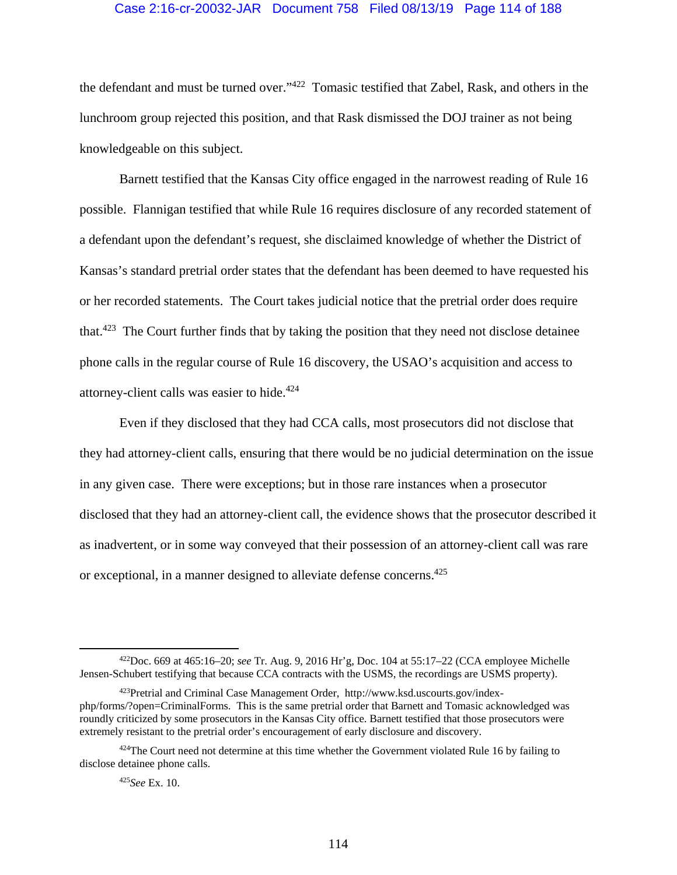## Case 2:16-cr-20032-JAR Document 758 Filed 08/13/19 Page 114 of 188

the defendant and must be turned over."422 Tomasic testified that Zabel, Rask, and others in the lunchroom group rejected this position, and that Rask dismissed the DOJ trainer as not being knowledgeable on this subject.

Barnett testified that the Kansas City office engaged in the narrowest reading of Rule 16 possible. Flannigan testified that while Rule 16 requires disclosure of any recorded statement of a defendant upon the defendant's request, she disclaimed knowledge of whether the District of Kansas's standard pretrial order states that the defendant has been deemed to have requested his or her recorded statements. The Court takes judicial notice that the pretrial order does require that.<sup>423</sup> The Court further finds that by taking the position that they need not disclose detainee phone calls in the regular course of Rule 16 discovery, the USAO's acquisition and access to attorney-client calls was easier to hide.<sup>424</sup>

Even if they disclosed that they had CCA calls, most prosecutors did not disclose that they had attorney-client calls, ensuring that there would be no judicial determination on the issue in any given case. There were exceptions; but in those rare instances when a prosecutor disclosed that they had an attorney-client call, the evidence shows that the prosecutor described it as inadvertent, or in some way conveyed that their possession of an attorney-client call was rare or exceptional, in a manner designed to alleviate defense concerns.425

<sup>425</sup>*See* Ex. 10.

 <sup>422</sup>Doc. 669 at 465:16–20; *see* Tr. Aug. 9, 2016 Hr'g, Doc. 104 at 55:17–22 (CCA employee Michelle Jensen-Schubert testifying that because CCA contracts with the USMS, the recordings are USMS property).

<sup>423</sup>Pretrial and Criminal Case Management Order, http://www.ksd.uscourts.gov/indexphp/forms/?open=CriminalForms. This is the same pretrial order that Barnett and Tomasic acknowledged was roundly criticized by some prosecutors in the Kansas City office. Barnett testified that those prosecutors were extremely resistant to the pretrial order's encouragement of early disclosure and discovery.

 $424$ The Court need not determine at this time whether the Government violated Rule 16 by failing to disclose detainee phone calls.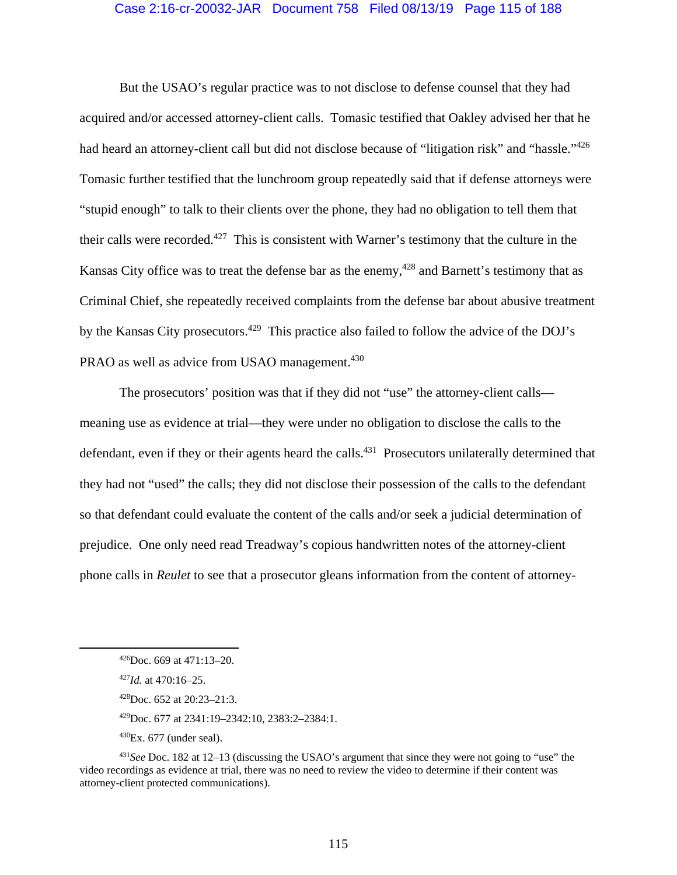## Case 2:16-cr-20032-JAR Document 758 Filed 08/13/19 Page 115 of 188

But the USAO's regular practice was to not disclose to defense counsel that they had acquired and/or accessed attorney-client calls. Tomasic testified that Oakley advised her that he had heard an attorney-client call but did not disclose because of "litigation risk" and "hassle."<sup>426</sup> Tomasic further testified that the lunchroom group repeatedly said that if defense attorneys were "stupid enough" to talk to their clients over the phone, they had no obligation to tell them that their calls were recorded.<sup>427</sup> This is consistent with Warner's testimony that the culture in the Kansas City office was to treat the defense bar as the enemy,  $428$  and Barnett's testimony that as Criminal Chief, she repeatedly received complaints from the defense bar about abusive treatment by the Kansas City prosecutors.<sup>429</sup> This practice also failed to follow the advice of the DOJ's PRAO as well as advice from USAO management.<sup>430</sup>

The prosecutors' position was that if they did not "use" the attorney-client calls meaning use as evidence at trial—they were under no obligation to disclose the calls to the defendant, even if they or their agents heard the calls.<sup>431</sup> Prosecutors unilaterally determined that they had not "used" the calls; they did not disclose their possession of the calls to the defendant so that defendant could evaluate the content of the calls and/or seek a judicial determination of prejudice. One only need read Treadway's copious handwritten notes of the attorney-client phone calls in *Reulet* to see that a prosecutor gleans information from the content of attorney-

429Doc. 677 at 2341:19–2342:10, 2383:2–2384:1.

 $430Ex. 677$  (under seal).

 <sup>426</sup>Doc. 669 at 471:13–20.

<sup>427</sup>*Id.* at 470:16–25.

<sup>428</sup>Doc. 652 at 20:23–21:3.

<sup>431</sup>*See* Doc. 182 at 12–13 (discussing the USAO's argument that since they were not going to "use" the video recordings as evidence at trial, there was no need to review the video to determine if their content was attorney-client protected communications).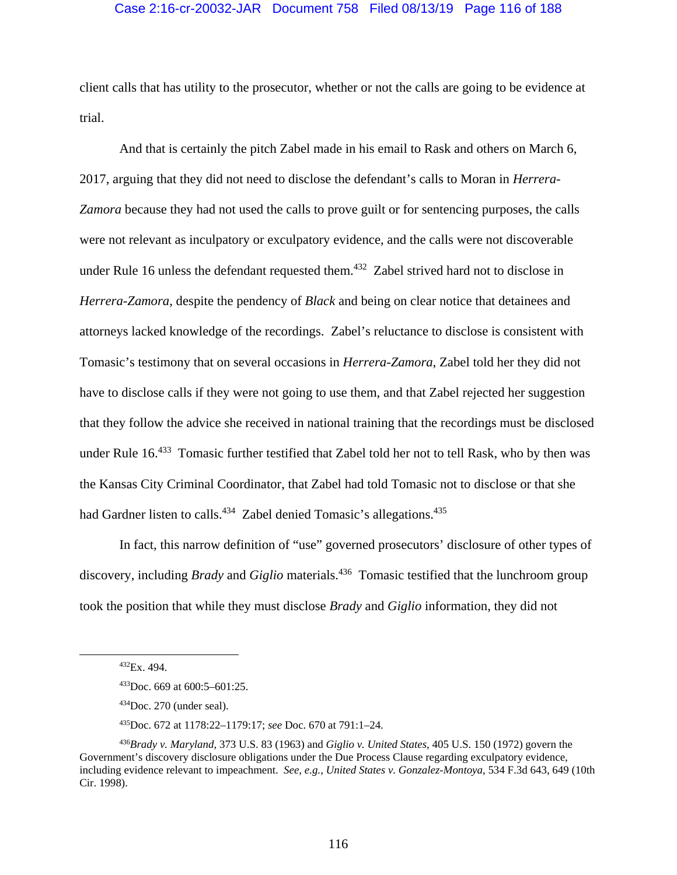## Case 2:16-cr-20032-JAR Document 758 Filed 08/13/19 Page 116 of 188

client calls that has utility to the prosecutor, whether or not the calls are going to be evidence at trial.

And that is certainly the pitch Zabel made in his email to Rask and others on March 6, 2017, arguing that they did not need to disclose the defendant's calls to Moran in *Herrera-Zamora* because they had not used the calls to prove guilt or for sentencing purposes, the calls were not relevant as inculpatory or exculpatory evidence, and the calls were not discoverable under Rule 16 unless the defendant requested them.<sup>432</sup> Zabel strived hard not to disclose in *Herrera-Zamora*, despite the pendency of *Black* and being on clear notice that detainees and attorneys lacked knowledge of the recordings. Zabel's reluctance to disclose is consistent with Tomasic's testimony that on several occasions in *Herrera-Zamora*, Zabel told her they did not have to disclose calls if they were not going to use them, and that Zabel rejected her suggestion that they follow the advice she received in national training that the recordings must be disclosed under Rule 16.<sup>433</sup> Tomasic further testified that Zabel told her not to tell Rask, who by then was the Kansas City Criminal Coordinator, that Zabel had told Tomasic not to disclose or that she had Gardner listen to calls.<sup>434</sup> Zabel denied Tomasic's allegations.<sup>435</sup>

In fact, this narrow definition of "use" governed prosecutors' disclosure of other types of discovery, including *Brady* and *Giglio* materials.<sup>436</sup> Tomasic testified that the lunchroom group took the position that while they must disclose *Brady* and *Giglio* information, they did not

 <sup>432</sup>Ex. 494.

<sup>433</sup>Doc. 669 at 600:5–601:25.

 $434$ Doc. 270 (under seal).

<sup>435</sup>Doc. 672 at 1178:22–1179:17; *see* Doc. 670 at 791:1–24.

<sup>436</sup>*Brady v. Maryland*, 373 U.S. 83 (1963) and *Giglio v. United States*, 405 U.S. 150 (1972) govern the Government's discovery disclosure obligations under the Due Process Clause regarding exculpatory evidence, including evidence relevant to impeachment. *See, e.g.*, *United States v. Gonzalez-Montoya*, 534 F.3d 643, 649 (10th Cir. 1998).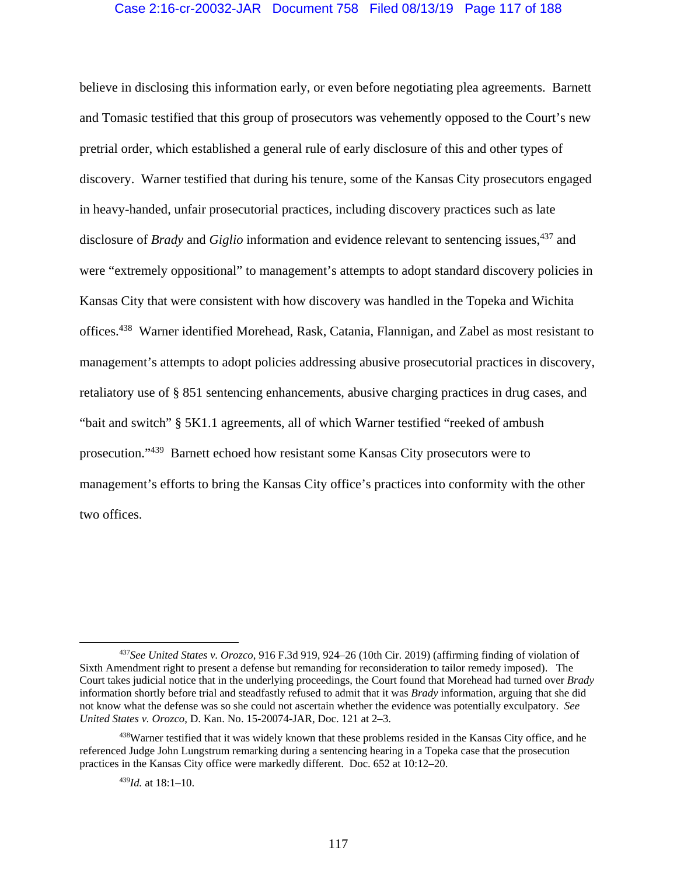## Case 2:16-cr-20032-JAR Document 758 Filed 08/13/19 Page 117 of 188

believe in disclosing this information early, or even before negotiating plea agreements. Barnett and Tomasic testified that this group of prosecutors was vehemently opposed to the Court's new pretrial order, which established a general rule of early disclosure of this and other types of discovery. Warner testified that during his tenure, some of the Kansas City prosecutors engaged in heavy-handed, unfair prosecutorial practices, including discovery practices such as late disclosure of *Brady* and *Giglio* information and evidence relevant to sentencing issues,<sup>437</sup> and were "extremely oppositional" to management's attempts to adopt standard discovery policies in Kansas City that were consistent with how discovery was handled in the Topeka and Wichita offices.438 Warner identified Morehead, Rask, Catania, Flannigan, and Zabel as most resistant to management's attempts to adopt policies addressing abusive prosecutorial practices in discovery, retaliatory use of § 851 sentencing enhancements, abusive charging practices in drug cases, and "bait and switch" § 5K1.1 agreements, all of which Warner testified "reeked of ambush prosecution."439 Barnett echoed how resistant some Kansas City prosecutors were to management's efforts to bring the Kansas City office's practices into conformity with the other two offices.

<sup>439</sup>*Id.* at 18:1–10.

 <sup>437</sup>*See United States v. Orozco*, 916 F.3d 919, 924–26 (10th Cir. 2019) (affirming finding of violation of Sixth Amendment right to present a defense but remanding for reconsideration to tailor remedy imposed). The Court takes judicial notice that in the underlying proceedings, the Court found that Morehead had turned over *Brady*  information shortly before trial and steadfastly refused to admit that it was *Brady* information, arguing that she did not know what the defense was so she could not ascertain whether the evidence was potentially exculpatory. *See United States v. Orozco*, D. Kan. No. 15-20074-JAR, Doc. 121 at 2–3.

<sup>&</sup>lt;sup>438</sup>Warner testified that it was widely known that these problems resided in the Kansas City office, and he referenced Judge John Lungstrum remarking during a sentencing hearing in a Topeka case that the prosecution practices in the Kansas City office were markedly different. Doc. 652 at 10:12–20.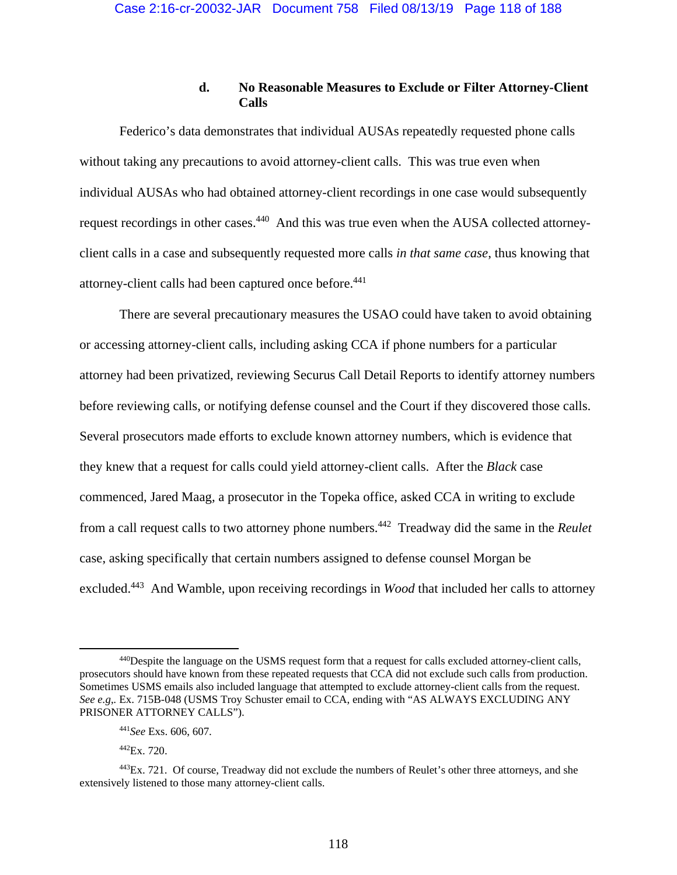# **d. No Reasonable Measures to Exclude or Filter Attorney-Client Calls**

Federico's data demonstrates that individual AUSAs repeatedly requested phone calls without taking any precautions to avoid attorney-client calls. This was true even when individual AUSAs who had obtained attorney-client recordings in one case would subsequently request recordings in other cases.440 And this was true even when the AUSA collected attorneyclient calls in a case and subsequently requested more calls *in that same case*, thus knowing that attorney-client calls had been captured once before.<sup>441</sup>

There are several precautionary measures the USAO could have taken to avoid obtaining or accessing attorney-client calls, including asking CCA if phone numbers for a particular attorney had been privatized, reviewing Securus Call Detail Reports to identify attorney numbers before reviewing calls, or notifying defense counsel and the Court if they discovered those calls. Several prosecutors made efforts to exclude known attorney numbers, which is evidence that they knew that a request for calls could yield attorney-client calls. After the *Black* case commenced, Jared Maag, a prosecutor in the Topeka office, asked CCA in writing to exclude from a call request calls to two attorney phone numbers.442 Treadway did the same in the *Reulet* case, asking specifically that certain numbers assigned to defense counsel Morgan be excluded.443 And Wamble, upon receiving recordings in *Wood* that included her calls to attorney

 <sup>440</sup>Despite the language on the USMS request form that a request for calls excluded attorney-client calls, prosecutors should have known from these repeated requests that CCA did not exclude such calls from production. Sometimes USMS emails also included language that attempted to exclude attorney-client calls from the request. *See e.g*,*.* Ex. 715B-048 (USMS Troy Schuster email to CCA, ending with "AS ALWAYS EXCLUDING ANY PRISONER ATTORNEY CALLS").

<sup>441</sup>*See* Exs. 606, 607.

 $^{442}Ex.720$ 

<sup>&</sup>lt;sup>443</sup>Ex. 721. Of course, Treadway did not exclude the numbers of Reulet's other three attorneys, and she extensively listened to those many attorney-client calls.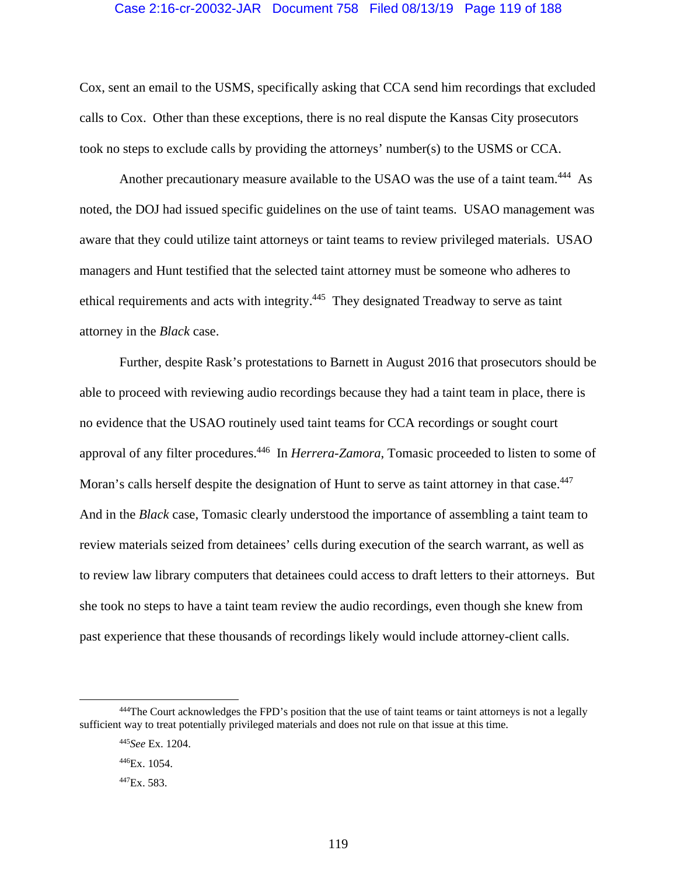### Case 2:16-cr-20032-JAR Document 758 Filed 08/13/19 Page 119 of 188

Cox, sent an email to the USMS, specifically asking that CCA send him recordings that excluded calls to Cox. Other than these exceptions, there is no real dispute the Kansas City prosecutors took no steps to exclude calls by providing the attorneys' number(s) to the USMS or CCA.

Another precautionary measure available to the USAO was the use of a taint team.<sup>444</sup> As noted, the DOJ had issued specific guidelines on the use of taint teams. USAO management was aware that they could utilize taint attorneys or taint teams to review privileged materials. USAO managers and Hunt testified that the selected taint attorney must be someone who adheres to ethical requirements and acts with integrity.<sup>445</sup> They designated Treadway to serve as taint attorney in the *Black* case.

Further, despite Rask's protestations to Barnett in August 2016 that prosecutors should be able to proceed with reviewing audio recordings because they had a taint team in place, there is no evidence that the USAO routinely used taint teams for CCA recordings or sought court approval of any filter procedures.446 In *Herrera-Zamora*, Tomasic proceeded to listen to some of Moran's calls herself despite the designation of Hunt to serve as taint attorney in that case.<sup>447</sup> And in the *Black* case, Tomasic clearly understood the importance of assembling a taint team to review materials seized from detainees' cells during execution of the search warrant, as well as to review law library computers that detainees could access to draft letters to their attorneys. But she took no steps to have a taint team review the audio recordings, even though she knew from past experience that these thousands of recordings likely would include attorney-client calls.

 <sup>444</sup>The Court acknowledges the FPD's position that the use of taint teams or taint attorneys is not a legally sufficient way to treat potentially privileged materials and does not rule on that issue at this time.

<sup>445</sup>*See* Ex. 1204.

<sup>446</sup>Ex. 1054.

<sup>447</sup>Ex. 583.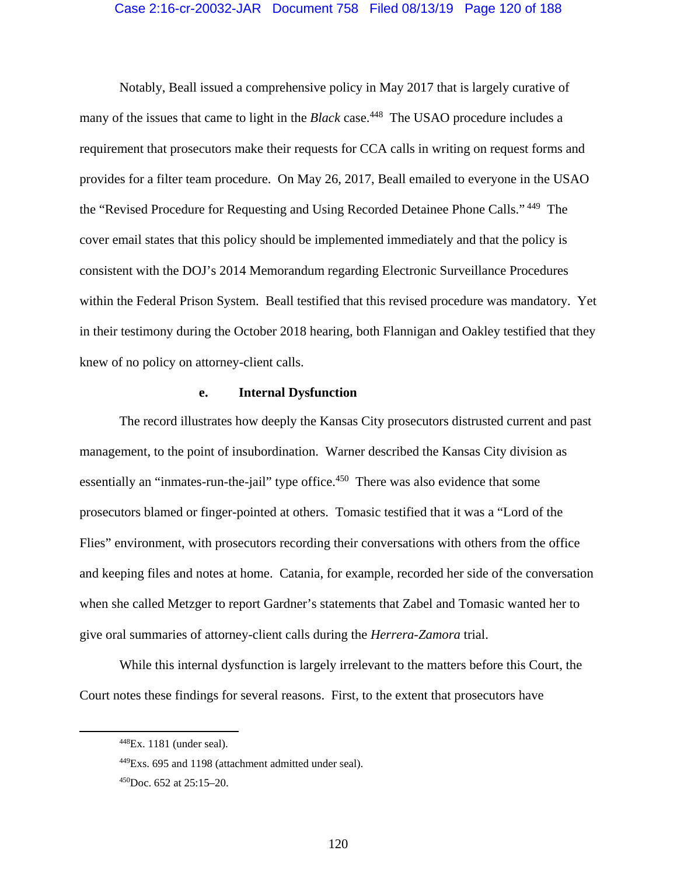### Case 2:16-cr-20032-JAR Document 758 Filed 08/13/19 Page 120 of 188

Notably, Beall issued a comprehensive policy in May 2017 that is largely curative of many of the issues that came to light in the *Black* case.<sup>448</sup> The USAO procedure includes a requirement that prosecutors make their requests for CCA calls in writing on request forms and provides for a filter team procedure. On May 26, 2017, Beall emailed to everyone in the USAO the "Revised Procedure for Requesting and Using Recorded Detainee Phone Calls." 449 The cover email states that this policy should be implemented immediately and that the policy is consistent with the DOJ's 2014 Memorandum regarding Electronic Surveillance Procedures within the Federal Prison System. Beall testified that this revised procedure was mandatory. Yet in their testimony during the October 2018 hearing, both Flannigan and Oakley testified that they knew of no policy on attorney-client calls.

### **e. Internal Dysfunction**

The record illustrates how deeply the Kansas City prosecutors distrusted current and past management, to the point of insubordination. Warner described the Kansas City division as essentially an "inmates-run-the-jail" type office.<sup>450</sup> There was also evidence that some prosecutors blamed or finger-pointed at others. Tomasic testified that it was a "Lord of the Flies" environment, with prosecutors recording their conversations with others from the office and keeping files and notes at home. Catania, for example, recorded her side of the conversation when she called Metzger to report Gardner's statements that Zabel and Tomasic wanted her to give oral summaries of attorney-client calls during the *Herrera-Zamora* trial.

While this internal dysfunction is largely irrelevant to the matters before this Court, the Court notes these findings for several reasons. First, to the extent that prosecutors have

 <sup>448</sup>Ex. 1181 (under seal).

<sup>449</sup>Exs. 695 and 1198 (attachment admitted under seal).

 $450$ Doc. 652 at 25:15–20.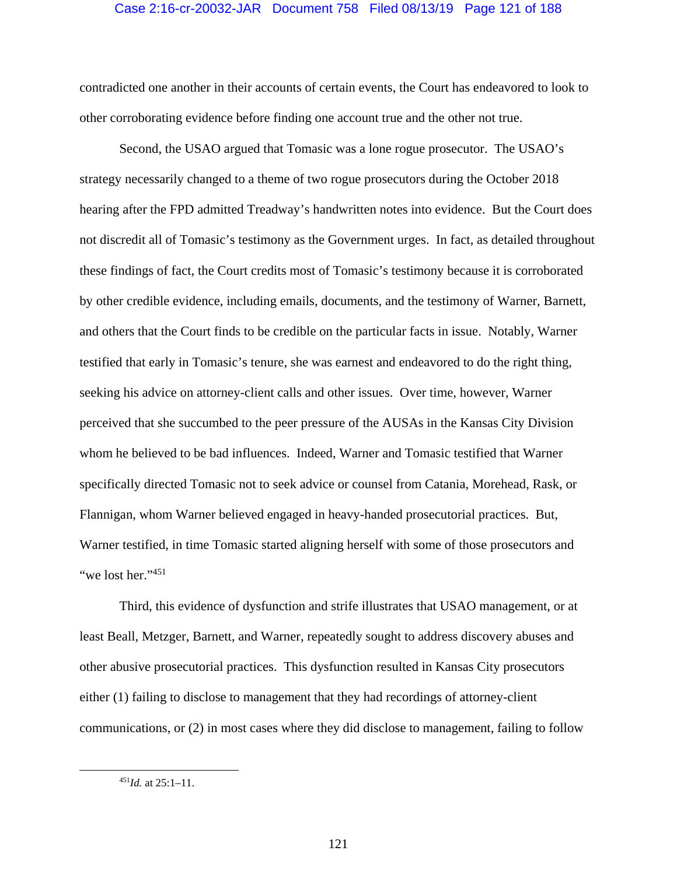### Case 2:16-cr-20032-JAR Document 758 Filed 08/13/19 Page 121 of 188

contradicted one another in their accounts of certain events, the Court has endeavored to look to other corroborating evidence before finding one account true and the other not true.

Second, the USAO argued that Tomasic was a lone rogue prosecutor. The USAO's strategy necessarily changed to a theme of two rogue prosecutors during the October 2018 hearing after the FPD admitted Treadway's handwritten notes into evidence. But the Court does not discredit all of Tomasic's testimony as the Government urges. In fact, as detailed throughout these findings of fact, the Court credits most of Tomasic's testimony because it is corroborated by other credible evidence, including emails, documents, and the testimony of Warner, Barnett, and others that the Court finds to be credible on the particular facts in issue. Notably, Warner testified that early in Tomasic's tenure, she was earnest and endeavored to do the right thing, seeking his advice on attorney-client calls and other issues. Over time, however, Warner perceived that she succumbed to the peer pressure of the AUSAs in the Kansas City Division whom he believed to be bad influences. Indeed, Warner and Tomasic testified that Warner specifically directed Tomasic not to seek advice or counsel from Catania, Morehead, Rask, or Flannigan, whom Warner believed engaged in heavy-handed prosecutorial practices. But, Warner testified, in time Tomasic started aligning herself with some of those prosecutors and "we lost her." $451$ "

Third, this evidence of dysfunction and strife illustrates that USAO management, or at least Beall, Metzger, Barnett, and Warner, repeatedly sought to address discovery abuses and other abusive prosecutorial practices. This dysfunction resulted in Kansas City prosecutors either (1) failing to disclose to management that they had recordings of attorney-client communications, or (2) in most cases where they did disclose to management, failing to follow

 <sup>451</sup>*Id.* at 25:1–11.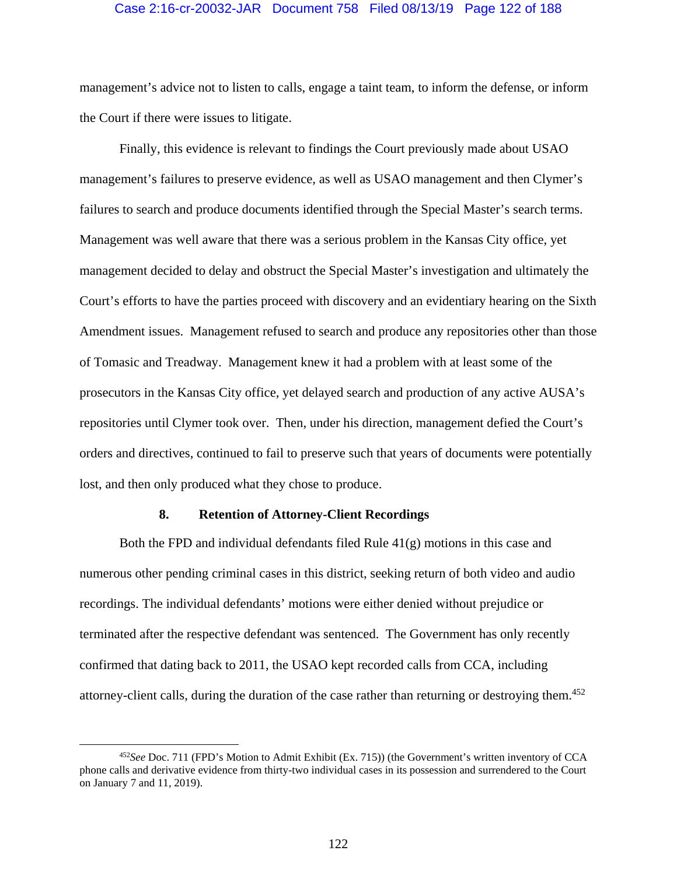#### Case 2:16-cr-20032-JAR Document 758 Filed 08/13/19 Page 122 of 188

management's advice not to listen to calls, engage a taint team, to inform the defense, or inform the Court if there were issues to litigate.

Finally, this evidence is relevant to findings the Court previously made about USAO management's failures to preserve evidence, as well as USAO management and then Clymer's failures to search and produce documents identified through the Special Master's search terms. Management was well aware that there was a serious problem in the Kansas City office, yet management decided to delay and obstruct the Special Master's investigation and ultimately the Court's efforts to have the parties proceed with discovery and an evidentiary hearing on the Sixth Amendment issues. Management refused to search and produce any repositories other than those of Tomasic and Treadway. Management knew it had a problem with at least some of the prosecutors in the Kansas City office, yet delayed search and production of any active AUSA's repositories until Clymer took over. Then, under his direction, management defied the Court's orders and directives, continued to fail to preserve such that years of documents were potentially lost, and then only produced what they chose to produce.

#### **8. Retention of Attorney-Client Recordings**

Both the FPD and individual defendants filed Rule  $41(g)$  motions in this case and numerous other pending criminal cases in this district, seeking return of both video and audio recordings. The individual defendants' motions were either denied without prejudice or terminated after the respective defendant was sentenced. The Government has only recently confirmed that dating back to 2011, the USAO kept recorded calls from CCA, including attorney-client calls, during the duration of the case rather than returning or destroying them.<sup>452</sup>

 <sup>452</sup>*See* Doc. 711 (FPD's Motion to Admit Exhibit (Ex. 715)) (the Government's written inventory of CCA phone calls and derivative evidence from thirty-two individual cases in its possession and surrendered to the Court on January 7 and 11, 2019).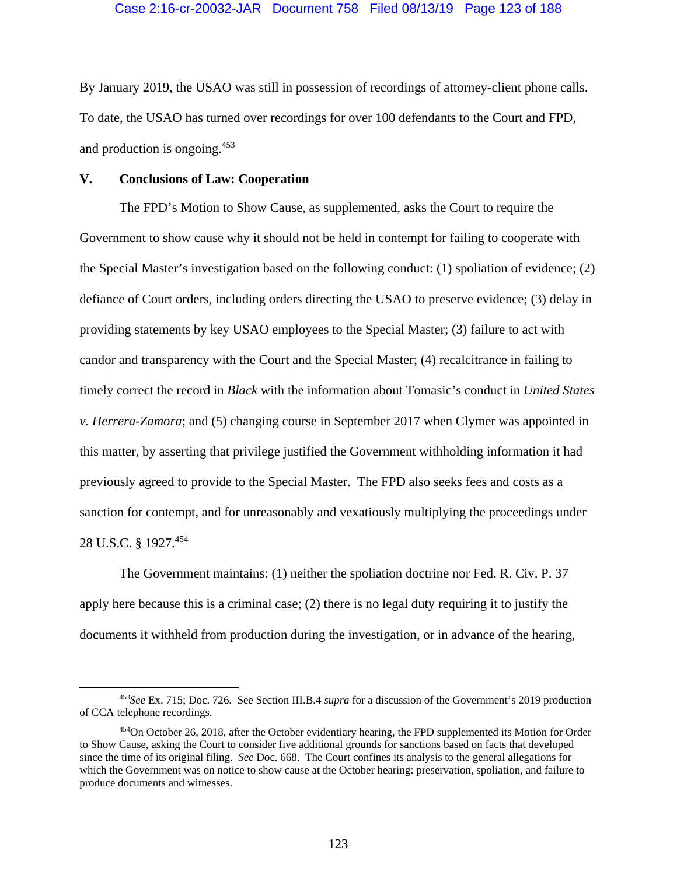By January 2019, the USAO was still in possession of recordings of attorney-client phone calls. To date, the USAO has turned over recordings for over 100 defendants to the Court and FPD, and production is ongoing.453

## **V. Conclusions of Law: Cooperation**

The FPD's Motion to Show Cause, as supplemented, asks the Court to require the Government to show cause why it should not be held in contempt for failing to cooperate with the Special Master's investigation based on the following conduct: (1) spoliation of evidence; (2) defiance of Court orders, including orders directing the USAO to preserve evidence; (3) delay in providing statements by key USAO employees to the Special Master; (3) failure to act with candor and transparency with the Court and the Special Master; (4) recalcitrance in failing to timely correct the record in *Black* with the information about Tomasic's conduct in *United States v. Herrera-Zamora*; and (5) changing course in September 2017 when Clymer was appointed in this matter, by asserting that privilege justified the Government withholding information it had previously agreed to provide to the Special Master. The FPD also seeks fees and costs as a sanction for contempt, and for unreasonably and vexatiously multiplying the proceedings under 28 U.S.C. § 1927.454

The Government maintains: (1) neither the spoliation doctrine nor Fed. R. Civ. P. 37 apply here because this is a criminal case; (2) there is no legal duty requiring it to justify the documents it withheld from production during the investigation, or in advance of the hearing,

 <sup>453</sup>*See* Ex. 715; Doc. 726. See Section III.B.4 *supra* for a discussion of the Government's 2019 production of CCA telephone recordings.

<sup>454</sup>On October 26, 2018, after the October evidentiary hearing, the FPD supplemented its Motion for Order to Show Cause, asking the Court to consider five additional grounds for sanctions based on facts that developed since the time of its original filing. *See* Doc. 668. The Court confines its analysis to the general allegations for which the Government was on notice to show cause at the October hearing: preservation, spoliation, and failure to produce documents and witnesses.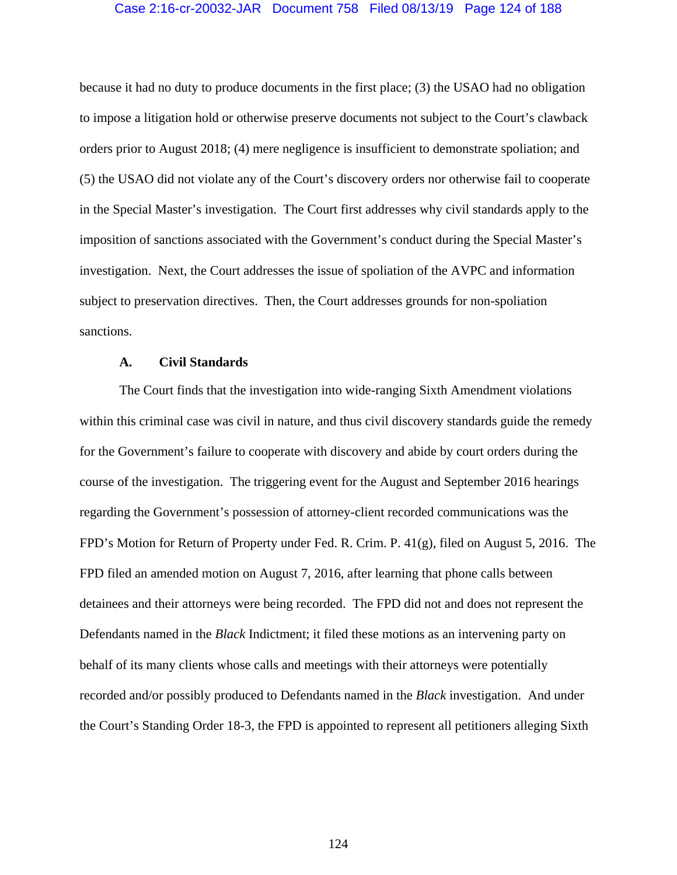## Case 2:16-cr-20032-JAR Document 758 Filed 08/13/19 Page 124 of 188

because it had no duty to produce documents in the first place; (3) the USAO had no obligation to impose a litigation hold or otherwise preserve documents not subject to the Court's clawback orders prior to August 2018; (4) mere negligence is insufficient to demonstrate spoliation; and (5) the USAO did not violate any of the Court's discovery orders nor otherwise fail to cooperate in the Special Master's investigation. The Court first addresses why civil standards apply to the imposition of sanctions associated with the Government's conduct during the Special Master's investigation. Next, the Court addresses the issue of spoliation of the AVPC and information subject to preservation directives. Then, the Court addresses grounds for non-spoliation sanctions.

### **A. Civil Standards**

The Court finds that the investigation into wide-ranging Sixth Amendment violations within this criminal case was civil in nature, and thus civil discovery standards guide the remedy for the Government's failure to cooperate with discovery and abide by court orders during the course of the investigation. The triggering event for the August and September 2016 hearings regarding the Government's possession of attorney-client recorded communications was the FPD's Motion for Return of Property under Fed. R. Crim. P. 41(g), filed on August 5, 2016. The FPD filed an amended motion on August 7, 2016, after learning that phone calls between detainees and their attorneys were being recorded. The FPD did not and does not represent the Defendants named in the *Black* Indictment; it filed these motions as an intervening party on behalf of its many clients whose calls and meetings with their attorneys were potentially recorded and/or possibly produced to Defendants named in the *Black* investigation. And under the Court's Standing Order 18-3, the FPD is appointed to represent all petitioners alleging Sixth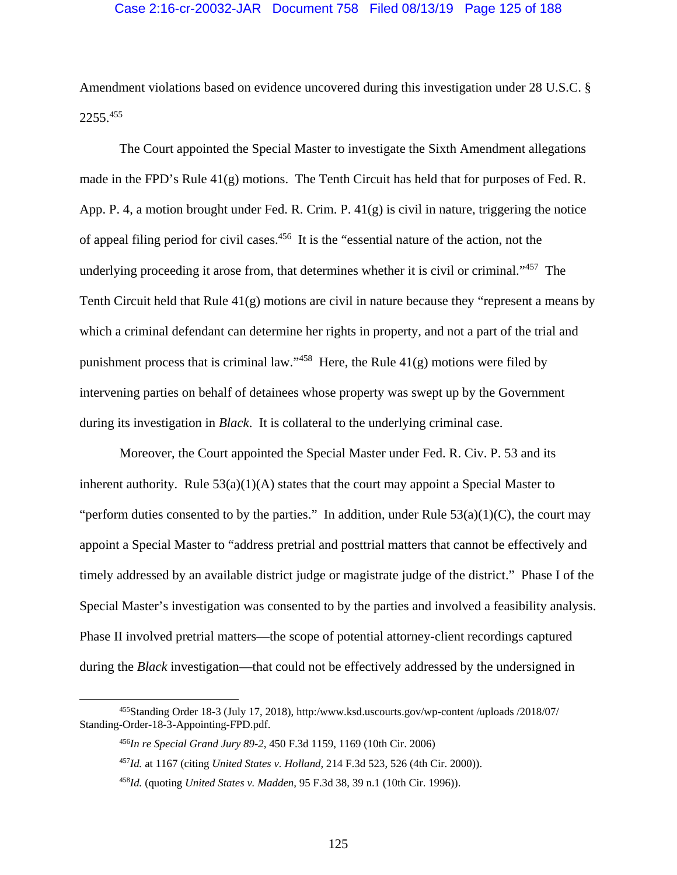### Case 2:16-cr-20032-JAR Document 758 Filed 08/13/19 Page 125 of 188

Amendment violations based on evidence uncovered during this investigation under 28 U.S.C. § 2255.455

The Court appointed the Special Master to investigate the Sixth Amendment allegations made in the FPD's Rule 41(g) motions. The Tenth Circuit has held that for purposes of Fed. R. App. P. 4, a motion brought under Fed. R. Crim. P. 41(g) is civil in nature, triggering the notice of appeal filing period for civil cases.456 It is the "essential nature of the action, not the underlying proceeding it arose from, that determines whether it is civil or criminal."<sup>457</sup> The Tenth Circuit held that Rule 41(g) motions are civil in nature because they "represent a means by which a criminal defendant can determine her rights in property, and not a part of the trial and punishment process that is criminal law." $458$  Here, the Rule 41(g) motions were filed by intervening parties on behalf of detainees whose property was swept up by the Government during its investigation in *Black*. It is collateral to the underlying criminal case.

 Moreover, the Court appointed the Special Master under Fed. R. Civ. P. 53 and its inherent authority. Rule  $53(a)(1)(A)$  states that the court may appoint a Special Master to "perform duties consented to by the parties." In addition, under Rule  $53(a)(1)(C)$ , the court may appoint a Special Master to "address pretrial and posttrial matters that cannot be effectively and timely addressed by an available district judge or magistrate judge of the district." Phase I of the Special Master's investigation was consented to by the parties and involved a feasibility analysis. Phase II involved pretrial matters—the scope of potential attorney-client recordings captured during the *Black* investigation—that could not be effectively addressed by the undersigned in

 <sup>455</sup>Standing Order 18-3 (July 17, 2018), http:/www.ksd.uscourts.gov/wp-content /uploads /2018/07/ Standing-Order-18-3-Appointing-FPD.pdf.

<sup>456</sup>*In re Special Grand Jury 89-2*, 450 F.3d 1159, 1169 (10th Cir. 2006)

<sup>457</sup>*Id.* at 1167 (citing *United States v. Holland*, 214 F.3d 523, 526 (4th Cir. 2000)).

<sup>458</sup>*Id.* (quoting *United States v. Madden*, 95 F.3d 38, 39 n.1 (10th Cir. 1996)).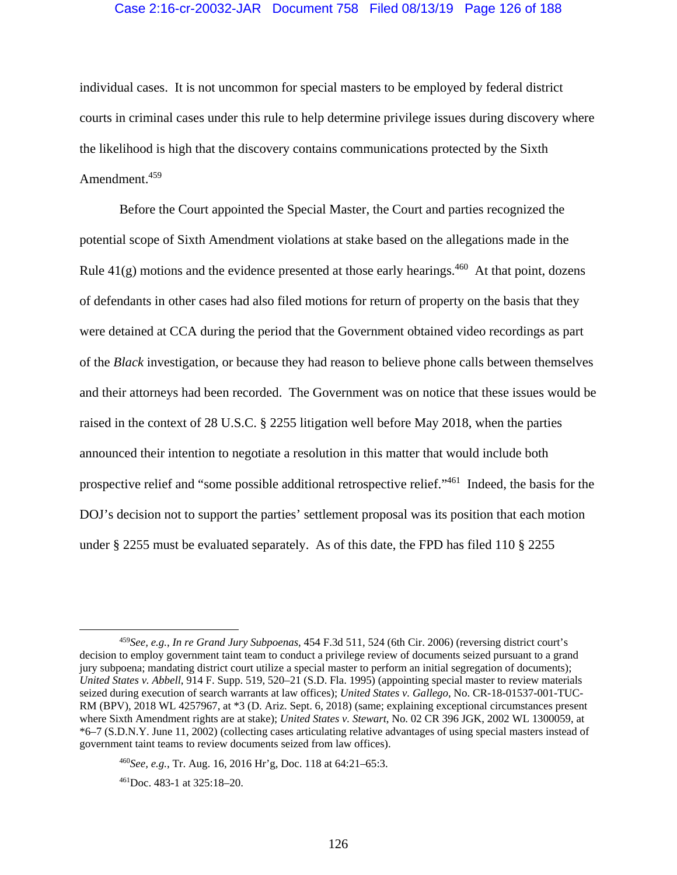## Case 2:16-cr-20032-JAR Document 758 Filed 08/13/19 Page 126 of 188

individual cases. It is not uncommon for special masters to be employed by federal district courts in criminal cases under this rule to help determine privilege issues during discovery where the likelihood is high that the discovery contains communications protected by the Sixth Amendment.459

Before the Court appointed the Special Master, the Court and parties recognized the potential scope of Sixth Amendment violations at stake based on the allegations made in the Rule  $41(g)$  motions and the evidence presented at those early hearings.<sup>460</sup> At that point, dozens of defendants in other cases had also filed motions for return of property on the basis that they were detained at CCA during the period that the Government obtained video recordings as part of the *Black* investigation, or because they had reason to believe phone calls between themselves and their attorneys had been recorded. The Government was on notice that these issues would be raised in the context of 28 U.S.C. § 2255 litigation well before May 2018, when the parties announced their intention to negotiate a resolution in this matter that would include both prospective relief and "some possible additional retrospective relief."461 Indeed, the basis for the DOJ's decision not to support the parties' settlement proposal was its position that each motion under § 2255 must be evaluated separately. As of this date, the FPD has filed 110 § 2255

 <sup>459</sup>*See, e.g.*, *In re Grand Jury Subpoenas*, 454 F.3d 511, 524 (6th Cir. 2006) (reversing district court's decision to employ government taint team to conduct a privilege review of documents seized pursuant to a grand jury subpoena; mandating district court utilize a special master to perform an initial segregation of documents); *United States v. Abbell*, 914 F. Supp. 519, 520–21 (S.D. Fla. 1995) (appointing special master to review materials seized during execution of search warrants at law offices); *United States v. Gallego*, No. CR-18-01537-001-TUC-RM (BPV), 2018 WL 4257967, at \*3 (D. Ariz. Sept. 6, 2018) (same; explaining exceptional circumstances present where Sixth Amendment rights are at stake); *United States v. Stewart*, No. 02 CR 396 JGK, 2002 WL 1300059, at \*6–7 (S.D.N.Y. June 11, 2002) (collecting cases articulating relative advantages of using special masters instead of government taint teams to review documents seized from law offices).

<sup>460</sup>*See, e.g.*, Tr. Aug. 16, 2016 Hr'g, Doc. 118 at 64:21–65:3.

<sup>461</sup>Doc. 483-1 at 325:18–20.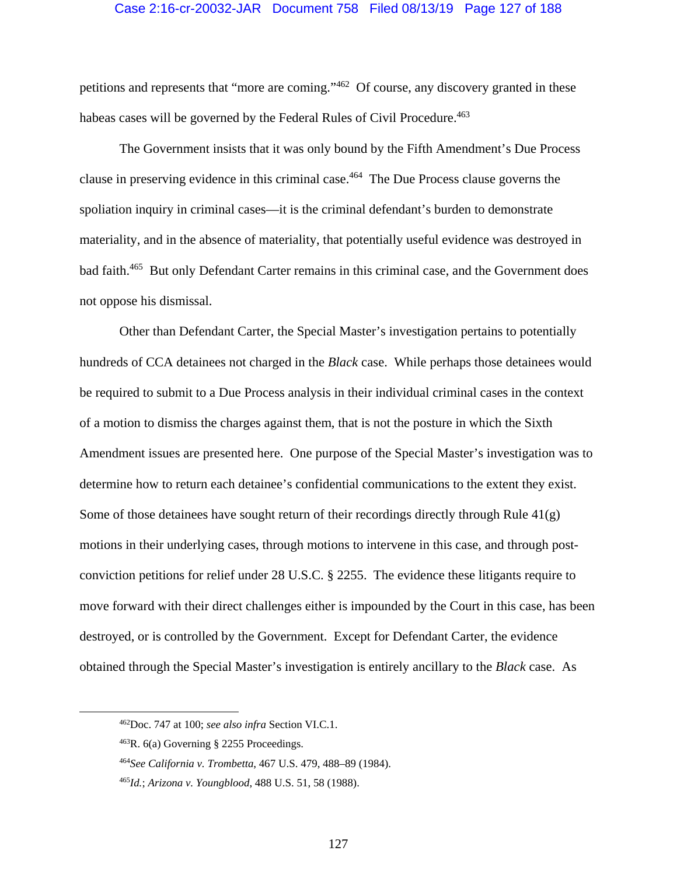### Case 2:16-cr-20032-JAR Document 758 Filed 08/13/19 Page 127 of 188

petitions and represents that "more are coming."462 Of course, any discovery granted in these habeas cases will be governed by the Federal Rules of Civil Procedure.<sup>463</sup>

The Government insists that it was only bound by the Fifth Amendment's Due Process clause in preserving evidence in this criminal case.464 The Due Process clause governs the spoliation inquiry in criminal cases—it is the criminal defendant's burden to demonstrate materiality, and in the absence of materiality, that potentially useful evidence was destroyed in bad faith.<sup>465</sup> But only Defendant Carter remains in this criminal case, and the Government does not oppose his dismissal.

Other than Defendant Carter, the Special Master's investigation pertains to potentially hundreds of CCA detainees not charged in the *Black* case. While perhaps those detainees would be required to submit to a Due Process analysis in their individual criminal cases in the context of a motion to dismiss the charges against them, that is not the posture in which the Sixth Amendment issues are presented here. One purpose of the Special Master's investigation was to determine how to return each detainee's confidential communications to the extent they exist. Some of those detainees have sought return of their recordings directly through Rule 41(g) motions in their underlying cases, through motions to intervene in this case, and through postconviction petitions for relief under 28 U.S.C. § 2255. The evidence these litigants require to move forward with their direct challenges either is impounded by the Court in this case, has been destroyed, or is controlled by the Government. Except for Defendant Carter, the evidence obtained through the Special Master's investigation is entirely ancillary to the *Black* case. As

 <sup>462</sup>Doc. 747 at 100; *see also infra* Section VI.C.1.

<sup>463</sup>R. 6(a) Governing § 2255 Proceedings.

<sup>464</sup>*See California v. Trombetta*, 467 U.S. 479, 488–89 (1984).

<sup>465</sup>*Id.*; *Arizona v. Youngblood*, 488 U.S. 51, 58 (1988).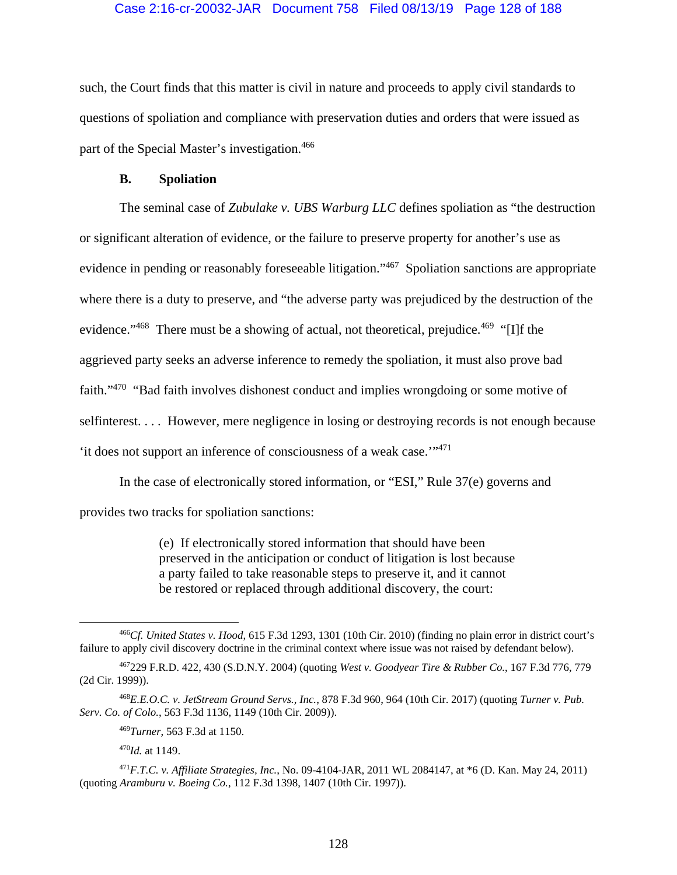## Case 2:16-cr-20032-JAR Document 758 Filed 08/13/19 Page 128 of 188

such, the Court finds that this matter is civil in nature and proceeds to apply civil standards to questions of spoliation and compliance with preservation duties and orders that were issued as part of the Special Master's investigation.<sup>466</sup>

### **B. Spoliation**

The seminal case of *Zubulake v. UBS Warburg LLC* defines spoliation as "the destruction or significant alteration of evidence, or the failure to preserve property for another's use as evidence in pending or reasonably foreseeable litigation."467 Spoliation sanctions are appropriate where there is a duty to preserve, and "the adverse party was prejudiced by the destruction of the evidence."<sup>468</sup> There must be a showing of actual, not theoretical, prejudice.<sup>469</sup> "[I]f the aggrieved party seeks an adverse inference to remedy the spoliation, it must also prove bad faith."470 "Bad faith involves dishonest conduct and implies wrongdoing or some motive of selfinterest. . . . However, mere negligence in losing or destroying records is not enough because 'it does not support an inference of consciousness of a weak case.'"471

In the case of electronically stored information, or "ESI," Rule 37(e) governs and provides two tracks for spoliation sanctions:

> (e) If electronically stored information that should have been preserved in the anticipation or conduct of litigation is lost because a party failed to take reasonable steps to preserve it, and it cannot be restored or replaced through additional discovery, the court:

<sup>470</sup>*Id.* at 1149.

<sup>471</sup>*F.T.C. v. Affiliate Strategies, Inc.*, No. 09-4104-JAR, 2011 WL 2084147, at \*6 (D. Kan. May 24, 2011) (quoting *Aramburu v. Boeing Co.*, 112 F.3d 1398, 1407 (10th Cir. 1997)).

 <sup>466</sup>*Cf. United States v. Hood*, 615 F.3d 1293, 1301 (10th Cir. 2010) (finding no plain error in district court's failure to apply civil discovery doctrine in the criminal context where issue was not raised by defendant below).

<sup>467229</sup> F.R.D. 422, 430 (S.D.N.Y. 2004) (quoting *West v. Goodyear Tire & Rubber Co.*, 167 F.3d 776, 779 (2d Cir. 1999)).

<sup>468</sup>*E.E.O.C. v. JetStream Ground Servs., Inc.*, 878 F.3d 960, 964 (10th Cir. 2017) (quoting *Turner v. Pub. Serv. Co. of Colo.*, 563 F.3d 1136, 1149 (10th Cir. 2009)).

<sup>469</sup>*Turner*, 563 F.3d at 1150.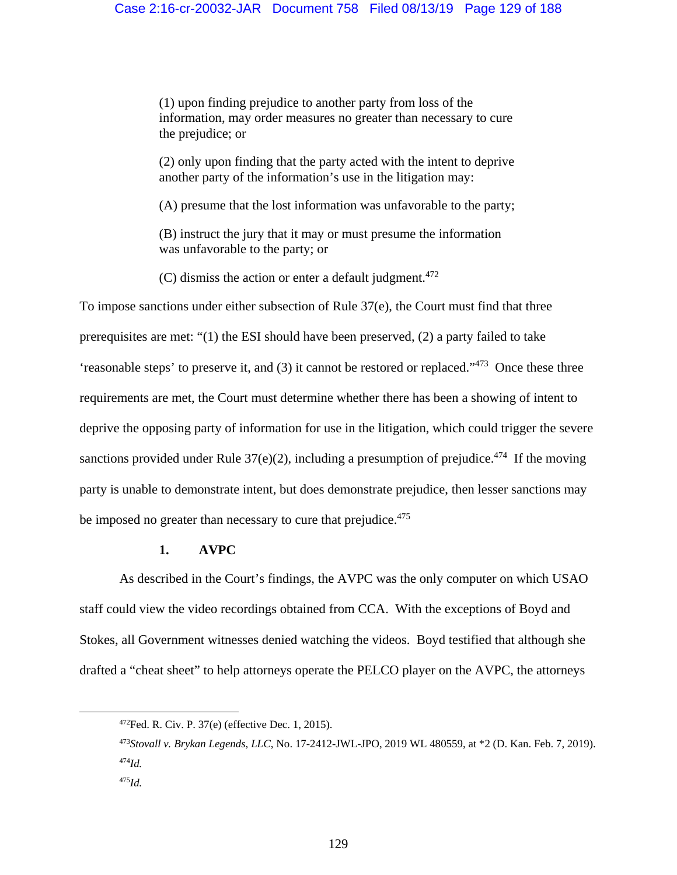(1) upon finding prejudice to another party from loss of the information, may order measures no greater than necessary to cure the prejudice; or

(2) only upon finding that the party acted with the intent to deprive another party of the information's use in the litigation may:

(A) presume that the lost information was unfavorable to the party;

(B) instruct the jury that it may or must presume the information was unfavorable to the party; or

(C) dismiss the action or enter a default judgment. $472$ 

To impose sanctions under either subsection of Rule 37(e), the Court must find that three prerequisites are met: "(1) the ESI should have been preserved, (2) a party failed to take 'reasonable steps' to preserve it, and (3) it cannot be restored or replaced."473 Once these three requirements are met, the Court must determine whether there has been a showing of intent to deprive the opposing party of information for use in the litigation, which could trigger the severe sanctions provided under Rule  $37(e)(2)$ , including a presumption of prejudice.<sup>474</sup> If the moving party is unable to demonstrate intent, but does demonstrate prejudice, then lesser sanctions may be imposed no greater than necessary to cure that prejudice.<sup>475</sup>

## **1. AVPC**

 As described in the Court's findings, the AVPC was the only computer on which USAO staff could view the video recordings obtained from CCA. With the exceptions of Boyd and Stokes, all Government witnesses denied watching the videos. Boyd testified that although she drafted a "cheat sheet" to help attorneys operate the PELCO player on the AVPC, the attorneys

 <sup>472</sup>Fed. R. Civ. P. 37(e) (effective Dec. 1, 2015).

<sup>473</sup>*Stovall v. Brykan Legends, LLC*, No. 17-2412-JWL-JPO, 2019 WL 480559, at \*2 (D. Kan. Feb. 7, 2019). <sup>474</sup>*Id.*

<sup>475</sup>*Id.*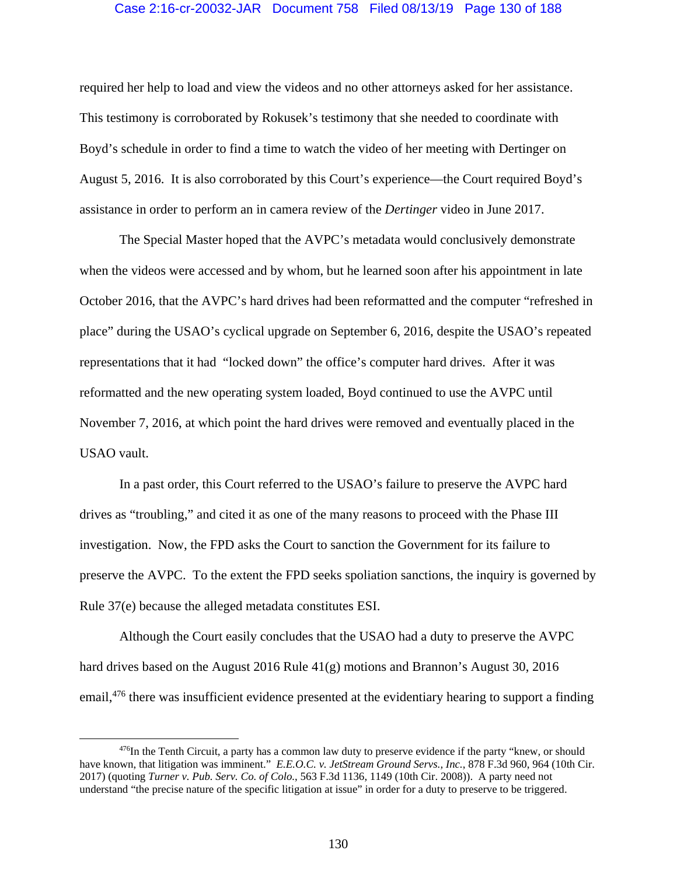## Case 2:16-cr-20032-JAR Document 758 Filed 08/13/19 Page 130 of 188

required her help to load and view the videos and no other attorneys asked for her assistance. This testimony is corroborated by Rokusek's testimony that she needed to coordinate with Boyd's schedule in order to find a time to watch the video of her meeting with Dertinger on August 5, 2016. It is also corroborated by this Court's experience—the Court required Boyd's assistance in order to perform an in camera review of the *Dertinger* video in June 2017.

The Special Master hoped that the AVPC's metadata would conclusively demonstrate when the videos were accessed and by whom, but he learned soon after his appointment in late October 2016, that the AVPC's hard drives had been reformatted and the computer "refreshed in place" during the USAO's cyclical upgrade on September 6, 2016, despite the USAO's repeated representations that it had "locked down" the office's computer hard drives. After it was reformatted and the new operating system loaded, Boyd continued to use the AVPC until November 7, 2016, at which point the hard drives were removed and eventually placed in the USAO vault.

In a past order, this Court referred to the USAO's failure to preserve the AVPC hard drives as "troubling," and cited it as one of the many reasons to proceed with the Phase III investigation. Now, the FPD asks the Court to sanction the Government for its failure to preserve the AVPC. To the extent the FPD seeks spoliation sanctions, the inquiry is governed by Rule 37(e) because the alleged metadata constitutes ESI.

Although the Court easily concludes that the USAO had a duty to preserve the AVPC hard drives based on the August 2016 Rule 41(g) motions and Brannon's August 30, 2016 email,<sup>476</sup> there was insufficient evidence presented at the evidentiary hearing to support a finding

<sup>&</sup>lt;sup>476</sup>In the Tenth Circuit, a party has a common law duty to preserve evidence if the party "knew, or should have known, that litigation was imminent." *E.E.O.C. v. JetStream Ground Servs., Inc.*, 878 F.3d 960, 964 (10th Cir. 2017) (quoting *Turner v. Pub. Serv. Co. of Colo.*, 563 F.3d 1136, 1149 (10th Cir. 2008)). A party need not understand "the precise nature of the specific litigation at issue" in order for a duty to preserve to be triggered.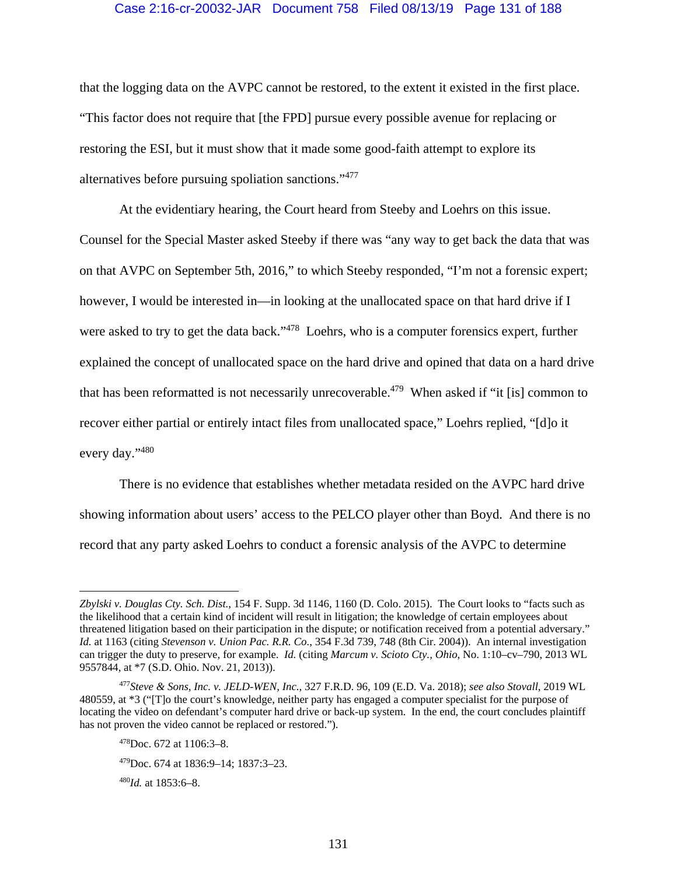## Case 2:16-cr-20032-JAR Document 758 Filed 08/13/19 Page 131 of 188

that the logging data on the AVPC cannot be restored, to the extent it existed in the first place. "This factor does not require that [the FPD] pursue every possible avenue for replacing or restoring the ESI, but it must show that it made some good-faith attempt to explore its alternatives before pursuing spoliation sanctions."477

At the evidentiary hearing, the Court heard from Steeby and Loehrs on this issue. Counsel for the Special Master asked Steeby if there was "any way to get back the data that was on that AVPC on September 5th, 2016," to which Steeby responded, "I'm not a forensic expert; however, I would be interested in—in looking at the unallocated space on that hard drive if I were asked to try to get the data back."<sup>478</sup> Loehrs, who is a computer forensics expert, further explained the concept of unallocated space on the hard drive and opined that data on a hard drive that has been reformatted is not necessarily unrecoverable.<sup>479</sup> When asked if "it [is] common to recover either partial or entirely intact files from unallocated space," Loehrs replied, "[d]o it every day."480

There is no evidence that establishes whether metadata resided on the AVPC hard drive showing information about users' access to the PELCO player other than Boyd. And there is no record that any party asked Loehrs to conduct a forensic analysis of the AVPC to determine

 $\overline{a}$ 

*Zbylski v. Douglas Cty. Sch. Dist.*, 154 F. Supp. 3d 1146, 1160 (D. Colo. 2015). The Court looks to "facts such as the likelihood that a certain kind of incident will result in litigation; the knowledge of certain employees about threatened litigation based on their participation in the dispute; or notification received from a potential adversary." *Id.* at 1163 (citing *Stevenson v. Union Pac. R.R. Co.*, 354 F.3d 739, 748 (8th Cir. 2004)). An internal investigation can trigger the duty to preserve, for example. *Id.* (citing *Marcum v. Scioto Cty., Ohio*, No. 1:10–cv–790, 2013 WL 9557844, at \*7 (S.D. Ohio. Nov. 21, 2013)).

<sup>477</sup>*Steve & Sons, Inc. v. JELD-WEN, Inc.*, 327 F.R.D. 96, 109 (E.D. Va. 2018); *see also Stovall*, 2019 WL 480559, at \*3 ("[T]o the court's knowledge, neither party has engaged a computer specialist for the purpose of locating the video on defendant's computer hard drive or back-up system. In the end, the court concludes plaintiff has not proven the video cannot be replaced or restored.").

 $478$ Doc. 672 at 1106:3–8.

<sup>479</sup>Doc. 674 at 1836:9–14; 1837:3–23.

<sup>480</sup>*Id.* at 1853:6–8.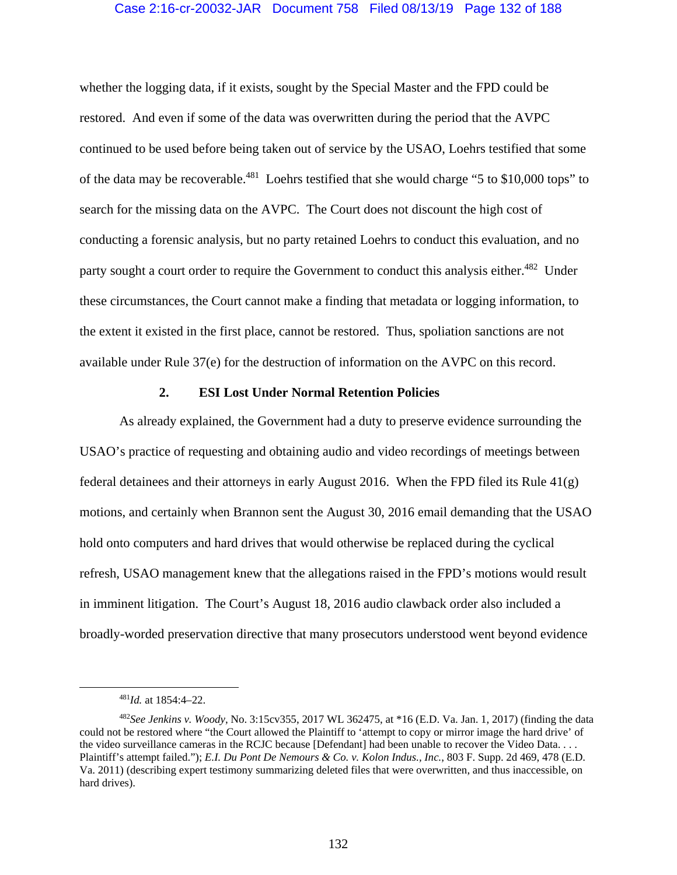## Case 2:16-cr-20032-JAR Document 758 Filed 08/13/19 Page 132 of 188

whether the logging data, if it exists, sought by the Special Master and the FPD could be restored. And even if some of the data was overwritten during the period that the AVPC continued to be used before being taken out of service by the USAO, Loehrs testified that some of the data may be recoverable.481 Loehrs testified that she would charge "5 to \$10,000 tops" to search for the missing data on the AVPC. The Court does not discount the high cost of conducting a forensic analysis, but no party retained Loehrs to conduct this evaluation, and no party sought a court order to require the Government to conduct this analysis either.<sup>482</sup> Under these circumstances, the Court cannot make a finding that metadata or logging information, to the extent it existed in the first place, cannot be restored. Thus, spoliation sanctions are not available under Rule 37(e) for the destruction of information on the AVPC on this record.

## **2. ESI Lost Under Normal Retention Policies**

As already explained, the Government had a duty to preserve evidence surrounding the USAO's practice of requesting and obtaining audio and video recordings of meetings between federal detainees and their attorneys in early August 2016. When the FPD filed its Rule  $41(g)$ motions, and certainly when Brannon sent the August 30, 2016 email demanding that the USAO hold onto computers and hard drives that would otherwise be replaced during the cyclical refresh, USAO management knew that the allegations raised in the FPD's motions would result in imminent litigation. The Court's August 18, 2016 audio clawback order also included a broadly-worded preservation directive that many prosecutors understood went beyond evidence

 <sup>481</sup>*Id.* at 1854:4–22.

<sup>482</sup>*See Jenkins v. Woody*, No. 3:15cv355, 2017 WL 362475, at \*16 (E.D. Va. Jan. 1, 2017) (finding the data could not be restored where "the Court allowed the Plaintiff to 'attempt to copy or mirror image the hard drive' of the video surveillance cameras in the RCJC because [Defendant] had been unable to recover the Video Data. . . . Plaintiff's attempt failed."); *E.I. Du Pont De Nemours & Co. v. Kolon Indus., Inc.*, 803 F. Supp. 2d 469, 478 (E.D. Va. 2011) (describing expert testimony summarizing deleted files that were overwritten, and thus inaccessible, on hard drives).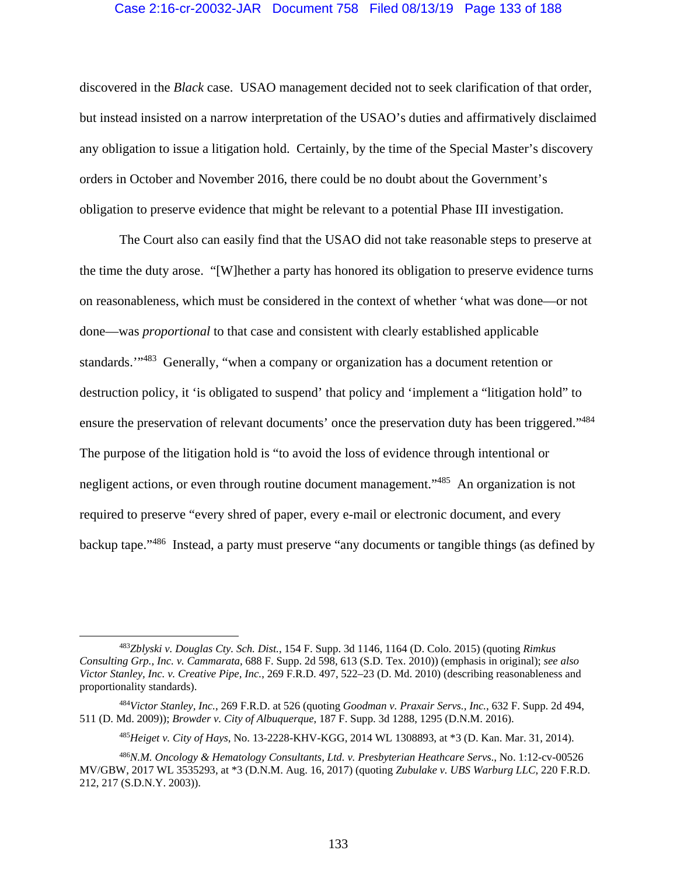## Case 2:16-cr-20032-JAR Document 758 Filed 08/13/19 Page 133 of 188

discovered in the *Black* case. USAO management decided not to seek clarification of that order, but instead insisted on a narrow interpretation of the USAO's duties and affirmatively disclaimed any obligation to issue a litigation hold. Certainly, by the time of the Special Master's discovery orders in October and November 2016, there could be no doubt about the Government's obligation to preserve evidence that might be relevant to a potential Phase III investigation.

The Court also can easily find that the USAO did not take reasonable steps to preserve at the time the duty arose. "[W]hether a party has honored its obligation to preserve evidence turns on reasonableness, which must be considered in the context of whether 'what was done—or not done—was *proportional* to that case and consistent with clearly established applicable standards."<sup>483</sup> Generally, "when a company or organization has a document retention or destruction policy, it 'is obligated to suspend' that policy and 'implement a "litigation hold" to ensure the preservation of relevant documents' once the preservation duty has been triggered."<sup>484</sup> The purpose of the litigation hold is "to avoid the loss of evidence through intentional or negligent actions, or even through routine document management."<sup>485</sup> An organization is not required to preserve "every shred of paper, every e-mail or electronic document, and every backup tape."486 Instead, a party must preserve "any documents or tangible things (as defined by

 <sup>483</sup>*Zblyski v. Douglas Cty. Sch. Dist.*, 154 F. Supp. 3d 1146, 1164 (D. Colo. 2015) (quoting *Rimkus Consulting Grp., Inc. v. Cammarata*, 688 F. Supp. 2d 598, 613 (S.D. Tex. 2010)) (emphasis in original); *see also Victor Stanley, Inc. v. Creative Pipe, Inc.*, 269 F.R.D. 497, 522–23 (D. Md. 2010) (describing reasonableness and proportionality standards).

<sup>484</sup>*Victor Stanley, Inc.*, 269 F.R.D. at 526 (quoting *Goodman v. Praxair Servs., Inc.*, 632 F. Supp. 2d 494, 511 (D. Md. 2009)); *Browder v. City of Albuquerque*, 187 F. Supp. 3d 1288, 1295 (D.N.M. 2016).

<sup>485</sup>*Heiget v. City of Hays*, No. 13-2228-KHV-KGG, 2014 WL 1308893, at \*3 (D. Kan. Mar. 31, 2014).

<sup>486</sup>*N.M. Oncology & Hematology Consultants, Ltd. v. Presbyterian Heathcare Servs*., No. 1:12-cv-00526 MV/GBW, 2017 WL 3535293, at \*3 (D.N.M. Aug. 16, 2017) (quoting *Zubulake v. UBS Warburg LLC*, 220 F.R.D. 212, 217 (S.D.N.Y. 2003)).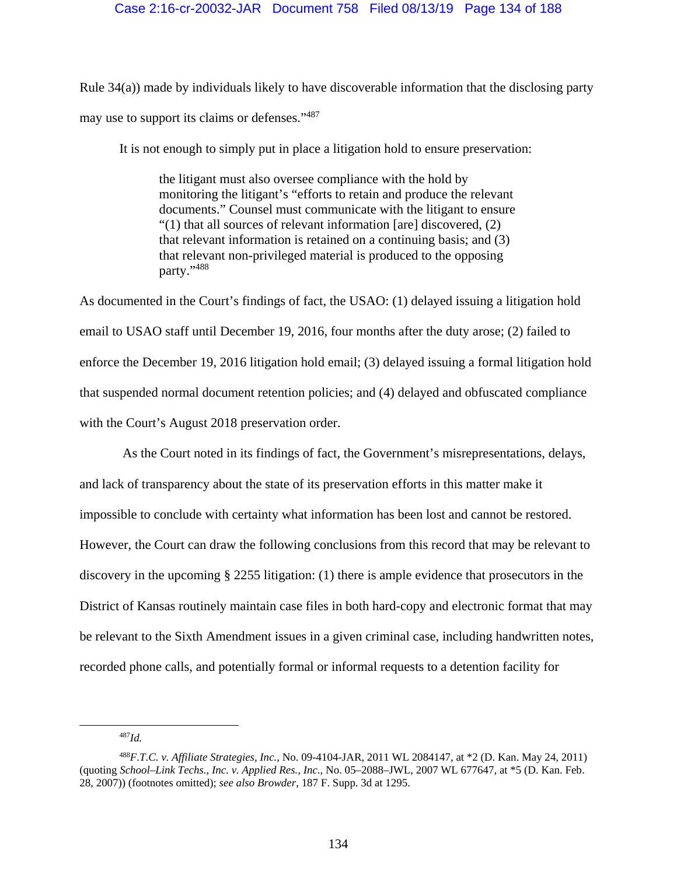Rule 34(a)) made by individuals likely to have discoverable information that the disclosing party may use to support its claims or defenses."487

It is not enough to simply put in place a litigation hold to ensure preservation:

the litigant must also oversee compliance with the hold by monitoring the litigant's "efforts to retain and produce the relevant documents." Counsel must communicate with the litigant to ensure "(1) that all sources of relevant information [are] discovered, (2) that relevant information is retained on a continuing basis; and (3) that relevant non-privileged material is produced to the opposing party."488

As documented in the Court's findings of fact, the USAO: (1) delayed issuing a litigation hold email to USAO staff until December 19, 2016, four months after the duty arose; (2) failed to enforce the December 19, 2016 litigation hold email; (3) delayed issuing a formal litigation hold that suspended normal document retention policies; and (4) delayed and obfuscated compliance with the Court's August 2018 preservation order.

 As the Court noted in its findings of fact, the Government's misrepresentations, delays, and lack of transparency about the state of its preservation efforts in this matter make it impossible to conclude with certainty what information has been lost and cannot be restored. However, the Court can draw the following conclusions from this record that may be relevant to discovery in the upcoming § 2255 litigation: (1) there is ample evidence that prosecutors in the District of Kansas routinely maintain case files in both hard-copy and electronic format that may be relevant to the Sixth Amendment issues in a given criminal case, including handwritten notes, recorded phone calls, and potentially formal or informal requests to a detention facility for

 <sup>487</sup>*Id.*

<sup>488</sup>*F.T.C. v. Affiliate Strategies, Inc.*, No. 09-4104-JAR, 2011 WL 2084147, at \*2 (D. Kan. May 24, 2011) (quoting *School–Link Techs., Inc. v. Applied Res., Inc*., No. 05–2088–JWL, 2007 WL 677647, at \*5 (D. Kan. Feb. 28, 2007)) (footnotes omitted); *see also Browder*, 187 F. Supp. 3d at 1295.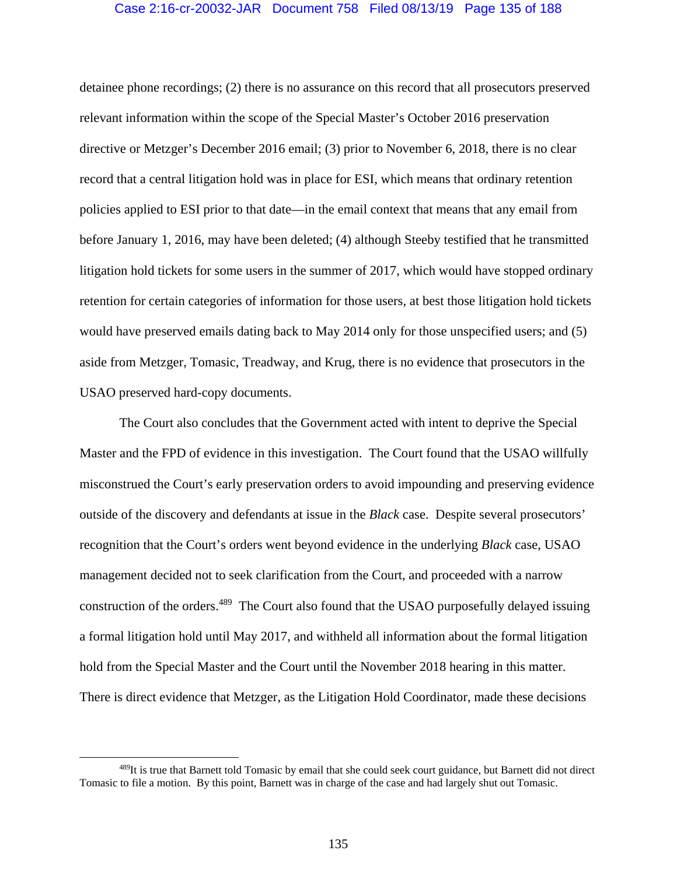## Case 2:16-cr-20032-JAR Document 758 Filed 08/13/19 Page 135 of 188

detainee phone recordings; (2) there is no assurance on this record that all prosecutors preserved relevant information within the scope of the Special Master's October 2016 preservation directive or Metzger's December 2016 email; (3) prior to November 6, 2018, there is no clear record that a central litigation hold was in place for ESI, which means that ordinary retention policies applied to ESI prior to that date—in the email context that means that any email from before January 1, 2016, may have been deleted; (4) although Steeby testified that he transmitted litigation hold tickets for some users in the summer of 2017, which would have stopped ordinary retention for certain categories of information for those users, at best those litigation hold tickets would have preserved emails dating back to May 2014 only for those unspecified users; and (5) aside from Metzger, Tomasic, Treadway, and Krug, there is no evidence that prosecutors in the USAO preserved hard-copy documents.

 The Court also concludes that the Government acted with intent to deprive the Special Master and the FPD of evidence in this investigation. The Court found that the USAO willfully misconstrued the Court's early preservation orders to avoid impounding and preserving evidence outside of the discovery and defendants at issue in the *Black* case. Despite several prosecutors' recognition that the Court's orders went beyond evidence in the underlying *Black* case, USAO management decided not to seek clarification from the Court, and proceeded with a narrow construction of the orders.<sup>489</sup> The Court also found that the USAO purposefully delayed issuing a formal litigation hold until May 2017, and withheld all information about the formal litigation hold from the Special Master and the Court until the November 2018 hearing in this matter. There is direct evidence that Metzger, as the Litigation Hold Coordinator, made these decisions

<sup>&</sup>lt;sup>489</sup>It is true that Barnett told Tomasic by email that she could seek court guidance, but Barnett did not direct Tomasic to file a motion. By this point, Barnett was in charge of the case and had largely shut out Tomasic.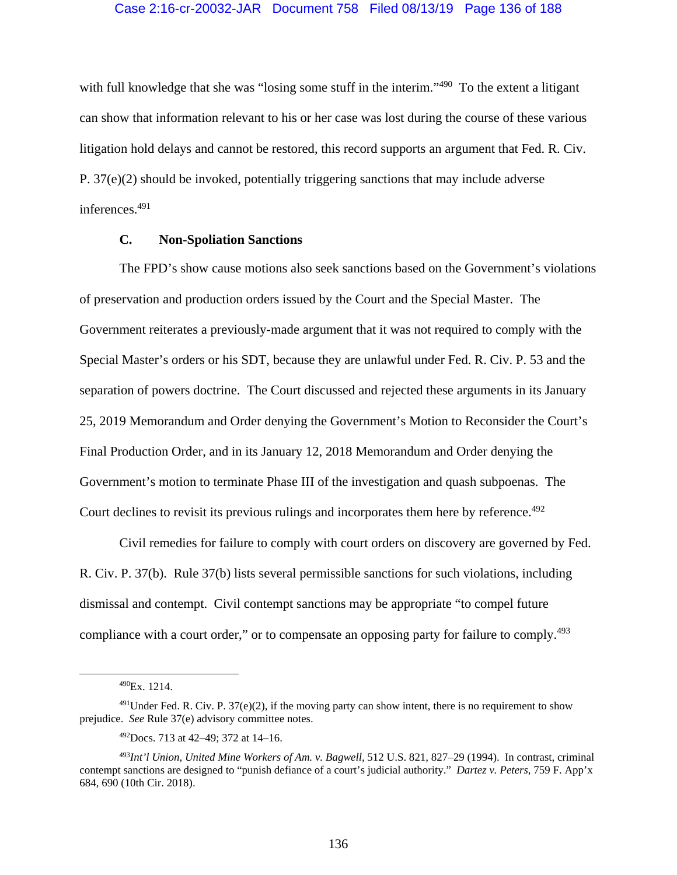with full knowledge that she was "losing some stuff in the interim."<sup>490</sup> To the extent a litigant can show that information relevant to his or her case was lost during the course of these various litigation hold delays and cannot be restored, this record supports an argument that Fed. R. Civ. P. 37(e)(2) should be invoked, potentially triggering sanctions that may include adverse inferences.491

## **C. Non-Spoliation Sanctions**

The FPD's show cause motions also seek sanctions based on the Government's violations of preservation and production orders issued by the Court and the Special Master. The Government reiterates a previously-made argument that it was not required to comply with the Special Master's orders or his SDT, because they are unlawful under Fed. R. Civ. P. 53 and the separation of powers doctrine. The Court discussed and rejected these arguments in its January 25, 2019 Memorandum and Order denying the Government's Motion to Reconsider the Court's Final Production Order, and in its January 12, 2018 Memorandum and Order denying the Government's motion to terminate Phase III of the investigation and quash subpoenas. The Court declines to revisit its previous rulings and incorporates them here by reference.<sup>492</sup>

Civil remedies for failure to comply with court orders on discovery are governed by Fed. R. Civ. P. 37(b). Rule 37(b) lists several permissible sanctions for such violations, including dismissal and contempt. Civil contempt sanctions may be appropriate "to compel future compliance with a court order," or to compensate an opposing party for failure to comply.<sup>493</sup>

 <sup>490</sup>Ex. 1214.

 $^{491}$ Under Fed. R. Civ. P. 37(e)(2), if the moving party can show intent, there is no requirement to show prejudice. *See* Rule 37(e) advisory committee notes.

<sup>492</sup>Docs. 713 at 42–49; 372 at 14–16.

<sup>493</sup>*Int'l Union, United Mine Workers of Am. v. Bagwell*, 512 U.S. 821, 827–29 (1994). In contrast, criminal contempt sanctions are designed to "punish defiance of a court's judicial authority." *Dartez v. Peters*, 759 F. App'x 684, 690 (10th Cir. 2018).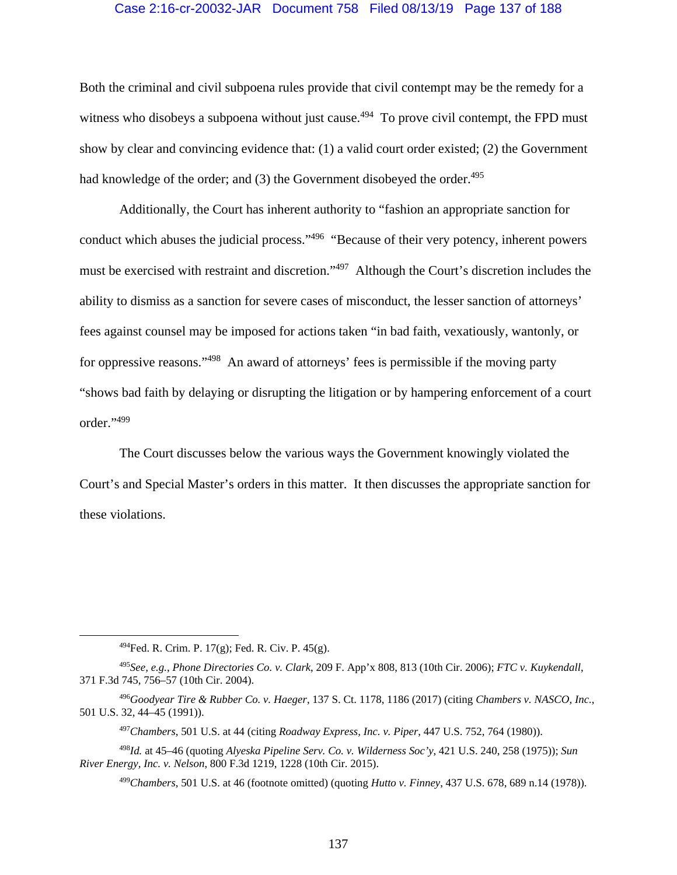### Case 2:16-cr-20032-JAR Document 758 Filed 08/13/19 Page 137 of 188

Both the criminal and civil subpoena rules provide that civil contempt may be the remedy for a witness who disobeys a subpoena without just cause.<sup> $494$ </sup> To prove civil contempt, the FPD must show by clear and convincing evidence that: (1) a valid court order existed; (2) the Government had knowledge of the order; and  $(3)$  the Government disobeyed the order.<sup>495</sup>

Additionally, the Court has inherent authority to "fashion an appropriate sanction for conduct which abuses the judicial process."<sup>496</sup> "Because of their very potency, inherent powers must be exercised with restraint and discretion."497 Although the Court's discretion includes the ability to dismiss as a sanction for severe cases of misconduct, the lesser sanction of attorneys' fees against counsel may be imposed for actions taken "in bad faith, vexatiously, wantonly, or for oppressive reasons."498 An award of attorneys' fees is permissible if the moving party "shows bad faith by delaying or disrupting the litigation or by hampering enforcement of a court order."499

The Court discusses below the various ways the Government knowingly violated the Court's and Special Master's orders in this matter. It then discusses the appropriate sanction for these violations.

 $^{494}$ Fed. R. Crim. P. 17(g); Fed. R. Civ. P. 45(g).

<sup>495</sup>*See, e.g.*, *Phone Directories Co. v. Clark*, 209 F. App'x 808, 813 (10th Cir. 2006); *FTC v. Kuykendall*, 371 F.3d 745, 756–57 (10th Cir. 2004).

<sup>496</sup>*Goodyear Tire & Rubber Co. v. Haeger*, 137 S. Ct. 1178, 1186 (2017) (citing *Chambers v. NASCO, Inc.*, 501 U.S. 32, 44–45 (1991)).

<sup>497</sup>*Chambers*, 501 U.S. at 44 (citing *Roadway Express, Inc. v. Piper*, 447 U.S. 752, 764 (1980)).

<sup>498</sup>*Id.* at 45–46 (quoting *Alyeska Pipeline Serv. Co. v. Wilderness Soc'y*, 421 U.S. 240, 258 (1975)); *Sun River Energy, Inc. v. Nelson*, 800 F.3d 1219, 1228 (10th Cir. 2015).

<sup>499</sup>*Chambers*, 501 U.S. at 46 (footnote omitted) (quoting *Hutto v. Finney*, 437 U.S. 678, 689 n.14 (1978)).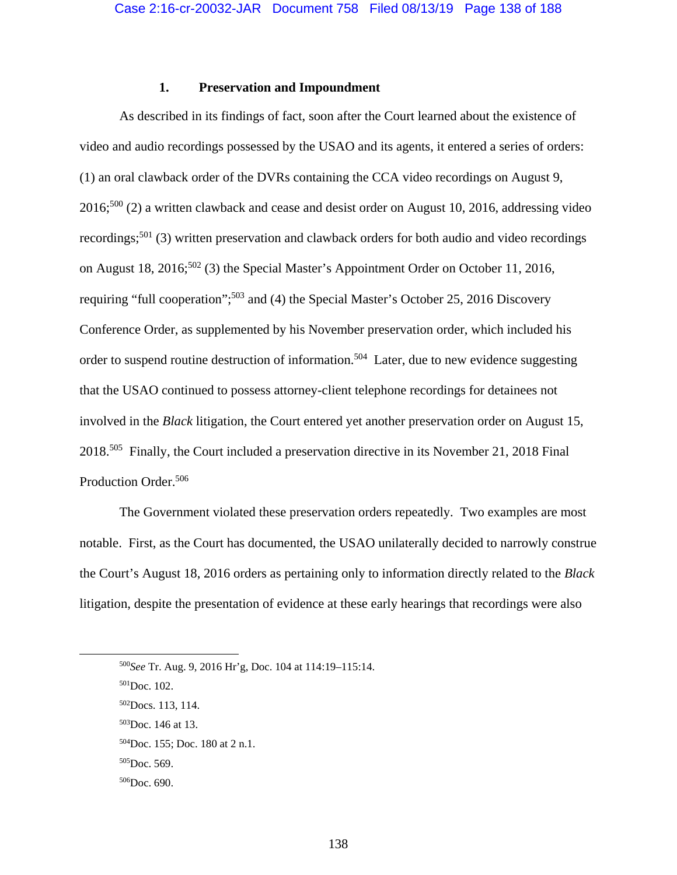## **1. Preservation and Impoundment**

 As described in its findings of fact, soon after the Court learned about the existence of video and audio recordings possessed by the USAO and its agents, it entered a series of orders: (1) an oral clawback order of the DVRs containing the CCA video recordings on August 9,  $2016$ <sup>500</sup> (2) a written clawback and cease and desist order on August 10, 2016, addressing video recordings;<sup>501</sup> (3) written preservation and clawback orders for both audio and video recordings on August 18, 2016;<sup>502</sup> (3) the Special Master's Appointment Order on October 11, 2016, requiring "full cooperation";<sup>503</sup> and (4) the Special Master's October 25, 2016 Discovery Conference Order, as supplemented by his November preservation order, which included his order to suspend routine destruction of information.<sup>504</sup> Later, due to new evidence suggesting that the USAO continued to possess attorney-client telephone recordings for detainees not involved in the *Black* litigation, the Court entered yet another preservation order on August 15, 2018.505 Finally, the Court included a preservation directive in its November 21, 2018 Final Production Order.<sup>506</sup>

 The Government violated these preservation orders repeatedly. Two examples are most notable. First, as the Court has documented, the USAO unilaterally decided to narrowly construe the Court's August 18, 2016 orders as pertaining only to information directly related to the *Black* litigation, despite the presentation of evidence at these early hearings that recordings were also

 <sup>500</sup>*See* Tr. Aug. 9, 2016 Hr'g, Doc. 104 at 114:19–115:14.

<sup>501</sup>Doc. 102.

<sup>502</sup>Docs. 113, 114.

<sup>503</sup>Doc. 146 at 13.

<sup>504</sup>Doc. 155; Doc. 180 at 2 n.1.

<sup>505</sup>Doc. 569.

 $506$ Doc. 690.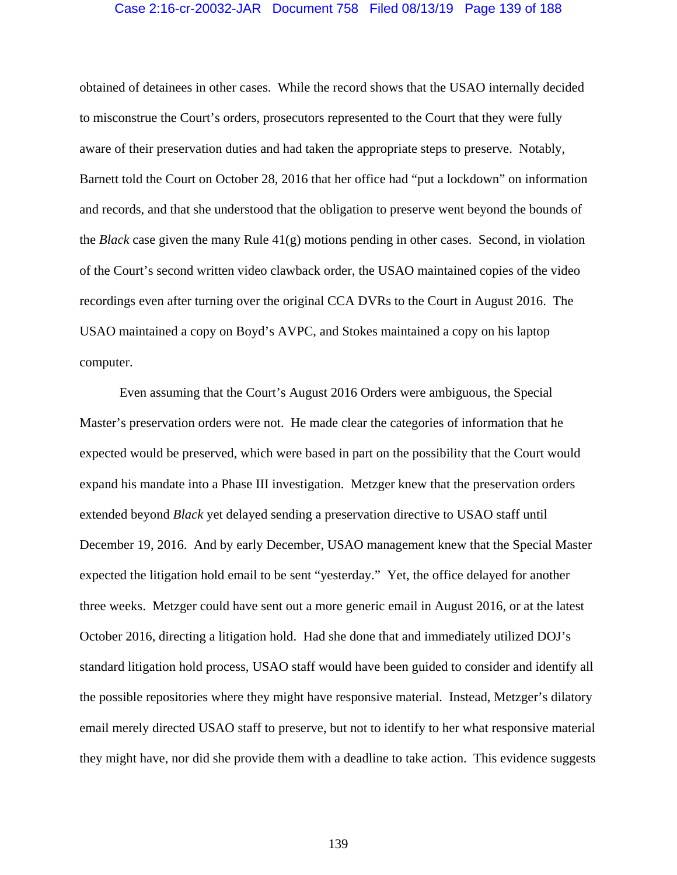### Case 2:16-cr-20032-JAR Document 758 Filed 08/13/19 Page 139 of 188

obtained of detainees in other cases. While the record shows that the USAO internally decided to misconstrue the Court's orders, prosecutors represented to the Court that they were fully aware of their preservation duties and had taken the appropriate steps to preserve. Notably, Barnett told the Court on October 28, 2016 that her office had "put a lockdown" on information and records, and that she understood that the obligation to preserve went beyond the bounds of the *Black* case given the many Rule 41(g) motions pending in other cases. Second, in violation of the Court's second written video clawback order, the USAO maintained copies of the video recordings even after turning over the original CCA DVRs to the Court in August 2016. The USAO maintained a copy on Boyd's AVPC, and Stokes maintained a copy on his laptop computer.

 Even assuming that the Court's August 2016 Orders were ambiguous, the Special Master's preservation orders were not. He made clear the categories of information that he expected would be preserved, which were based in part on the possibility that the Court would expand his mandate into a Phase III investigation. Metzger knew that the preservation orders extended beyond *Black* yet delayed sending a preservation directive to USAO staff until December 19, 2016. And by early December, USAO management knew that the Special Master expected the litigation hold email to be sent "yesterday." Yet, the office delayed for another three weeks. Metzger could have sent out a more generic email in August 2016, or at the latest October 2016, directing a litigation hold. Had she done that and immediately utilized DOJ's standard litigation hold process, USAO staff would have been guided to consider and identify all the possible repositories where they might have responsive material. Instead, Metzger's dilatory email merely directed USAO staff to preserve, but not to identify to her what responsive material they might have, nor did she provide them with a deadline to take action. This evidence suggests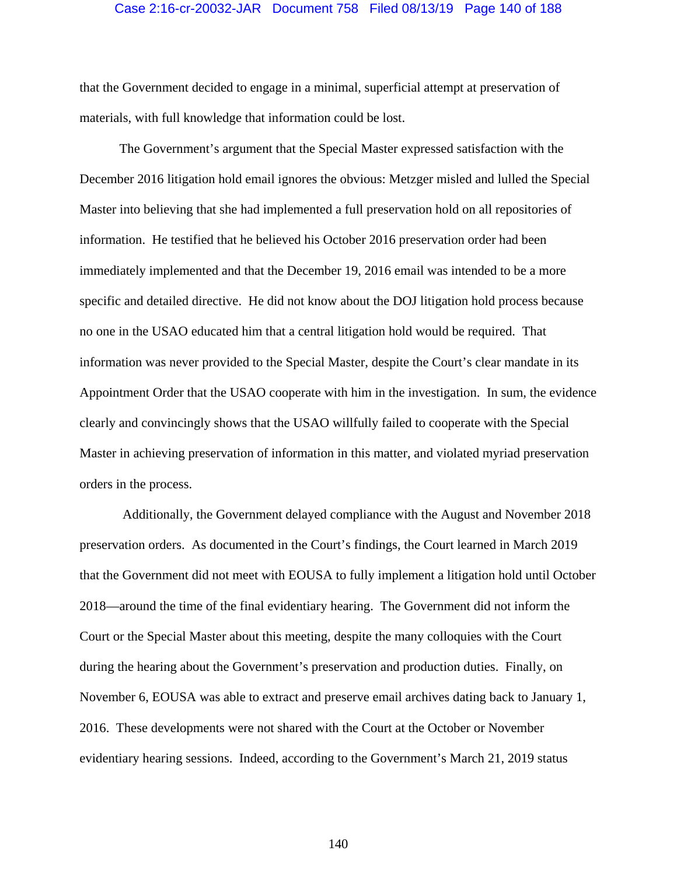#### Case 2:16-cr-20032-JAR Document 758 Filed 08/13/19 Page 140 of 188

that the Government decided to engage in a minimal, superficial attempt at preservation of materials, with full knowledge that information could be lost.

The Government's argument that the Special Master expressed satisfaction with the December 2016 litigation hold email ignores the obvious: Metzger misled and lulled the Special Master into believing that she had implemented a full preservation hold on all repositories of information. He testified that he believed his October 2016 preservation order had been immediately implemented and that the December 19, 2016 email was intended to be a more specific and detailed directive. He did not know about the DOJ litigation hold process because no one in the USAO educated him that a central litigation hold would be required. That information was never provided to the Special Master, despite the Court's clear mandate in its Appointment Order that the USAO cooperate with him in the investigation. In sum, the evidence clearly and convincingly shows that the USAO willfully failed to cooperate with the Special Master in achieving preservation of information in this matter, and violated myriad preservation orders in the process.

 Additionally, the Government delayed compliance with the August and November 2018 preservation orders. As documented in the Court's findings, the Court learned in March 2019 that the Government did not meet with EOUSA to fully implement a litigation hold until October 2018—around the time of the final evidentiary hearing. The Government did not inform the Court or the Special Master about this meeting, despite the many colloquies with the Court during the hearing about the Government's preservation and production duties. Finally, on November 6, EOUSA was able to extract and preserve email archives dating back to January 1, 2016. These developments were not shared with the Court at the October or November evidentiary hearing sessions. Indeed, according to the Government's March 21, 2019 status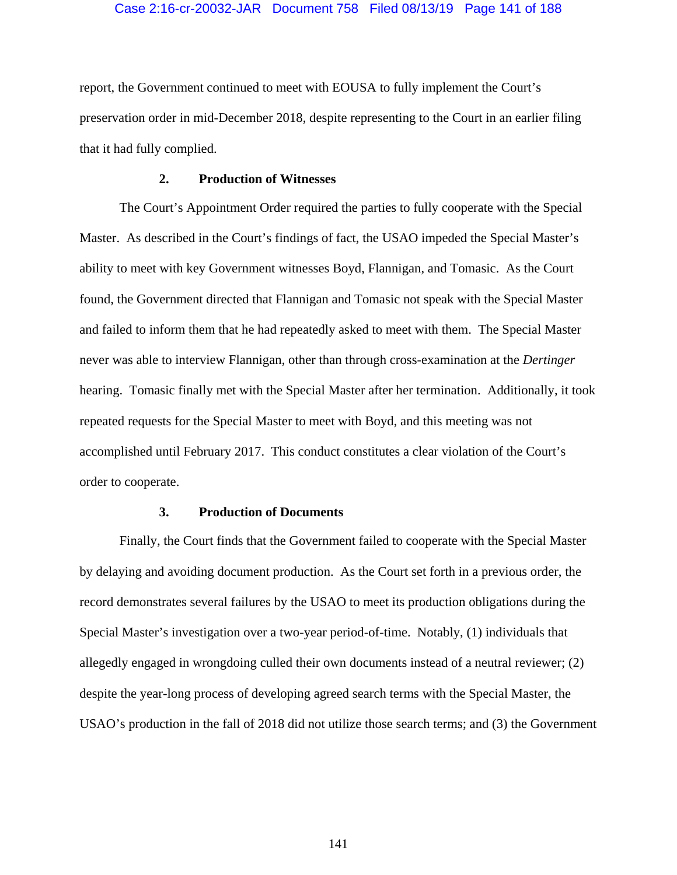## Case 2:16-cr-20032-JAR Document 758 Filed 08/13/19 Page 141 of 188

report, the Government continued to meet with EOUSA to fully implement the Court's preservation order in mid-December 2018, despite representing to the Court in an earlier filing that it had fully complied.

## **2. Production of Witnesses**

The Court's Appointment Order required the parties to fully cooperate with the Special Master. As described in the Court's findings of fact, the USAO impeded the Special Master's ability to meet with key Government witnesses Boyd, Flannigan, and Tomasic. As the Court found, the Government directed that Flannigan and Tomasic not speak with the Special Master and failed to inform them that he had repeatedly asked to meet with them. The Special Master never was able to interview Flannigan, other than through cross-examination at the *Dertinger* hearing. Tomasic finally met with the Special Master after her termination. Additionally, it took repeated requests for the Special Master to meet with Boyd, and this meeting was not accomplished until February 2017. This conduct constitutes a clear violation of the Court's order to cooperate.

# **3. Production of Documents**

Finally, the Court finds that the Government failed to cooperate with the Special Master by delaying and avoiding document production. As the Court set forth in a previous order, the record demonstrates several failures by the USAO to meet its production obligations during the Special Master's investigation over a two-year period-of-time. Notably, (1) individuals that allegedly engaged in wrongdoing culled their own documents instead of a neutral reviewer; (2) despite the year-long process of developing agreed search terms with the Special Master, the USAO's production in the fall of 2018 did not utilize those search terms; and (3) the Government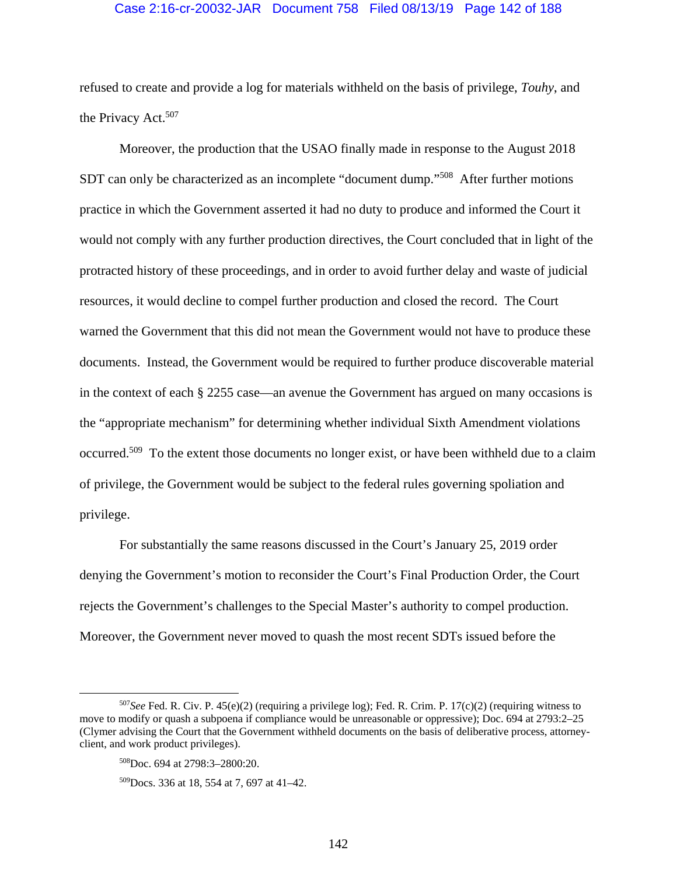## Case 2:16-cr-20032-JAR Document 758 Filed 08/13/19 Page 142 of 188

refused to create and provide a log for materials withheld on the basis of privilege, *Touhy*, and the Privacy Act.<sup>507</sup>

Moreover, the production that the USAO finally made in response to the August 2018 SDT can only be characterized as an incomplete "document dump."<sup>508</sup> After further motions practice in which the Government asserted it had no duty to produce and informed the Court it would not comply with any further production directives, the Court concluded that in light of the protracted history of these proceedings, and in order to avoid further delay and waste of judicial resources, it would decline to compel further production and closed the record. The Court warned the Government that this did not mean the Government would not have to produce these documents. Instead, the Government would be required to further produce discoverable material in the context of each § 2255 case—an avenue the Government has argued on many occasions is the "appropriate mechanism" for determining whether individual Sixth Amendment violations occurred.<sup>509</sup> To the extent those documents no longer exist, or have been withheld due to a claim of privilege, the Government would be subject to the federal rules governing spoliation and privilege.

 For substantially the same reasons discussed in the Court's January 25, 2019 order denying the Government's motion to reconsider the Court's Final Production Order, the Court rejects the Government's challenges to the Special Master's authority to compel production. Moreover, the Government never moved to quash the most recent SDTs issued before the

 <sup>507</sup>*See* Fed. R. Civ. P. 45(e)(2) (requiring a privilege log); Fed. R. Crim. P. 17(c)(2) (requiring witness to move to modify or quash a subpoena if compliance would be unreasonable or oppressive); Doc. 694 at 2793:2–25 (Clymer advising the Court that the Government withheld documents on the basis of deliberative process, attorneyclient, and work product privileges).

<sup>508</sup>Doc. 694 at 2798:3–2800:20.

<sup>509</sup>Docs. 336 at 18, 554 at 7, 697 at 41–42.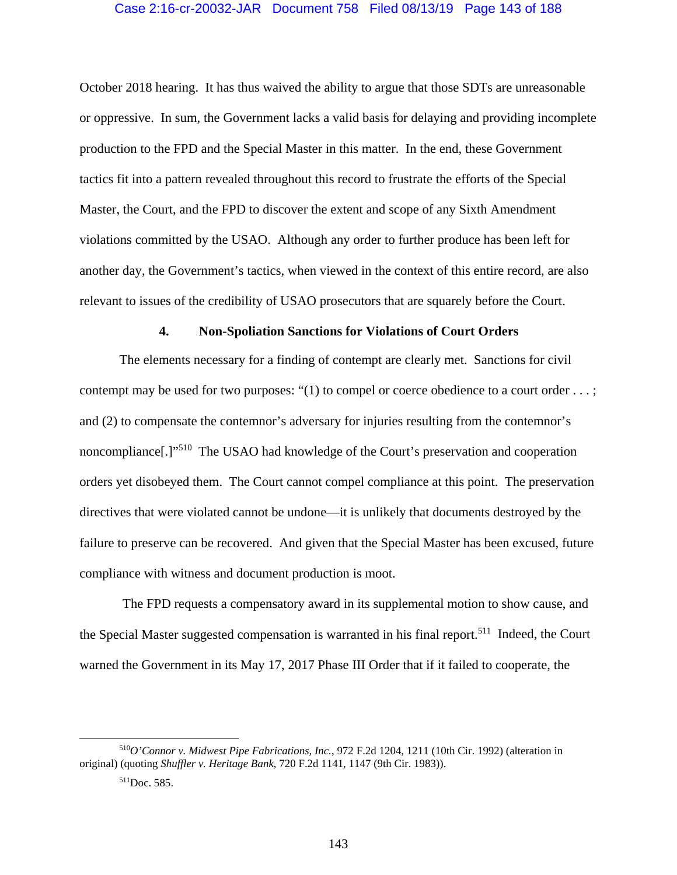## Case 2:16-cr-20032-JAR Document 758 Filed 08/13/19 Page 143 of 188

October 2018 hearing. It has thus waived the ability to argue that those SDTs are unreasonable or oppressive. In sum, the Government lacks a valid basis for delaying and providing incomplete production to the FPD and the Special Master in this matter. In the end, these Government tactics fit into a pattern revealed throughout this record to frustrate the efforts of the Special Master, the Court, and the FPD to discover the extent and scope of any Sixth Amendment violations committed by the USAO. Although any order to further produce has been left for another day, the Government's tactics, when viewed in the context of this entire record, are also relevant to issues of the credibility of USAO prosecutors that are squarely before the Court.

#### **4. Non-Spoliation Sanctions for Violations of Court Orders**

The elements necessary for a finding of contempt are clearly met. Sanctions for civil contempt may be used for two purposes: "(1) to compel or coerce obedience to a court order . . . ; and (2) to compensate the contemnor's adversary for injuries resulting from the contemnor's noncompliance[.]"510 The USAO had knowledge of the Court's preservation and cooperation orders yet disobeyed them. The Court cannot compel compliance at this point. The preservation directives that were violated cannot be undone—it is unlikely that documents destroyed by the failure to preserve can be recovered. And given that the Special Master has been excused, future compliance with witness and document production is moot.

 The FPD requests a compensatory award in its supplemental motion to show cause, and the Special Master suggested compensation is warranted in his final report.<sup>511</sup> Indeed, the Court warned the Government in its May 17, 2017 Phase III Order that if it failed to cooperate, the

 <sup>510</sup>*O'Connor v. Midwest Pipe Fabrications, Inc.*, 972 F.2d 1204, 1211 (10th Cir. 1992) (alteration in original) (quoting *Shuffler v. Heritage Bank*, 720 F.2d 1141, 1147 (9th Cir. 1983)).

<sup>511</sup>Doc. 585.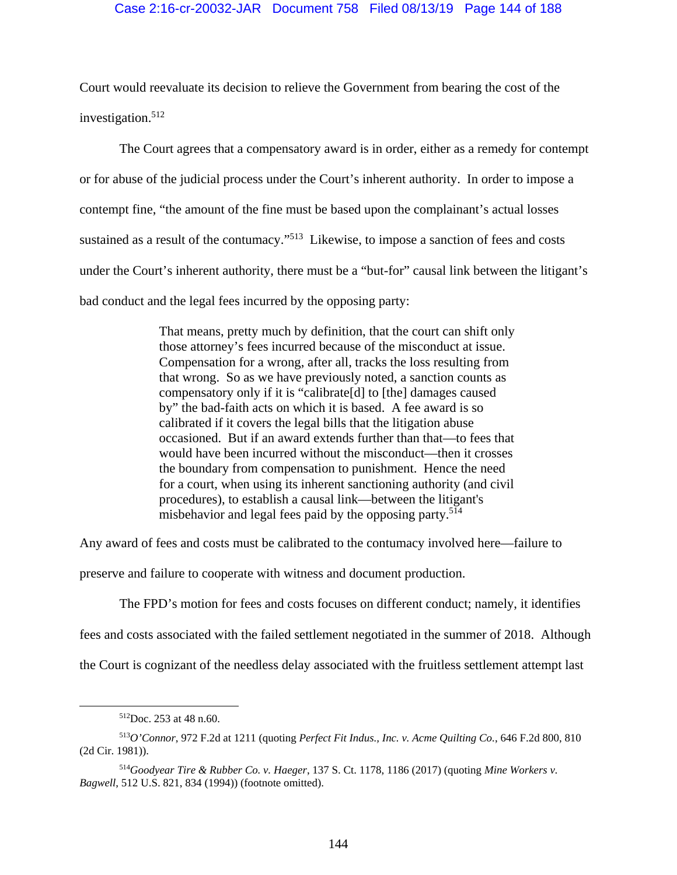# Case 2:16-cr-20032-JAR Document 758 Filed 08/13/19 Page 144 of 188

Court would reevaluate its decision to relieve the Government from bearing the cost of the investigation.<sup>512</sup>

The Court agrees that a compensatory award is in order, either as a remedy for contempt or for abuse of the judicial process under the Court's inherent authority. In order to impose a contempt fine, "the amount of the fine must be based upon the complainant's actual losses sustained as a result of the contumacy."<sup>513</sup> Likewise, to impose a sanction of fees and costs under the Court's inherent authority, there must be a "but-for" causal link between the litigant's bad conduct and the legal fees incurred by the opposing party:

> That means, pretty much by definition, that the court can shift only those attorney's fees incurred because of the misconduct at issue. Compensation for a wrong, after all, tracks the loss resulting from that wrong. So as we have previously noted, a sanction counts as compensatory only if it is "calibrate[d] to [the] damages caused by" the bad-faith acts on which it is based. A fee award is so calibrated if it covers the legal bills that the litigation abuse occasioned. But if an award extends further than that—to fees that would have been incurred without the misconduct—then it crosses the boundary from compensation to punishment. Hence the need for a court, when using its inherent sanctioning authority (and civil procedures), to establish a causal link—between the litigant's misbehavior and legal fees paid by the opposing party.<sup>514</sup>

Any award of fees and costs must be calibrated to the contumacy involved here—failure to

preserve and failure to cooperate with witness and document production.

The FPD's motion for fees and costs focuses on different conduct; namely, it identifies

fees and costs associated with the failed settlement negotiated in the summer of 2018. Although

the Court is cognizant of the needless delay associated with the fruitless settlement attempt last

 <sup>512</sup>Doc. 253 at 48 n.60.

<sup>513</sup>*O'Connor*, 972 F.2d at 1211 (quoting *Perfect Fit Indus., Inc. v. Acme Quilting Co.*, 646 F.2d 800, 810 (2d Cir. 1981)).

<sup>514</sup>*Goodyear Tire & Rubber Co. v. Haeger*, 137 S. Ct. 1178, 1186 (2017) (quoting *Mine Workers v. Bagwell*, 512 U.S. 821, 834 (1994)) (footnote omitted).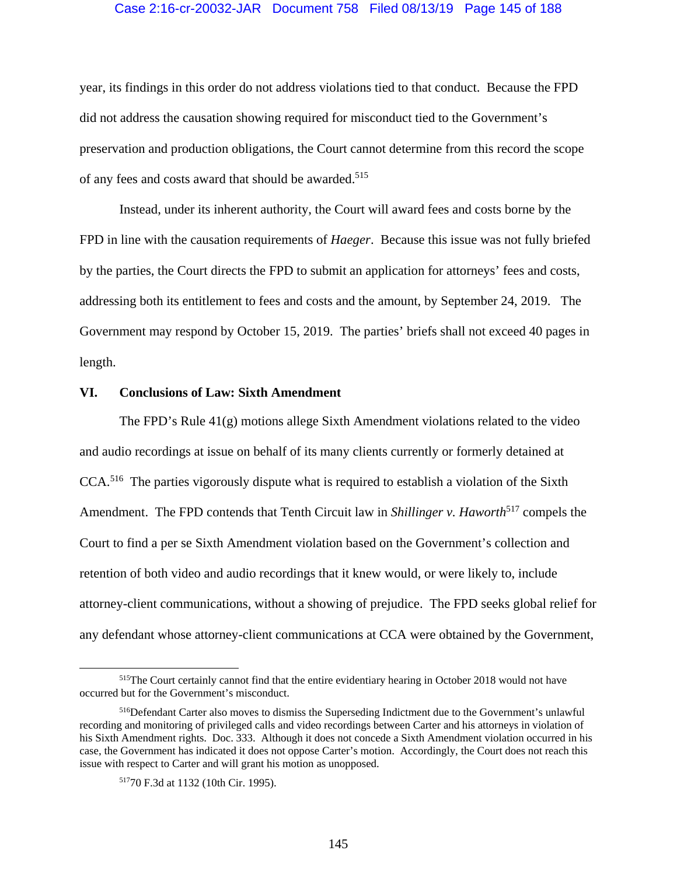#### Case 2:16-cr-20032-JAR Document 758 Filed 08/13/19 Page 145 of 188

year, its findings in this order do not address violations tied to that conduct. Because the FPD did not address the causation showing required for misconduct tied to the Government's preservation and production obligations, the Court cannot determine from this record the scope of any fees and costs award that should be awarded.<sup>515</sup>

Instead, under its inherent authority, the Court will award fees and costs borne by the FPD in line with the causation requirements of *Haeger*. Because this issue was not fully briefed by the parties, the Court directs the FPD to submit an application for attorneys' fees and costs, addressing both its entitlement to fees and costs and the amount, by September 24, 2019. The Government may respond by October 15, 2019. The parties' briefs shall not exceed 40 pages in length.

#### **VI. Conclusions of Law: Sixth Amendment**

The FPD's Rule 41(g) motions allege Sixth Amendment violations related to the video and audio recordings at issue on behalf of its many clients currently or formerly detained at CCA.516 The parties vigorously dispute what is required to establish a violation of the Sixth Amendment. The FPD contends that Tenth Circuit law in *Shillinger v. Haworth*<sup>517</sup> compels the Court to find a per se Sixth Amendment violation based on the Government's collection and retention of both video and audio recordings that it knew would, or were likely to, include attorney-client communications, without a showing of prejudice. The FPD seeks global relief for any defendant whose attorney-client communications at CCA were obtained by the Government,

 <sup>515</sup>The Court certainly cannot find that the entire evidentiary hearing in October 2018 would not have occurred but for the Government's misconduct.

<sup>516</sup>Defendant Carter also moves to dismiss the Superseding Indictment due to the Government's unlawful recording and monitoring of privileged calls and video recordings between Carter and his attorneys in violation of his Sixth Amendment rights. Doc. 333. Although it does not concede a Sixth Amendment violation occurred in his case, the Government has indicated it does not oppose Carter's motion. Accordingly, the Court does not reach this issue with respect to Carter and will grant his motion as unopposed.

<sup>51770</sup> F.3d at 1132 (10th Cir. 1995).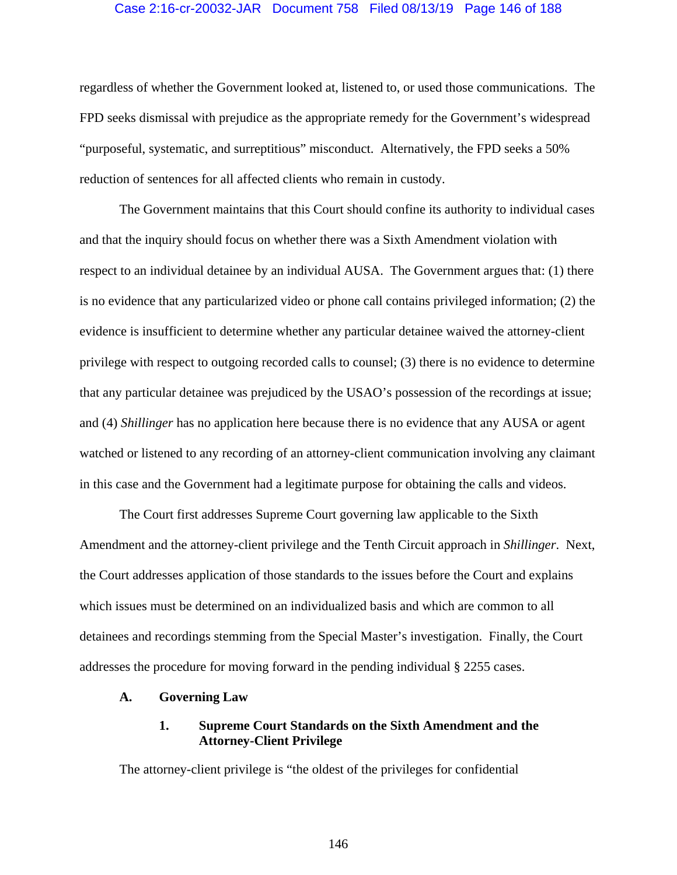#### Case 2:16-cr-20032-JAR Document 758 Filed 08/13/19 Page 146 of 188

regardless of whether the Government looked at, listened to, or used those communications. The FPD seeks dismissal with prejudice as the appropriate remedy for the Government's widespread "purposeful, systematic, and surreptitious" misconduct. Alternatively, the FPD seeks a 50% reduction of sentences for all affected clients who remain in custody.

The Government maintains that this Court should confine its authority to individual cases and that the inquiry should focus on whether there was a Sixth Amendment violation with respect to an individual detainee by an individual AUSA. The Government argues that: (1) there is no evidence that any particularized video or phone call contains privileged information; (2) the evidence is insufficient to determine whether any particular detainee waived the attorney-client privilege with respect to outgoing recorded calls to counsel; (3) there is no evidence to determine that any particular detainee was prejudiced by the USAO's possession of the recordings at issue; and (4) *Shillinger* has no application here because there is no evidence that any AUSA or agent watched or listened to any recording of an attorney-client communication involving any claimant in this case and the Government had a legitimate purpose for obtaining the calls and videos.

The Court first addresses Supreme Court governing law applicable to the Sixth Amendment and the attorney-client privilege and the Tenth Circuit approach in *Shillinger*. Next, the Court addresses application of those standards to the issues before the Court and explains which issues must be determined on an individualized basis and which are common to all detainees and recordings stemming from the Special Master's investigation. Finally, the Court addresses the procedure for moving forward in the pending individual § 2255 cases.

#### **A. Governing Law**

# **1. Supreme Court Standards on the Sixth Amendment and the Attorney-Client Privilege**

The attorney-client privilege is "the oldest of the privileges for confidential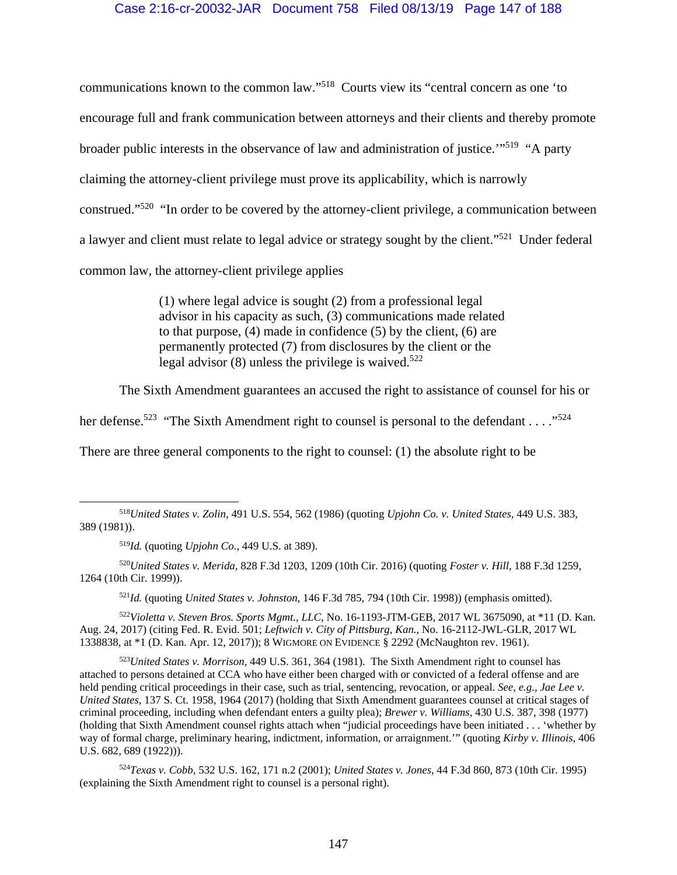## Case 2:16-cr-20032-JAR Document 758 Filed 08/13/19 Page 147 of 188

communications known to the common law."518 Courts view its "central concern as one 'to encourage full and frank communication between attorneys and their clients and thereby promote broader public interests in the observance of law and administration of justice.'"519 "A party claiming the attorney-client privilege must prove its applicability, which is narrowly construed."520 "In order to be covered by the attorney-client privilege, a communication between a lawyer and client must relate to legal advice or strategy sought by the client."521 Under federal common law, the attorney-client privilege applies

> (1) where legal advice is sought (2) from a professional legal advisor in his capacity as such, (3) communications made related to that purpose, (4) made in confidence (5) by the client, (6) are permanently protected (7) from disclosures by the client or the legal advisor  $(8)$  unless the privilege is waived.<sup>522</sup>

The Sixth Amendment guarantees an accused the right to assistance of counsel for his or

her defense.<sup>523</sup> "The Sixth Amendment right to counsel is personal to the defendant . . . .<sup>"524</sup>

There are three general components to the right to counsel: (1) the absolute right to be

<sup>521</sup>*Id.* (quoting *United States v. Johnston*, 146 F.3d 785, 794 (10th Cir. 1998)) (emphasis omitted).

<sup>522</sup>*Violetta v. Steven Bros. Sports Mgmt., LLC*, No. 16-1193-JTM-GEB, 2017 WL 3675090, at \*11 (D. Kan. Aug. 24, 2017) (citing Fed. R. Evid. 501; *Leftwich v. City of Pittsburg, Kan*., No. 16-2112-JWL-GLR, 2017 WL 1338838, at \*1 (D. Kan. Apr. 12, 2017)); 8 WIGMORE ON EVIDENCE § 2292 (McNaughton rev. 1961).

<sup>523</sup>*United States v. Morrison*, 449 U.S. 361, 364 (1981). The Sixth Amendment right to counsel has attached to persons detained at CCA who have either been charged with or convicted of a federal offense and are held pending critical proceedings in their case, such as trial, sentencing, revocation, or appeal. *See, e.g., Jae Lee v. United States*, 137 S. Ct. 1958, 1964 (2017) (holding that Sixth Amendment guarantees counsel at critical stages of criminal proceeding, including when defendant enters a guilty plea); *Brewer v. Williams*, 430 U.S. 387, 398 (1977) (holding that Sixth Amendment counsel rights attach when "judicial proceedings have been initiated . . . 'whether by way of formal charge, preliminary hearing, indictment, information, or arraignment.'" (quoting *Kirby v. Illinois*, 406 U.S. 682, 689 (1922))).

<sup>524</sup>*Texas v. Cobb*, 532 U.S. 162, 171 n.2 (2001); *United States v. Jones*, 44 F.3d 860, 873 (10th Cir. 1995) (explaining the Sixth Amendment right to counsel is a personal right).

 <sup>518</sup>*United States v. Zolin*, 491 U.S. 554, 562 (1986) (quoting *Upjohn Co. v. United States*, 449 U.S. 383, 389 (1981)).

<sup>519</sup>*Id.* (quoting *Upjohn Co.*, 449 U.S. at 389).

<sup>520</sup>*United States v. Merida*, 828 F.3d 1203, 1209 (10th Cir. 2016) (quoting *Foster v. Hill*, 188 F.3d 1259, 1264 (10th Cir. 1999)).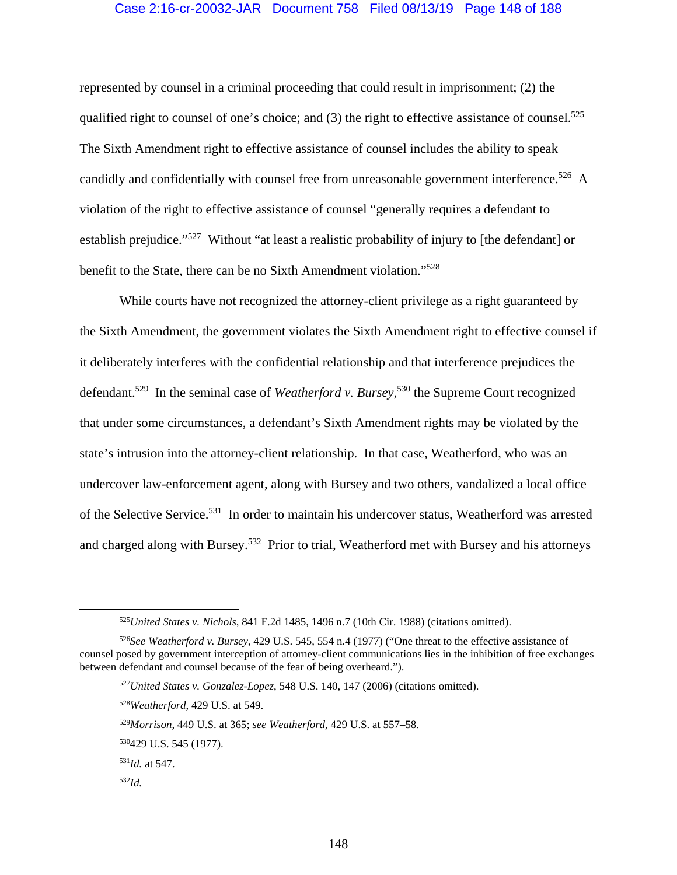## Case 2:16-cr-20032-JAR Document 758 Filed 08/13/19 Page 148 of 188

represented by counsel in a criminal proceeding that could result in imprisonment; (2) the qualified right to counsel of one's choice; and  $(3)$  the right to effective assistance of counsel.<sup>525</sup> The Sixth Amendment right to effective assistance of counsel includes the ability to speak candidly and confidentially with counsel free from unreasonable government interference.<sup>526</sup> A violation of the right to effective assistance of counsel "generally requires a defendant to establish prejudice."<sup>527</sup> Without "at least a realistic probability of injury to [the defendant] or benefit to the State, there can be no Sixth Amendment violation."528

While courts have not recognized the attorney-client privilege as a right guaranteed by the Sixth Amendment, the government violates the Sixth Amendment right to effective counsel if it deliberately interferes with the confidential relationship and that interference prejudices the defendant.529 In the seminal case of *Weatherford v. Bursey*, 530 the Supreme Court recognized that under some circumstances, a defendant's Sixth Amendment rights may be violated by the state's intrusion into the attorney-client relationship. In that case, Weatherford, who was an undercover law-enforcement agent, along with Bursey and two others, vandalized a local office of the Selective Service.531 In order to maintain his undercover status, Weatherford was arrested and charged along with Bursey.532 Prior to trial, Weatherford met with Bursey and his attorneys

 <sup>525</sup>*United States v. Nichols*, 841 F.2d 1485, 1496 n.7 (10th Cir. 1988) (citations omitted).

<sup>526</sup>*See Weatherford v. Bursey*, 429 U.S. 545, 554 n.4 (1977) ("One threat to the effective assistance of counsel posed by government interception of attorney-client communications lies in the inhibition of free exchanges between defendant and counsel because of the fear of being overheard.").

<sup>527</sup>*United States v. Gonzalez-Lopez*, 548 U.S. 140, 147 (2006) (citations omitted).

<sup>528</sup>*Weatherford*, 429 U.S. at 549.

<sup>529</sup>*Morrison*, 449 U.S. at 365; *see Weatherford*, 429 U.S. at 557–58.

<sup>530429</sup> U.S. 545 (1977).

<sup>531</sup>*Id.* at 547.

<sup>532</sup>*Id.*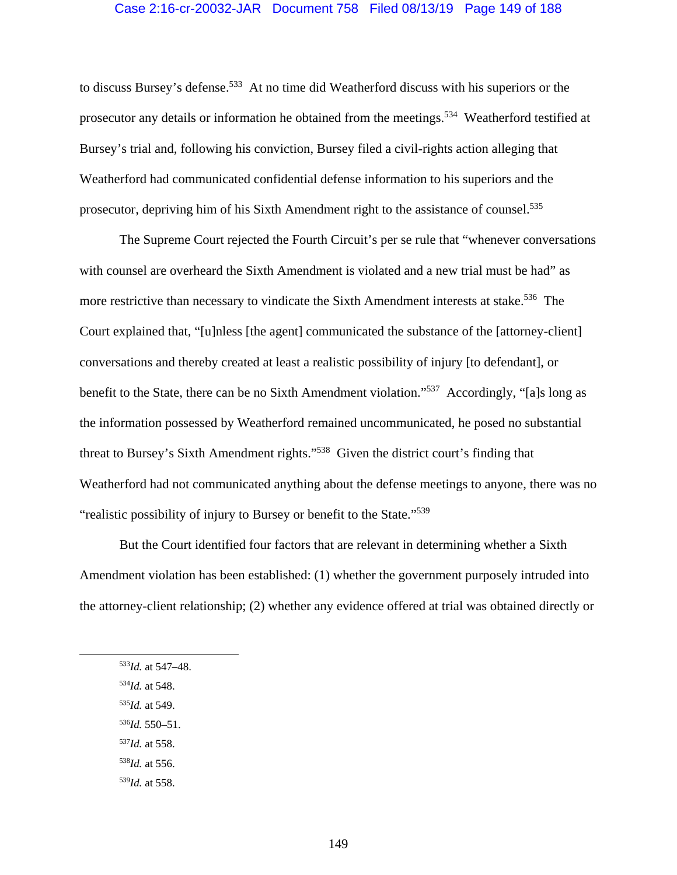#### Case 2:16-cr-20032-JAR Document 758 Filed 08/13/19 Page 149 of 188

to discuss Bursey's defense.<sup>533</sup> At no time did Weatherford discuss with his superiors or the prosecutor any details or information he obtained from the meetings.<sup>534</sup> Weatherford testified at Bursey's trial and, following his conviction, Bursey filed a civil-rights action alleging that Weatherford had communicated confidential defense information to his superiors and the prosecutor, depriving him of his Sixth Amendment right to the assistance of counsel.<sup>535</sup>

The Supreme Court rejected the Fourth Circuit's per se rule that "whenever conversations with counsel are overheard the Sixth Amendment is violated and a new trial must be had" as more restrictive than necessary to vindicate the Sixth Amendment interests at stake.<sup>536</sup> The Court explained that, "[u]nless [the agent] communicated the substance of the [attorney-client] conversations and thereby created at least a realistic possibility of injury [to defendant], or benefit to the State, there can be no Sixth Amendment violation."537 Accordingly, "[a]s long as the information possessed by Weatherford remained uncommunicated, he posed no substantial threat to Bursey's Sixth Amendment rights."538 Given the district court's finding that Weatherford had not communicated anything about the defense meetings to anyone, there was no "realistic possibility of injury to Bursey or benefit to the State."539

But the Court identified four factors that are relevant in determining whether a Sixth Amendment violation has been established: (1) whether the government purposely intruded into the attorney-client relationship; (2) whether any evidence offered at trial was obtained directly or

- <sup>534</sup>*Id.* at 548.
- <sup>535</sup>*Id.* at 549.
- <sup>536</sup>*Id.* 550–51.
- <sup>537</sup>*Id.* at 558.
- <sup>538</sup>*Id.* at 556.
- <sup>539</sup>*Id.* at 558.

 <sup>533</sup>*Id.* at 547–48.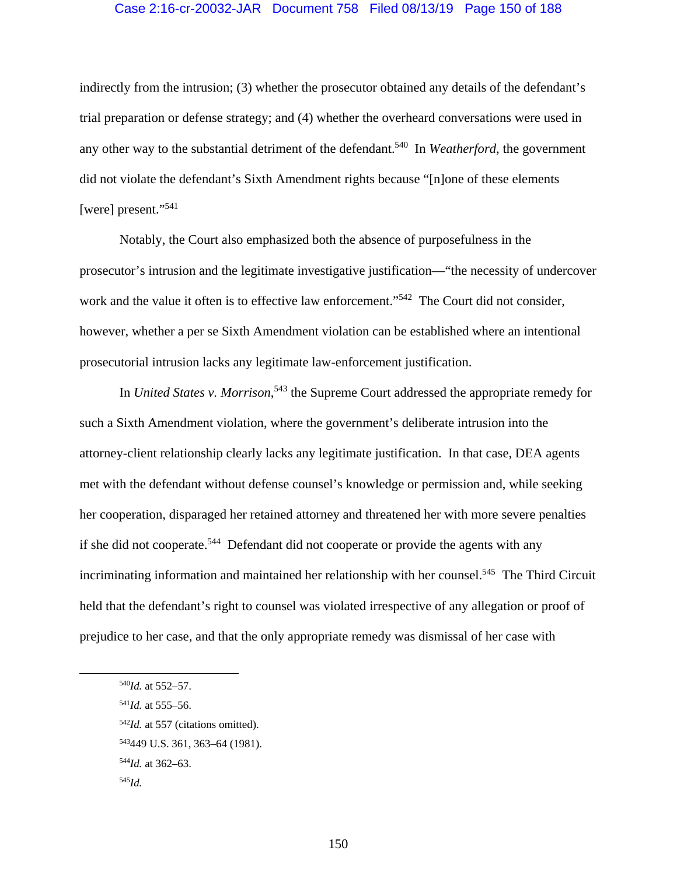#### Case 2:16-cr-20032-JAR Document 758 Filed 08/13/19 Page 150 of 188

indirectly from the intrusion; (3) whether the prosecutor obtained any details of the defendant's trial preparation or defense strategy; and (4) whether the overheard conversations were used in any other way to the substantial detriment of the defendant.540 In *Weatherford*, the government did not violate the defendant's Sixth Amendment rights because "[n]one of these elements [were] present."<sup>541</sup>

Notably, the Court also emphasized both the absence of purposefulness in the prosecutor's intrusion and the legitimate investigative justification—"the necessity of undercover work and the value it often is to effective law enforcement."<sup>542</sup> The Court did not consider, however, whether a per se Sixth Amendment violation can be established where an intentional prosecutorial intrusion lacks any legitimate law-enforcement justification.

In *United States v. Morrison*<sup>543</sup> the Supreme Court addressed the appropriate remedy for such a Sixth Amendment violation, where the government's deliberate intrusion into the attorney-client relationship clearly lacks any legitimate justification. In that case, DEA agents met with the defendant without defense counsel's knowledge or permission and, while seeking her cooperation, disparaged her retained attorney and threatened her with more severe penalties if she did not cooperate.<sup>544</sup> Defendant did not cooperate or provide the agents with any incriminating information and maintained her relationship with her counsel.<sup>545</sup> The Third Circuit held that the defendant's right to counsel was violated irrespective of any allegation or proof of prejudice to her case, and that the only appropriate remedy was dismissal of her case with

- <sup>541</sup>*Id.* at 555–56.
- <sup>542</sup>*Id.* at 557 (citations omitted).
- 543449 U.S. 361, 363–64 (1981).
- <sup>544</sup>*Id.* at 362–63.

 <sup>540</sup>*Id.* at 552–57.

<sup>545</sup>*Id.*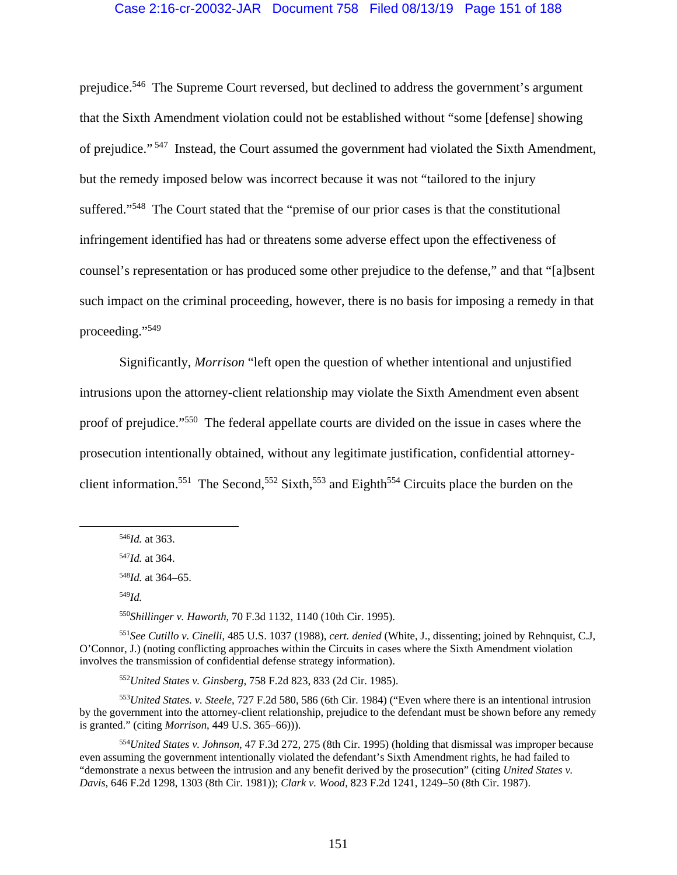#### Case 2:16-cr-20032-JAR Document 758 Filed 08/13/19 Page 151 of 188

prejudice.546 The Supreme Court reversed, but declined to address the government's argument that the Sixth Amendment violation could not be established without "some [defense] showing of prejudice." 547 Instead, the Court assumed the government had violated the Sixth Amendment, but the remedy imposed below was incorrect because it was not "tailored to the injury suffered."<sup>548</sup> The Court stated that the "premise of our prior cases is that the constitutional infringement identified has had or threatens some adverse effect upon the effectiveness of counsel's representation or has produced some other prejudice to the defense," and that "[a]bsent such impact on the criminal proceeding, however, there is no basis for imposing a remedy in that proceeding."549

Significantly, *Morrison* "left open the question of whether intentional and unjustified intrusions upon the attorney-client relationship may violate the Sixth Amendment even absent proof of prejudice."550 The federal appellate courts are divided on the issue in cases where the prosecution intentionally obtained, without any legitimate justification, confidential attorneyclient information.<sup>551</sup> The Second,<sup>552</sup> Sixth,<sup>553</sup> and Eighth<sup>554</sup> Circuits place the burden on the

<sup>550</sup>*Shillinger v. Haworth*, 70 F.3d 1132, 1140 (10th Cir. 1995).

<sup>551</sup>*See Cutillo v. Cinelli*, 485 U.S. 1037 (1988), *cert. denied* (White, J., dissenting; joined by Rehnquist, C.J, O'Connor, J.) (noting conflicting approaches within the Circuits in cases where the Sixth Amendment violation involves the transmission of confidential defense strategy information).

<sup>552</sup>*United States v. Ginsberg*, 758 F.2d 823, 833 (2d Cir. 1985).

<sup>553</sup>*United States. v. Steele*, 727 F.2d 580, 586 (6th Cir. 1984) ("Even where there is an intentional intrusion by the government into the attorney-client relationship, prejudice to the defendant must be shown before any remedy is granted." (citing *Morrison*, 449 U.S. 365–66))).

<sup>554</sup>*United States v. Johnson*, 47 F.3d 272, 275 (8th Cir. 1995) (holding that dismissal was improper because even assuming the government intentionally violated the defendant's Sixth Amendment rights, he had failed to "demonstrate a nexus between the intrusion and any benefit derived by the prosecution" (citing *United States v. Davis*, 646 F.2d 1298, 1303 (8th Cir. 1981)); *Clark v. Wood*, 823 F.2d 1241, 1249–50 (8th Cir. 1987).

 <sup>546</sup>*Id.* at 363.

<sup>547</sup>*Id.* at 364.

<sup>548</sup>*Id.* at 364–65.

<sup>549</sup>*Id.*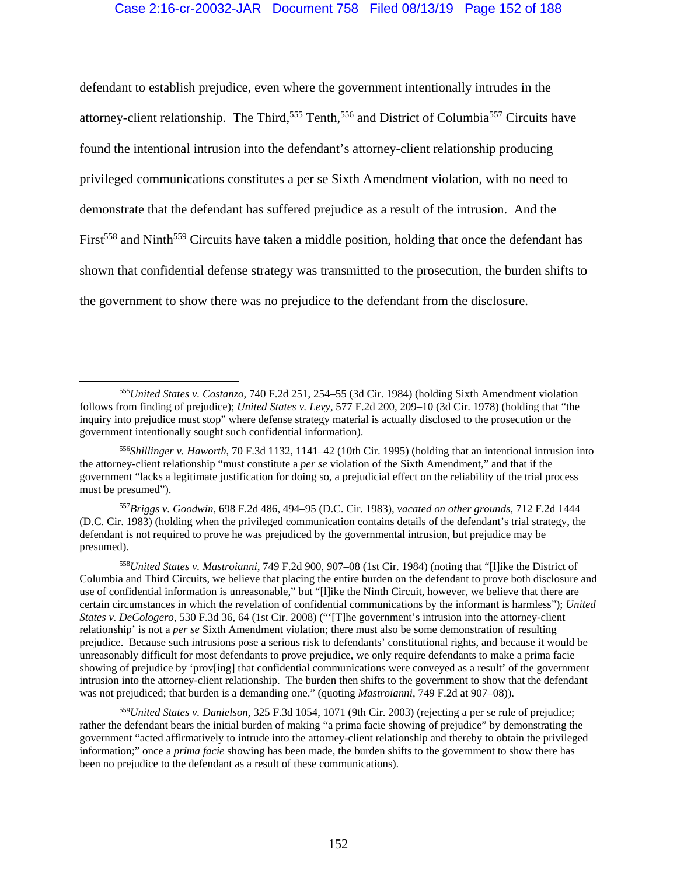defendant to establish prejudice, even where the government intentionally intrudes in the attorney-client relationship. The Third,<sup>555</sup> Tenth,<sup>556</sup> and District of Columbia<sup>557</sup> Circuits have found the intentional intrusion into the defendant's attorney-client relationship producing privileged communications constitutes a per se Sixth Amendment violation, with no need to demonstrate that the defendant has suffered prejudice as a result of the intrusion. And the First<sup>558</sup> and Ninth<sup>559</sup> Circuits have taken a middle position, holding that once the defendant has shown that confidential defense strategy was transmitted to the prosecution, the burden shifts to the government to show there was no prejudice to the defendant from the disclosure.

<sup>557</sup>*Briggs v. Goodwin*, 698 F.2d 486, 494–95 (D.C. Cir. 1983), *vacated on other grounds*, 712 F.2d 1444 (D.C. Cir. 1983) (holding when the privileged communication contains details of the defendant's trial strategy, the defendant is not required to prove he was prejudiced by the governmental intrusion, but prejudice may be presumed).

<sup>558</sup>*United States v. Mastroianni*, 749 F.2d 900, 907–08 (1st Cir. 1984) (noting that "[l]ike the District of Columbia and Third Circuits, we believe that placing the entire burden on the defendant to prove both disclosure and use of confidential information is unreasonable," but "[l]ike the Ninth Circuit, however, we believe that there are certain circumstances in which the revelation of confidential communications by the informant is harmless"); *United States v. DeCologero*, 530 F.3d 36, 64 (1st Cir. 2008) ("'[T]he government's intrusion into the attorney-client relationship' is not a *per se* Sixth Amendment violation; there must also be some demonstration of resulting prejudice. Because such intrusions pose a serious risk to defendants' constitutional rights, and because it would be unreasonably difficult for most defendants to prove prejudice, we only require defendants to make a prima facie showing of prejudice by 'prov[ing] that confidential communications were conveyed as a result' of the government intrusion into the attorney-client relationship. The burden then shifts to the government to show that the defendant was not prejudiced; that burden is a demanding one." (quoting *Mastroianni*, 749 F.2d at 907–08)).

<sup>559</sup>*United States v. Danielson*, 325 F.3d 1054, 1071 (9th Cir. 2003) (rejecting a per se rule of prejudice; rather the defendant bears the initial burden of making "a prima facie showing of prejudice" by demonstrating the government "acted affirmatively to intrude into the attorney-client relationship and thereby to obtain the privileged information;" once a *prima facie* showing has been made, the burden shifts to the government to show there has been no prejudice to the defendant as a result of these communications).

 <sup>555</sup>*United States v. Costanzo*, 740 F.2d 251, 254–55 (3d Cir. 1984) (holding Sixth Amendment violation follows from finding of prejudice); *United States v. Levy*, 577 F.2d 200, 209–10 (3d Cir. 1978) (holding that "the inquiry into prejudice must stop" where defense strategy material is actually disclosed to the prosecution or the government intentionally sought such confidential information).

<sup>556</sup>*Shillinger v. Haworth*, 70 F.3d 1132, 1141–42 (10th Cir. 1995) (holding that an intentional intrusion into the attorney-client relationship "must constitute a *per se* violation of the Sixth Amendment," and that if the government "lacks a legitimate justification for doing so, a prejudicial effect on the reliability of the trial process must be presumed").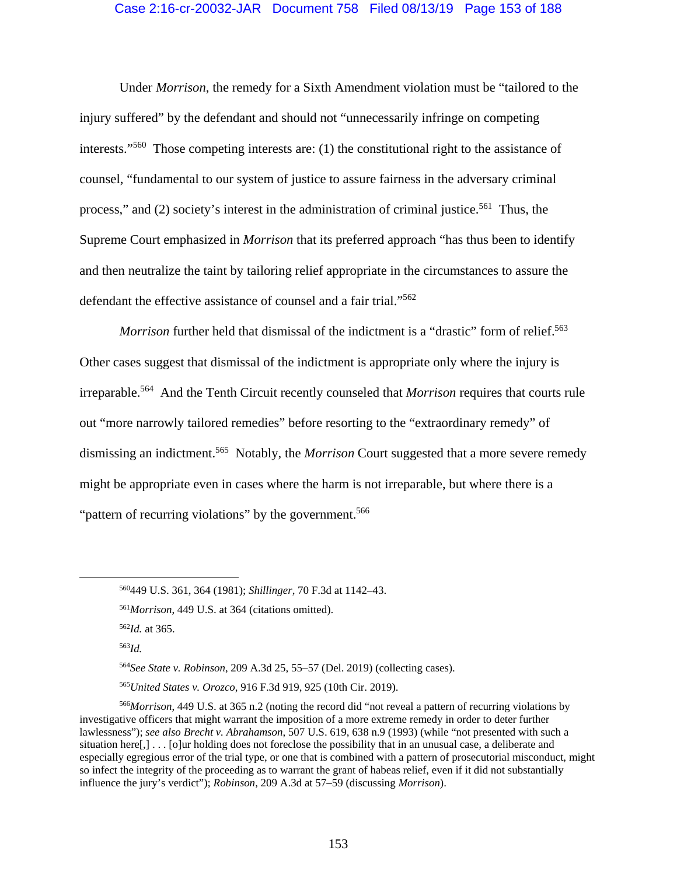## Case 2:16-cr-20032-JAR Document 758 Filed 08/13/19 Page 153 of 188

Under *Morrison*, the remedy for a Sixth Amendment violation must be "tailored to the injury suffered" by the defendant and should not "unnecessarily infringe on competing interests."560 Those competing interests are: (1) the constitutional right to the assistance of counsel, "fundamental to our system of justice to assure fairness in the adversary criminal process," and (2) society's interest in the administration of criminal justice.<sup>561</sup> Thus, the Supreme Court emphasized in *Morrison* that its preferred approach "has thus been to identify and then neutralize the taint by tailoring relief appropriate in the circumstances to assure the defendant the effective assistance of counsel and a fair trial."562

*Morrison* further held that dismissal of the indictment is a "drastic" form of relief.<sup>563</sup> Other cases suggest that dismissal of the indictment is appropriate only where the injury is irreparable.564 And the Tenth Circuit recently counseled that *Morrison* requires that courts rule out "more narrowly tailored remedies" before resorting to the "extraordinary remedy" of dismissing an indictment.565 Notably, the *Morrison* Court suggested that a more severe remedy might be appropriate even in cases where the harm is not irreparable, but where there is a "pattern of recurring violations" by the government.<sup>566</sup>

<sup>563</sup>*Id.* 

<sup>564</sup>*See State v. Robinson*, 209 A.3d 25, 55–57 (Del. 2019) (collecting cases).

<sup>565</sup>*United States v. Orozco*, 916 F.3d 919, 925 (10th Cir. 2019).

<sup>566</sup>*Morrison*, 449 U.S. at 365 n.2 (noting the record did "not reveal a pattern of recurring violations by investigative officers that might warrant the imposition of a more extreme remedy in order to deter further lawlessness"); *see also Brecht v. Abrahamson*, 507 U.S. 619, 638 n.9 (1993) (while "not presented with such a situation here[,] . . . [o]ur holding does not foreclose the possibility that in an unusual case, a deliberate and especially egregious error of the trial type, or one that is combined with a pattern of prosecutorial misconduct, might so infect the integrity of the proceeding as to warrant the grant of habeas relief, even if it did not substantially influence the jury's verdict"); *Robinson*, 209 A.3d at 57–59 (discussing *Morrison*).

 <sup>560449</sup> U.S. 361, 364 (1981); *Shillinger*, 70 F.3d at 1142–43.

<sup>561</sup>*Morrison*, 449 U.S. at 364 (citations omitted).

<sup>562</sup>*Id.* at 365.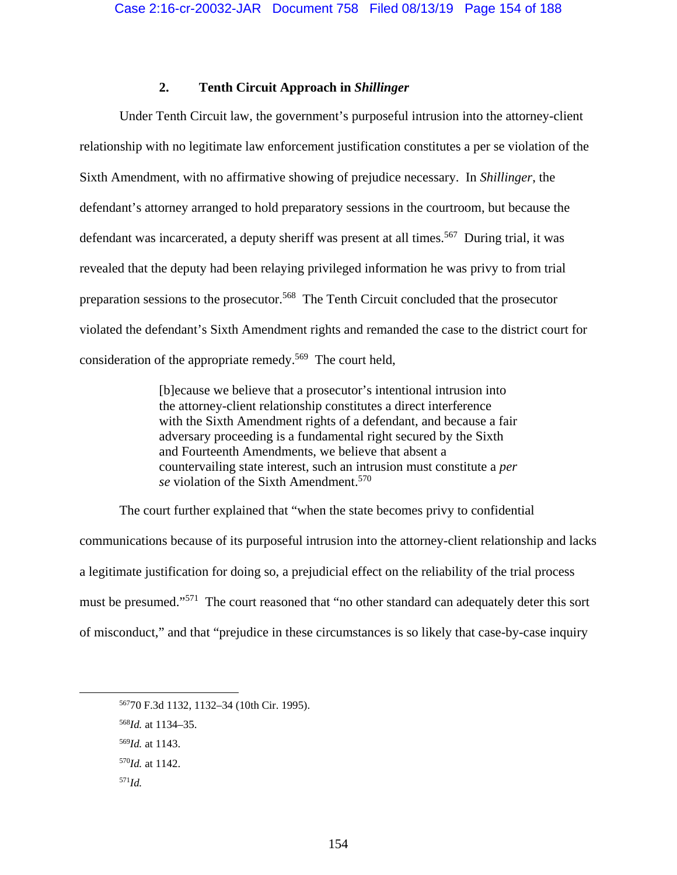# **2. Tenth Circuit Approach in** *Shillinger*

Under Tenth Circuit law, the government's purposeful intrusion into the attorney-client relationship with no legitimate law enforcement justification constitutes a per se violation of the Sixth Amendment, with no affirmative showing of prejudice necessary. In *Shillinger*, the defendant's attorney arranged to hold preparatory sessions in the courtroom, but because the defendant was incarcerated, a deputy sheriff was present at all times.<sup>567</sup> During trial, it was revealed that the deputy had been relaying privileged information he was privy to from trial preparation sessions to the prosecutor.<sup>568</sup> The Tenth Circuit concluded that the prosecutor violated the defendant's Sixth Amendment rights and remanded the case to the district court for consideration of the appropriate remedy.569 The court held,

> [b]ecause we believe that a prosecutor's intentional intrusion into the attorney-client relationship constitutes a direct interference with the Sixth Amendment rights of a defendant, and because a fair adversary proceeding is a fundamental right secured by the Sixth and Fourteenth Amendments, we believe that absent a countervailing state interest, such an intrusion must constitute a *per se* violation of the Sixth Amendment.570

The court further explained that "when the state becomes privy to confidential communications because of its purposeful intrusion into the attorney-client relationship and lacks a legitimate justification for doing so, a prejudicial effect on the reliability of the trial process must be presumed."<sup>571</sup> The court reasoned that "no other standard can adequately deter this sort of misconduct," and that "prejudice in these circumstances is so likely that case-by-case inquiry

 <sup>56770</sup> F.3d 1132, 1132–34 (10th Cir. 1995).

<sup>568</sup>*Id.* at 1134–35.

<sup>569</sup>*Id.* at 1143.

<sup>570</sup>*Id.* at 1142.

<sup>571</sup>*Id.*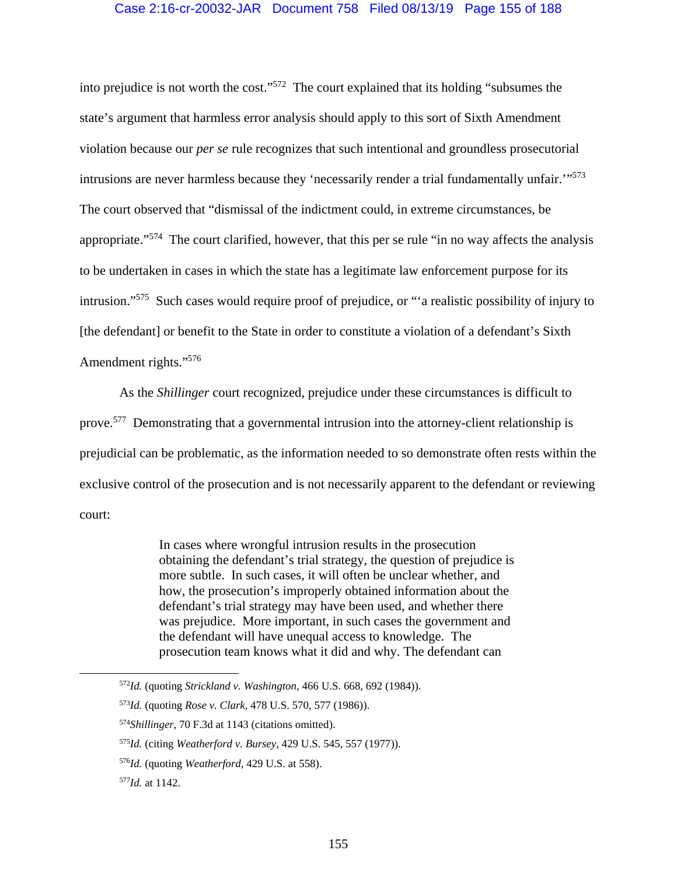into prejudice is not worth the cost."572 The court explained that its holding "subsumes the state's argument that harmless error analysis should apply to this sort of Sixth Amendment violation because our *per se* rule recognizes that such intentional and groundless prosecutorial intrusions are never harmless because they 'necessarily render a trial fundamentally unfair.'"573 The court observed that "dismissal of the indictment could, in extreme circumstances, be appropriate."574 The court clarified, however, that this per se rule "in no way affects the analysis to be undertaken in cases in which the state has a legitimate law enforcement purpose for its intrusion."575 Such cases would require proof of prejudice, or "'a realistic possibility of injury to [the defendant] or benefit to the State in order to constitute a violation of a defendant's Sixth Amendment rights."576

As the *Shillinger* court recognized, prejudice under these circumstances is difficult to prove.<sup>577</sup> Demonstrating that a governmental intrusion into the attorney-client relationship is prejudicial can be problematic, as the information needed to so demonstrate often rests within the exclusive control of the prosecution and is not necessarily apparent to the defendant or reviewing court:

> In cases where wrongful intrusion results in the prosecution obtaining the defendant's trial strategy, the question of prejudice is more subtle. In such cases, it will often be unclear whether, and how, the prosecution's improperly obtained information about the defendant's trial strategy may have been used, and whether there was prejudice. More important, in such cases the government and the defendant will have unequal access to knowledge. The prosecution team knows what it did and why. The defendant can

 <sup>572</sup>*Id.* (quoting *Strickland v. Washington*, 466 U.S. 668, 692 (1984)).

<sup>573</sup>*Id.* (quoting *Rose v. Clark*, 478 U.S. 570, 577 (1986)).

<sup>574</sup>*Shillinger*, 70 F.3d at 1143 (citations omitted).

<sup>575</sup>*Id.* (citing *Weatherford v. Bursey*, 429 U.S. 545, 557 (1977)).

<sup>576</sup>*Id.* (quoting *Weatherford*, 429 U.S. at 558).

<sup>577</sup>*Id.* at 1142.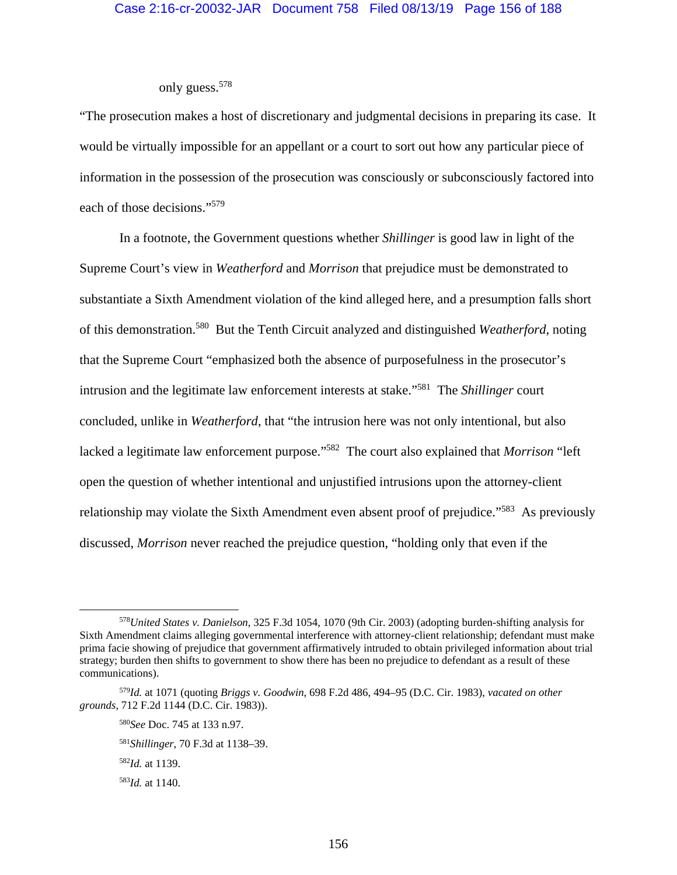# only guess.578

"The prosecution makes a host of discretionary and judgmental decisions in preparing its case. It would be virtually impossible for an appellant or a court to sort out how any particular piece of information in the possession of the prosecution was consciously or subconsciously factored into each of those decisions."579

In a footnote, the Government questions whether *Shillinger* is good law in light of the Supreme Court's view in *Weatherford* and *Morrison* that prejudice must be demonstrated to substantiate a Sixth Amendment violation of the kind alleged here, and a presumption falls short of this demonstration.580 But the Tenth Circuit analyzed and distinguished *Weatherford*, noting that the Supreme Court "emphasized both the absence of purposefulness in the prosecutor's intrusion and the legitimate law enforcement interests at stake."581 The *Shillinger* court concluded, unlike in *Weatherford*, that "the intrusion here was not only intentional, but also lacked a legitimate law enforcement purpose."582The court also explained that *Morrison* "left open the question of whether intentional and unjustified intrusions upon the attorney-client relationship may violate the Sixth Amendment even absent proof of prejudice."<sup>583</sup> As previously discussed, *Morrison* never reached the prejudice question, "holding only that even if the

 <sup>578</sup>*United States v. Danielson*, 325 F.3d 1054, 1070 (9th Cir. 2003) (adopting burden-shifting analysis for Sixth Amendment claims alleging governmental interference with attorney-client relationship; defendant must make prima facie showing of prejudice that government affirmatively intruded to obtain privileged information about trial strategy; burden then shifts to government to show there has been no prejudice to defendant as a result of these communications).

<sup>579</sup>*Id.* at 1071 (quoting *Briggs v. Goodwin*, 698 F.2d 486, 494–95 (D.C. Cir. 1983), *vacated on other grounds*, 712 F.2d 1144 (D.C. Cir. 1983)).

<sup>580</sup>*See* Doc. 745 at 133 n.97.

<sup>581</sup>*Shillinger*, 70 F.3d at 1138–39.

<sup>582</sup>*Id.* at 1139.

<sup>583</sup>*Id.* at 1140.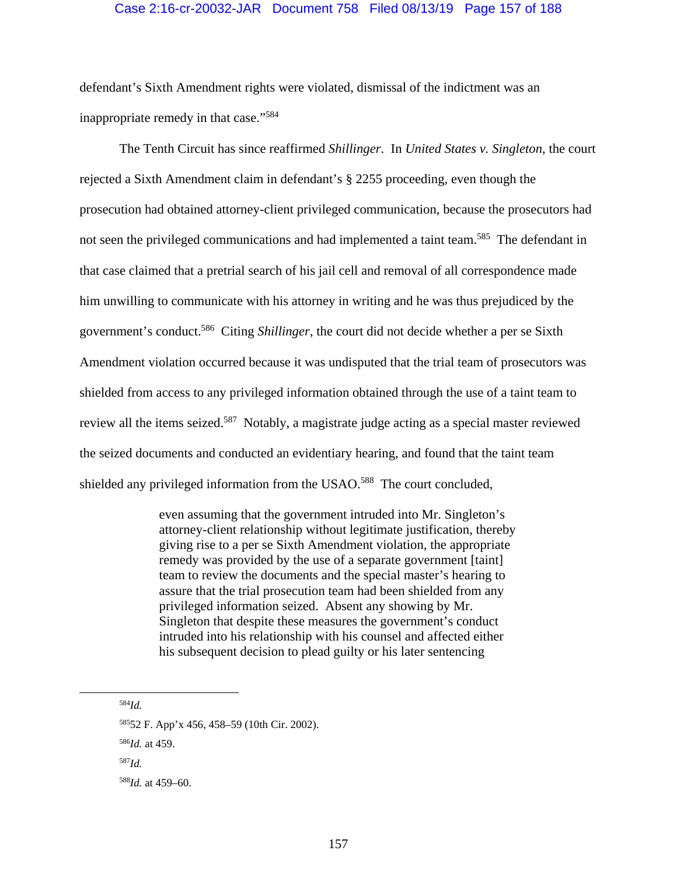## Case 2:16-cr-20032-JAR Document 758 Filed 08/13/19 Page 157 of 188

defendant's Sixth Amendment rights were violated, dismissal of the indictment was an inappropriate remedy in that case."584

The Tenth Circuit has since reaffirmed *Shillinger*. In *United States v. Singleton*, the court rejected a Sixth Amendment claim in defendant's § 2255 proceeding, even though the prosecution had obtained attorney-client privileged communication, because the prosecutors had not seen the privileged communications and had implemented a taint team.<sup>585</sup> The defendant in that case claimed that a pretrial search of his jail cell and removal of all correspondence made him unwilling to communicate with his attorney in writing and he was thus prejudiced by the government's conduct.586 Citing *Shillinger*, the court did not decide whether a per se Sixth Amendment violation occurred because it was undisputed that the trial team of prosecutors was shielded from access to any privileged information obtained through the use of a taint team to review all the items seized.<sup>587</sup> Notably, a magistrate judge acting as a special master reviewed the seized documents and conducted an evidentiary hearing, and found that the taint team shielded any privileged information from the USAO.<sup>588</sup> The court concluded,

> even assuming that the government intruded into Mr. Singleton's attorney-client relationship without legitimate justification, thereby giving rise to a per se Sixth Amendment violation, the appropriate remedy was provided by the use of a separate government [taint] team to review the documents and the special master's hearing to assure that the trial prosecution team had been shielded from any privileged information seized. Absent any showing by Mr. Singleton that despite these measures the government's conduct intruded into his relationship with his counsel and affected either his subsequent decision to plead guilty or his later sentencing

584*Id.*

58552 F. App'x 456, 458–59 (10th Cir. 2002).

<sup>586</sup>*Id.* at 459.

<sup>587</sup>*Id.*

<sup>588</sup>*Id.* at 459–60.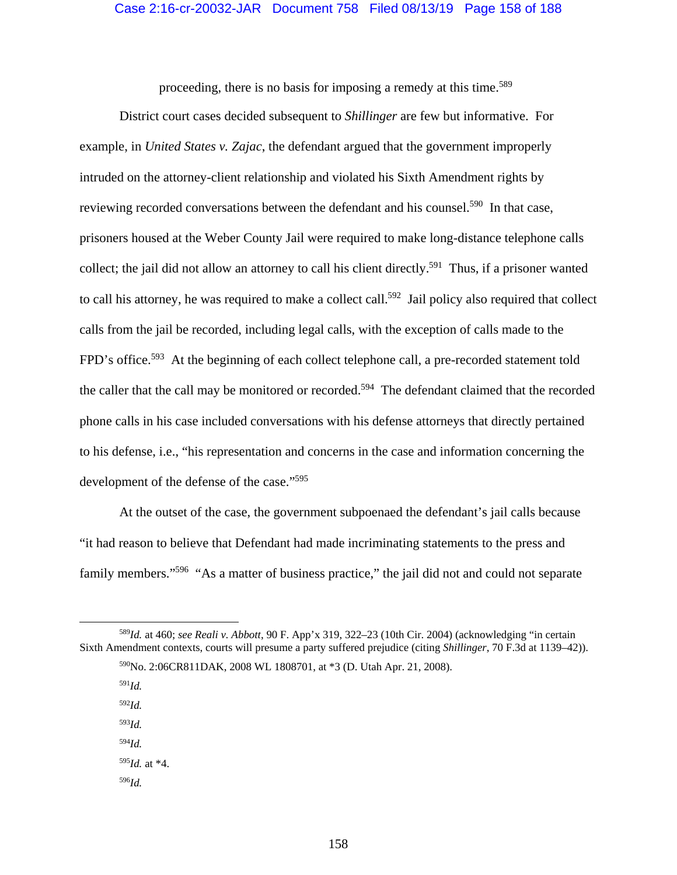## Case 2:16-cr-20032-JAR Document 758 Filed 08/13/19 Page 158 of 188

proceeding, there is no basis for imposing a remedy at this time.<sup>589</sup>

District court cases decided subsequent to *Shillinger* are few but informative. For example, in *United States v. Zajac*, the defendant argued that the government improperly intruded on the attorney-client relationship and violated his Sixth Amendment rights by reviewing recorded conversations between the defendant and his counsel.<sup>590</sup> In that case, prisoners housed at the Weber County Jail were required to make long-distance telephone calls collect; the jail did not allow an attorney to call his client directly.<sup>591</sup> Thus, if a prisoner wanted to call his attorney, he was required to make a collect call.<sup>592</sup> Jail policy also required that collect calls from the jail be recorded, including legal calls, with the exception of calls made to the FPD's office.<sup>593</sup> At the beginning of each collect telephone call, a pre-recorded statement told the caller that the call may be monitored or recorded.<sup>594</sup> The defendant claimed that the recorded phone calls in his case included conversations with his defense attorneys that directly pertained to his defense, i.e., "his representation and concerns in the case and information concerning the development of the defense of the case."<sup>595</sup>

At the outset of the case, the government subpoenaed the defendant's jail calls because "it had reason to believe that Defendant had made incriminating statements to the press and family members."<sup>596</sup> "As a matter of business practice," the jail did not and could not separate

<sup>591</sup>*Id.*

<sup>592</sup>*Id.* 

- <sup>593</sup>*Id.*
- <sup>594</sup>*Id.*  $595*Id.*$  at  $*4$ .
- <sup>596</sup>*Id.*

158

 <sup>589</sup>*Id.* at 460; *see Reali v. Abbott*, 90 F. App'x 319, 322–23 (10th Cir. 2004) (acknowledging "in certain Sixth Amendment contexts, courts will presume a party suffered prejudice (citing *Shillinger*, 70 F.3d at 1139–42)).

<sup>590</sup>No. 2:06CR811DAK, 2008 WL 1808701, at \*3 (D. Utah Apr. 21, 2008).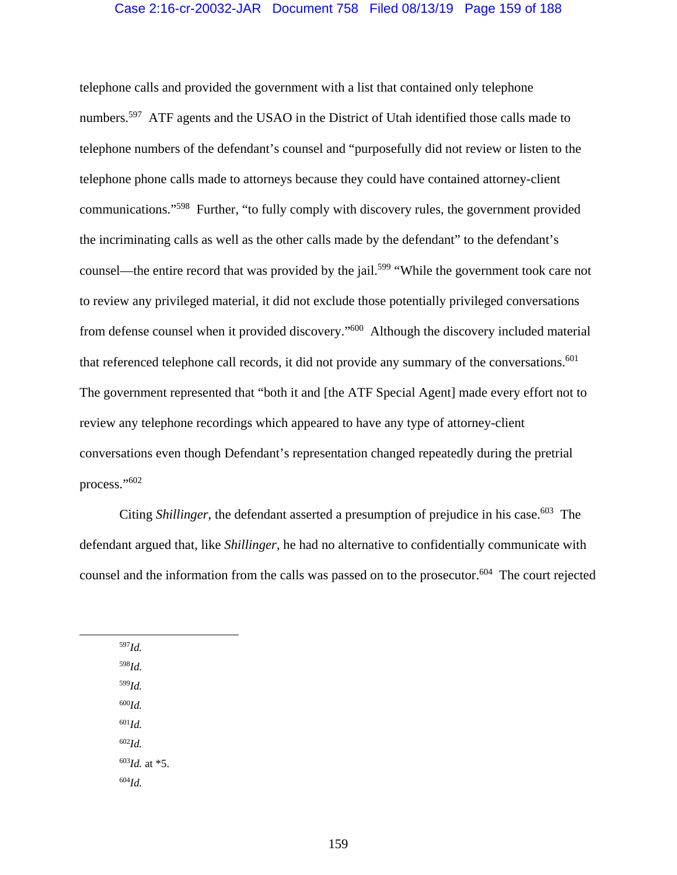### Case 2:16-cr-20032-JAR Document 758 Filed 08/13/19 Page 159 of 188

telephone calls and provided the government with a list that contained only telephone numbers.<sup>597</sup> ATF agents and the USAO in the District of Utah identified those calls made to telephone numbers of the defendant's counsel and "purposefully did not review or listen to the telephone phone calls made to attorneys because they could have contained attorney-client communications."598 Further, "to fully comply with discovery rules, the government provided the incriminating calls as well as the other calls made by the defendant" to the defendant's counsel—the entire record that was provided by the jail.<sup>599</sup> "While the government took care not to review any privileged material, it did not exclude those potentially privileged conversations from defense counsel when it provided discovery."600 Although the discovery included material that referenced telephone call records, it did not provide any summary of the conversations.<sup>601</sup> The government represented that "both it and [the ATF Special Agent] made every effort not to review any telephone recordings which appeared to have any type of attorney-client conversations even though Defendant's representation changed repeatedly during the pretrial process."602

Citing *Shillinger*, the defendant asserted a presumption of prejudice in his case.<sup>603</sup> The defendant argued that, like *Shillinger*, he had no alternative to confidentially communicate with counsel and the information from the calls was passed on to the prosecutor.<sup>604</sup> The court rejected

<sup>598</sup>*Id.* <sup>599</sup>*Id.*

597*Id.*

<sup>600</sup>*Id.*

<sup>601</sup>*Id.* <sup>602</sup>*Id.*

<sup>603</sup>*Id.* at \*5.

<sup>604</sup>*Id.*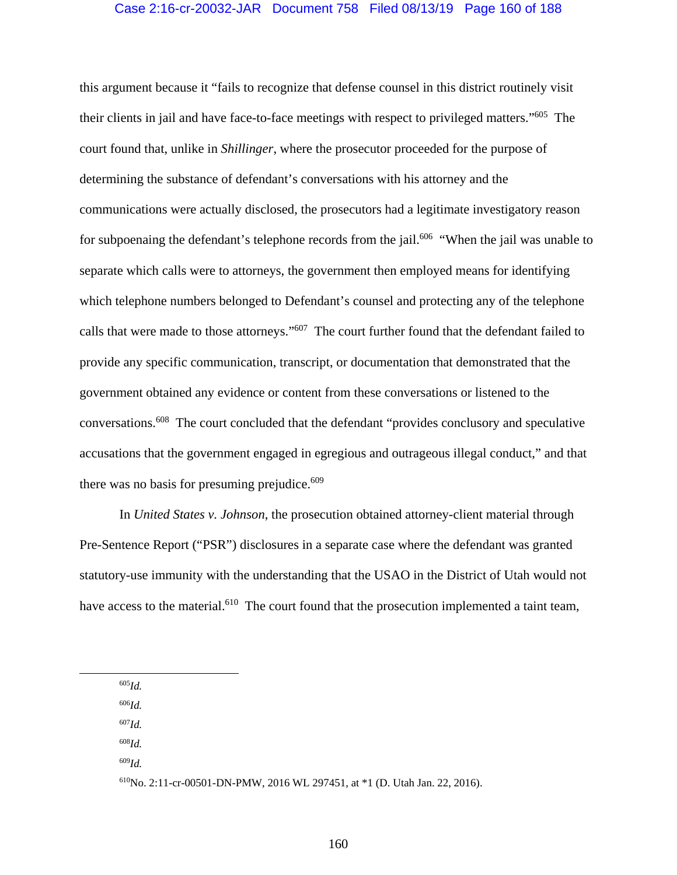## Case 2:16-cr-20032-JAR Document 758 Filed 08/13/19 Page 160 of 188

this argument because it "fails to recognize that defense counsel in this district routinely visit their clients in jail and have face-to-face meetings with respect to privileged matters."605 The court found that, unlike in *Shillinger*, where the prosecutor proceeded for the purpose of determining the substance of defendant's conversations with his attorney and the communications were actually disclosed, the prosecutors had a legitimate investigatory reason for subpoenaing the defendant's telephone records from the jail.<sup>606</sup> "When the jail was unable to separate which calls were to attorneys, the government then employed means for identifying which telephone numbers belonged to Defendant's counsel and protecting any of the telephone calls that were made to those attorneys."607 The court further found that the defendant failed to provide any specific communication, transcript, or documentation that demonstrated that the government obtained any evidence or content from these conversations or listened to the conversations.608 The court concluded that the defendant "provides conclusory and speculative accusations that the government engaged in egregious and outrageous illegal conduct," and that there was no basis for presuming prejudice.<sup>609</sup>

In *United States v. Johnson*, the prosecution obtained attorney-client material through Pre-Sentence Report ("PSR") disclosures in a separate case where the defendant was granted statutory-use immunity with the understanding that the USAO in the District of Utah would not have access to the material.<sup>610</sup> The court found that the prosecution implemented a taint team,

605*Id.*

<sup>606</sup>*Id.* 

<sup>607</sup>*Id.*

<sup>608</sup>*Id.* 

<sup>609</sup>*Id.*

<sup>610</sup>No. 2:11-cr-00501-DN-PMW, 2016 WL 297451, at \*1 (D. Utah Jan. 22, 2016).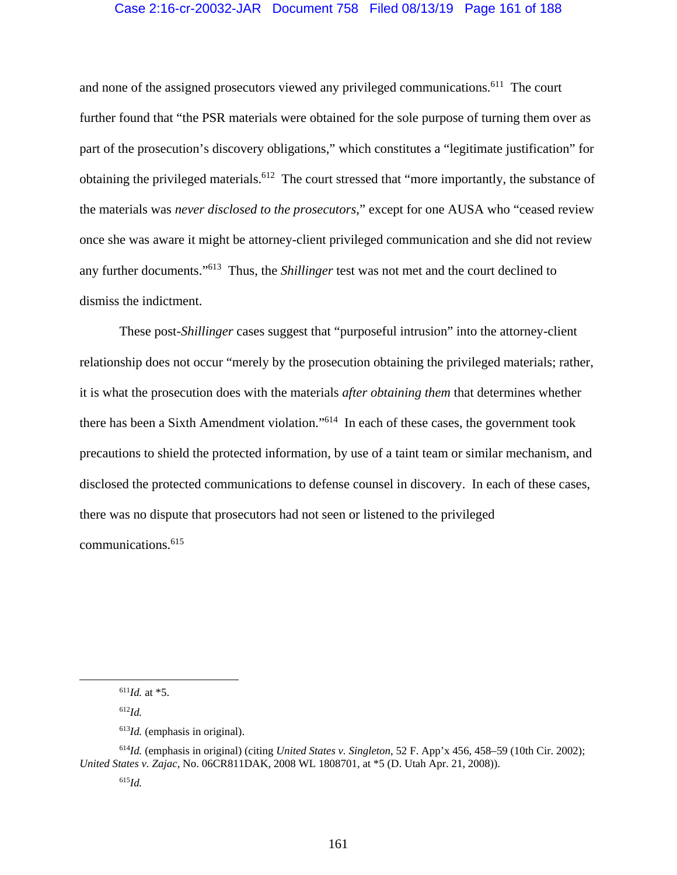## Case 2:16-cr-20032-JAR Document 758 Filed 08/13/19 Page 161 of 188

and none of the assigned prosecutors viewed any privileged communications.<sup>611</sup> The court further found that "the PSR materials were obtained for the sole purpose of turning them over as part of the prosecution's discovery obligations," which constitutes a "legitimate justification" for obtaining the privileged materials.<sup>612</sup> The court stressed that "more importantly, the substance of the materials was *never disclosed to the prosecutors*," except for one AUSA who "ceased review once she was aware it might be attorney-client privileged communication and she did not review any further documents."613 Thus, the *Shillinger* test was not met and the court declined to dismiss the indictment.

These post-*Shillinger* cases suggest that "purposeful intrusion" into the attorney-client relationship does not occur "merely by the prosecution obtaining the privileged materials; rather, it is what the prosecution does with the materials *after obtaining them* that determines whether there has been a Sixth Amendment violation."614 In each of these cases, the government took precautions to shield the protected information, by use of a taint team or similar mechanism, and disclosed the protected communications to defense counsel in discovery. In each of these cases, there was no dispute that prosecutors had not seen or listened to the privileged communications.615

 <sup>611</sup>*Id.* at \*5.

<sup>612</sup>*Id.*

<sup>613</sup>*Id.* (emphasis in original).

<sup>614</sup>*Id.* (emphasis in original) (citing *United States v. Singleton*, 52 F. App'x 456, 458–59 (10th Cir. 2002); *United States v. Zajac*, No. 06CR811DAK, 2008 WL 1808701, at \*5 (D. Utah Apr. 21, 2008)).

<sup>615</sup>*Id.*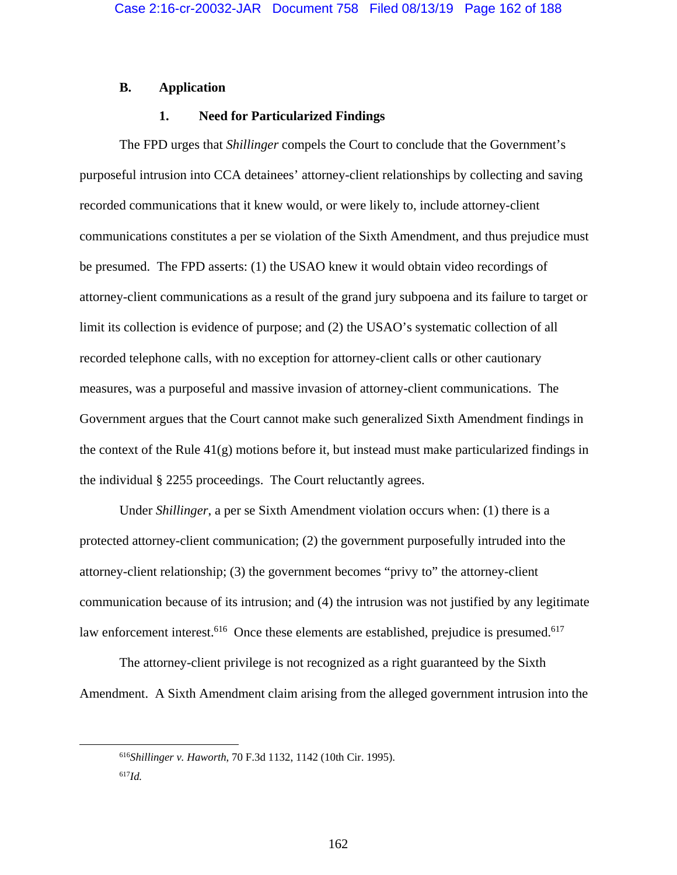### **B. Application**

# **1. Need for Particularized Findings**

The FPD urges that *Shillinger* compels the Court to conclude that the Government's purposeful intrusion into CCA detainees' attorney-client relationships by collecting and saving recorded communications that it knew would, or were likely to, include attorney-client communications constitutes a per se violation of the Sixth Amendment, and thus prejudice must be presumed. The FPD asserts: (1) the USAO knew it would obtain video recordings of attorney-client communications as a result of the grand jury subpoena and its failure to target or limit its collection is evidence of purpose; and (2) the USAO's systematic collection of all recorded telephone calls, with no exception for attorney-client calls or other cautionary measures, was a purposeful and massive invasion of attorney-client communications. The Government argues that the Court cannot make such generalized Sixth Amendment findings in the context of the Rule 41(g) motions before it, but instead must make particularized findings in the individual § 2255 proceedings. The Court reluctantly agrees.

Under *Shillinger*, a per se Sixth Amendment violation occurs when: (1) there is a protected attorney-client communication; (2) the government purposefully intruded into the attorney-client relationship; (3) the government becomes "privy to" the attorney-client communication because of its intrusion; and (4) the intrusion was not justified by any legitimate law enforcement interest.<sup>616</sup> Once these elements are established, prejudice is presumed.<sup>617</sup>

The attorney-client privilege is not recognized as a right guaranteed by the Sixth Amendment. A Sixth Amendment claim arising from the alleged government intrusion into the

 <sup>616</sup>*Shillinger v. Haworth*, 70 F.3d 1132, 1142 (10th Cir. 1995).  $^{617}$ *Id.*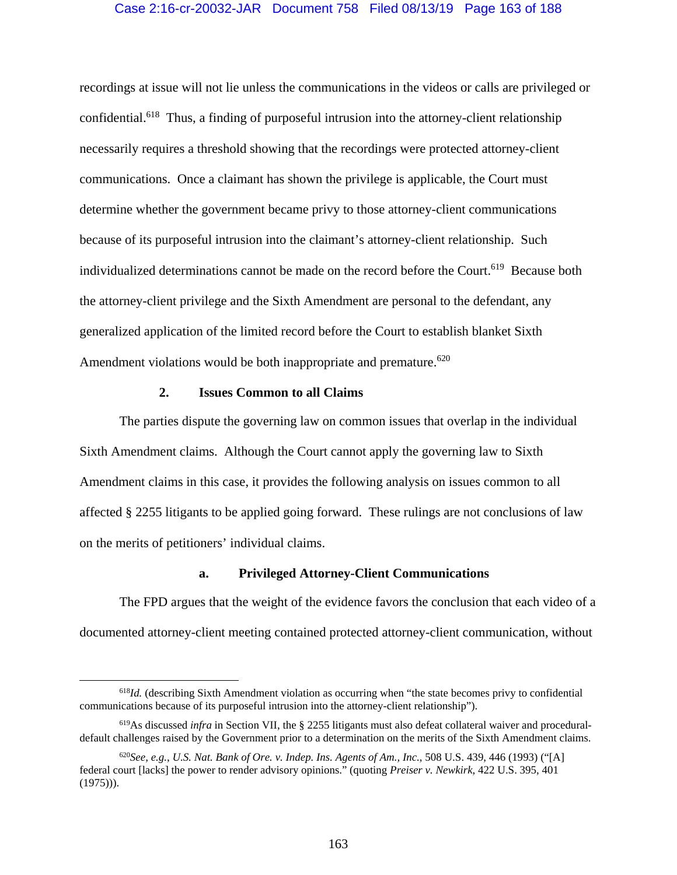## Case 2:16-cr-20032-JAR Document 758 Filed 08/13/19 Page 163 of 188

recordings at issue will not lie unless the communications in the videos or calls are privileged or confidential.618 Thus, a finding of purposeful intrusion into the attorney-client relationship necessarily requires a threshold showing that the recordings were protected attorney-client communications. Once a claimant has shown the privilege is applicable, the Court must determine whether the government became privy to those attorney-client communications because of its purposeful intrusion into the claimant's attorney-client relationship. Such individualized determinations cannot be made on the record before the Court.<sup>619</sup> Because both the attorney-client privilege and the Sixth Amendment are personal to the defendant, any generalized application of the limited record before the Court to establish blanket Sixth Amendment violations would be both inappropriate and premature.<sup> $620$ </sup>

#### **2. Issues Common to all Claims**

The parties dispute the governing law on common issues that overlap in the individual Sixth Amendment claims. Although the Court cannot apply the governing law to Sixth Amendment claims in this case, it provides the following analysis on issues common to all affected § 2255 litigants to be applied going forward. These rulings are not conclusions of law on the merits of petitioners' individual claims.

## **a. Privileged Attorney-Client Communications**

The FPD argues that the weight of the evidence favors the conclusion that each video of a documented attorney-client meeting contained protected attorney-client communication, without

<sup>&</sup>lt;sup>618</sup>*Id.* (describing Sixth Amendment violation as occurring when "the state becomes privy to confidential communications because of its purposeful intrusion into the attorney-client relationship").

<sup>619</sup>As discussed *infra* in Section VII, the § 2255 litigants must also defeat collateral waiver and proceduraldefault challenges raised by the Government prior to a determination on the merits of the Sixth Amendment claims.

<sup>620</sup>*See, e.g.*, *U.S. Nat. Bank of Ore. v. Indep. Ins. Agents of Am., Inc.*, 508 U.S. 439, 446 (1993) ("[A] federal court [lacks] the power to render advisory opinions." (quoting *Preiser v. Newkirk*, 422 U.S. 395, 401  $(1975))$ ).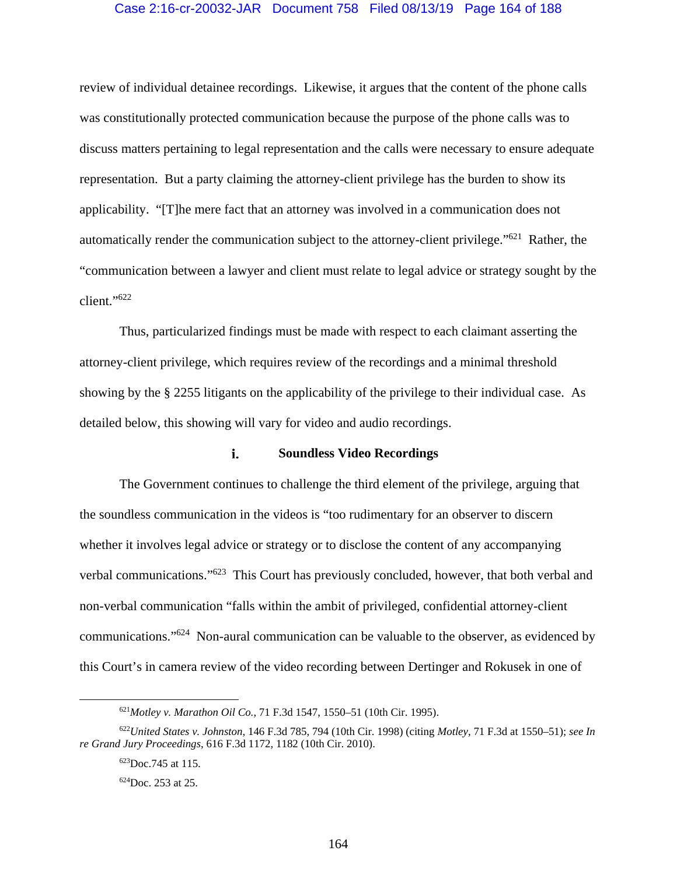#### Case 2:16-cr-20032-JAR Document 758 Filed 08/13/19 Page 164 of 188

review of individual detainee recordings. Likewise, it argues that the content of the phone calls was constitutionally protected communication because the purpose of the phone calls was to discuss matters pertaining to legal representation and the calls were necessary to ensure adequate representation. But a party claiming the attorney-client privilege has the burden to show its applicability. "[T]he mere fact that an attorney was involved in a communication does not automatically render the communication subject to the attorney-client privilege."621 Rather, the "communication between a lawyer and client must relate to legal advice or strategy sought by the client."622

Thus, particularized findings must be made with respect to each claimant asserting the attorney-client privilege, which requires review of the recordings and a minimal threshold showing by the § 2255 litigants on the applicability of the privilege to their individual case. As detailed below, this showing will vary for video and audio recordings.

#### i. **Soundless Video Recordings**

The Government continues to challenge the third element of the privilege, arguing that the soundless communication in the videos is "too rudimentary for an observer to discern whether it involves legal advice or strategy or to disclose the content of any accompanying verbal communications."623 This Court has previously concluded, however, that both verbal and non-verbal communication "falls within the ambit of privileged, confidential attorney-client communications."624 Non-aural communication can be valuable to the observer, as evidenced by this Court's in camera review of the video recording between Dertinger and Rokusek in one of

 <sup>621</sup>*Motley v. Marathon Oil Co.*, 71 F.3d 1547, 1550–51 (10th Cir. 1995).

<sup>622</sup>*United States v. Johnston*, 146 F.3d 785, 794 (10th Cir. 1998) (citing *Motley*, 71 F.3d at 1550–51); *see In re Grand Jury Proceedings*, 616 F.3d 1172, 1182 (10th Cir. 2010).

<sup>623</sup>Doc.745 at 115.

<sup>624</sup>Doc. 253 at 25.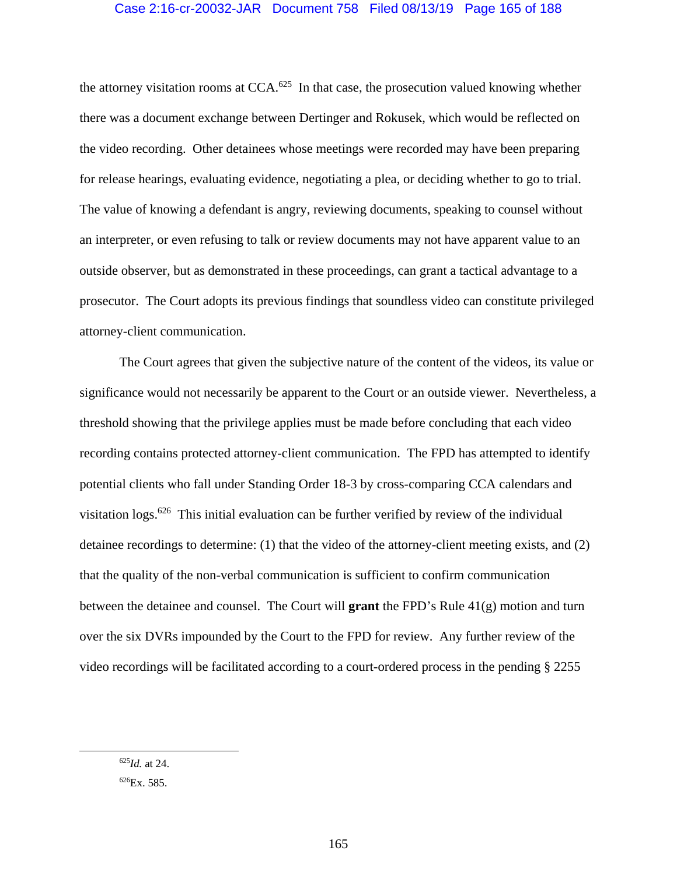## Case 2:16-cr-20032-JAR Document 758 Filed 08/13/19 Page 165 of 188

the attorney visitation rooms at  $CCA.^{625}$  In that case, the prosecution valued knowing whether there was a document exchange between Dertinger and Rokusek, which would be reflected on the video recording. Other detainees whose meetings were recorded may have been preparing for release hearings, evaluating evidence, negotiating a plea, or deciding whether to go to trial. The value of knowing a defendant is angry, reviewing documents, speaking to counsel without an interpreter, or even refusing to talk or review documents may not have apparent value to an outside observer, but as demonstrated in these proceedings, can grant a tactical advantage to a prosecutor. The Court adopts its previous findings that soundless video can constitute privileged attorney-client communication.

The Court agrees that given the subjective nature of the content of the videos, its value or significance would not necessarily be apparent to the Court or an outside viewer. Nevertheless, a threshold showing that the privilege applies must be made before concluding that each video recording contains protected attorney-client communication. The FPD has attempted to identify potential clients who fall under Standing Order 18-3 by cross-comparing CCA calendars and visitation logs.<sup>626</sup> This initial evaluation can be further verified by review of the individual detainee recordings to determine: (1) that the video of the attorney-client meeting exists, and (2) that the quality of the non-verbal communication is sufficient to confirm communication between the detainee and counsel. The Court will **grant** the FPD's Rule 41(g) motion and turn over the six DVRs impounded by the Court to the FPD for review. Any further review of the video recordings will be facilitated according to a court-ordered process in the pending § 2255

 <sup>625</sup>*Id.* at 24.

<sup>626</sup>Ex. 585.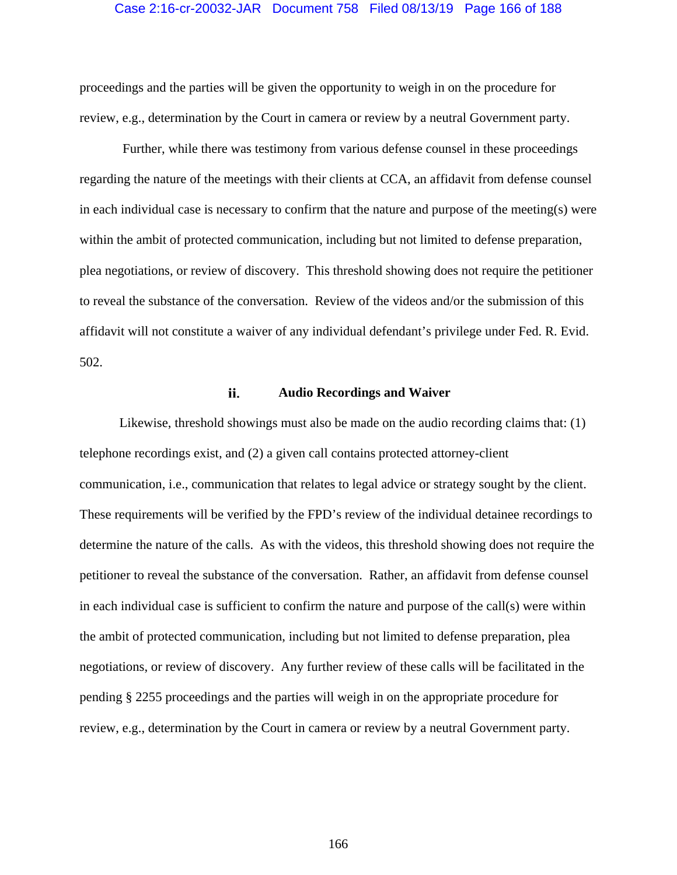#### Case 2:16-cr-20032-JAR Document 758 Filed 08/13/19 Page 166 of 188

proceedings and the parties will be given the opportunity to weigh in on the procedure for review, e.g., determination by the Court in camera or review by a neutral Government party.

 Further, while there was testimony from various defense counsel in these proceedings regarding the nature of the meetings with their clients at CCA, an affidavit from defense counsel in each individual case is necessary to confirm that the nature and purpose of the meeting(s) were within the ambit of protected communication, including but not limited to defense preparation, plea negotiations, or review of discovery. This threshold showing does not require the petitioner to reveal the substance of the conversation. Review of the videos and/or the submission of this affidavit will not constitute a waiver of any individual defendant's privilege under Fed. R. Evid. 502.

#### ii. **Audio Recordings and Waiver**

Likewise, threshold showings must also be made on the audio recording claims that: (1) telephone recordings exist, and (2) a given call contains protected attorney-client communication, i.e., communication that relates to legal advice or strategy sought by the client. These requirements will be verified by the FPD's review of the individual detainee recordings to determine the nature of the calls. As with the videos, this threshold showing does not require the petitioner to reveal the substance of the conversation. Rather, an affidavit from defense counsel in each individual case is sufficient to confirm the nature and purpose of the call(s) were within the ambit of protected communication, including but not limited to defense preparation, plea negotiations, or review of discovery. Any further review of these calls will be facilitated in the pending § 2255 proceedings and the parties will weigh in on the appropriate procedure for review, e.g., determination by the Court in camera or review by a neutral Government party.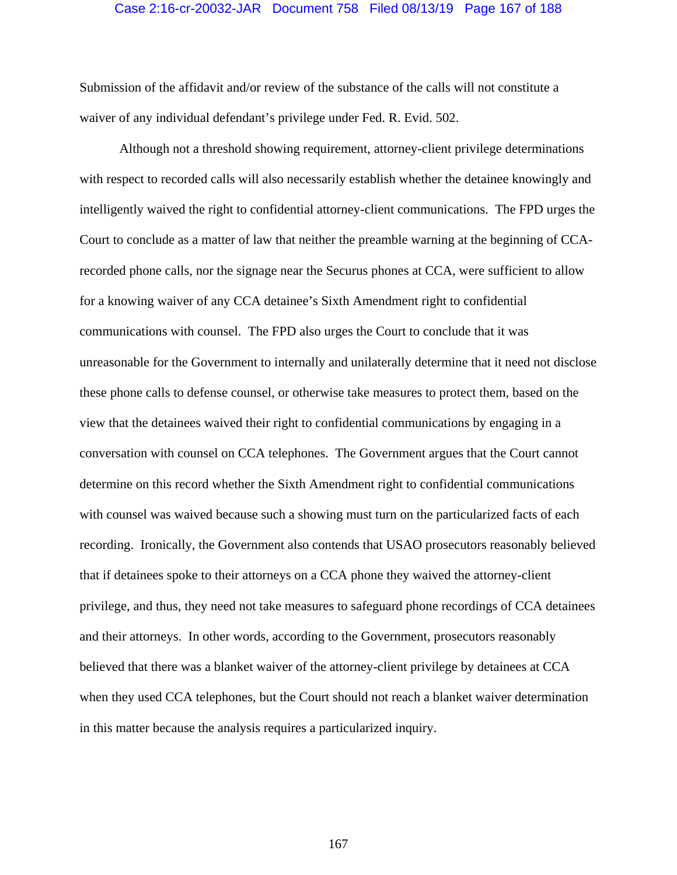#### Case 2:16-cr-20032-JAR Document 758 Filed 08/13/19 Page 167 of 188

Submission of the affidavit and/or review of the substance of the calls will not constitute a waiver of any individual defendant's privilege under Fed. R. Evid. 502.

Although not a threshold showing requirement, attorney-client privilege determinations with respect to recorded calls will also necessarily establish whether the detainee knowingly and intelligently waived the right to confidential attorney-client communications. The FPD urges the Court to conclude as a matter of law that neither the preamble warning at the beginning of CCArecorded phone calls, nor the signage near the Securus phones at CCA, were sufficient to allow for a knowing waiver of any CCA detainee's Sixth Amendment right to confidential communications with counsel. The FPD also urges the Court to conclude that it was unreasonable for the Government to internally and unilaterally determine that it need not disclose these phone calls to defense counsel, or otherwise take measures to protect them, based on the view that the detainees waived their right to confidential communications by engaging in a conversation with counsel on CCA telephones. The Government argues that the Court cannot determine on this record whether the Sixth Amendment right to confidential communications with counsel was waived because such a showing must turn on the particularized facts of each recording. Ironically, the Government also contends that USAO prosecutors reasonably believed that if detainees spoke to their attorneys on a CCA phone they waived the attorney-client privilege, and thus, they need not take measures to safeguard phone recordings of CCA detainees and their attorneys. In other words, according to the Government, prosecutors reasonably believed that there was a blanket waiver of the attorney-client privilege by detainees at CCA when they used CCA telephones, but the Court should not reach a blanket waiver determination in this matter because the analysis requires a particularized inquiry.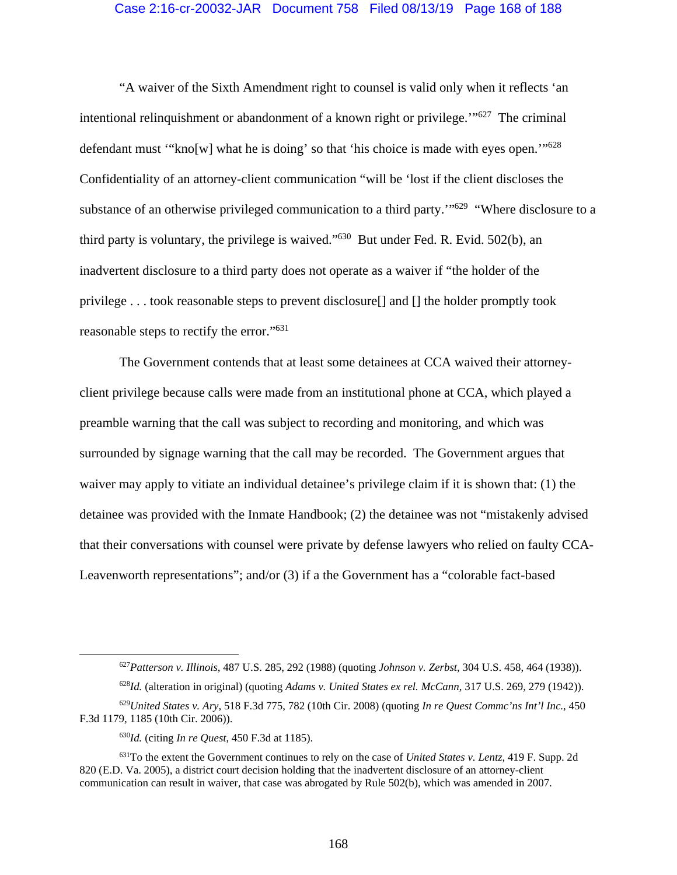#### Case 2:16-cr-20032-JAR Document 758 Filed 08/13/19 Page 168 of 188

"A waiver of the Sixth Amendment right to counsel is valid only when it reflects 'an intentional relinquishment or abandonment of a known right or privilege.'"627 The criminal defendant must "'kno[w] what he is doing' so that 'his choice is made with eyes open.'"<sup>628</sup> Confidentiality of an attorney-client communication "will be 'lost if the client discloses the substance of an otherwise privileged communication to a third party.<sup>"629</sup> "Where disclosure to a third party is voluntary, the privilege is waived." $630$  But under Fed. R. Evid. 502(b), an inadvertent disclosure to a third party does not operate as a waiver if "the holder of the privilege . . . took reasonable steps to prevent disclosure[] and [] the holder promptly took reasonable steps to rectify the error."631

The Government contends that at least some detainees at CCA waived their attorneyclient privilege because calls were made from an institutional phone at CCA, which played a preamble warning that the call was subject to recording and monitoring, and which was surrounded by signage warning that the call may be recorded. The Government argues that waiver may apply to vitiate an individual detainee's privilege claim if it is shown that: (1) the detainee was provided with the Inmate Handbook; (2) the detainee was not "mistakenly advised that their conversations with counsel were private by defense lawyers who relied on faulty CCA-Leavenworth representations"; and/or (3) if a the Government has a "colorable fact-based

 <sup>627</sup>*Patterson v. Illinois*, 487 U.S. 285, 292 (1988) (quoting *Johnson v. Zerbst*, 304 U.S. 458, 464 (1938)).

<sup>628</sup>*Id.* (alteration in original) (quoting *Adams v. United States ex rel. McCann*, 317 U.S. 269, 279 (1942)).

<sup>629</sup>*United States v. Ary*, 518 F.3d 775, 782 (10th Cir. 2008) (quoting *In re Quest Commc'ns Int'l Inc.*, 450 F.3d 1179, 1185 (10th Cir. 2006)).

<sup>630</sup>*Id.* (citing *In re Quest*, 450 F.3d at 1185).

<sup>631</sup>To the extent the Government continues to rely on the case of *United States v. Lentz*, 419 F. Supp. 2d 820 (E.D. Va. 2005), a district court decision holding that the inadvertent disclosure of an attorney-client communication can result in waiver, that case was abrogated by Rule 502(b), which was amended in 2007.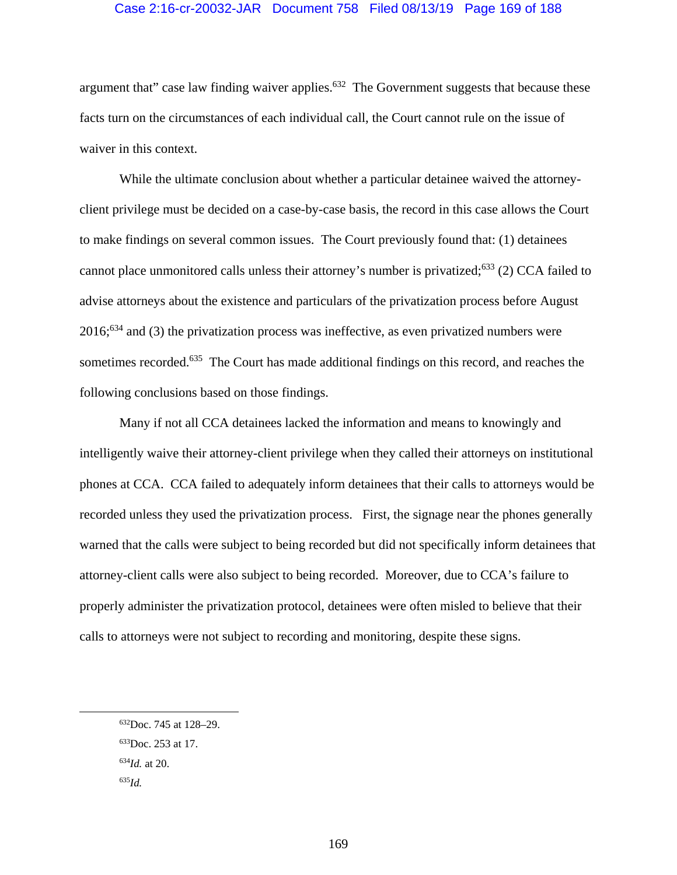### Case 2:16-cr-20032-JAR Document 758 Filed 08/13/19 Page 169 of 188

argument that" case law finding waiver applies.<sup>632</sup> The Government suggests that because these facts turn on the circumstances of each individual call, the Court cannot rule on the issue of waiver in this context.

While the ultimate conclusion about whether a particular detainee waived the attorneyclient privilege must be decided on a case-by-case basis, the record in this case allows the Court to make findings on several common issues. The Court previously found that: (1) detainees cannot place unmonitored calls unless their attorney's number is privatized;633 (2) CCA failed to advise attorneys about the existence and particulars of the privatization process before August 2016;634 and (3) the privatization process was ineffective, as even privatized numbers were sometimes recorded.<sup>635</sup> The Court has made additional findings on this record, and reaches the following conclusions based on those findings.

Many if not all CCA detainees lacked the information and means to knowingly and intelligently waive their attorney-client privilege when they called their attorneys on institutional phones at CCA. CCA failed to adequately inform detainees that their calls to attorneys would be recorded unless they used the privatization process. First, the signage near the phones generally warned that the calls were subject to being recorded but did not specifically inform detainees that attorney-client calls were also subject to being recorded. Moreover, due to CCA's failure to properly administer the privatization protocol, detainees were often misled to believe that their calls to attorneys were not subject to recording and monitoring, despite these signs.

 <sup>632</sup>Doc. 745 at 128–29. 633Doc. 253 at 17. <sup>634</sup>*Id.* at 20. <sup>635</sup>*Id.*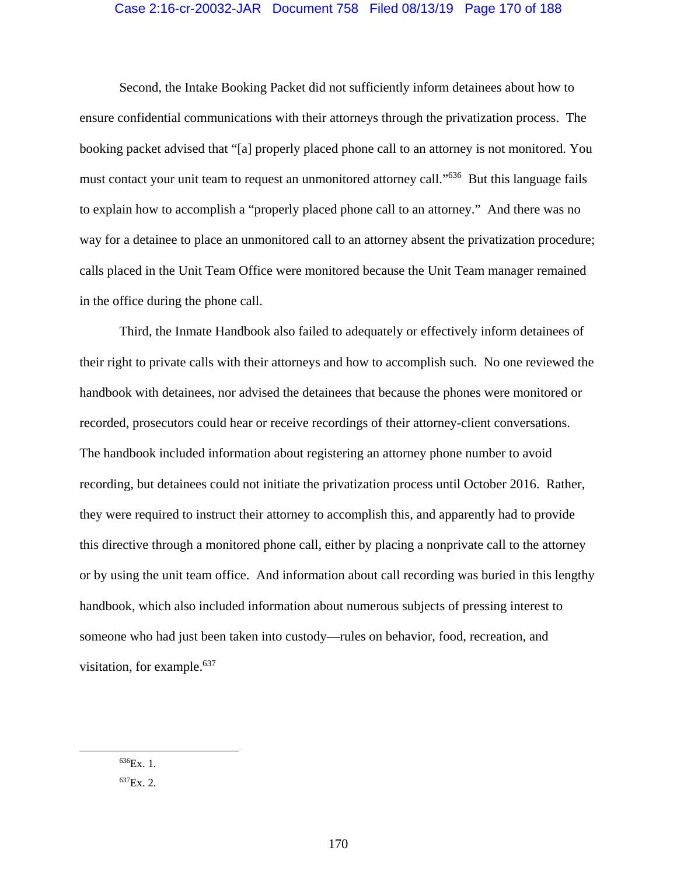## Case 2:16-cr-20032-JAR Document 758 Filed 08/13/19 Page 170 of 188

Second, the Intake Booking Packet did not sufficiently inform detainees about how to ensure confidential communications with their attorneys through the privatization process. The booking packet advised that "[a] properly placed phone call to an attorney is not monitored. You must contact your unit team to request an unmonitored attorney call."<sup>636</sup> But this language fails to explain how to accomplish a "properly placed phone call to an attorney." And there was no way for a detainee to place an unmonitored call to an attorney absent the privatization procedure; calls placed in the Unit Team Office were monitored because the Unit Team manager remained in the office during the phone call.

Third, the Inmate Handbook also failed to adequately or effectively inform detainees of their right to private calls with their attorneys and how to accomplish such. No one reviewed the handbook with detainees, nor advised the detainees that because the phones were monitored or recorded, prosecutors could hear or receive recordings of their attorney-client conversations. The handbook included information about registering an attorney phone number to avoid recording, but detainees could not initiate the privatization process until October 2016. Rather, they were required to instruct their attorney to accomplish this, and apparently had to provide this directive through a monitored phone call, either by placing a nonprivate call to the attorney or by using the unit team office. And information about call recording was buried in this lengthy handbook, which also included information about numerous subjects of pressing interest to someone who had just been taken into custody—rules on behavior, food, recreation, and visitation, for example.<sup>637</sup>

 <sup>636</sup>Ex. 1.

 $^{637}Ex.2.$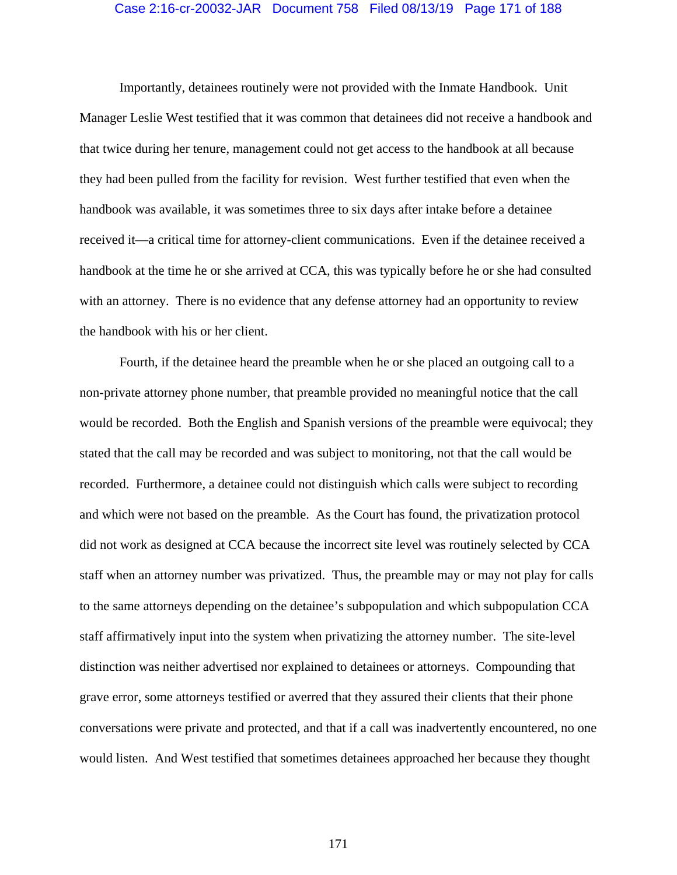#### Case 2:16-cr-20032-JAR Document 758 Filed 08/13/19 Page 171 of 188

Importantly, detainees routinely were not provided with the Inmate Handbook. Unit Manager Leslie West testified that it was common that detainees did not receive a handbook and that twice during her tenure, management could not get access to the handbook at all because they had been pulled from the facility for revision. West further testified that even when the handbook was available, it was sometimes three to six days after intake before a detainee received it—a critical time for attorney-client communications. Even if the detainee received a handbook at the time he or she arrived at CCA, this was typically before he or she had consulted with an attorney. There is no evidence that any defense attorney had an opportunity to review the handbook with his or her client.

Fourth, if the detainee heard the preamble when he or she placed an outgoing call to a non-private attorney phone number, that preamble provided no meaningful notice that the call would be recorded. Both the English and Spanish versions of the preamble were equivocal; they stated that the call may be recorded and was subject to monitoring, not that the call would be recorded. Furthermore, a detainee could not distinguish which calls were subject to recording and which were not based on the preamble. As the Court has found, the privatization protocol did not work as designed at CCA because the incorrect site level was routinely selected by CCA staff when an attorney number was privatized. Thus, the preamble may or may not play for calls to the same attorneys depending on the detainee's subpopulation and which subpopulation CCA staff affirmatively input into the system when privatizing the attorney number. The site-level distinction was neither advertised nor explained to detainees or attorneys. Compounding that grave error, some attorneys testified or averred that they assured their clients that their phone conversations were private and protected, and that if a call was inadvertently encountered, no one would listen. And West testified that sometimes detainees approached her because they thought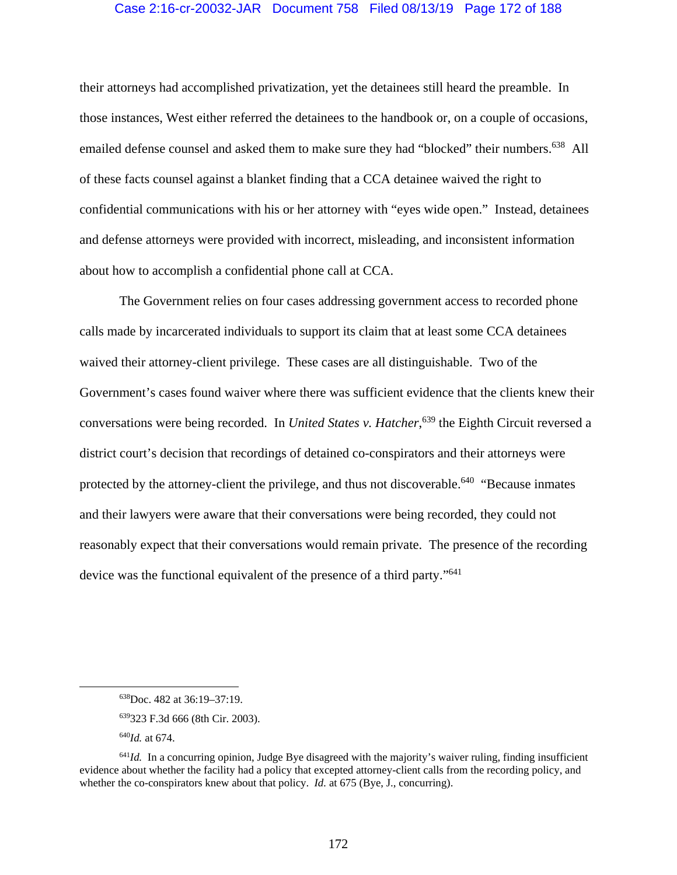### Case 2:16-cr-20032-JAR Document 758 Filed 08/13/19 Page 172 of 188

their attorneys had accomplished privatization, yet the detainees still heard the preamble. In those instances, West either referred the detainees to the handbook or, on a couple of occasions, emailed defense counsel and asked them to make sure they had "blocked" their numbers.<sup>638</sup> All of these facts counsel against a blanket finding that a CCA detainee waived the right to confidential communications with his or her attorney with "eyes wide open." Instead, detainees and defense attorneys were provided with incorrect, misleading, and inconsistent information about how to accomplish a confidential phone call at CCA.

The Government relies on four cases addressing government access to recorded phone calls made by incarcerated individuals to support its claim that at least some CCA detainees waived their attorney-client privilege. These cases are all distinguishable. Two of the Government's cases found waiver where there was sufficient evidence that the clients knew their conversations were being recorded. In *United States v. Hatcher*, 639 the Eighth Circuit reversed a district court's decision that recordings of detained co-conspirators and their attorneys were protected by the attorney-client the privilege, and thus not discoverable.<sup>640</sup> "Because inmates" and their lawyers were aware that their conversations were being recorded, they could not reasonably expect that their conversations would remain private. The presence of the recording device was the functional equivalent of the presence of a third party."<sup>641</sup>

 <sup>638</sup>Doc. 482 at 36:19–37:19.

<sup>639323</sup> F.3d 666 (8th Cir. 2003).

<sup>640</sup>*Id.* at 674.

 $641$ *Id.* In a concurring opinion, Judge Bye disagreed with the majority's waiver ruling, finding insufficient evidence about whether the facility had a policy that excepted attorney-client calls from the recording policy, and whether the co-conspirators knew about that policy. *Id.* at 675 (Bye, J., concurring).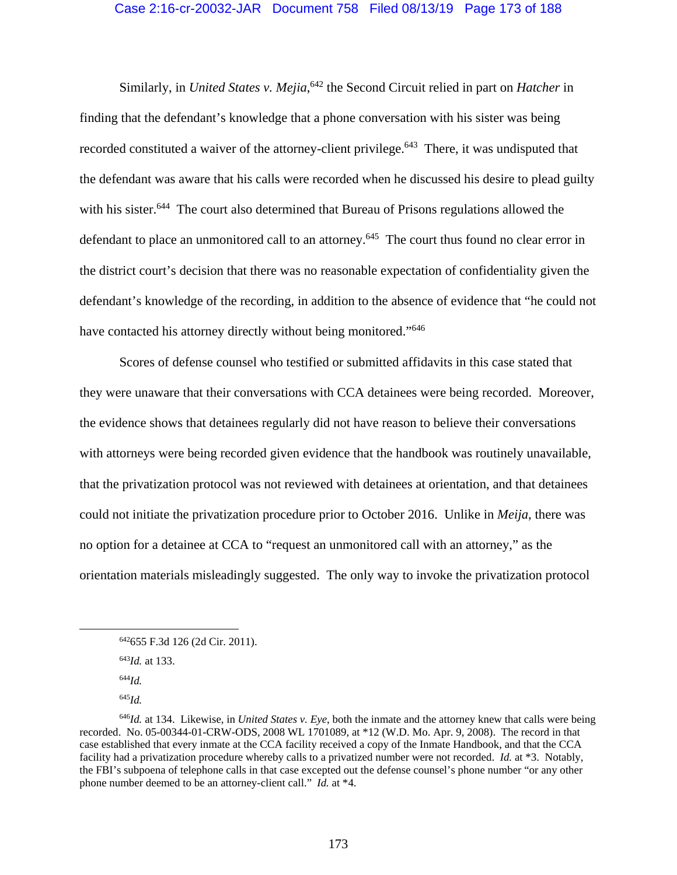## Case 2:16-cr-20032-JAR Document 758 Filed 08/13/19 Page 173 of 188

Similarly, in *United States v. Mejia*, 642 the Second Circuit relied in part on *Hatcher* in finding that the defendant's knowledge that a phone conversation with his sister was being recorded constituted a waiver of the attorney-client privilege.<sup>643</sup> There, it was undisputed that the defendant was aware that his calls were recorded when he discussed his desire to plead guilty with his sister.<sup>644</sup> The court also determined that Bureau of Prisons regulations allowed the defendant to place an unmonitored call to an attorney.<sup>645</sup> The court thus found no clear error in the district court's decision that there was no reasonable expectation of confidentiality given the defendant's knowledge of the recording, in addition to the absence of evidence that "he could not have contacted his attorney directly without being monitored."<sup>646</sup>

Scores of defense counsel who testified or submitted affidavits in this case stated that they were unaware that their conversations with CCA detainees were being recorded. Moreover, the evidence shows that detainees regularly did not have reason to believe their conversations with attorneys were being recorded given evidence that the handbook was routinely unavailable, that the privatization protocol was not reviewed with detainees at orientation, and that detainees could not initiate the privatization procedure prior to October 2016. Unlike in *Meija*, there was no option for a detainee at CCA to "request an unmonitored call with an attorney," as the orientation materials misleadingly suggested. The only way to invoke the privatization protocol

<sup>645</sup>*Id.* 

 <sup>642655</sup> F.3d 126 (2d Cir. 2011).

<sup>643</sup>*Id.* at 133.

<sup>644</sup>*Id.* 

<sup>646</sup>*Id.* at 134. Likewise, in *United States v. Eye*, both the inmate and the attorney knew that calls were being recorded. No. 05-00344-01-CRW-ODS, 2008 WL 1701089, at \*12 (W.D. Mo. Apr. 9, 2008). The record in that case established that every inmate at the CCA facility received a copy of the Inmate Handbook, and that the CCA facility had a privatization procedure whereby calls to a privatized number were not recorded. *Id.* at \*3. Notably, the FBI's subpoena of telephone calls in that case excepted out the defense counsel's phone number "or any other phone number deemed to be an attorney-client call." *Id.* at \*4.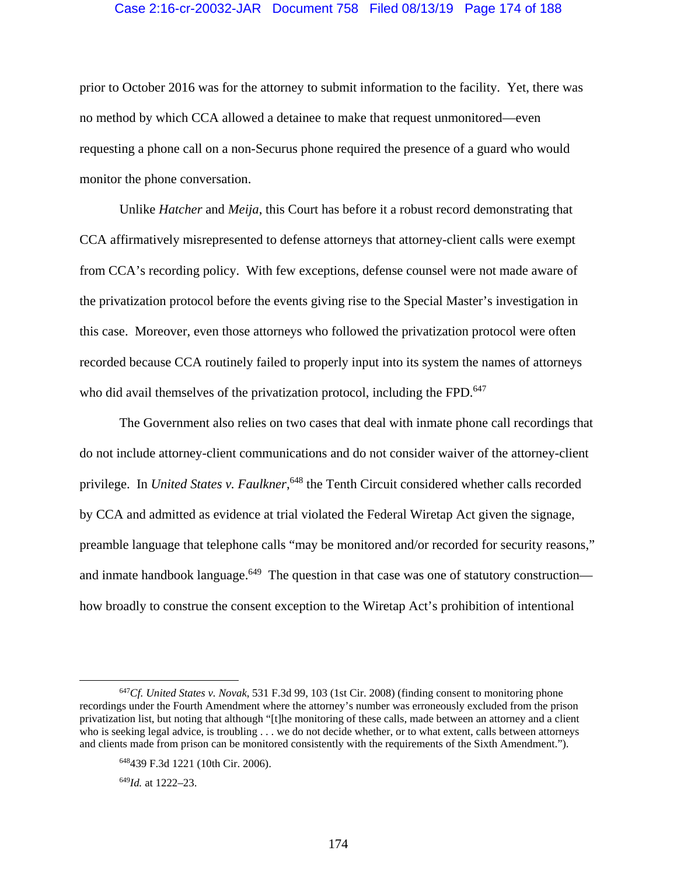#### Case 2:16-cr-20032-JAR Document 758 Filed 08/13/19 Page 174 of 188

prior to October 2016 was for the attorney to submit information to the facility. Yet, there was no method by which CCA allowed a detainee to make that request unmonitored—even requesting a phone call on a non-Securus phone required the presence of a guard who would monitor the phone conversation.

Unlike *Hatcher* and *Meija*, this Court has before it a robust record demonstrating that CCA affirmatively misrepresented to defense attorneys that attorney-client calls were exempt from CCA's recording policy. With few exceptions, defense counsel were not made aware of the privatization protocol before the events giving rise to the Special Master's investigation in this case. Moreover, even those attorneys who followed the privatization protocol were often recorded because CCA routinely failed to properly input into its system the names of attorneys who did avail themselves of the privatization protocol, including the FPD.<sup>647</sup>

The Government also relies on two cases that deal with inmate phone call recordings that do not include attorney-client communications and do not consider waiver of the attorney-client privilege. In *United States v. Faulkner*,<sup>648</sup> the Tenth Circuit considered whether calls recorded by CCA and admitted as evidence at trial violated the Federal Wiretap Act given the signage, preamble language that telephone calls "may be monitored and/or recorded for security reasons," and inmate handbook language. $649$  The question in that case was one of statutory construction how broadly to construe the consent exception to the Wiretap Act's prohibition of intentional

<sup>649</sup>*Id.* at 1222–23.

 <sup>647</sup>*Cf. United States v. Novak*, 531 F.3d 99, 103 (1st Cir. 2008) (finding consent to monitoring phone recordings under the Fourth Amendment where the attorney's number was erroneously excluded from the prison privatization list, but noting that although "[t]he monitoring of these calls, made between an attorney and a client who is seeking legal advice, is troubling . . . we do not decide whether, or to what extent, calls between attorneys and clients made from prison can be monitored consistently with the requirements of the Sixth Amendment.").

<sup>648439</sup> F.3d 1221 (10th Cir. 2006).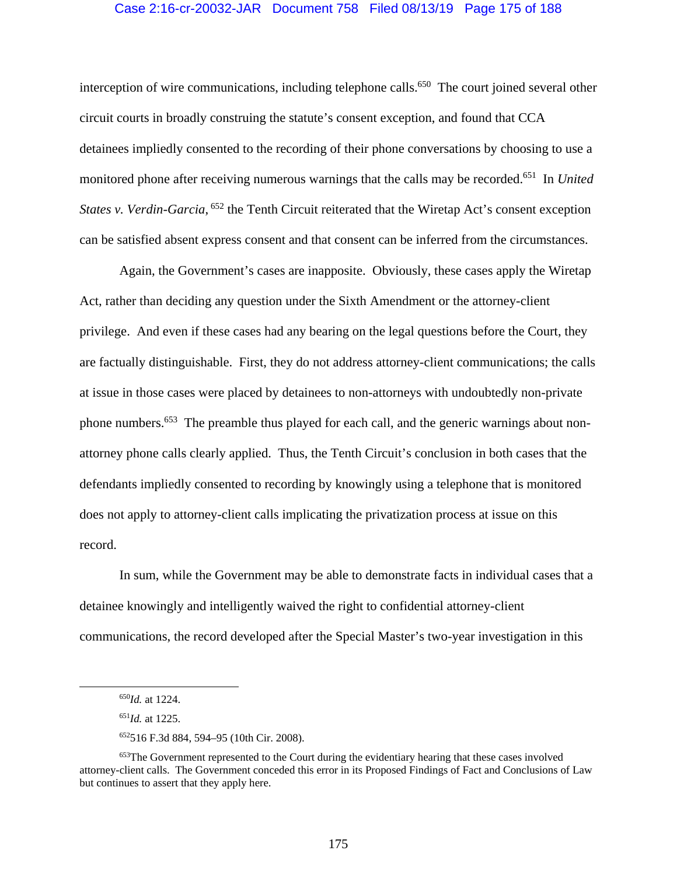#### Case 2:16-cr-20032-JAR Document 758 Filed 08/13/19 Page 175 of 188

interception of wire communications, including telephone calls.<sup>650</sup> The court joined several other circuit courts in broadly construing the statute's consent exception, and found that CCA detainees impliedly consented to the recording of their phone conversations by choosing to use a monitored phone after receiving numerous warnings that the calls may be recorded.651 In *United*  States v. Verdin-Garcia, <sup>652</sup> the Tenth Circuit reiterated that the Wiretap Act's consent exception can be satisfied absent express consent and that consent can be inferred from the circumstances.

Again, the Government's cases are inapposite. Obviously, these cases apply the Wiretap Act, rather than deciding any question under the Sixth Amendment or the attorney-client privilege. And even if these cases had any bearing on the legal questions before the Court, they are factually distinguishable. First, they do not address attorney-client communications; the calls at issue in those cases were placed by detainees to non-attorneys with undoubtedly non-private phone numbers.653 The preamble thus played for each call, and the generic warnings about nonattorney phone calls clearly applied. Thus, the Tenth Circuit's conclusion in both cases that the defendants impliedly consented to recording by knowingly using a telephone that is monitored does not apply to attorney-client calls implicating the privatization process at issue on this record.

In sum, while the Government may be able to demonstrate facts in individual cases that a detainee knowingly and intelligently waived the right to confidential attorney-client communications, the record developed after the Special Master's two-year investigation in this

 <sup>650</sup>*Id.* at 1224.

<sup>651</sup>*Id.* at 1225.

<sup>652516</sup> F.3d 884, 594–95 (10th Cir. 2008).

<sup>&</sup>lt;sup>653</sup>The Government represented to the Court during the evidentiary hearing that these cases involved attorney-client calls. The Government conceded this error in its Proposed Findings of Fact and Conclusions of Law but continues to assert that they apply here.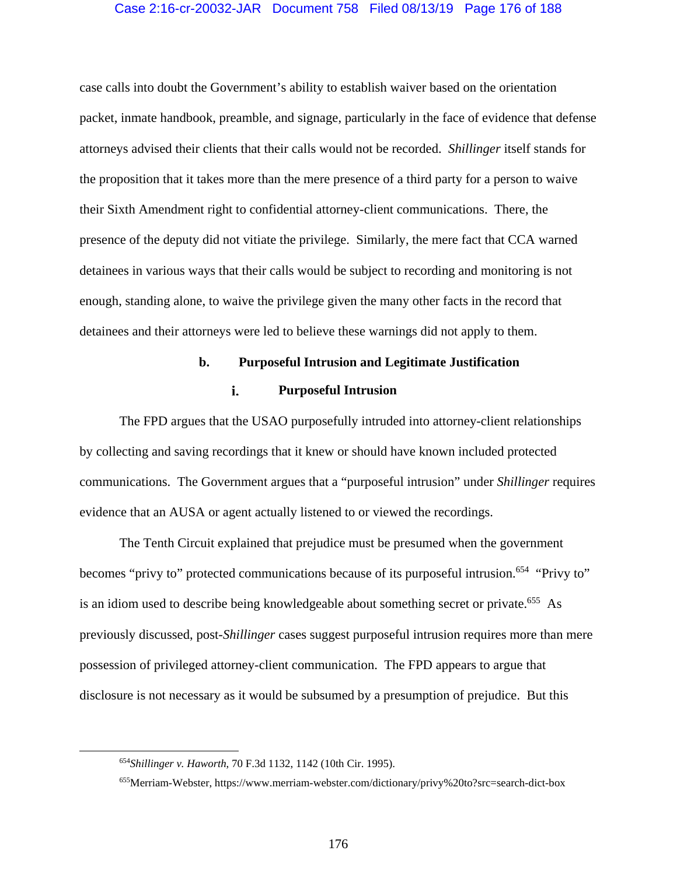### Case 2:16-cr-20032-JAR Document 758 Filed 08/13/19 Page 176 of 188

case calls into doubt the Government's ability to establish waiver based on the orientation packet, inmate handbook, preamble, and signage, particularly in the face of evidence that defense attorneys advised their clients that their calls would not be recorded. *Shillinger* itself stands for the proposition that it takes more than the mere presence of a third party for a person to waive their Sixth Amendment right to confidential attorney-client communications. There, the presence of the deputy did not vitiate the privilege. Similarly, the mere fact that CCA warned detainees in various ways that their calls would be subject to recording and monitoring is not enough, standing alone, to waive the privilege given the many other facts in the record that detainees and their attorneys were led to believe these warnings did not apply to them.

# **b. Purposeful Intrusion and Legitimate Justification**

#### i. **Purposeful Intrusion**

The FPD argues that the USAO purposefully intruded into attorney-client relationships by collecting and saving recordings that it knew or should have known included protected communications. The Government argues that a "purposeful intrusion" under *Shillinger* requires evidence that an AUSA or agent actually listened to or viewed the recordings.

The Tenth Circuit explained that prejudice must be presumed when the government becomes "privy to" protected communications because of its purposeful intrusion.<sup>654</sup> "Privy to" is an idiom used to describe being knowledgeable about something secret or private.<sup>655</sup> As previously discussed, post-*Shillinger* cases suggest purposeful intrusion requires more than mere possession of privileged attorney-client communication. The FPD appears to argue that disclosure is not necessary as it would be subsumed by a presumption of prejudice. But this

 <sup>654</sup>*Shillinger v. Haworth*, 70 F.3d 1132, 1142 (10th Cir. 1995).

<sup>655</sup>Merriam-Webster, https://www.merriam-webster.com/dictionary/privy%20to?src=search-dict-box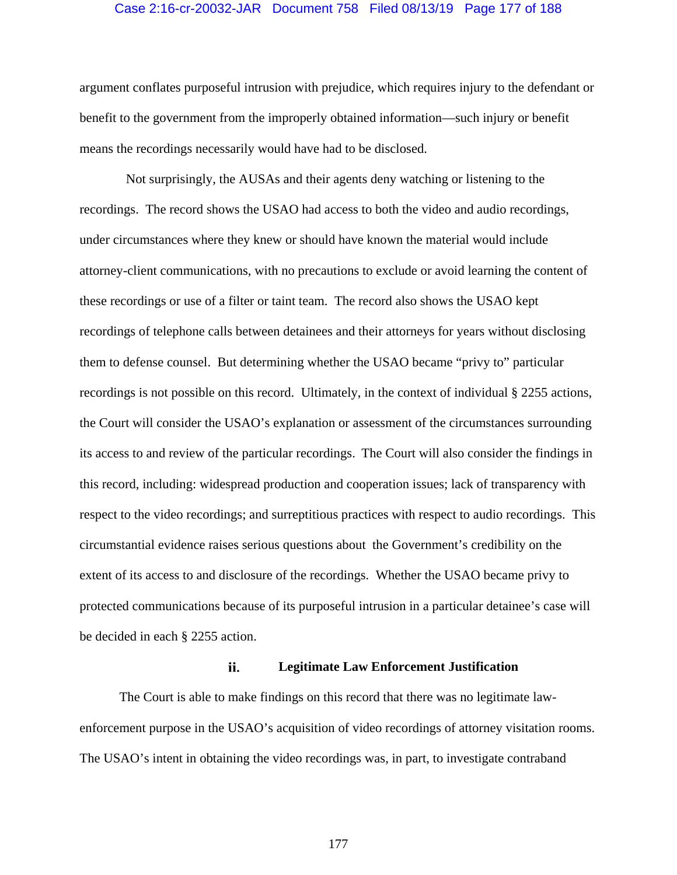#### Case 2:16-cr-20032-JAR Document 758 Filed 08/13/19 Page 177 of 188

argument conflates purposeful intrusion with prejudice, which requires injury to the defendant or benefit to the government from the improperly obtained information—such injury or benefit means the recordings necessarily would have had to be disclosed.

 Not surprisingly, the AUSAs and their agents deny watching or listening to the recordings. The record shows the USAO had access to both the video and audio recordings, under circumstances where they knew or should have known the material would include attorney-client communications, with no precautions to exclude or avoid learning the content of these recordings or use of a filter or taint team. The record also shows the USAO kept recordings of telephone calls between detainees and their attorneys for years without disclosing them to defense counsel. But determining whether the USAO became "privy to" particular recordings is not possible on this record. Ultimately, in the context of individual § 2255 actions, the Court will consider the USAO's explanation or assessment of the circumstances surrounding its access to and review of the particular recordings. The Court will also consider the findings in this record, including: widespread production and cooperation issues; lack of transparency with respect to the video recordings; and surreptitious practices with respect to audio recordings. This circumstantial evidence raises serious questions about the Government's credibility on the extent of its access to and disclosure of the recordings. Whether the USAO became privy to protected communications because of its purposeful intrusion in a particular detainee's case will be decided in each § 2255 action.

#### ii. **Legitimate Law Enforcement Justification**

The Court is able to make findings on this record that there was no legitimate lawenforcement purpose in the USAO's acquisition of video recordings of attorney visitation rooms. The USAO's intent in obtaining the video recordings was, in part, to investigate contraband

177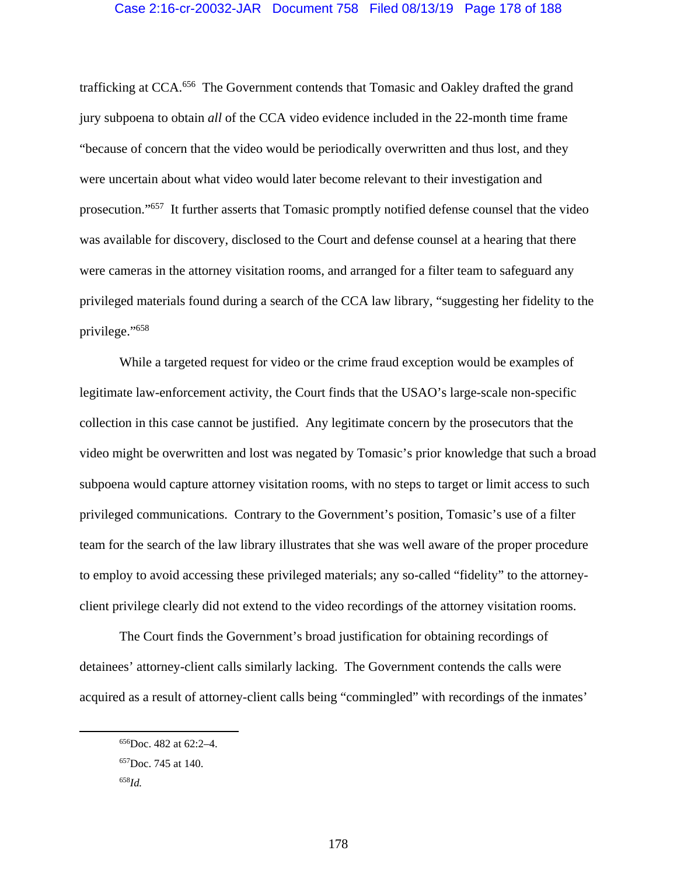trafficking at CCA.656 The Government contends that Tomasic and Oakley drafted the grand jury subpoena to obtain *all* of the CCA video evidence included in the 22-month time frame "because of concern that the video would be periodically overwritten and thus lost, and they were uncertain about what video would later become relevant to their investigation and prosecution."657 It further asserts that Tomasic promptly notified defense counsel that the video was available for discovery, disclosed to the Court and defense counsel at a hearing that there were cameras in the attorney visitation rooms, and arranged for a filter team to safeguard any privileged materials found during a search of the CCA law library, "suggesting her fidelity to the privilege."658

While a targeted request for video or the crime fraud exception would be examples of legitimate law-enforcement activity, the Court finds that the USAO's large-scale non-specific collection in this case cannot be justified. Any legitimate concern by the prosecutors that the video might be overwritten and lost was negated by Tomasic's prior knowledge that such a broad subpoena would capture attorney visitation rooms, with no steps to target or limit access to such privileged communications. Contrary to the Government's position, Tomasic's use of a filter team for the search of the law library illustrates that she was well aware of the proper procedure to employ to avoid accessing these privileged materials; any so-called "fidelity" to the attorneyclient privilege clearly did not extend to the video recordings of the attorney visitation rooms.

The Court finds the Government's broad justification for obtaining recordings of detainees' attorney-client calls similarly lacking. The Government contends the calls were acquired as a result of attorney-client calls being "commingled" with recordings of the inmates'

 <sup>656</sup>Doc. 482 at 62:2–4.

<sup>657</sup>Doc. 745 at 140.

<sup>658</sup>*Id.*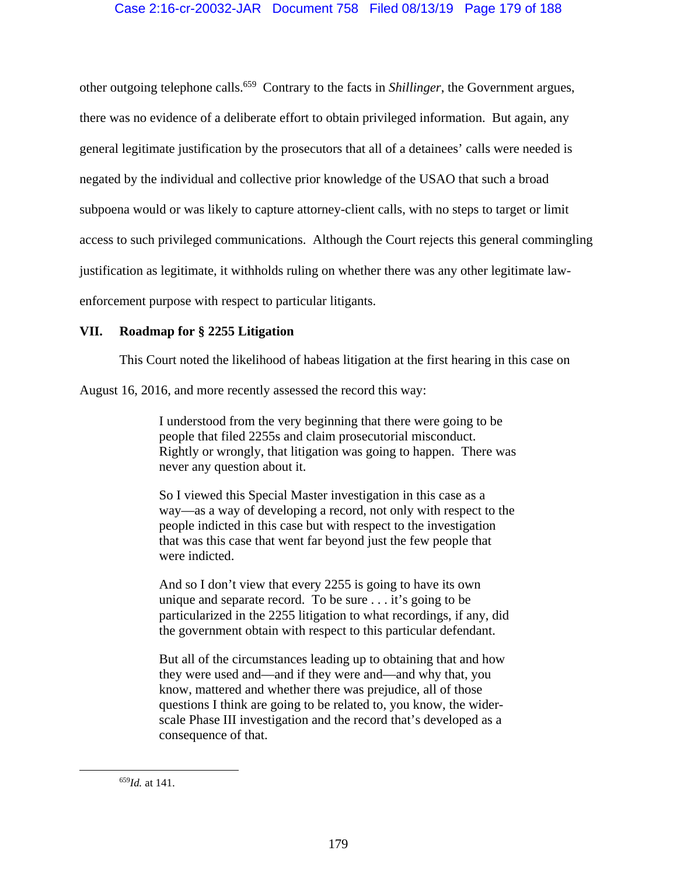other outgoing telephone calls.659 Contrary to the facts in *Shillinger*, the Government argues, there was no evidence of a deliberate effort to obtain privileged information. But again, any general legitimate justification by the prosecutors that all of a detainees' calls were needed is negated by the individual and collective prior knowledge of the USAO that such a broad subpoena would or was likely to capture attorney-client calls, with no steps to target or limit access to such privileged communications. Although the Court rejects this general commingling justification as legitimate, it withholds ruling on whether there was any other legitimate lawenforcement purpose with respect to particular litigants.

# **VII. Roadmap for § 2255 Litigation**

This Court noted the likelihood of habeas litigation at the first hearing in this case on

August 16, 2016, and more recently assessed the record this way:

I understood from the very beginning that there were going to be people that filed 2255s and claim prosecutorial misconduct. Rightly or wrongly, that litigation was going to happen. There was never any question about it.

So I viewed this Special Master investigation in this case as a way—as a way of developing a record, not only with respect to the people indicted in this case but with respect to the investigation that was this case that went far beyond just the few people that were indicted.

And so I don't view that every 2255 is going to have its own unique and separate record. To be sure . . . it's going to be particularized in the 2255 litigation to what recordings, if any, did the government obtain with respect to this particular defendant.

But all of the circumstances leading up to obtaining that and how they were used and—and if they were and—and why that, you know, mattered and whether there was prejudice, all of those questions I think are going to be related to, you know, the widerscale Phase III investigation and the record that's developed as a consequence of that.

 <sup>659</sup>*Id.* at 141.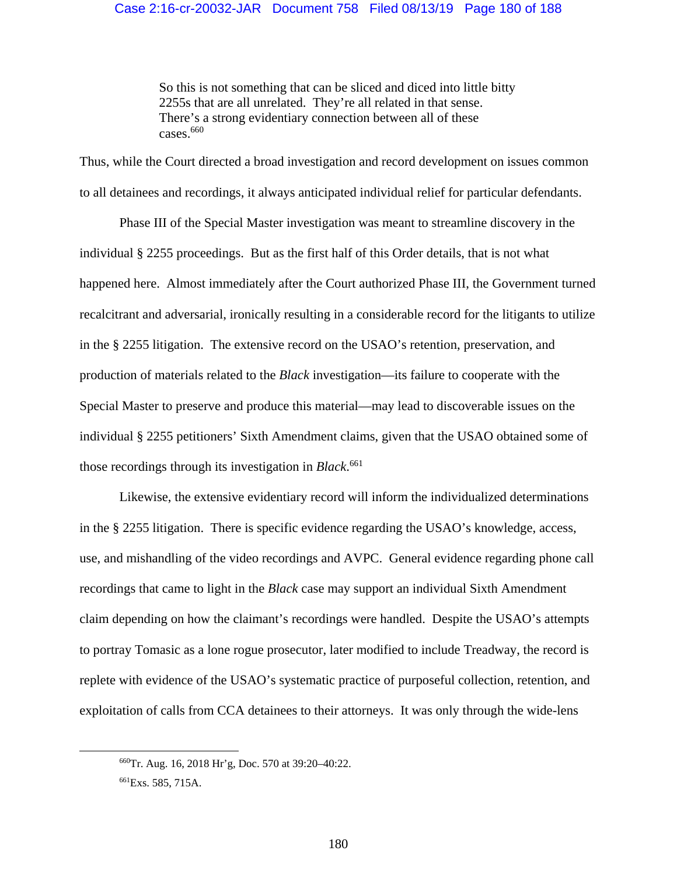So this is not something that can be sliced and diced into little bitty 2255s that are all unrelated. They're all related in that sense. There's a strong evidentiary connection between all of these  $\text{cases}$ .660

Thus, while the Court directed a broad investigation and record development on issues common to all detainees and recordings, it always anticipated individual relief for particular defendants.

Phase III of the Special Master investigation was meant to streamline discovery in the individual § 2255 proceedings. But as the first half of this Order details, that is not what happened here. Almost immediately after the Court authorized Phase III, the Government turned recalcitrant and adversarial, ironically resulting in a considerable record for the litigants to utilize in the § 2255 litigation. The extensive record on the USAO's retention, preservation, and production of materials related to the *Black* investigation—its failure to cooperate with the Special Master to preserve and produce this material—may lead to discoverable issues on the individual § 2255 petitioners' Sixth Amendment claims, given that the USAO obtained some of those recordings through its investigation in *Black*. 661

Likewise, the extensive evidentiary record will inform the individualized determinations in the § 2255 litigation. There is specific evidence regarding the USAO's knowledge, access, use, and mishandling of the video recordings and AVPC. General evidence regarding phone call recordings that came to light in the *Black* case may support an individual Sixth Amendment claim depending on how the claimant's recordings were handled. Despite the USAO's attempts to portray Tomasic as a lone rogue prosecutor, later modified to include Treadway, the record is replete with evidence of the USAO's systematic practice of purposeful collection, retention, and exploitation of calls from CCA detainees to their attorneys. It was only through the wide-lens

 <sup>660</sup>Tr. Aug. 16, 2018 Hr'g, Doc. 570 at 39:20–40:22.

<sup>661</sup>Exs. 585, 715A.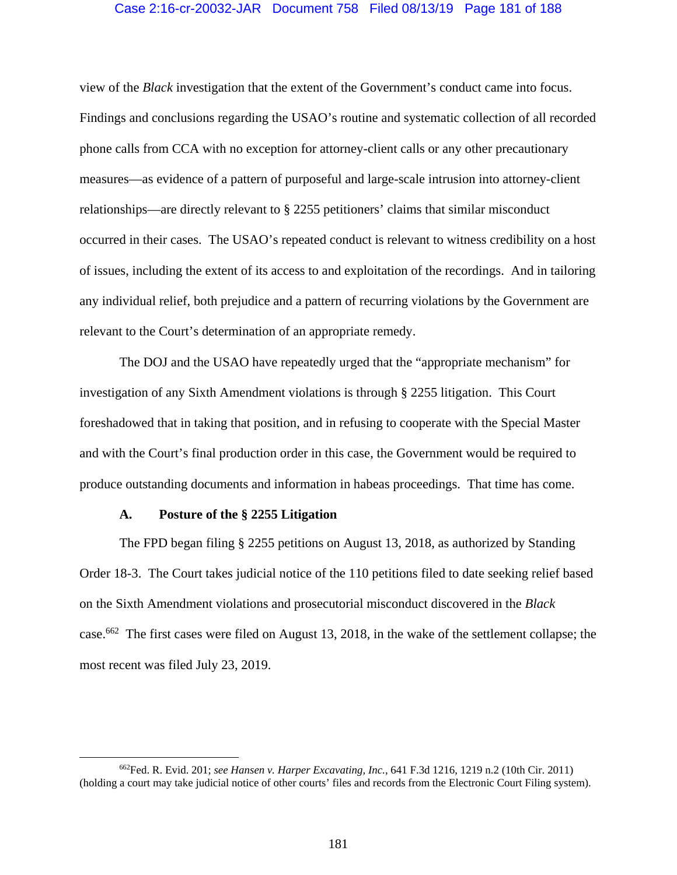### Case 2:16-cr-20032-JAR Document 758 Filed 08/13/19 Page 181 of 188

view of the *Black* investigation that the extent of the Government's conduct came into focus. Findings and conclusions regarding the USAO's routine and systematic collection of all recorded phone calls from CCA with no exception for attorney-client calls or any other precautionary measures—as evidence of a pattern of purposeful and large-scale intrusion into attorney-client relationships—are directly relevant to § 2255 petitioners' claims that similar misconduct occurred in their cases. The USAO's repeated conduct is relevant to witness credibility on a host of issues, including the extent of its access to and exploitation of the recordings. And in tailoring any individual relief, both prejudice and a pattern of recurring violations by the Government are relevant to the Court's determination of an appropriate remedy.

The DOJ and the USAO have repeatedly urged that the "appropriate mechanism" for investigation of any Sixth Amendment violations is through § 2255 litigation. This Court foreshadowed that in taking that position, and in refusing to cooperate with the Special Master and with the Court's final production order in this case, the Government would be required to produce outstanding documents and information in habeas proceedings. That time has come.

### **A. Posture of the § 2255 Litigation**

The FPD began filing § 2255 petitions on August 13, 2018, as authorized by Standing Order 18-3. The Court takes judicial notice of the 110 petitions filed to date seeking relief based on the Sixth Amendment violations and prosecutorial misconduct discovered in the *Black*  case.662 The first cases were filed on August 13, 2018, in the wake of the settlement collapse; the most recent was filed July 23, 2019.

 <sup>662</sup>Fed. R. Evid. 201; *see Hansen v. Harper Excavating, Inc.*, 641 F.3d 1216, 1219 n.2 (10th Cir. 2011) (holding a court may take judicial notice of other courts' files and records from the Electronic Court Filing system).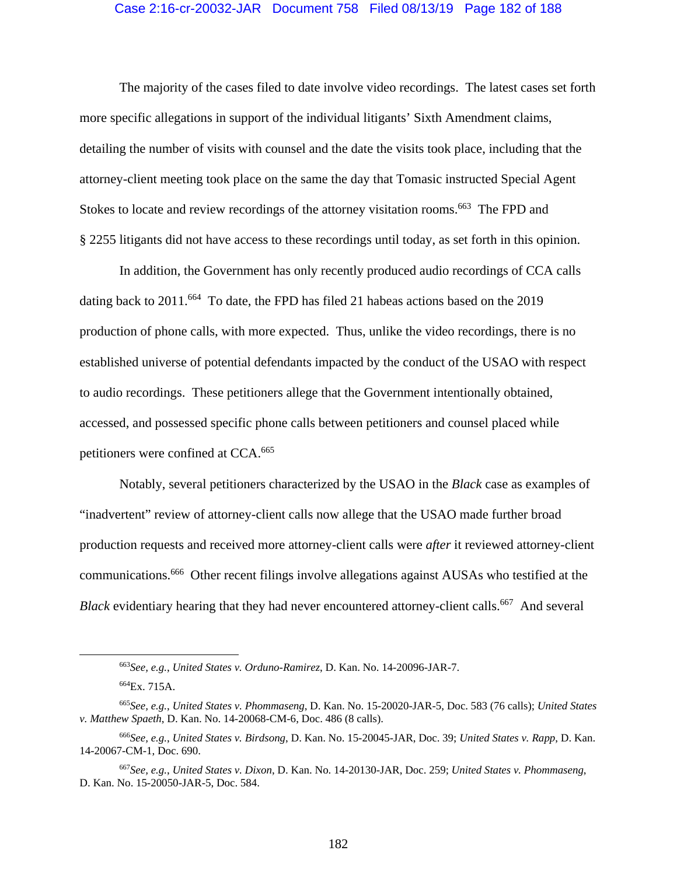#### Case 2:16-cr-20032-JAR Document 758 Filed 08/13/19 Page 182 of 188

The majority of the cases filed to date involve video recordings. The latest cases set forth more specific allegations in support of the individual litigants' Sixth Amendment claims, detailing the number of visits with counsel and the date the visits took place, including that the attorney-client meeting took place on the same the day that Tomasic instructed Special Agent Stokes to locate and review recordings of the attorney visitation rooms.<sup>663</sup> The FPD and § 2255 litigants did not have access to these recordings until today, as set forth in this opinion.

In addition, the Government has only recently produced audio recordings of CCA calls dating back to  $2011$ .<sup>664</sup> To date, the FPD has filed 21 habeas actions based on the  $2019$ production of phone calls, with more expected. Thus, unlike the video recordings, there is no established universe of potential defendants impacted by the conduct of the USAO with respect to audio recordings. These petitioners allege that the Government intentionally obtained, accessed, and possessed specific phone calls between petitioners and counsel placed while petitioners were confined at CCA.<sup>665</sup>

Notably, several petitioners characterized by the USAO in the *Black* case as examples of "inadvertent" review of attorney-client calls now allege that the USAO made further broad production requests and received more attorney-client calls were *after* it reviewed attorney-client communications.666 Other recent filings involve allegations against AUSAs who testified at the *Black* evidentiary hearing that they had never encountered attorney-client calls.<sup>667</sup> And several

 <sup>663</sup>*See, e.g.*, *United States v. Orduno-Ramirez*, D. Kan. No. 14-20096-JAR-7.

<sup>664</sup>Ex. 715A.

<sup>665</sup>*See, e.g.*, *United States v. Phommaseng*, D. Kan. No. 15-20020-JAR-5, Doc. 583 (76 calls); *United States v. Matthew Spaeth*, D. Kan. No. 14-20068-CM-6, Doc. 486 (8 calls).

<sup>666</sup>*See, e.g.*, *United States v. Birdsong*, D. Kan. No. 15-20045-JAR, Doc. 39; *United States v. Rapp*, D. Kan. 14-20067-CM-1, Doc. 690.

<sup>667</sup>*See, e.g.*, *United States v. Dixon*, D. Kan. No. 14-20130-JAR, Doc. 259; *United States v. Phommaseng*, D. Kan. No. 15-20050-JAR-5, Doc. 584.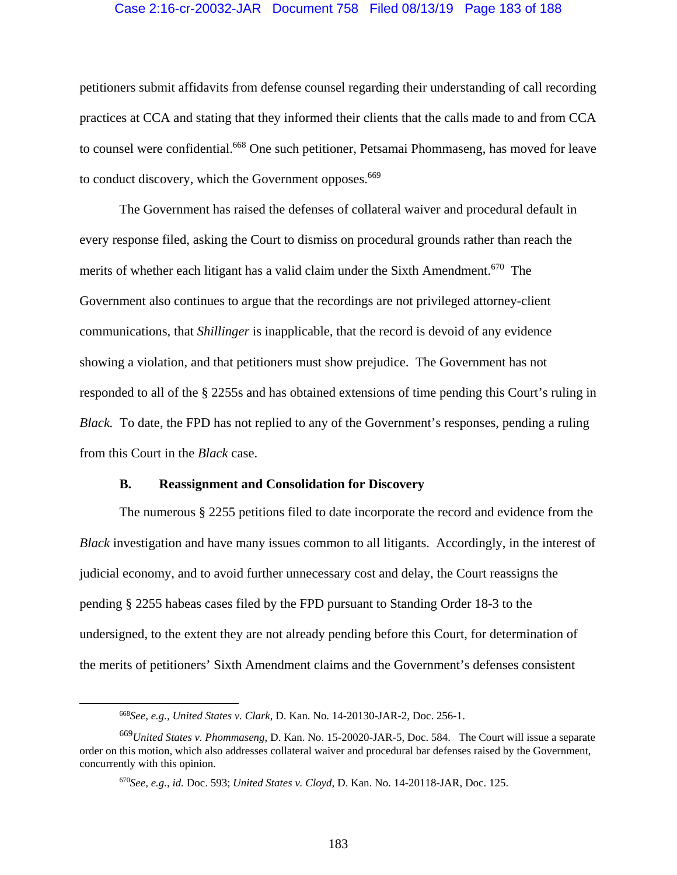### Case 2:16-cr-20032-JAR Document 758 Filed 08/13/19 Page 183 of 188

petitioners submit affidavits from defense counsel regarding their understanding of call recording practices at CCA and stating that they informed their clients that the calls made to and from CCA to counsel were confidential.<sup>668</sup> One such petitioner, Petsamai Phommaseng, has moved for leave to conduct discovery, which the Government opposes.<sup>669</sup>

The Government has raised the defenses of collateral waiver and procedural default in every response filed, asking the Court to dismiss on procedural grounds rather than reach the merits of whether each litigant has a valid claim under the Sixth Amendment.<sup>670</sup> The Government also continues to argue that the recordings are not privileged attorney-client communications, that *Shillinger* is inapplicable, that the record is devoid of any evidence showing a violation, and that petitioners must show prejudice. The Government has not responded to all of the § 2255s and has obtained extensions of time pending this Court's ruling in *Black.* To date, the FPD has not replied to any of the Government's responses, pending a ruling from this Court in the *Black* case.

#### **B. Reassignment and Consolidation for Discovery**

The numerous § 2255 petitions filed to date incorporate the record and evidence from the *Black* investigation and have many issues common to all litigants. Accordingly, in the interest of judicial economy, and to avoid further unnecessary cost and delay, the Court reassigns the pending § 2255 habeas cases filed by the FPD pursuant to Standing Order 18-3 to the undersigned, to the extent they are not already pending before this Court, for determination of the merits of petitioners' Sixth Amendment claims and the Government's defenses consistent

 <sup>668</sup>*See, e.g.*, *United States v. Clark*, D. Kan. No. 14-20130-JAR-2, Doc. 256-1.

<sup>669</sup>*United States v. Phommaseng*, D. Kan. No. 15-20020-JAR-5, Doc. 584. The Court will issue a separate order on this motion, which also addresses collateral waiver and procedural bar defenses raised by the Government, concurrently with this opinion.

<sup>670</sup>*See, e.g.*, *id.* Doc. 593; *United States v. Cloyd*, D. Kan. No. 14-20118-JAR, Doc. 125.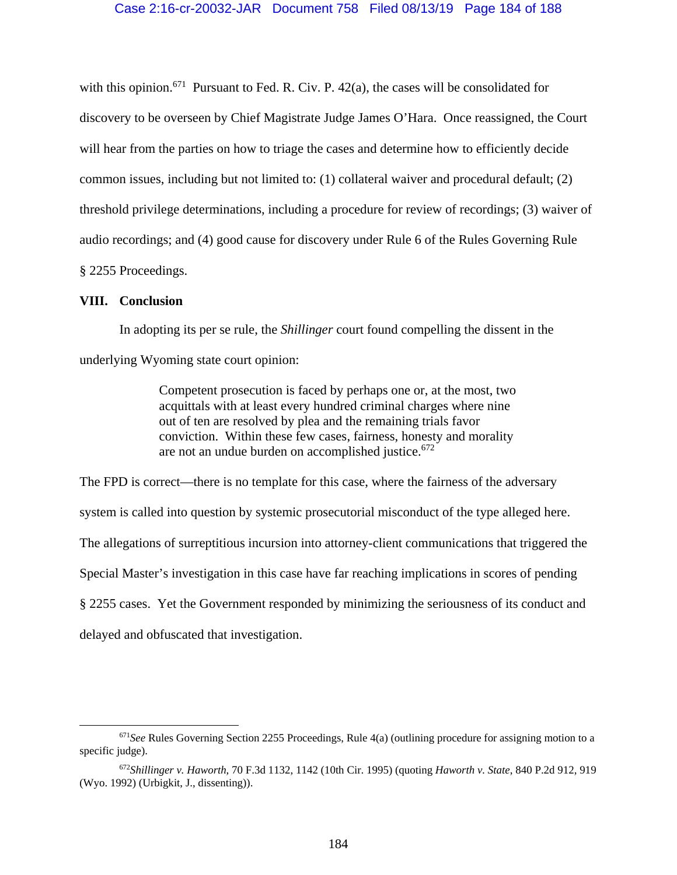with this opinion.<sup>671</sup> Pursuant to Fed. R. Civ. P. 42(a), the cases will be consolidated for discovery to be overseen by Chief Magistrate Judge James O'Hara. Once reassigned, the Court will hear from the parties on how to triage the cases and determine how to efficiently decide common issues, including but not limited to: (1) collateral waiver and procedural default; (2) threshold privilege determinations, including a procedure for review of recordings; (3) waiver of audio recordings; and (4) good cause for discovery under Rule 6 of the Rules Governing Rule § 2255 Proceedings.

### **VIII. Conclusion**

In adopting its per se rule, the *Shillinger* court found compelling the dissent in the underlying Wyoming state court opinion:

> Competent prosecution is faced by perhaps one or, at the most, two acquittals with at least every hundred criminal charges where nine out of ten are resolved by plea and the remaining trials favor conviction. Within these few cases, fairness, honesty and morality are not an undue burden on accomplished justice.  $672$

The FPD is correct—there is no template for this case, where the fairness of the adversary system is called into question by systemic prosecutorial misconduct of the type alleged here. The allegations of surreptitious incursion into attorney-client communications that triggered the Special Master's investigation in this case have far reaching implications in scores of pending § 2255 cases. Yet the Government responded by minimizing the seriousness of its conduct and delayed and obfuscated that investigation.

 <sup>671</sup>*See* Rules Governing Section 2255 Proceedings, Rule 4(a) (outlining procedure for assigning motion to a specific judge).

<sup>672</sup>*Shillinger v. Haworth*, 70 F.3d 1132, 1142 (10th Cir. 1995) (quoting *Haworth v. State*, 840 P.2d 912, 919 (Wyo. 1992) (Urbigkit, J., dissenting)).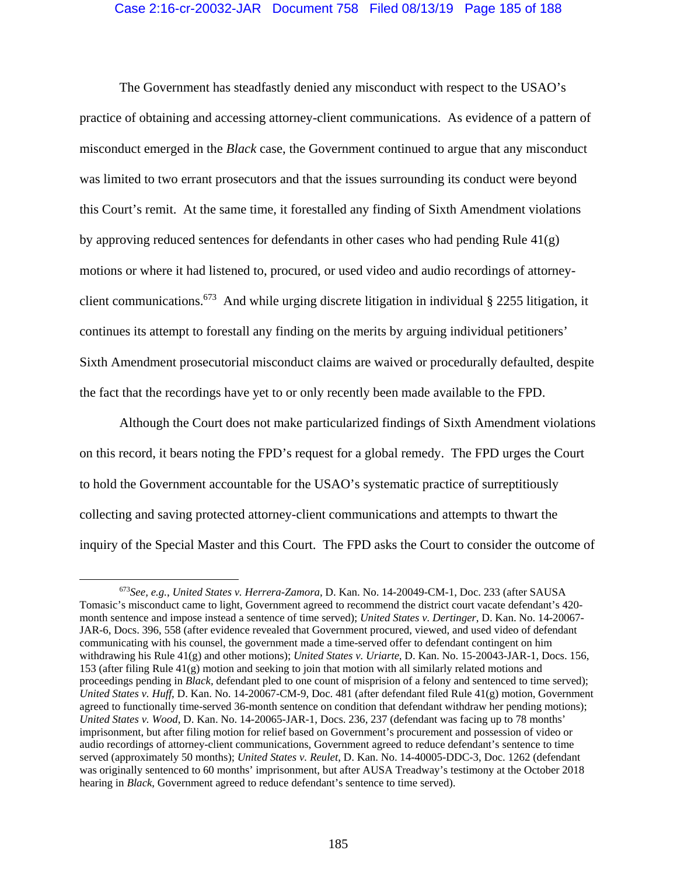## Case 2:16-cr-20032-JAR Document 758 Filed 08/13/19 Page 185 of 188

The Government has steadfastly denied any misconduct with respect to the USAO's practice of obtaining and accessing attorney-client communications. As evidence of a pattern of misconduct emerged in the *Black* case, the Government continued to argue that any misconduct was limited to two errant prosecutors and that the issues surrounding its conduct were beyond this Court's remit. At the same time, it forestalled any finding of Sixth Amendment violations by approving reduced sentences for defendants in other cases who had pending Rule 41(g) motions or where it had listened to, procured, or used video and audio recordings of attorneyclient communications.<sup>673</sup> And while urging discrete litigation in individual  $\S$  2255 litigation, it continues its attempt to forestall any finding on the merits by arguing individual petitioners' Sixth Amendment prosecutorial misconduct claims are waived or procedurally defaulted, despite the fact that the recordings have yet to or only recently been made available to the FPD.

Although the Court does not make particularized findings of Sixth Amendment violations on this record, it bears noting the FPD's request for a global remedy. The FPD urges the Court to hold the Government accountable for the USAO's systematic practice of surreptitiously collecting and saving protected attorney-client communications and attempts to thwart the inquiry of the Special Master and this Court. The FPD asks the Court to consider the outcome of

 <sup>673</sup>*See, e.g.*, *United States v. Herrera-Zamora*, D. Kan. No. 14-20049-CM-1, Doc. 233 (after SAUSA Tomasic's misconduct came to light, Government agreed to recommend the district court vacate defendant's 420 month sentence and impose instead a sentence of time served); *United States v. Dertinger*, D. Kan. No. 14-20067- JAR-6, Docs. 396, 558 (after evidence revealed that Government procured, viewed, and used video of defendant communicating with his counsel, the government made a time-served offer to defendant contingent on him withdrawing his Rule 41(g) and other motions); *United States v. Uriarte*, D. Kan. No. 15-20043-JAR-1, Docs. 156, 153 (after filing Rule 41(g) motion and seeking to join that motion with all similarly related motions and proceedings pending in *Black,* defendant pled to one count of misprision of a felony and sentenced to time served); *United States v. Huff*, D. Kan. No. 14-20067-CM-9, Doc. 481 (after defendant filed Rule 41(g) motion, Government agreed to functionally time-served 36-month sentence on condition that defendant withdraw her pending motions); *United States v. Wood*, D. Kan. No. 14-20065-JAR-1, Docs. 236, 237 (defendant was facing up to 78 months' imprisonment, but after filing motion for relief based on Government's procurement and possession of video or audio recordings of attorney-client communications, Government agreed to reduce defendant's sentence to time served (approximately 50 months); *United States v. Reulet*, D. Kan. No. 14-40005-DDC-3, Doc. 1262 (defendant was originally sentenced to 60 months' imprisonment, but after AUSA Treadway's testimony at the October 2018 hearing in *Black*, Government agreed to reduce defendant's sentence to time served).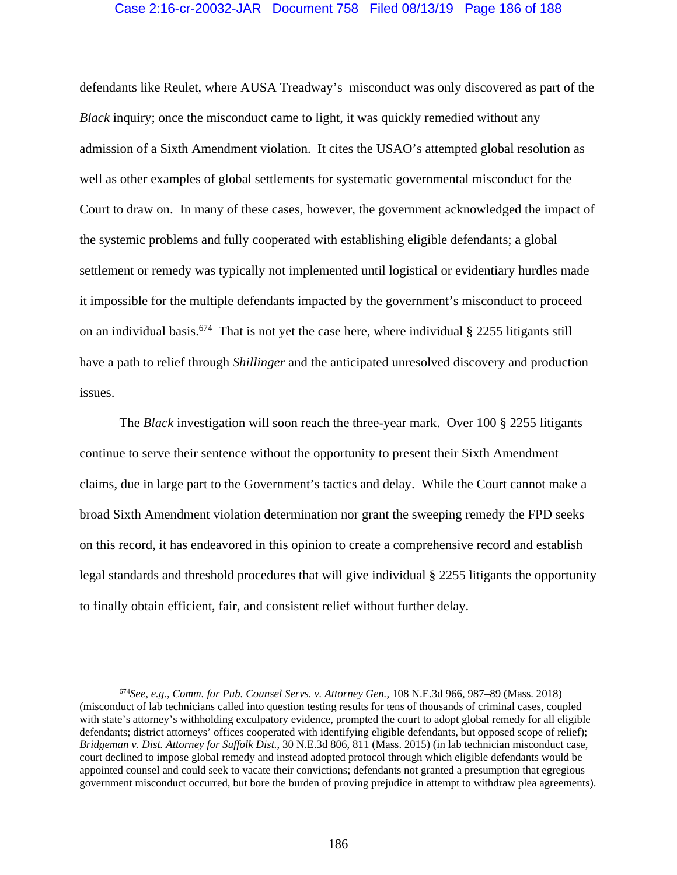## Case 2:16-cr-20032-JAR Document 758 Filed 08/13/19 Page 186 of 188

defendants like Reulet, where AUSA Treadway's misconduct was only discovered as part of the *Black* inquiry; once the misconduct came to light, it was quickly remedied without any admission of a Sixth Amendment violation. It cites the USAO's attempted global resolution as well as other examples of global settlements for systematic governmental misconduct for the Court to draw on. In many of these cases, however, the government acknowledged the impact of the systemic problems and fully cooperated with establishing eligible defendants; a global settlement or remedy was typically not implemented until logistical or evidentiary hurdles made it impossible for the multiple defendants impacted by the government's misconduct to proceed on an individual basis.<sup>674</sup> That is not yet the case here, where individual  $\S$  2255 litigants still have a path to relief through *Shillinger* and the anticipated unresolved discovery and production issues.

The *Black* investigation will soon reach the three-year mark. Over 100 § 2255 litigants continue to serve their sentence without the opportunity to present their Sixth Amendment claims, due in large part to the Government's tactics and delay. While the Court cannot make a broad Sixth Amendment violation determination nor grant the sweeping remedy the FPD seeks on this record, it has endeavored in this opinion to create a comprehensive record and establish legal standards and threshold procedures that will give individual § 2255 litigants the opportunity to finally obtain efficient, fair, and consistent relief without further delay.

 <sup>674</sup>*See, e.g.*, *Comm. for Pub. Counsel Servs. v. Attorney Gen.*, 108 N.E.3d 966, 987–89 (Mass. 2018) (misconduct of lab technicians called into question testing results for tens of thousands of criminal cases, coupled with state's attorney's withholding exculpatory evidence, prompted the court to adopt global remedy for all eligible defendants; district attorneys' offices cooperated with identifying eligible defendants, but opposed scope of relief); *Bridgeman v. Dist. Attorney for Suffolk Dist.*, 30 N.E.3d 806, 811 (Mass. 2015) (in lab technician misconduct case, court declined to impose global remedy and instead adopted protocol through which eligible defendants would be appointed counsel and could seek to vacate their convictions; defendants not granted a presumption that egregious government misconduct occurred, but bore the burden of proving prejudice in attempt to withdraw plea agreements).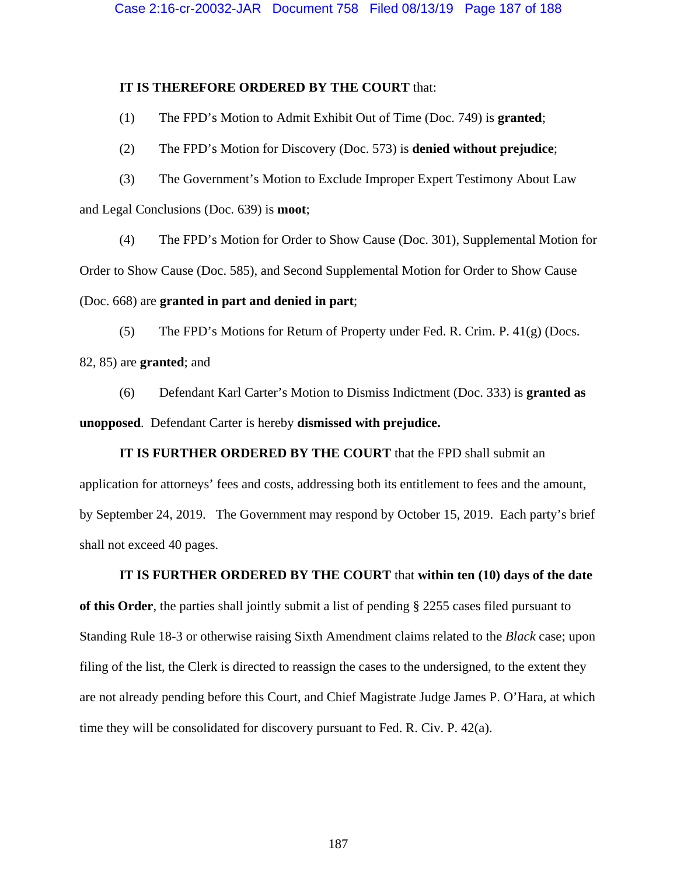## **IT IS THEREFORE ORDERED BY THE COURT** that:

(1) The FPD's Motion to Admit Exhibit Out of Time (Doc. 749) is **granted**;

(2) The FPD's Motion for Discovery (Doc. 573) is **denied without prejudice**;

(3) The Government's Motion to Exclude Improper Expert Testimony About Law and Legal Conclusions (Doc. 639) is **moot**;

(4) The FPD's Motion for Order to Show Cause (Doc. 301), Supplemental Motion for Order to Show Cause (Doc. 585), and Second Supplemental Motion for Order to Show Cause (Doc. 668) are **granted in part and denied in part**;

(5) The FPD's Motions for Return of Property under Fed. R. Crim. P. 41(g) (Docs. 82, 85) are **granted**; and

(6) Defendant Karl Carter's Motion to Dismiss Indictment (Doc. 333) is **granted as unopposed**. Defendant Carter is hereby **dismissed with prejudice.** 

**IT IS FURTHER ORDERED BY THE COURT** that the FPD shall submit an application for attorneys' fees and costs, addressing both its entitlement to fees and the amount, by September 24, 2019. The Government may respond by October 15, 2019. Each party's brief shall not exceed 40 pages.

**IT IS FURTHER ORDERED BY THE COURT** that **within ten (10) days of the date of this Order**, the parties shall jointly submit a list of pending § 2255 cases filed pursuant to Standing Rule 18-3 or otherwise raising Sixth Amendment claims related to the *Black* case; upon filing of the list, the Clerk is directed to reassign the cases to the undersigned, to the extent they are not already pending before this Court, and Chief Magistrate Judge James P. O'Hara, at which time they will be consolidated for discovery pursuant to Fed. R. Civ. P. 42(a).